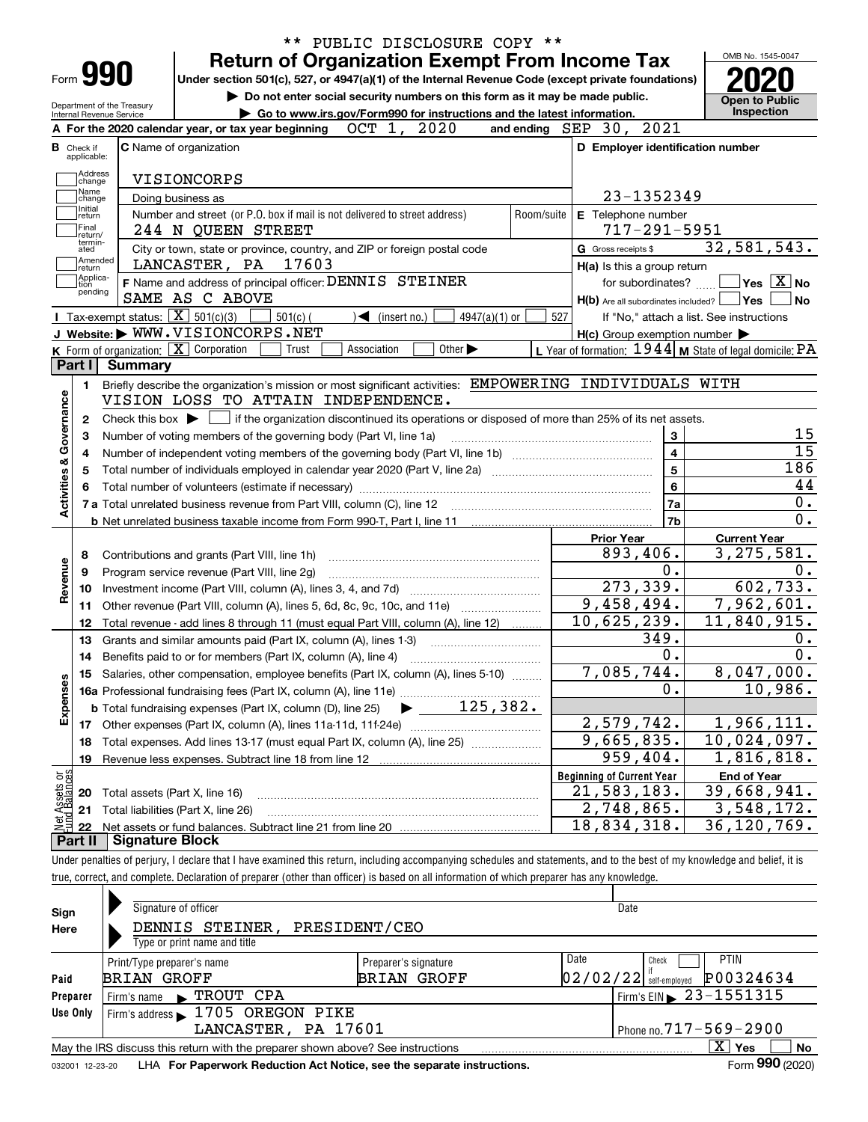|                                                      | Form 990<br>Internal Revenue Service    | Department of the Treasury |                                                   | <b>Return of Organization Exempt From Income Tax</b><br>Under section 501(c), 527, or 4947(a)(1) of the Internal Revenue Code (except private foundations)<br>Do not enter social security numbers on this form as it may be made public.<br>Go to www.irs.gov/Form990 for instructions and the latest information. |             |                                   |                             |                 |                         |                     |                                                     | OMB No. 1545-0047<br><b>Open to Public</b><br><b>Inspection</b>                                                                                  |
|------------------------------------------------------|-----------------------------------------|----------------------------|---------------------------------------------------|---------------------------------------------------------------------------------------------------------------------------------------------------------------------------------------------------------------------------------------------------------------------------------------------------------------------|-------------|-----------------------------------|-----------------------------|-----------------|-------------------------|---------------------|-----------------------------------------------------|--------------------------------------------------------------------------------------------------------------------------------------------------|
|                                                      |                                         |                            |                                                   | A For the 2020 calendar year, or tax year beginning                                                                                                                                                                                                                                                                 | OCT 1,      |                                   | 2020                        |                 | and ending SEP 30, 2021 |                     |                                                     |                                                                                                                                                  |
| <b>B</b> Check if                                    | applicable:                             |                            | <b>C</b> Name of organization                     |                                                                                                                                                                                                                                                                                                                     |             |                                   |                             |                 |                         |                     | D Employer identification number                    |                                                                                                                                                  |
|                                                      | Address<br>change<br>Name               |                            | VISIONCORPS                                       |                                                                                                                                                                                                                                                                                                                     |             |                                   |                             |                 |                         |                     |                                                     |                                                                                                                                                  |
|                                                      | change                                  |                            | Doing business as                                 |                                                                                                                                                                                                                                                                                                                     |             |                                   |                             |                 |                         |                     | 23-1352349                                          |                                                                                                                                                  |
|                                                      | Initial<br>return<br> Final<br>Ireturn/ |                            | 244 N QUEEN STREET                                | Number and street (or P.O. box if mail is not delivered to street address)                                                                                                                                                                                                                                          |             |                                   |                             |                 | Room/suite              |                     | E Telephone number<br>$717 - 291 - 5951$            |                                                                                                                                                  |
|                                                      | termin-<br>ated                         |                            |                                                   | City or town, state or province, country, and ZIP or foreign postal code                                                                                                                                                                                                                                            |             |                                   |                             |                 |                         | G Gross receipts \$ |                                                     | 32,581,543.                                                                                                                                      |
|                                                      | Amended<br>∣return                      |                            | LANCASTER, PA                                     | 17603                                                                                                                                                                                                                                                                                                               |             |                                   |                             |                 |                         |                     | H(a) Is this a group return                         |                                                                                                                                                  |
| tion                                                 | Applica-                                |                            |                                                   | F Name and address of principal officer: DENNIS STEINER                                                                                                                                                                                                                                                             |             |                                   |                             |                 |                         |                     | for subordinates?                                   | $\boxed{\phantom{1}}$ Yes $\boxed{\text{X}}$ No                                                                                                  |
|                                                      | pending                                 |                            | SAME AS C ABOVE                                   |                                                                                                                                                                                                                                                                                                                     |             |                                   |                             |                 |                         |                     | $H(b)$ Are all subordinates included? $\Box$ Yes    |                                                                                                                                                  |
|                                                      |                                         |                            | Tax-exempt status: $\boxed{\mathbf{X}}$ 501(c)(3) | $501(c)$ (                                                                                                                                                                                                                                                                                                          |             | $\sqrt{\frac{1}{1}}$ (insert no.) |                             | $4947(a)(1)$ or | 527                     |                     |                                                     | If "No," attach a list. See instructions                                                                                                         |
|                                                      |                                         |                            | J Website: WWW.VISIONCORPS.NET                    |                                                                                                                                                                                                                                                                                                                     |             |                                   |                             |                 |                         |                     | $H(c)$ Group exemption number $\blacktriangleright$ |                                                                                                                                                  |
|                                                      |                                         |                            | K Form of organization:   X Corporation           | Trust                                                                                                                                                                                                                                                                                                               | Association |                                   | Other $\blacktriangleright$ |                 |                         |                     |                                                     | L Year of formation: $1944$ M State of legal domicile: PA                                                                                        |
| Part I                                               |                                         | <b>Summary</b>             |                                                   |                                                                                                                                                                                                                                                                                                                     |             |                                   |                             |                 |                         |                     |                                                     |                                                                                                                                                  |
|                                                      | 1.                                      |                            |                                                   | Briefly describe the organization's mission or most significant activities: EMPOWERING INDIVIDUALS WITH                                                                                                                                                                                                             |             |                                   |                             |                 |                         |                     |                                                     |                                                                                                                                                  |
|                                                      |                                         |                            |                                                   | VISION LOSS TO ATTAIN INDEPENDENCE.                                                                                                                                                                                                                                                                                 |             |                                   |                             |                 |                         |                     |                                                     |                                                                                                                                                  |
|                                                      | 2                                       |                            |                                                   | Check this box $\blacktriangleright$ $\blacksquare$ if the organization discontinued its operations or disposed of more than 25% of its net assets.                                                                                                                                                                 |             |                                   |                             |                 |                         |                     |                                                     |                                                                                                                                                  |
|                                                      | 3                                       |                            |                                                   | Number of voting members of the governing body (Part VI, line 1a)                                                                                                                                                                                                                                                   |             |                                   |                             |                 |                         |                     | 3                                                   |                                                                                                                                                  |
|                                                      |                                         |                            |                                                   |                                                                                                                                                                                                                                                                                                                     |             |                                   |                             |                 |                         |                     |                                                     |                                                                                                                                                  |
|                                                      | 4                                       |                            |                                                   |                                                                                                                                                                                                                                                                                                                     |             |                                   |                             |                 |                         |                     |                                                     |                                                                                                                                                  |
|                                                      |                                         |                            |                                                   |                                                                                                                                                                                                                                                                                                                     |             |                                   |                             |                 |                         |                     | 4                                                   |                                                                                                                                                  |
|                                                      | 5                                       |                            |                                                   |                                                                                                                                                                                                                                                                                                                     |             |                                   |                             |                 |                         |                     | $\overline{5}$                                      |                                                                                                                                                  |
|                                                      |                                         |                            |                                                   |                                                                                                                                                                                                                                                                                                                     |             |                                   |                             |                 |                         |                     | $\bf 6$                                             |                                                                                                                                                  |
|                                                      |                                         |                            |                                                   |                                                                                                                                                                                                                                                                                                                     |             |                                   |                             |                 |                         |                     | 7a                                                  |                                                                                                                                                  |
|                                                      |                                         |                            |                                                   |                                                                                                                                                                                                                                                                                                                     |             |                                   |                             |                 |                         |                     | 7b                                                  |                                                                                                                                                  |
|                                                      |                                         |                            |                                                   |                                                                                                                                                                                                                                                                                                                     |             |                                   |                             |                 |                         | <b>Prior Year</b>   |                                                     | <b>Current Year</b>                                                                                                                              |
| 8                                                    |                                         |                            | Contributions and grants (Part VIII, line 1h)     |                                                                                                                                                                                                                                                                                                                     |             |                                   |                             |                 |                         |                     | 893,406.                                            |                                                                                                                                                  |
| 9                                                    |                                         |                            | Program service revenue (Part VIII, line 2g)      |                                                                                                                                                                                                                                                                                                                     |             |                                   |                             |                 |                         |                     | 0.                                                  |                                                                                                                                                  |
| 10                                                   |                                         |                            |                                                   |                                                                                                                                                                                                                                                                                                                     |             |                                   |                             |                 |                         |                     | 273, 339.                                           |                                                                                                                                                  |
|                                                      | 11                                      |                            |                                                   | Other revenue (Part VIII, column (A), lines 5, 6d, 8c, 9c, 10c, and 11e)                                                                                                                                                                                                                                            |             |                                   |                             |                 |                         |                     | 9,458,494.                                          |                                                                                                                                                  |
|                                                      | 12                                      |                            |                                                   | Total revenue - add lines 8 through 11 (must equal Part VIII, column (A), line 12)                                                                                                                                                                                                                                  |             |                                   |                             |                 |                         |                     | 10,625,239.                                         |                                                                                                                                                  |
|                                                      | 13                                      |                            |                                                   | Grants and similar amounts paid (Part IX, column (A), lines 1-3)                                                                                                                                                                                                                                                    |             |                                   |                             |                 |                         |                     | 349.                                                |                                                                                                                                                  |
|                                                      | 14                                      |                            |                                                   |                                                                                                                                                                                                                                                                                                                     |             |                                   |                             |                 |                         |                     | $0$ .                                               |                                                                                                                                                  |
|                                                      |                                         |                            |                                                   | 15 Salaries, other compensation, employee benefits (Part IX, column (A), lines 5-10)                                                                                                                                                                                                                                |             |                                   |                             |                 |                         |                     | 7,085,744.                                          |                                                                                                                                                  |
|                                                      |                                         |                            |                                                   |                                                                                                                                                                                                                                                                                                                     |             |                                   |                             |                 |                         |                     | 0.                                                  |                                                                                                                                                  |
|                                                      |                                         |                            |                                                   | <b>b</b> Total fundraising expenses (Part IX, column (D), line 25)                                                                                                                                                                                                                                                  |             |                                   |                             | 125,382.        |                         |                     |                                                     |                                                                                                                                                  |
|                                                      | 17                                      |                            |                                                   |                                                                                                                                                                                                                                                                                                                     |             |                                   |                             |                 |                         |                     | 2,579,742.                                          |                                                                                                                                                  |
| 18                                                   |                                         |                            |                                                   |                                                                                                                                                                                                                                                                                                                     |             |                                   |                             |                 |                         |                     |                                                     |                                                                                                                                                  |
|                                                      |                                         |                            |                                                   | Total expenses. Add lines 13-17 (must equal Part IX, column (A), line 25)                                                                                                                                                                                                                                           |             |                                   |                             |                 |                         |                     | $\overline{9,665}$ , 835.                           |                                                                                                                                                  |
|                                                      | 19                                      |                            |                                                   | Revenue less expenses. Subtract line 18 from line 12                                                                                                                                                                                                                                                                |             |                                   |                             |                 |                         |                     | 959,404.                                            |                                                                                                                                                  |
|                                                      |                                         |                            |                                                   |                                                                                                                                                                                                                                                                                                                     |             |                                   |                             |                 |                         |                     | <b>Beginning of Current Year</b>                    | <b>End of Year</b>                                                                                                                               |
| Activities & Governance<br>Revenue<br>Expenses<br>20 |                                         |                            | Total assets (Part X, line 16)                    |                                                                                                                                                                                                                                                                                                                     |             |                                   |                             |                 |                         |                     | $\overline{21}$ , 583, 183.                         | 186<br>3, 275, 581.<br>602, 733.<br>7,962,601.<br>11,840,915.<br>8,047,000.<br>10,986.<br>1,966,111.<br>10,024,097.<br>1,816,818.<br>39,668,941. |
| t Assets or<br>d Balances<br>21<br>22                |                                         |                            | Total liabilities (Part X, line 26)               |                                                                                                                                                                                                                                                                                                                     |             |                                   |                             |                 |                         |                     | $\overline{2}$ , 748, 865.<br>18,834,318.           | 3,548,172.<br>36,120,769.                                                                                                                        |

|              | Signature of officer                                                            | Date                                       |                                                                       |  |  |  |  |  |  |
|--------------|---------------------------------------------------------------------------------|--------------------------------------------|-----------------------------------------------------------------------|--|--|--|--|--|--|
| Sign<br>Here | PRESIDENT/CEO<br>DENNIS STEINER,<br>Type or print name and title                |                                            |                                                                       |  |  |  |  |  |  |
| Paid         | Print/Type preparer's name<br><b>BRIAN GROFF</b>                                | Preparer's signature<br><b>BRIAN GROFF</b> | Date<br><b>PTIN</b><br>Check<br>P00324634<br>$02/02/22$ self-employed |  |  |  |  |  |  |
| Preparer     | $\blacktriangleright$ TROUT CPA<br>Firm's name                                  |                                            | Firm's EIN $\triangleright$ 23-1551315                                |  |  |  |  |  |  |
| Use Only     | Firm's address 1705 OREGON PIKE                                                 |                                            |                                                                       |  |  |  |  |  |  |
|              | LANCASTER, PA 17601<br>Phone no. $717 - 569 - 2900$                             |                                            |                                                                       |  |  |  |  |  |  |
|              | May the IRS discuss this return with the preparer shown above? See instructions |                                            | X.<br>Yes<br>No<br>$\mathbf{a}\mathbf{a}\mathbf{a}$                   |  |  |  |  |  |  |

true, correct, and complete. Declaration of preparer (other than officer) is based on all information of which preparer has any knowledge.

032001 12-23-20 LHA **For Paperwork Reduction Act Notice, see the separate instructions. Form 990 (2020)**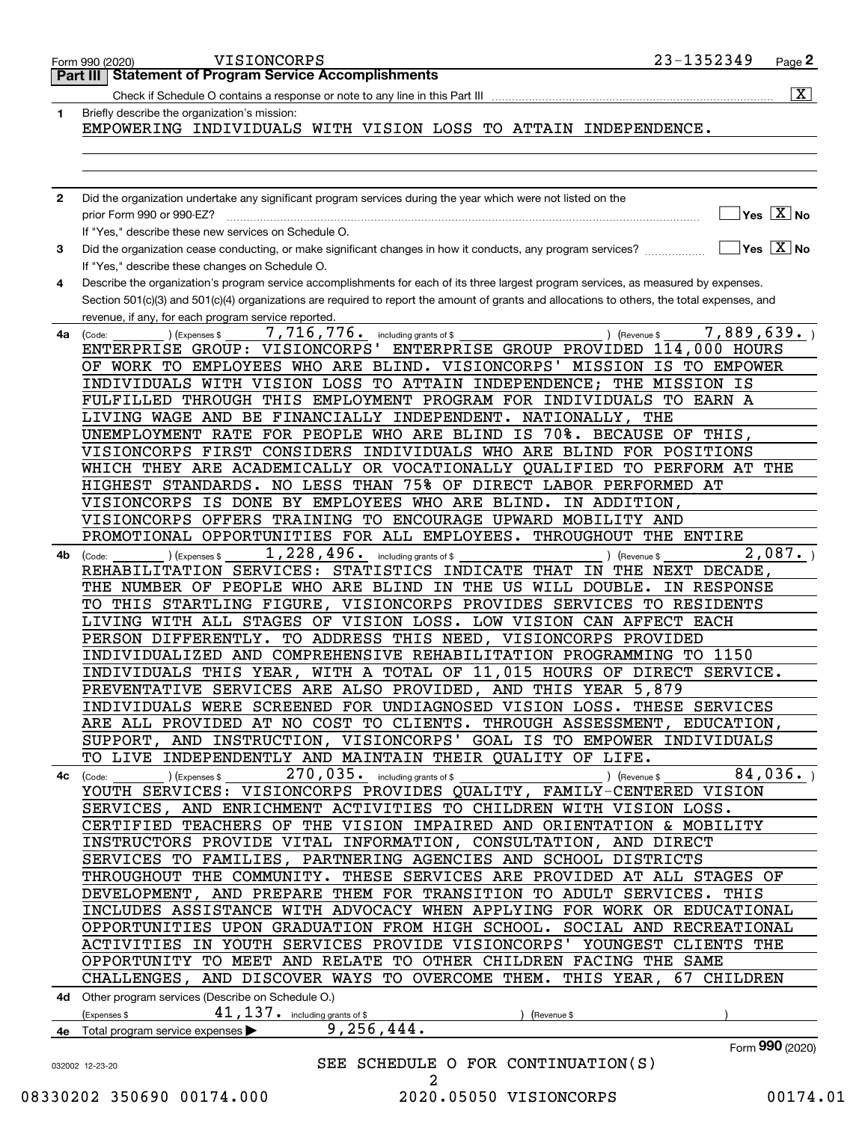|              | 23-1352349<br>VISIONCORPS<br>Page 2<br>Form 990 (2020)                                                                                                          |
|--------------|-----------------------------------------------------------------------------------------------------------------------------------------------------------------|
|              | <b>Statement of Program Service Accomplishments</b><br>Part III                                                                                                 |
|              | $\overline{\mathbf{x}}$<br>Check if Schedule O contains a response or note to any line in this Part III                                                         |
| 1            | Briefly describe the organization's mission:<br>EMPOWERING INDIVIDUALS WITH VISION LOSS TO ATTAIN INDEPENDENCE.                                                 |
|              |                                                                                                                                                                 |
|              |                                                                                                                                                                 |
|              |                                                                                                                                                                 |
| $\mathbf{2}$ | Did the organization undertake any significant program services during the year which were not listed on the                                                    |
|              | $\overline{\mathsf{Yes}\mathrel{\hspace{0.05cm}\mathbf{X}}$ No<br>prior Form 990 or 990-EZ?                                                                     |
|              | If "Yes," describe these new services on Schedule O.                                                                                                            |
| 3            | $\overline{\ }$ Yes $\overline{\phantom{X}}$ No<br>Did the organization cease conducting, or make significant changes in how it conducts, any program services? |
|              | If "Yes," describe these changes on Schedule O.                                                                                                                 |
| 4            | Describe the organization's program service accomplishments for each of its three largest program services, as measured by expenses.                            |
|              | Section 501(c)(3) and 501(c)(4) organizations are required to report the amount of grants and allocations to others, the total expenses, and                    |
|              | revenue, if any, for each program service reported.                                                                                                             |
| 4a           | 7,889,639.<br>7,716,776.<br>) (Revenue \$<br>(Expenses \$<br>including grants of \$<br>(Code:                                                                   |
|              | ENTERPRISE GROUP: VISIONCORPS'<br>ENTERPRISE GROUP PROVIDED 114,000 HOURS                                                                                       |
|              | MISSION IS TO EMPOWER<br>OF WORK TO EMPLOYEES WHO ARE BLIND. VISIONCORPS'                                                                                       |
|              | INDIVIDUALS WITH VISION LOSS TO ATTAIN INDEPENDENCE; THE MISSION IS                                                                                             |
|              | FULFILLED THROUGH THIS EMPLOYMENT PROGRAM FOR INDIVIDUALS TO EARN A                                                                                             |
|              | LIVING WAGE AND BE FINANCIALLY INDEPENDENT. NATIONALLY, THE                                                                                                     |
|              | UNEMPLOYMENT RATE FOR PEOPLE WHO ARE BLIND IS 70%. BECAUSE OF THIS,                                                                                             |
|              | VISIONCORPS FIRST CONSIDERS INDIVIDUALS WHO ARE BLIND FOR POSITIONS                                                                                             |
|              | WHICH THEY ARE ACADEMICALLY OR VOCATIONALLY QUALIFIED TO PERFORM AT THE                                                                                         |
|              | NO LESS THAN 75% OF DIRECT LABOR PERFORMED AT<br>HIGHEST STANDARDS.                                                                                             |
|              | VISIONCORPS IS DONE BY EMPLOYEES WHO ARE BLIND.<br>IN ADDITION,                                                                                                 |
|              | VISIONCORPS OFFERS TRAINING TO ENCOURAGE UPWARD MOBILITY AND                                                                                                    |
|              | PROMOTIONAL OPPORTUNITIES FOR ALL EMPLOYEES. THROUGHOUT THE ENTIRE                                                                                              |
| 4b           | 1,228,496.<br>2,087.<br>including grants of \$<br>) (Revenue \$<br>(Expenses \$<br>(Code:                                                                       |
|              | STATISTICS INDICATE THAT IN<br>REHABILITATION SERVICES:<br>THE NEXT DECADE,                                                                                     |
|              | THE NUMBER OF PEOPLE WHO ARE BLIND IN THE US WILL DOUBLE.<br>IN RESPONSE                                                                                        |
|              | TO THIS STARTLING FIGURE, VISIONCORPS PROVIDES SERVICES TO RESIDENTS                                                                                            |
|              | LIVING WITH ALL STAGES OF VISION LOSS. LOW VISION CAN AFFECT EACH                                                                                               |
|              | PERSON DIFFERENTLY.<br>TO ADDRESS THIS NEED, VISIONCORPS PROVIDED                                                                                               |
|              | INDIVIDUALIZED AND COMPREHENSIVE REHABILITATION PROGRAMMING TO 1150                                                                                             |
|              | INDIVIDUALS THIS YEAR, WITH A TOTAL OF 11,015 HOURS OF DIRECT SERVICE.                                                                                          |
|              | PREVENTATIVE SERVICES ARE ALSO PROVIDED, AND THIS YEAR 5,879                                                                                                    |
|              | INDIVIDUALS WERE SCREENED FOR UNDIAGNOSED VISION LOSS. THESE SERVICES                                                                                           |
|              | ARE ALL PROVIDED AT NO COST TO CLIENTS. THROUGH ASSESSMENT, EDUCATION,                                                                                          |
|              | SUPPORT, AND INSTRUCTION, VISIONCORPS' GOAL IS TO EMPOWER INDIVIDUALS                                                                                           |
|              | TO LIVE INDEPENDENTLY AND MAINTAIN THEIR QUALITY OF LIFE.                                                                                                       |
| 4с           | 84,036.<br>$270,035$ . including grants of \$<br>(Expenses \$<br>(Code:<br>) (Revenue \$                                                                        |
|              | YOUTH SERVICES: VISIONCORPS PROVIDES QUALITY, FAMILY-CENTERED VISION                                                                                            |
|              | SERVICES, AND ENRICHMENT ACTIVITIES TO CHILDREN WITH VISION LOSS.                                                                                               |
|              | CERTIFIED TEACHERS OF THE VISION IMPAIRED AND ORIENTATION & MOBILITY                                                                                            |
|              | INSTRUCTORS PROVIDE VITAL INFORMATION, CONSULTATION, AND DIRECT                                                                                                 |
|              | SERVICES TO FAMILIES, PARTNERING AGENCIES AND SCHOOL DISTRICTS                                                                                                  |
|              | THROUGHOUT THE COMMUNITY. THESE SERVICES ARE PROVIDED AT ALL STAGES OF                                                                                          |
|              | DEVELOPMENT, AND PREPARE THEM FOR TRANSITION TO ADULT SERVICES. THIS                                                                                            |
|              | INCLUDES ASSISTANCE WITH ADVOCACY WHEN APPLYING FOR WORK OR EDUCATIONAL                                                                                         |
|              | OPPORTUNITIES UPON GRADUATION FROM HIGH SCHOOL. SOCIAL AND RECREATIONAL                                                                                         |
|              | ACTIVITIES IN YOUTH SERVICES PROVIDE VISIONCORPS' YOUNGEST CLIENTS THE                                                                                          |
|              | OPPORTUNITY TO MEET AND RELATE TO OTHER CHILDREN FACING THE SAME                                                                                                |
|              | CHALLENGES, AND DISCOVER WAYS TO OVERCOME THEM. THIS YEAR,<br>67 CHILDREN                                                                                       |
|              | 4d Other program services (Describe on Schedule O.)                                                                                                             |
|              | $41, 137$ $\cdot$ including grants of \$<br>(Expenses \$<br>(Revenue \$                                                                                         |
|              | 9, 256, 444.<br>4e Total program service expenses >                                                                                                             |
|              | Form 990 (2020)                                                                                                                                                 |
|              | SEE SCHEDULE O FOR CONTINUATION(S)<br>032002 12-23-20                                                                                                           |
|              | 2                                                                                                                                                               |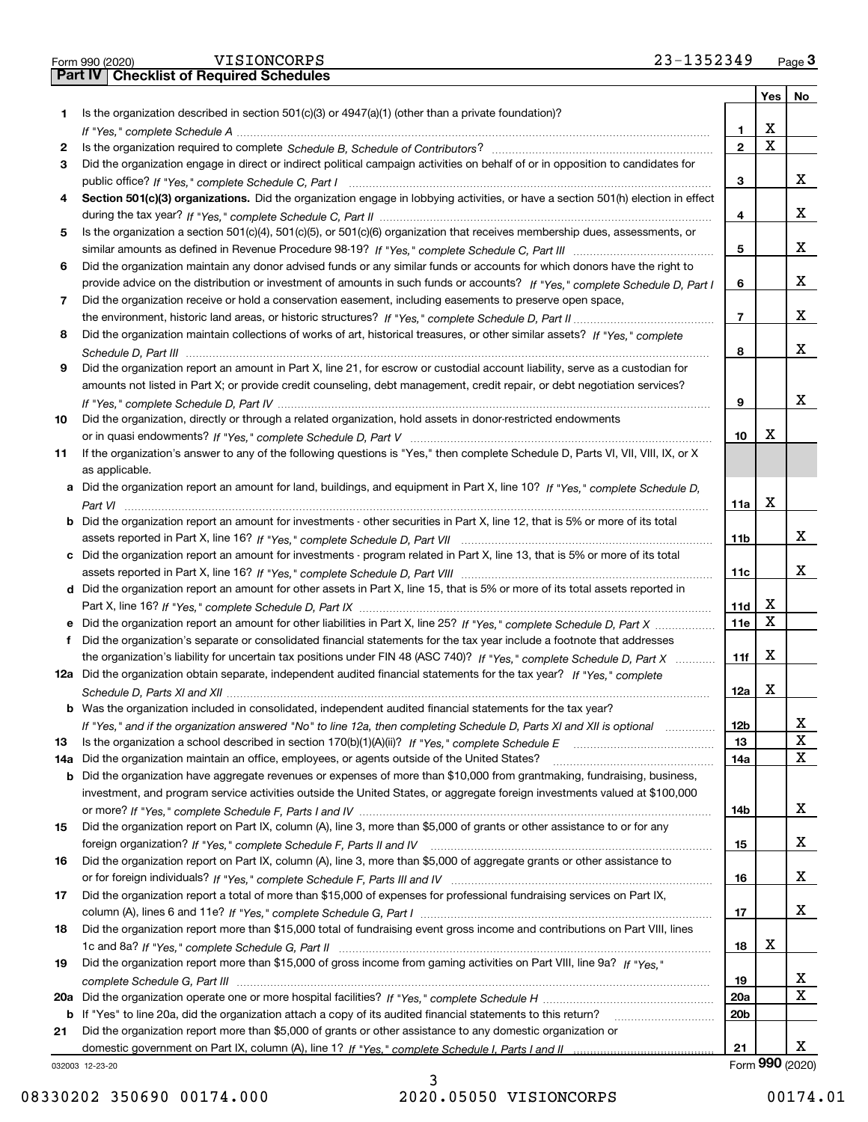|--|

|     |                                                                                                                                                                                                                                           |                 | Yes | No.             |
|-----|-------------------------------------------------------------------------------------------------------------------------------------------------------------------------------------------------------------------------------------------|-----------------|-----|-----------------|
| 1.  | Is the organization described in section $501(c)(3)$ or $4947(a)(1)$ (other than a private foundation)?                                                                                                                                   |                 |     |                 |
|     |                                                                                                                                                                                                                                           | 1               | x   |                 |
| 2   |                                                                                                                                                                                                                                           | $\mathbf{2}$    | Χ   |                 |
| 3   | Did the organization engage in direct or indirect political campaign activities on behalf of or in opposition to candidates for                                                                                                           |                 |     |                 |
|     |                                                                                                                                                                                                                                           | 3               |     | х               |
| 4   | Section 501(c)(3) organizations. Did the organization engage in lobbying activities, or have a section 501(h) election in effect                                                                                                          |                 |     |                 |
|     |                                                                                                                                                                                                                                           | 4               |     | х               |
| 5   | Is the organization a section 501(c)(4), 501(c)(5), or 501(c)(6) organization that receives membership dues, assessments, or                                                                                                              |                 |     |                 |
|     |                                                                                                                                                                                                                                           | 5               |     | х               |
| 6   | Did the organization maintain any donor advised funds or any similar funds or accounts for which donors have the right to                                                                                                                 |                 |     | х               |
|     | provide advice on the distribution or investment of amounts in such funds or accounts? If "Yes," complete Schedule D, Part I<br>Did the organization receive or hold a conservation easement, including easements to preserve open space, | 6               |     |                 |
| 7   |                                                                                                                                                                                                                                           | 7               |     | х               |
| 8   | Did the organization maintain collections of works of art, historical treasures, or other similar assets? If "Yes," complete                                                                                                              |                 |     |                 |
|     |                                                                                                                                                                                                                                           | 8               |     | x               |
| 9   | Did the organization report an amount in Part X, line 21, for escrow or custodial account liability, serve as a custodian for                                                                                                             |                 |     |                 |
|     | amounts not listed in Part X; or provide credit counseling, debt management, credit repair, or debt negotiation services?                                                                                                                 |                 |     |                 |
|     |                                                                                                                                                                                                                                           | 9               |     | x               |
| 10  | Did the organization, directly or through a related organization, hold assets in donor-restricted endowments                                                                                                                              |                 |     |                 |
|     |                                                                                                                                                                                                                                           | 10              | х   |                 |
| 11  | If the organization's answer to any of the following questions is "Yes," then complete Schedule D, Parts VI, VII, VIII, IX, or X                                                                                                          |                 |     |                 |
|     | as applicable.                                                                                                                                                                                                                            |                 |     |                 |
|     | a Did the organization report an amount for land, buildings, and equipment in Part X, line 10? If "Yes," complete Schedule D,                                                                                                             |                 |     |                 |
|     |                                                                                                                                                                                                                                           | 11a             | X   |                 |
|     | <b>b</b> Did the organization report an amount for investments - other securities in Part X, line 12, that is 5% or more of its total                                                                                                     |                 |     |                 |
|     |                                                                                                                                                                                                                                           | 11 <sub>b</sub> |     | х               |
|     | c Did the organization report an amount for investments - program related in Part X, line 13, that is 5% or more of its total                                                                                                             |                 |     |                 |
|     |                                                                                                                                                                                                                                           | 11c             |     | х               |
|     | d Did the organization report an amount for other assets in Part X, line 15, that is 5% or more of its total assets reported in                                                                                                           |                 |     |                 |
|     |                                                                                                                                                                                                                                           | 11d             | х   |                 |
| е   | Did the organization report an amount for other liabilities in Part X, line 25? If "Yes," complete Schedule D, Part X                                                                                                                     | 11e             | x   |                 |
| f   | Did the organization's separate or consolidated financial statements for the tax year include a footnote that addresses                                                                                                                   |                 |     |                 |
|     | the organization's liability for uncertain tax positions under FIN 48 (ASC 740)? If "Yes," complete Schedule D. Part X                                                                                                                    | 11f             | X   |                 |
|     | 12a Did the organization obtain separate, independent audited financial statements for the tax year? If "Yes," complete                                                                                                                   |                 | X   |                 |
|     | b Was the organization included in consolidated, independent audited financial statements for the tax year?                                                                                                                               | 12a             |     |                 |
|     |                                                                                                                                                                                                                                           | 12 <sub>b</sub> |     | х               |
| 13  | If "Yes," and if the organization answered "No" to line 12a, then completing Schedule D, Parts XI and XII is optional<br>Is the organization a school described in section $170(b)(1)(A)(ii)?$ If "Yes," complete Schedule E              | 13              |     | х               |
| 14a | Did the organization maintain an office, employees, or agents outside of the United States?                                                                                                                                               | 14a             |     | x               |
|     | <b>b</b> Did the organization have aggregate revenues or expenses of more than \$10,000 from grantmaking, fundraising, business,                                                                                                          |                 |     |                 |
|     | investment, and program service activities outside the United States, or aggregate foreign investments valued at \$100,000                                                                                                                |                 |     |                 |
|     |                                                                                                                                                                                                                                           | 14b             |     | x               |
| 15  | Did the organization report on Part IX, column (A), line 3, more than \$5,000 of grants or other assistance to or for any                                                                                                                 |                 |     |                 |
|     |                                                                                                                                                                                                                                           | 15              |     | x               |
| 16  | Did the organization report on Part IX, column (A), line 3, more than \$5,000 of aggregate grants or other assistance to                                                                                                                  |                 |     |                 |
|     |                                                                                                                                                                                                                                           | 16              |     | x               |
| 17  | Did the organization report a total of more than \$15,000 of expenses for professional fundraising services on Part IX,                                                                                                                   |                 |     |                 |
|     |                                                                                                                                                                                                                                           | 17              |     | x               |
| 18  | Did the organization report more than \$15,000 total of fundraising event gross income and contributions on Part VIII, lines                                                                                                              |                 |     |                 |
|     |                                                                                                                                                                                                                                           | 18              | х   |                 |
| 19  | Did the organization report more than \$15,000 of gross income from gaming activities on Part VIII, line 9a? If "Yes."                                                                                                                    |                 |     |                 |
|     |                                                                                                                                                                                                                                           | 19              |     | x               |
| 20a |                                                                                                                                                                                                                                           | 20a             |     | X               |
|     | b If "Yes" to line 20a, did the organization attach a copy of its audited financial statements to this return?                                                                                                                            | 20 <sub>b</sub> |     |                 |
| 21  | Did the organization report more than \$5,000 of grants or other assistance to any domestic organization or                                                                                                                               |                 |     | X.              |
|     | 032003 12-23-20                                                                                                                                                                                                                           | 21              |     | Form 990 (2020) |
|     |                                                                                                                                                                                                                                           |                 |     |                 |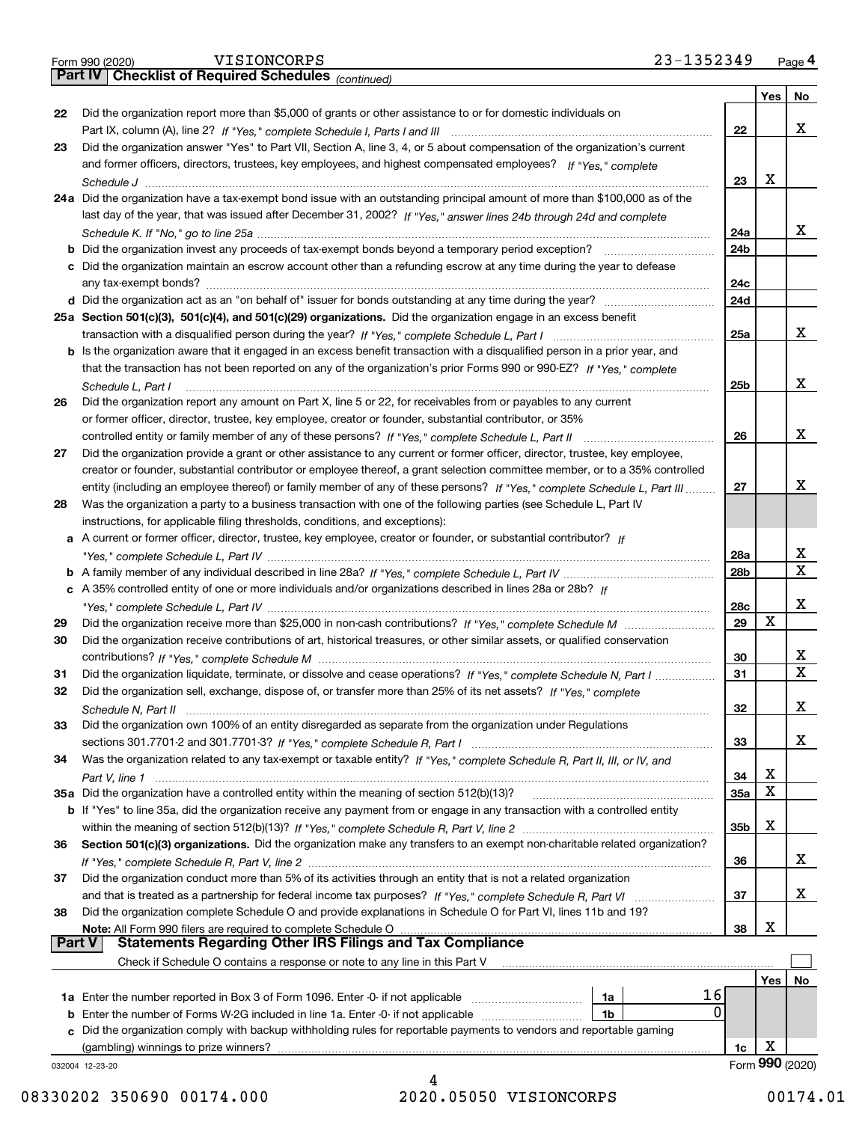|  | Form 990 (2020) |  |
|--|-----------------|--|
|  |                 |  |

*(continued)*

|        |                                                                                                                                       |                 | Yes | No              |
|--------|---------------------------------------------------------------------------------------------------------------------------------------|-----------------|-----|-----------------|
| 22     | Did the organization report more than \$5,000 of grants or other assistance to or for domestic individuals on                         |                 |     |                 |
|        |                                                                                                                                       | 22              |     | x               |
| 23     | Did the organization answer "Yes" to Part VII, Section A, line 3, 4, or 5 about compensation of the organization's current            |                 |     |                 |
|        | and former officers, directors, trustees, key employees, and highest compensated employees? If "Yes," complete                        |                 |     |                 |
|        |                                                                                                                                       | 23              | x   |                 |
|        | 24a Did the organization have a tax-exempt bond issue with an outstanding principal amount of more than \$100,000 as of the           |                 |     |                 |
|        | last day of the year, that was issued after December 31, 2002? If "Yes," answer lines 24b through 24d and complete                    |                 |     |                 |
|        |                                                                                                                                       | 24a             |     | x               |
|        |                                                                                                                                       | 24 <sub>b</sub> |     |                 |
|        | c Did the organization maintain an escrow account other than a refunding escrow at any time during the year to defease                |                 |     |                 |
|        |                                                                                                                                       | 24c             |     |                 |
|        |                                                                                                                                       | 24d             |     |                 |
|        | 25a Section 501(c)(3), 501(c)(4), and 501(c)(29) organizations. Did the organization engage in an excess benefit                      |                 |     | х               |
|        |                                                                                                                                       | 25a             |     |                 |
|        | b Is the organization aware that it engaged in an excess benefit transaction with a disqualified person in a prior year, and          |                 |     |                 |
|        | that the transaction has not been reported on any of the organization's prior Forms 990 or 990-EZ? If "Yes," complete                 | 25b             |     | x               |
| 26     | Schedule L, Part I<br>Did the organization report any amount on Part X, line 5 or 22, for receivables from or payables to any current |                 |     |                 |
|        | or former officer, director, trustee, key employee, creator or founder, substantial contributor, or 35%                               |                 |     |                 |
|        | controlled entity or family member of any of these persons? If "Yes," complete Schedule L, Part II                                    | 26              |     | X               |
| 27     | Did the organization provide a grant or other assistance to any current or former officer, director, trustee, key employee,           |                 |     |                 |
|        | creator or founder, substantial contributor or employee thereof, a grant selection committee member, or to a 35% controlled           |                 |     |                 |
|        | entity (including an employee thereof) or family member of any of these persons? If "Yes," complete Schedule L, Part III              | 27              |     | х               |
| 28     | Was the organization a party to a business transaction with one of the following parties (see Schedule L, Part IV                     |                 |     |                 |
|        | instructions, for applicable filing thresholds, conditions, and exceptions):                                                          |                 |     |                 |
|        | a A current or former officer, director, trustee, key employee, creator or founder, or substantial contributor? If                    |                 |     |                 |
|        |                                                                                                                                       | 28a             |     | х               |
|        |                                                                                                                                       | 28 <sub>b</sub> |     | $\mathbf X$     |
|        | c A 35% controlled entity of one or more individuals and/or organizations described in lines 28a or 28b? If                           |                 |     |                 |
|        |                                                                                                                                       | 28c             |     | х               |
| 29     |                                                                                                                                       | 29              | X   |                 |
| 30     | Did the organization receive contributions of art, historical treasures, or other similar assets, or qualified conservation           |                 |     |                 |
|        |                                                                                                                                       | 30              |     | х               |
| 31     | Did the organization liquidate, terminate, or dissolve and cease operations? If "Yes," complete Schedule N, Part I                    | 31              |     | $\mathbf X$     |
| 32     | Did the organization sell, exchange, dispose of, or transfer more than 25% of its net assets? If "Yes," complete                      |                 |     |                 |
|        |                                                                                                                                       | 32              |     | х               |
| 33     | Did the organization own 100% of an entity disregarded as separate from the organization under Regulations                            |                 |     |                 |
|        |                                                                                                                                       | 33              |     | X               |
| 34     | Was the organization related to any tax-exempt or taxable entity? If "Yes," complete Schedule R, Part II, III, or IV, and             |                 |     |                 |
|        |                                                                                                                                       | 34              | х   |                 |
|        | 35a Did the organization have a controlled entity within the meaning of section 512(b)(13)?                                           | <b>35a</b>      | X   |                 |
|        | b If "Yes" to line 35a, did the organization receive any payment from or engage in any transaction with a controlled entity           |                 | х   |                 |
|        |                                                                                                                                       | 35b             |     |                 |
| 36     | Section 501(c)(3) organizations. Did the organization make any transfers to an exempt non-charitable related organization?            | 36              |     | x               |
| 37     | Did the organization conduct more than 5% of its activities through an entity that is not a related organization                      |                 |     |                 |
|        | and that is treated as a partnership for federal income tax purposes? If "Yes," complete Schedule R, Part VI                          | 37              |     | x               |
| 38     | Did the organization complete Schedule O and provide explanations in Schedule O for Part VI, lines 11b and 19?                        |                 |     |                 |
|        | Note: All Form 990 filers are required to complete Schedule O                                                                         | 38              | х   |                 |
| Part V | <b>Statements Regarding Other IRS Filings and Tax Compliance</b>                                                                      |                 |     |                 |
|        | Check if Schedule O contains a response or note to any line in this Part V                                                            |                 |     |                 |
|        |                                                                                                                                       |                 | Yes | No              |
|        | 16<br>1a Enter the number reported in Box 3 of Form 1096. Enter -0- if not applicable<br>1a                                           |                 |     |                 |
| b      | 0<br>Enter the number of Forms W-2G included in line 1a. Enter -0- if not applicable<br>1b                                            |                 |     |                 |
|        | Did the organization comply with backup withholding rules for reportable payments to vendors and reportable gaming                    |                 |     |                 |
|        | (gambling) winnings to prize winners?                                                                                                 | 1c              | х   |                 |
|        | 032004 12-23-20                                                                                                                       |                 |     | Form 990 (2020) |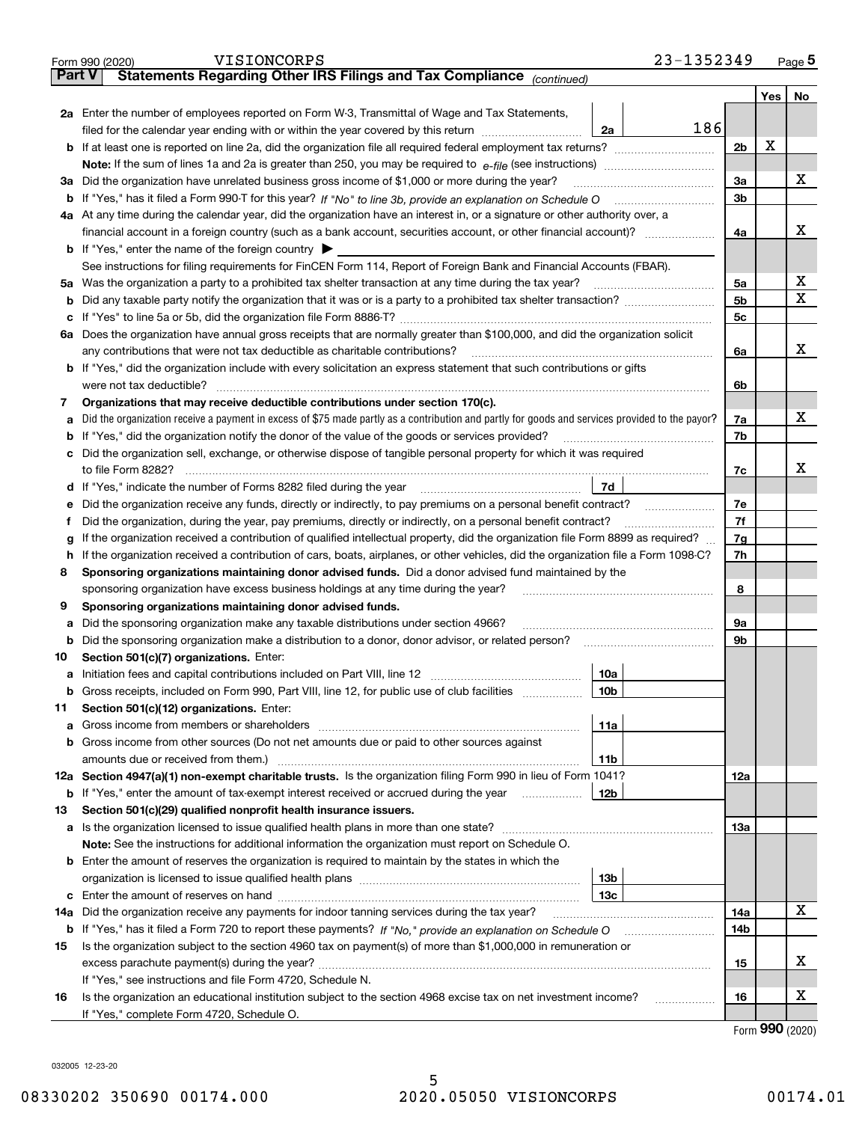|               | 23-1352349<br>VISIONCORPS<br>Form 990 (2020)                                                                                                    |                |     | <u>Page</u> 5 |
|---------------|-------------------------------------------------------------------------------------------------------------------------------------------------|----------------|-----|---------------|
| <b>Part V</b> | Statements Regarding Other IRS Filings and Tax Compliance (continued)                                                                           |                |     |               |
|               |                                                                                                                                                 |                | Yes | No            |
|               | 2a Enter the number of employees reported on Form W-3, Transmittal of Wage and Tax Statements,                                                  |                |     |               |
|               | 186<br>filed for the calendar year ending with or within the year covered by this return <i>manumumumum</i><br>2a                               |                |     |               |
|               |                                                                                                                                                 | 2 <sub>b</sub> | х   |               |
|               |                                                                                                                                                 |                |     |               |
|               | 3a Did the organization have unrelated business gross income of \$1,000 or more during the year?                                                | 3a             |     | x             |
|               |                                                                                                                                                 | 3b             |     |               |
|               | 4a At any time during the calendar year, did the organization have an interest in, or a signature or other authority over, a                    |                |     |               |
|               |                                                                                                                                                 | 4a             |     | х             |
|               | <b>b</b> If "Yes," enter the name of the foreign country $\blacktriangleright$                                                                  |                |     |               |
|               | See instructions for filing requirements for FinCEN Form 114, Report of Foreign Bank and Financial Accounts (FBAR).                             |                |     |               |
|               | 5a Was the organization a party to a prohibited tax shelter transaction at any time during the tax year?                                        | 5a             |     | X             |
| b             |                                                                                                                                                 | 5 <sub>b</sub> |     | х             |
|               |                                                                                                                                                 | 5с             |     |               |
|               | 6a Does the organization have annual gross receipts that are normally greater than \$100,000, and did the organization solicit                  |                |     |               |
|               |                                                                                                                                                 | 6a             |     | х             |
|               | <b>b</b> If "Yes," did the organization include with every solicitation an express statement that such contributions or gifts                   |                |     |               |
|               | were not tax deductible?                                                                                                                        | 6b             |     |               |
| 7             | Organizations that may receive deductible contributions under section 170(c).                                                                   |                |     |               |
| а             | Did the organization receive a payment in excess of \$75 made partly as a contribution and partly for goods and services provided to the payor? | 7a             |     | х             |
|               | <b>b</b> If "Yes," did the organization notify the donor of the value of the goods or services provided?                                        | 7b             |     |               |
|               | c Did the organization sell, exchange, or otherwise dispose of tangible personal property for which it was required                             |                |     |               |
|               |                                                                                                                                                 | 7с             |     | x             |
|               | 7d                                                                                                                                              |                |     |               |
| е             | Did the organization receive any funds, directly or indirectly, to pay premiums on a personal benefit contract?                                 | 7e             |     |               |
| f             | Did the organization, during the year, pay premiums, directly or indirectly, on a personal benefit contract?                                    | 7f             |     |               |
| g             | If the organization received a contribution of qualified intellectual property, did the organization file Form 8899 as required?                | 7g             |     |               |
| h.            | If the organization received a contribution of cars, boats, airplanes, or other vehicles, did the organization file a Form 1098-C?              | 7h             |     |               |
| 8             | Sponsoring organizations maintaining donor advised funds. Did a donor advised fund maintained by the                                            |                |     |               |
|               | sponsoring organization have excess business holdings at any time during the year?                                                              | 8              |     |               |
| 9             | Sponsoring organizations maintaining donor advised funds.                                                                                       |                |     |               |
| а             | Did the sponsoring organization make any taxable distributions under section 4966?                                                              | 9а             |     |               |
|               | <b>b</b> Did the sponsoring organization make a distribution to a donor, donor advisor, or related person?                                      | 9b             |     |               |
| 10            | Section 501(c)(7) organizations. Enter:                                                                                                         |                |     |               |
|               | 10a                                                                                                                                             |                |     |               |
|               | 10b <br>Gross receipts, included on Form 990, Part VIII, line 12, for public use of club facilities                                             |                |     |               |
| 11            | Section 501(c)(12) organizations. Enter:                                                                                                        |                |     |               |
|               | <b>a</b> Gross income from members or shareholders<br>11a                                                                                       |                |     |               |
|               | b Gross income from other sources (Do not net amounts due or paid to other sources against                                                      |                |     |               |
|               | 11b                                                                                                                                             |                |     |               |
|               | 12a Section 4947(a)(1) non-exempt charitable trusts. Is the organization filing Form 990 in lieu of Form 1041?                                  | 12a            |     |               |
|               | 12b<br><b>b</b> If "Yes," enter the amount of tax-exempt interest received or accrued during the year                                           |                |     |               |
| 13            | Section 501(c)(29) qualified nonprofit health insurance issuers.                                                                                |                |     |               |
|               | a Is the organization licensed to issue qualified health plans in more than one state?                                                          | 13а            |     |               |
|               | Note: See the instructions for additional information the organization must report on Schedule O.                                               |                |     |               |
|               | <b>b</b> Enter the amount of reserves the organization is required to maintain by the states in which the                                       |                |     |               |
|               | 13b                                                                                                                                             |                |     |               |
|               | 13с                                                                                                                                             |                |     |               |
| 14a           | Did the organization receive any payments for indoor tanning services during the tax year?                                                      | 14a            |     | x             |
|               | <b>b</b> If "Yes," has it filed a Form 720 to report these payments? If "No," provide an explanation on Schedule O                              | 14b            |     |               |
| 15            | Is the organization subject to the section 4960 tax on payment(s) of more than \$1,000,000 in remuneration or                                   |                |     |               |
|               |                                                                                                                                                 | 15             |     | x             |
|               | If "Yes," see instructions and file Form 4720, Schedule N.                                                                                      |                |     | х             |
| 16            | Is the organization an educational institution subject to the section 4968 excise tax on net investment income?                                 | 16             |     |               |
|               | If "Yes," complete Form 4720, Schedule O.                                                                                                       |                |     |               |

Form (2020) **990**

032005 12-23-20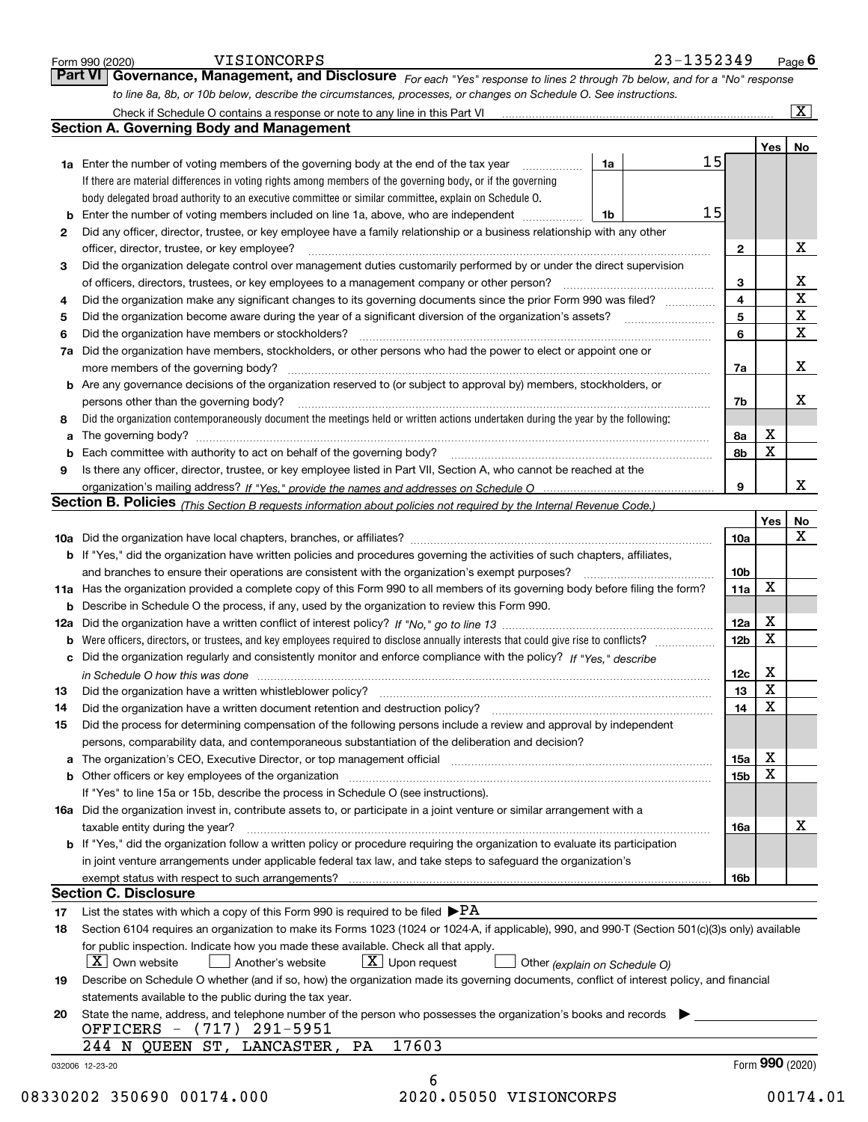|    | to line 8a, 8b, or 10b below, describe the circumstances, processes, or changes on Schedule O. See instructions.                                                   |                 |                 |                         |
|----|--------------------------------------------------------------------------------------------------------------------------------------------------------------------|-----------------|-----------------|-------------------------|
|    |                                                                                                                                                                    |                 |                 | $\overline{\mathbf{x}}$ |
|    | <b>Section A. Governing Body and Management</b>                                                                                                                    |                 |                 |                         |
|    |                                                                                                                                                                    |                 | Yes             | No                      |
|    | 15<br>1a<br>1a Enter the number of voting members of the governing body at the end of the tax year                                                                 |                 |                 |                         |
|    | If there are material differences in voting rights among members of the governing body, or if the governing                                                        |                 |                 |                         |
|    | body delegated broad authority to an executive committee or similar committee, explain on Schedule O.                                                              |                 |                 |                         |
|    | 15<br>1b                                                                                                                                                           |                 |                 |                         |
| 2  | Did any officer, director, trustee, or key employee have a family relationship or a business relationship with any other                                           |                 |                 |                         |
|    | officer, director, trustee, or key employee?                                                                                                                       | $\mathbf{2}$    |                 | х                       |
| 3  | Did the organization delegate control over management duties customarily performed by or under the direct supervision                                              |                 |                 | X                       |
|    | of officers, directors, trustees, or key employees to a management company or other person?                                                                        | 3<br>4          |                 | $\overline{\mathbf{x}}$ |
| 4  | Did the organization make any significant changes to its governing documents since the prior Form 990 was filed?                                                   | 5               |                 | $\mathbf X$             |
| 5  |                                                                                                                                                                    | 6               |                 | X                       |
| 6  | Did the organization have members or stockholders?                                                                                                                 |                 |                 |                         |
|    | 7a Did the organization have members, stockholders, or other persons who had the power to elect or appoint one or                                                  |                 |                 | X                       |
|    | more members of the governing body?<br><b>b</b> Are any governance decisions of the organization reserved to (or subject to approval by) members, stockholders, or | 7a              |                 |                         |
|    | persons other than the governing body?                                                                                                                             | 7b              |                 | X                       |
| 8  | Did the organization contemporaneously document the meetings held or written actions undertaken during the year by the following:                                  |                 |                 |                         |
| a  |                                                                                                                                                                    | 8а              | X               |                         |
|    |                                                                                                                                                                    | 8b              | $\mathbf X$     |                         |
| 9  | Is there any officer, director, trustee, or key employee listed in Part VII, Section A, who cannot be reached at the                                               |                 |                 |                         |
|    |                                                                                                                                                                    | 9               |                 | X                       |
|    | Section B. Policies (This Section B requests information about policies not required by the Internal Revenue Code.)                                                |                 |                 |                         |
|    |                                                                                                                                                                    |                 | Yes             | No                      |
|    |                                                                                                                                                                    | 10a             |                 | X                       |
|    | <b>b</b> If "Yes," did the organization have written policies and procedures governing the activities of such chapters, affiliates,                                |                 |                 |                         |
|    | and branches to ensure their operations are consistent with the organization's exempt purposes?                                                                    | 10 <sub>b</sub> |                 |                         |
|    | 11a Has the organization provided a complete copy of this Form 990 to all members of its governing body before filing the form?                                    | 11a             | X               |                         |
|    | <b>b</b> Describe in Schedule O the process, if any, used by the organization to review this Form 990.                                                             |                 |                 |                         |
|    |                                                                                                                                                                    | 12a             | X               |                         |
|    | <b>b</b> Were officers, directors, or trustees, and key employees required to disclose annually interests that could give rise to conflicts?                       | 12 <sub>b</sub> | $\mathbf X$     |                         |
|    | c Did the organization regularly and consistently monitor and enforce compliance with the policy? If "Yes," describe                                               |                 |                 |                         |
|    | in Schedule O how this was done manufactured and continuum control of the state of the state of the state of t                                                     | 12c             | X               |                         |
| 13 | Did the organization have a written whistleblower policy?                                                                                                          | 13              | X               |                         |
| 14 | Did the organization have a written document retention and destruction policy? [11] manufaction policy?                                                            | 14              | X               |                         |
| 15 | Did the process for determining compensation of the following persons include a review and approval by independent                                                 |                 |                 |                         |
|    | persons, comparability data, and contemporaneous substantiation of the deliberation and decision?                                                                  |                 |                 |                         |
|    |                                                                                                                                                                    | 15a             | X               |                         |
|    |                                                                                                                                                                    | 15 <sub>b</sub> | X               |                         |
|    | If "Yes" to line 15a or 15b, describe the process in Schedule O (see instructions).                                                                                |                 |                 |                         |
|    | 16a Did the organization invest in, contribute assets to, or participate in a joint venture or similar arrangement with a                                          |                 |                 |                         |
|    | taxable entity during the year?                                                                                                                                    | 16a             |                 | х                       |
|    | <b>b</b> If "Yes," did the organization follow a written policy or procedure requiring the organization to evaluate its participation                              |                 |                 |                         |
|    | in joint venture arrangements under applicable federal tax law, and take steps to safeguard the organization's                                                     |                 |                 |                         |
|    |                                                                                                                                                                    | 16b             |                 |                         |
|    |                                                                                                                                                                    |                 |                 |                         |
|    | <b>Section C. Disclosure</b>                                                                                                                                       |                 |                 |                         |
| 17 | List the states with which a copy of this Form 990 is required to be filed $\blacktriangleright$ PA                                                                |                 |                 |                         |
| 18 | Section 6104 requires an organization to make its Forms 1023 (1024 or 1024-A, if applicable), 990, and 990-T (Section 501(c)(3)s only) available                   |                 |                 |                         |
|    | for public inspection. Indicate how you made these available. Check all that apply.                                                                                |                 |                 |                         |
|    | $\lfloor x \rfloor$ Upon request<br>$\lfloor x \rfloor$ Own website<br>Another's website<br>Other (explain on Schedule O)                                          |                 |                 |                         |
| 19 | Describe on Schedule O whether (and if so, how) the organization made its governing documents, conflict of interest policy, and financial                          |                 |                 |                         |
|    | statements available to the public during the tax year.                                                                                                            |                 |                 |                         |
| 20 | State the name, address, and telephone number of the person who possesses the organization's books and records                                                     |                 |                 |                         |
|    | OFFICERS - (717) 291-5951                                                                                                                                          |                 |                 |                         |
|    | 17603<br>244 N QUEEN ST, LANCASTER, PA<br>032006 12-23-20                                                                                                          |                 | Form 990 (2020) |                         |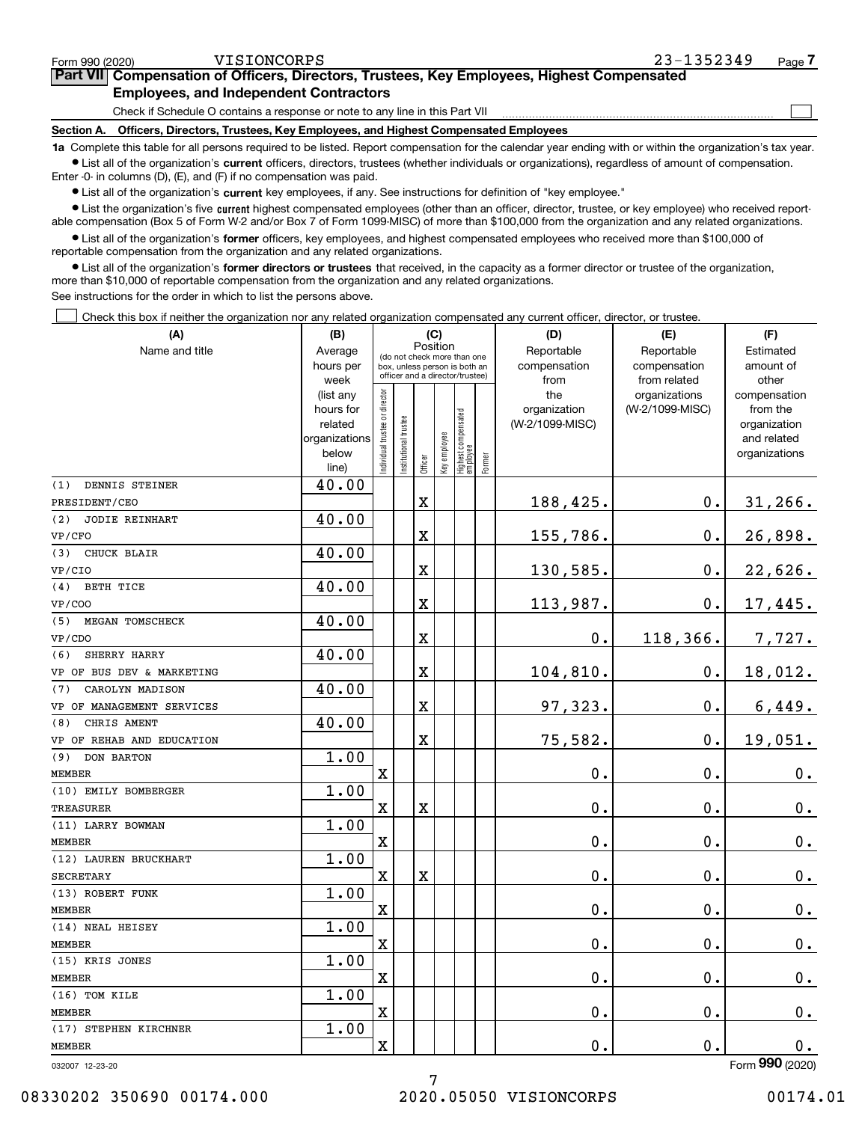# MEMBER

# 08330202 350690 00174.000 2020.05050 VISIONCORPS 00174.01

7

#### Form 990 (2020) VISIONCORPS 23-1352349 <sub>Page</sub> **7Part VII Compensation of Officers, Directors, Trustees, Key Employees, Highest Compensated Employees, and Independent Contractors**

Check if Schedule O contains a response or note to any line in this Part VII

**Section A. Officers, Directors, Trustees, Key Employees, and Highest Compensated Employees**

**1a**  Complete this table for all persons required to be listed. Report compensation for the calendar year ending with or within the organization's tax year. **•** List all of the organization's current officers, directors, trustees (whether individuals or organizations), regardless of amount of compensation.

Enter -0- in columns (D), (E), and (F) if no compensation was paid.

 $\bullet$  List all of the organization's  $\,$ current key employees, if any. See instructions for definition of "key employee."

**•** List the organization's five current highest compensated employees (other than an officer, director, trustee, or key employee) who received reportable compensation (Box 5 of Form W-2 and/or Box 7 of Form 1099-MISC) of more than \$100,000 from the organization and any related organizations.

**•** List all of the organization's former officers, key employees, and highest compensated employees who received more than \$100,000 of reportable compensation from the organization and any related organizations.

**former directors or trustees**  ¥ List all of the organization's that received, in the capacity as a former director or trustee of the organization, more than \$10,000 of reportable compensation from the organization and any related organizations.

See instructions for the order in which to list the persons above.

Check this box if neither the organization nor any related organization compensated any current officer, director, or trustee.

| (A)                       | (B)                  | (C)                                                              |                       |             |              |                                 |        | (D)                             | (E)                              | (F)                      |  |
|---------------------------|----------------------|------------------------------------------------------------------|-----------------------|-------------|--------------|---------------------------------|--------|---------------------------------|----------------------------------|--------------------------|--|
| Name and title            | Average              | Position<br>(do not check more than one                          |                       |             |              |                                 |        | Reportable                      | Estimated                        |                          |  |
|                           | hours per            | box, unless person is both an<br>officer and a director/trustee) |                       |             |              |                                 |        | compensation                    | compensation                     | amount of                |  |
|                           | week                 |                                                                  |                       |             |              |                                 |        | from                            | from related                     | other                    |  |
|                           | (list any            | ndividual trustee or director                                    |                       |             |              |                                 |        | the                             | organizations<br>(W-2/1099-MISC) | compensation             |  |
|                           | hours for<br>related |                                                                  |                       |             |              |                                 |        | organization<br>(W-2/1099-MISC) |                                  | from the<br>organization |  |
|                           | organizations        |                                                                  |                       |             |              |                                 |        |                                 |                                  | and related              |  |
|                           | below                |                                                                  | Institutional trustee |             | Key employee | Highest compensated<br>employee |        |                                 |                                  | organizations            |  |
|                           | line)                |                                                                  |                       | Officer     |              |                                 | Former |                                 |                                  |                          |  |
| (1)<br>DENNIS STEINER     | 40.00                |                                                                  |                       |             |              |                                 |        |                                 |                                  |                          |  |
| PRESIDENT/CEO             |                      |                                                                  |                       | $\mathbf X$ |              |                                 |        | 188,425.                        | 0.                               | $31, 266$ .              |  |
| (2)<br>JODIE REINHART     | 40.00                |                                                                  |                       |             |              |                                 |        |                                 |                                  |                          |  |
| VP/CFO                    |                      |                                                                  |                       | X           |              |                                 |        | 155,786.                        | 0.                               | 26,898.                  |  |
| (3) CHUCK BLAIR           | 40.00                |                                                                  |                       |             |              |                                 |        |                                 |                                  |                          |  |
| VP/CIO                    |                      |                                                                  |                       | X           |              |                                 |        | 130,585.                        | 0.                               | 22,626.                  |  |
| (4) BETH TICE             | 40.00                |                                                                  |                       |             |              |                                 |        |                                 |                                  |                          |  |
| <b>VP/COO</b>             |                      |                                                                  |                       | X           |              |                                 |        | 113,987.                        | 0.                               | 17,445.                  |  |
| (5)<br>MEGAN TOMSCHECK    | 40.00                |                                                                  |                       |             |              |                                 |        |                                 |                                  |                          |  |
| VP/CDO                    |                      |                                                                  |                       | X           |              |                                 |        | 0.                              | 118,366.                         | 7,727.                   |  |
| (6)<br>SHERRY HARRY       | 40.00                |                                                                  |                       |             |              |                                 |        |                                 |                                  |                          |  |
| VP OF BUS DEV & MARKETING |                      |                                                                  |                       | X           |              |                                 |        | 104,810.                        | 0.                               | 18,012.                  |  |
| (7)<br>CAROLYN MADISON    | 40.00                |                                                                  |                       |             |              |                                 |        |                                 |                                  |                          |  |
| VP OF MANAGEMENT SERVICES |                      |                                                                  |                       | X           |              |                                 |        | 97,323.                         | $0$ .                            | 6,449.                   |  |
| (8)<br>CHRIS AMENT        | 40.00                |                                                                  |                       |             |              |                                 |        |                                 |                                  |                          |  |
| VP OF REHAB AND EDUCATION |                      |                                                                  |                       | X           |              |                                 |        | 75,582.                         | $0$ .                            | 19,051.                  |  |
| (9)<br>DON BARTON         | 1.00                 |                                                                  |                       |             |              |                                 |        |                                 |                                  |                          |  |
| MEMBER                    |                      | X                                                                |                       |             |              |                                 |        | 0.                              | $0$ .                            | $0_{\cdot}$              |  |
| (10) EMILY BOMBERGER      | 1.00                 |                                                                  |                       |             |              |                                 |        |                                 |                                  |                          |  |
| TREASURER                 |                      | X                                                                |                       | X           |              |                                 |        | 0.                              | $0$ .                            | 0.                       |  |
| (11) LARRY BOWMAN         | 1.00                 |                                                                  |                       |             |              |                                 |        |                                 |                                  |                          |  |
| MEMBER                    |                      | X                                                                |                       |             |              |                                 |        | 0.                              | 0.                               | $0_{.}$                  |  |
| (12) LAUREN BRUCKHART     | 1.00                 |                                                                  |                       |             |              |                                 |        |                                 |                                  |                          |  |
| <b>SECRETARY</b>          |                      | X                                                                |                       | X           |              |                                 |        | 0.                              | 0.                               | 0.                       |  |
| (13) ROBERT FUNK          | 1.00                 |                                                                  |                       |             |              |                                 |        |                                 |                                  |                          |  |
| MEMBER                    |                      | X                                                                |                       |             |              |                                 |        | 0.                              | $0$ .                            | $0_{\cdot}$              |  |
| (14) NEAL HEISEY          | 1.00                 |                                                                  |                       |             |              |                                 |        |                                 |                                  |                          |  |
| MEMBER                    |                      | X                                                                |                       |             |              |                                 |        | $0$ .                           | $\mathbf 0$ .                    | $\mathbf 0$ .            |  |
| (15) KRIS JONES           | 1.00                 |                                                                  |                       |             |              |                                 |        |                                 |                                  |                          |  |
| MEMBER                    |                      | X                                                                |                       |             |              |                                 |        | 0.                              | 0.                               | $0_{.}$                  |  |
| (16) TOM KILE             | 1.00                 |                                                                  |                       |             |              |                                 |        |                                 |                                  |                          |  |
| MEMBER                    |                      | X                                                                |                       |             |              |                                 |        | $0$ .                           | $\mathbf 0$ .                    | $0_{.}$                  |  |
| (17) STEPHEN KIRCHNER     | 1.00                 |                                                                  |                       |             |              |                                 |        |                                 |                                  |                          |  |
| MEMBER                    |                      | X                                                                |                       |             |              |                                 |        | 0.                              | 0.                               | 0.                       |  |
| 032007 12-23-20           |                      |                                                                  |                       |             |              |                                 |        |                                 |                                  | Form 990 (2020)          |  |

 $\mathcal{L}^{\text{max}}$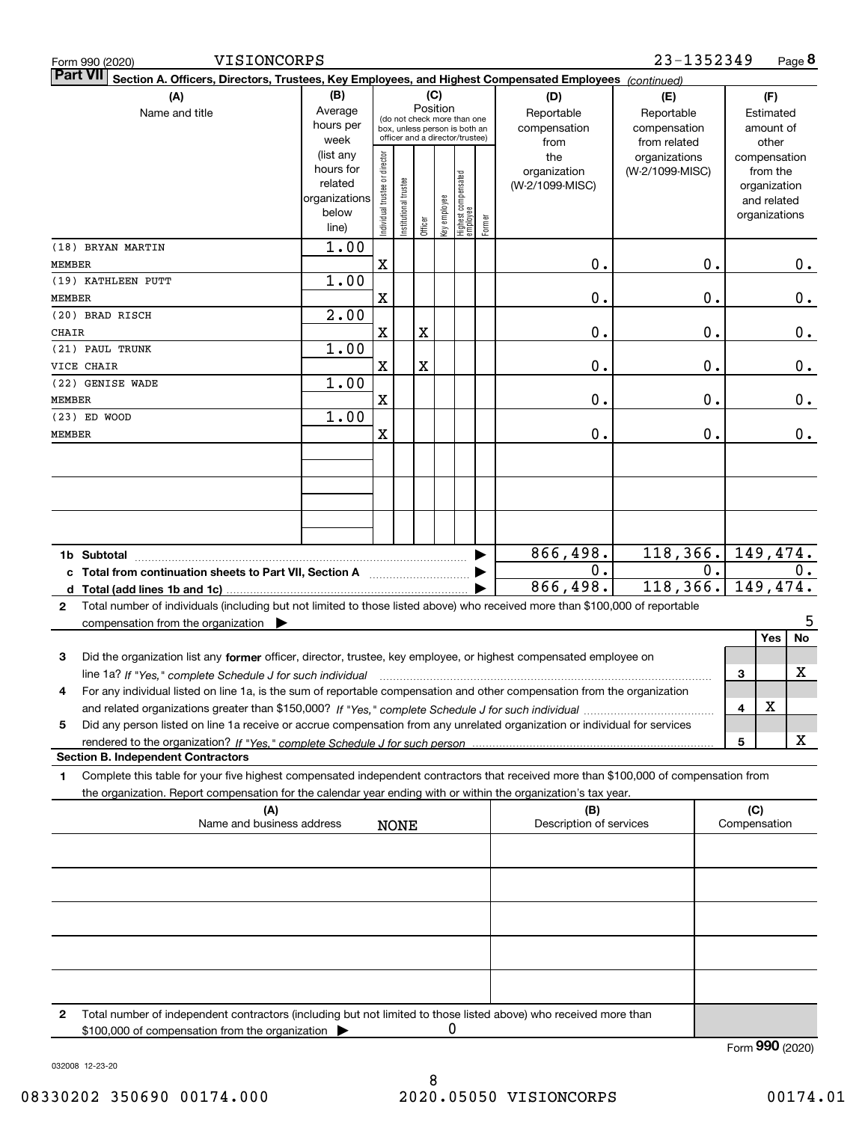| Form 990 (2020)                 | VISIONCORPS                                                                                                                                                                                                                                                                 |                                                                                                                    |                                |                       |         |              |                                  |                                           |                                                   | 23-1352349                       |                                        |                     |                                                                          | Page 8           |
|---------------------------------|-----------------------------------------------------------------------------------------------------------------------------------------------------------------------------------------------------------------------------------------------------------------------------|--------------------------------------------------------------------------------------------------------------------|--------------------------------|-----------------------|---------|--------------|----------------------------------|-------------------------------------------|---------------------------------------------------|----------------------------------|----------------------------------------|---------------------|--------------------------------------------------------------------------|------------------|
| <b>Part VII</b>                 | Section A. Officers, Directors, Trustees, Key Employees, and Highest Compensated Employees (continued)                                                                                                                                                                      |                                                                                                                    |                                |                       |         |              |                                  |                                           |                                                   |                                  |                                        |                     |                                                                          |                  |
|                                 | (B)<br>Average<br>hours per<br>week                                                                                                                                                                                                                                         | (C)<br>Position<br>(do not check more than one<br>box, unless person is both an<br>officer and a director/trustee) |                                |                       |         |              |                                  | (D)<br>Reportable<br>compensation<br>from | (E)<br>Reportable<br>compensation<br>from related |                                  | (F)<br>Estimated<br>amount of<br>other |                     |                                                                          |                  |
|                                 |                                                                                                                                                                                                                                                                             | (list any<br>hours for<br>related<br>organizations<br>below<br>line)                                               | Individual trustee or director | Institutional trustee | Officer | Key employee | Highest compensated<br> employee | Former                                    | the<br>organization<br>(W-2/1099-MISC)            | organizations<br>(W-2/1099-MISC) |                                        |                     | compensation<br>from the<br>organization<br>and related<br>organizations |                  |
| <b>MEMBER</b>                   | (18) BRYAN MARTIN                                                                                                                                                                                                                                                           | 1.00                                                                                                               | X                              |                       |         |              |                                  |                                           | 0.                                                |                                  | 0.                                     |                     |                                                                          | 0.               |
| <b>MEMBER</b>                   | (19) KATHLEEN PUTT                                                                                                                                                                                                                                                          | 1.00                                                                                                               | X                              |                       |         |              |                                  |                                           | 0.                                                |                                  | 0.                                     |                     |                                                                          | 0.               |
| (20) BRAD RISCH<br><b>CHAIR</b> |                                                                                                                                                                                                                                                                             | $\overline{2.00}$                                                                                                  | X                              |                       | X       |              |                                  |                                           | 0.                                                |                                  | 0.                                     |                     |                                                                          | 0.               |
| (21) PAUL TRUNK<br>VICE CHAIR   |                                                                                                                                                                                                                                                                             | 1.00                                                                                                               | X                              |                       | X       |              |                                  |                                           | 0.                                                |                                  | 0.                                     |                     |                                                                          | 0.               |
| <b>MEMBER</b>                   | (22) GENISE WADE                                                                                                                                                                                                                                                            | 1.00                                                                                                               | X                              |                       |         |              |                                  |                                           | 0.                                                |                                  | 0.                                     |                     |                                                                          | 0.               |
| (23) ED WOOD<br>MEMBER          |                                                                                                                                                                                                                                                                             | 1.00                                                                                                               | X                              |                       |         |              |                                  |                                           | 0.                                                |                                  | 0.                                     |                     |                                                                          | 0.               |
|                                 |                                                                                                                                                                                                                                                                             |                                                                                                                    |                                |                       |         |              |                                  |                                           |                                                   |                                  |                                        |                     |                                                                          |                  |
|                                 |                                                                                                                                                                                                                                                                             |                                                                                                                    |                                |                       |         |              |                                  |                                           |                                                   |                                  |                                        |                     |                                                                          |                  |
|                                 |                                                                                                                                                                                                                                                                             |                                                                                                                    |                                |                       |         |              |                                  |                                           |                                                   |                                  |                                        |                     |                                                                          |                  |
|                                 | c Total from continuation sheets to Part VII, Section A                                                                                                                                                                                                                     |                                                                                                                    |                                |                       |         |              |                                  |                                           | 866,498.<br>0.                                    | 118,366.                         | 0.                                     | 149,474.            |                                                                          | $\overline{0}$ . |
|                                 |                                                                                                                                                                                                                                                                             |                                                                                                                    |                                |                       |         |              |                                  |                                           | 866,498.                                          | 118,366.                         |                                        | 149,474.            |                                                                          |                  |
| 2                               | Total number of individuals (including but not limited to those listed above) who received more than \$100,000 of reportable<br>compensation from the organization $\blacktriangleright$                                                                                    |                                                                                                                    |                                |                       |         |              |                                  |                                           |                                                   |                                  |                                        |                     |                                                                          | 5                |
| 3                               | Did the organization list any former officer, director, trustee, key employee, or highest compensated employee on                                                                                                                                                           |                                                                                                                    |                                |                       |         |              |                                  |                                           |                                                   |                                  |                                        |                     | Yes                                                                      | No               |
|                                 | line 1a? If "Yes," complete Schedule J for such individual manufactured contained and the 1a? If "Yes," complete Schedule J for such individual<br>For any individual listed on line 1a, is the sum of reportable compensation and other compensation from the organization |                                                                                                                    |                                |                       |         |              |                                  |                                           |                                                   |                                  |                                        | 3                   |                                                                          | х                |
| 5                               | Did any person listed on line 1a receive or accrue compensation from any unrelated organization or individual for services                                                                                                                                                  |                                                                                                                    |                                |                       |         |              |                                  |                                           |                                                   |                                  |                                        | 4                   | X                                                                        |                  |
|                                 | <b>Section B. Independent Contractors</b>                                                                                                                                                                                                                                   |                                                                                                                    |                                |                       |         |              |                                  |                                           |                                                   |                                  |                                        | 5                   |                                                                          | х                |
| 1.                              | Complete this table for your five highest compensated independent contractors that received more than \$100,000 of compensation from<br>the organization. Report compensation for the calendar year ending with or within the organization's tax year.                      |                                                                                                                    |                                |                       |         |              |                                  |                                           |                                                   |                                  |                                        |                     |                                                                          |                  |
|                                 | (A)<br>Name and business address                                                                                                                                                                                                                                            |                                                                                                                    |                                | <b>NONE</b>           |         |              |                                  |                                           | (B)<br>Description of services                    |                                  |                                        | (C)<br>Compensation |                                                                          |                  |
|                                 |                                                                                                                                                                                                                                                                             |                                                                                                                    |                                |                       |         |              |                                  |                                           |                                                   |                                  |                                        |                     |                                                                          |                  |
|                                 |                                                                                                                                                                                                                                                                             |                                                                                                                    |                                |                       |         |              |                                  |                                           |                                                   |                                  |                                        |                     |                                                                          |                  |
|                                 |                                                                                                                                                                                                                                                                             |                                                                                                                    |                                |                       |         |              |                                  |                                           |                                                   |                                  |                                        |                     |                                                                          |                  |
|                                 |                                                                                                                                                                                                                                                                             |                                                                                                                    |                                |                       |         |              |                                  |                                           |                                                   |                                  |                                        |                     |                                                                          |                  |
|                                 |                                                                                                                                                                                                                                                                             |                                                                                                                    |                                |                       |         |              |                                  |                                           |                                                   |                                  |                                        |                     |                                                                          |                  |
| 2                               | Total number of independent contractors (including but not limited to those listed above) who received more than<br>\$100,000 of compensation from the organization                                                                                                         |                                                                                                                    |                                |                       |         |              | 0                                |                                           |                                                   |                                  |                                        |                     |                                                                          |                  |
|                                 |                                                                                                                                                                                                                                                                             |                                                                                                                    |                                |                       |         |              |                                  |                                           |                                                   |                                  |                                        | Form 990 (2020)     |                                                                          |                  |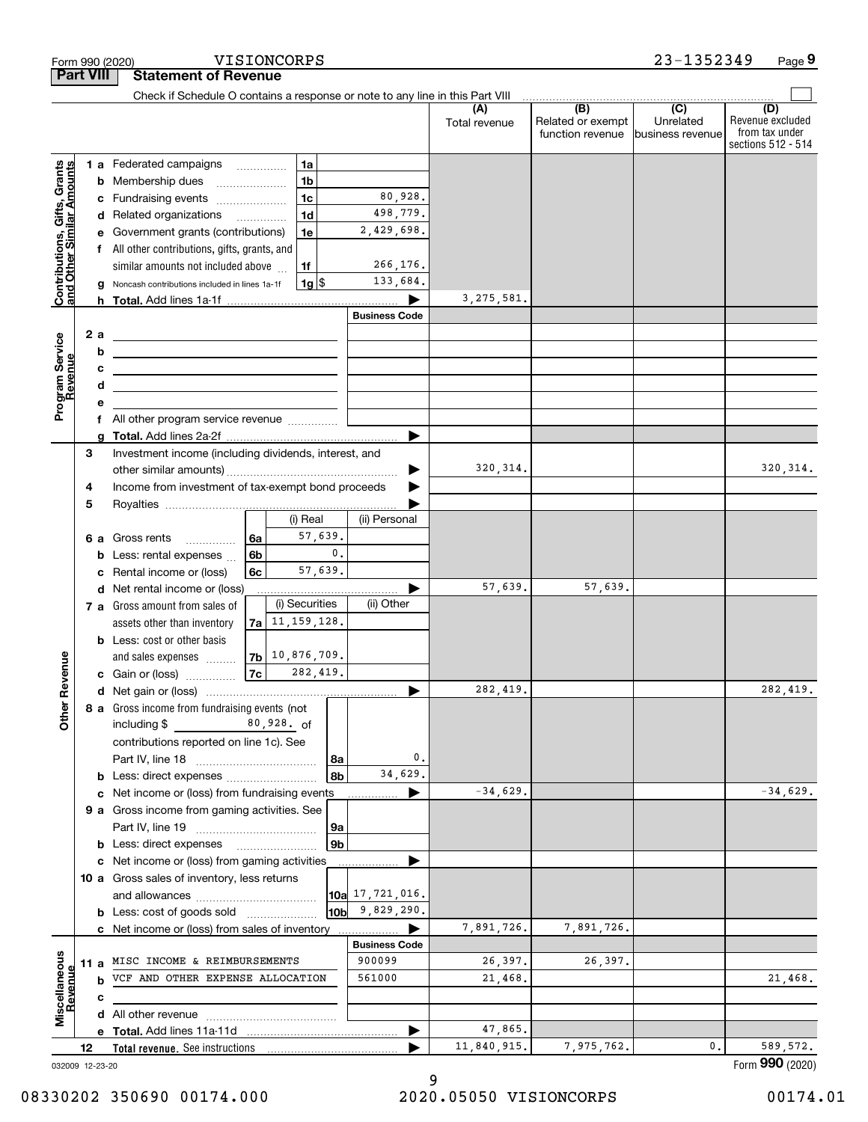|                                                           |                  | Form 990 (2020)                                                                                                              | VISIONCORPS        |                |                      |                      |                                              | 23-1352349                                        | Page 9                                                          |
|-----------------------------------------------------------|------------------|------------------------------------------------------------------------------------------------------------------------------|--------------------|----------------|----------------------|----------------------|----------------------------------------------|---------------------------------------------------|-----------------------------------------------------------------|
|                                                           | <b>Part VIII</b> | <b>Statement of Revenue</b>                                                                                                  |                    |                |                      |                      |                                              |                                                   |                                                                 |
|                                                           |                  | Check if Schedule O contains a response or note to any line in this Part VIII                                                |                    |                |                      |                      |                                              |                                                   |                                                                 |
|                                                           |                  |                                                                                                                              |                    |                |                      | (A)<br>Total revenue | (B)<br>Related or exempt<br>function revenue | $\overline{(C)}$<br>Unrelated<br>business revenue | (D)<br>Revenue excluded<br>from tax under<br>sections 512 - 514 |
|                                                           |                  | 1 a Federated campaigns                                                                                                      |                    | 1a             |                      |                      |                                              |                                                   |                                                                 |
|                                                           | b                | Membership dues                                                                                                              |                    | 1 <sub>b</sub> |                      |                      |                                              |                                                   |                                                                 |
| Contributions, Gifts, Grants<br>and Other Similar Amounts | с                | Fundraising events                                                                                                           |                    | 1 <sub>c</sub> | 80,928.              |                      |                                              |                                                   |                                                                 |
|                                                           | d                | Related organizations                                                                                                        |                    | 1 <sub>d</sub> | 498,779.             |                      |                                              |                                                   |                                                                 |
|                                                           |                  | Government grants (contributions)                                                                                            |                    | 1e             | 2,429,698.           |                      |                                              |                                                   |                                                                 |
|                                                           |                  | f All other contributions, gifts, grants, and                                                                                |                    |                |                      |                      |                                              |                                                   |                                                                 |
|                                                           |                  | similar amounts not included above                                                                                           |                    | 1f             | 266,176.             |                      |                                              |                                                   |                                                                 |
|                                                           | g                | Noncash contributions included in lines 1a-1f                                                                                |                    | $1g$ \$        | 133,684.             |                      |                                              |                                                   |                                                                 |
|                                                           |                  |                                                                                                                              |                    |                | <b>Business Code</b> | 3, 275, 581.         |                                              |                                                   |                                                                 |
|                                                           | 2 a              |                                                                                                                              |                    |                |                      |                      |                                              |                                                   |                                                                 |
|                                                           | b                | <u> 1980 - Johann Barn, fransk politik formuler (d. 1980)</u><br><u> 1989 - Andrea Stadt Britain, amerikansk politiker (</u> |                    |                |                      |                      |                                              |                                                   |                                                                 |
|                                                           | с                | <u> 1989 - John Harry Harry Harry Harry Harry Harry Harry Harry Harry Harry Harry Harry Harry Harry Harry Harry H</u>        |                    |                |                      |                      |                                              |                                                   |                                                                 |
| Program Service<br>evenue                                 | d                | <u> 1989 - Johann Barbara, martin amerikan basal dan berasal dalam basal dalam basal dalam basal dalam basal dala</u>        |                    |                |                      |                      |                                              |                                                   |                                                                 |
|                                                           |                  |                                                                                                                              |                    |                |                      |                      |                                              |                                                   |                                                                 |
|                                                           |                  |                                                                                                                              |                    |                |                      |                      |                                              |                                                   |                                                                 |
|                                                           |                  |                                                                                                                              |                    |                |                      |                      |                                              |                                                   |                                                                 |
|                                                           | 3                | Investment income (including dividends, interest, and                                                                        |                    |                |                      |                      |                                              |                                                   |                                                                 |
|                                                           |                  |                                                                                                                              |                    |                |                      | 320, 314.            |                                              |                                                   | 320, 314.                                                       |
|                                                           | 4<br>5           | Income from investment of tax-exempt bond proceeds                                                                           |                    |                |                      |                      |                                              |                                                   |                                                                 |
|                                                           |                  |                                                                                                                              |                    | (i) Real       | (ii) Personal        |                      |                                              |                                                   |                                                                 |
|                                                           |                  | 57,639.<br>Gross rents<br>l 6a<br>6а<br>$\overline{\phantom{a}}$                                                             |                    |                |                      |                      |                                              |                                                   |                                                                 |
|                                                           | b                | Less: rental expenses                                                                                                        | 6 <sub>b</sub>     | $\mathbf{0}$ . |                      |                      |                                              |                                                   |                                                                 |
|                                                           | c                | Rental income or (loss)                                                                                                      | 6c                 | 57,639.        |                      |                      |                                              |                                                   |                                                                 |
|                                                           | d                | Net rental income or (loss)                                                                                                  |                    |                |                      | 57,639.              | 57,639.                                      |                                                   |                                                                 |
|                                                           |                  | 7 a Gross amount from sales of                                                                                               |                    | (i) Securities | (ii) Other           |                      |                                              |                                                   |                                                                 |
|                                                           |                  | assets other than inventory                                                                                                  | $7a$ 11, 159, 128. |                |                      |                      |                                              |                                                   |                                                                 |
|                                                           |                  | <b>b</b> Less: cost or other basis                                                                                           |                    |                |                      |                      |                                              |                                                   |                                                                 |
| evenue                                                    |                  | and sales expenses                                                                                                           | $7b$ 10, 876, 709. | 282,419.       |                      |                      |                                              |                                                   |                                                                 |
|                                                           |                  | <b>c</b> Gain or (loss) $\ldots$                                                                                             | 7c                 |                |                      | 282,419.             |                                              |                                                   | 282,419.                                                        |
|                                                           |                  | 8 a Gross income from fundraising events (not                                                                                |                    |                |                      |                      |                                              |                                                   |                                                                 |
| Other R                                                   |                  | including \$<br>$80,928.$ of                                                                                                 |                    |                |                      |                      |                                              |                                                   |                                                                 |
|                                                           |                  | contributions reported on line 1c). See                                                                                      |                    |                |                      |                      |                                              |                                                   |                                                                 |
|                                                           |                  |                                                                                                                              |                    | 8a             | 0.                   |                      |                                              |                                                   |                                                                 |
|                                                           | b                |                                                                                                                              |                    | 8b             | 34,629.              |                      |                                              |                                                   |                                                                 |
|                                                           |                  | c Net income or (loss) from fundraising events                                                                               |                    |                |                      | $-34,629.$           |                                              |                                                   | $-34,629.$                                                      |
|                                                           |                  | 9 a Gross income from gaming activities. See                                                                                 |                    |                |                      |                      |                                              |                                                   |                                                                 |
|                                                           |                  |                                                                                                                              |                    | 9a             |                      |                      |                                              |                                                   |                                                                 |
|                                                           |                  | <b>b</b> Less: direct expenses <b>manually</b>                                                                               |                    | 9 <sub>b</sub> |                      |                      |                                              |                                                   |                                                                 |
|                                                           |                  | c Net income or (loss) from gaming activities                                                                                |                    |                |                      |                      |                                              |                                                   |                                                                 |
|                                                           |                  | 10 a Gross sales of inventory, less returns                                                                                  |                    |                | 10a 17,721,016.      |                      |                                              |                                                   |                                                                 |
|                                                           |                  | <b>b</b> Less: cost of goods sold                                                                                            |                    | 10b            | 9,829,290.           |                      |                                              |                                                   |                                                                 |
|                                                           |                  | c Net income or (loss) from sales of inventory                                                                               |                    |                |                      | 7,891,726.           | 7,891,726.                                   |                                                   |                                                                 |
|                                                           |                  |                                                                                                                              |                    |                | <b>Business Code</b> |                      |                                              |                                                   |                                                                 |
| Miscellaneous                                             |                  | 11 a MISC INCOME & REIMBURSEMENTS                                                                                            |                    |                | 900099               | 26,397.              | 26,397.                                      |                                                   |                                                                 |
| Revenue                                                   | b                | VCF AND OTHER EXPENSE ALLOCATION                                                                                             |                    |                | 561000               | 21,468.              |                                              |                                                   | 21,468.                                                         |
|                                                           | с                |                                                                                                                              |                    |                |                      |                      |                                              |                                                   |                                                                 |
|                                                           |                  |                                                                                                                              |                    |                |                      |                      |                                              |                                                   |                                                                 |
|                                                           |                  |                                                                                                                              |                    |                |                      | 47,865.              |                                              |                                                   |                                                                 |
|                                                           | 12               |                                                                                                                              |                    |                |                      | 11,840,915.          | 7,975,762.                                   | 0.                                                | 589, 572.<br>Form 990 (2020)                                    |
|                                                           | 032009 12-23-20  |                                                                                                                              |                    |                |                      |                      |                                              |                                                   |                                                                 |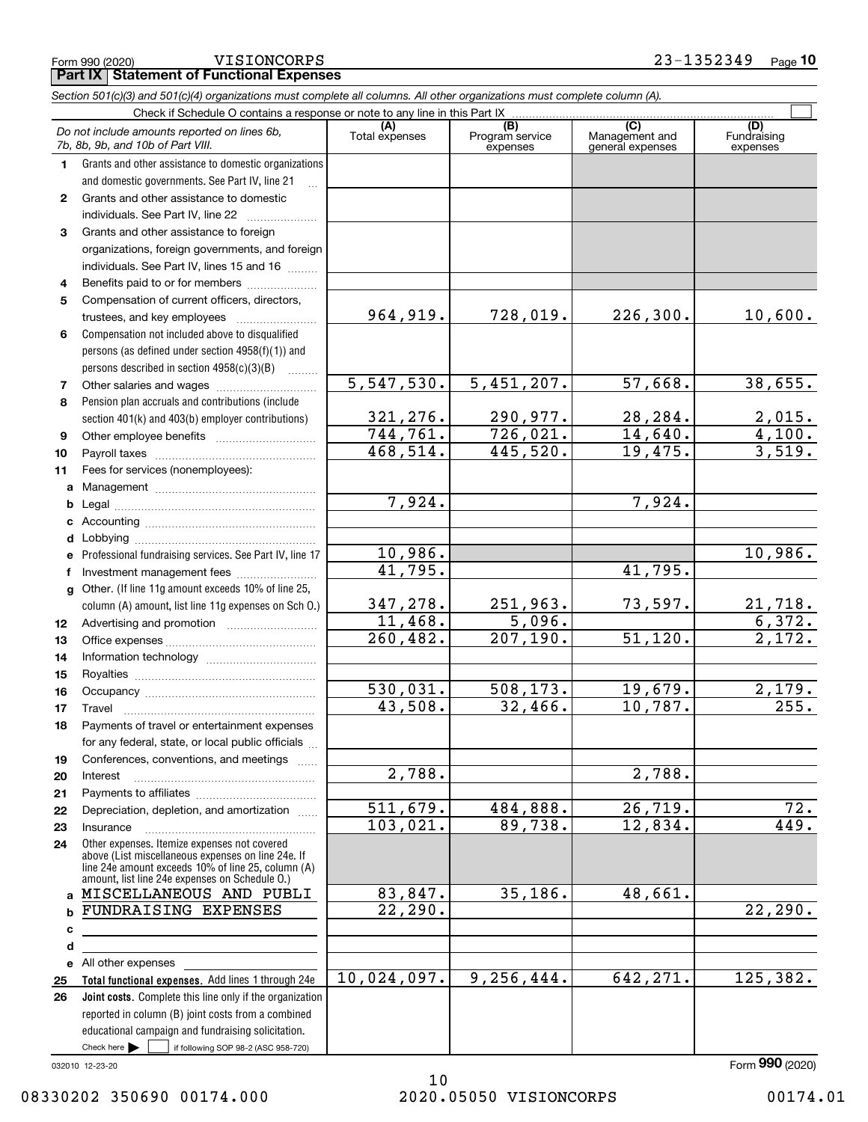**Part IX Statement of Functional Expenses** VISIONCORPS

|                                                                                    | Section 501(c)(3) and 501(c)(4) organizations must complete all columns. All other organizations must complete column (A).                                                                                 |                                           |                                |           |                          |  |  |  |  |
|------------------------------------------------------------------------------------|------------------------------------------------------------------------------------------------------------------------------------------------------------------------------------------------------------|-------------------------------------------|--------------------------------|-----------|--------------------------|--|--|--|--|
| Check if Schedule O contains a response or note to any line in this Part IX<br>(B) |                                                                                                                                                                                                            |                                           |                                |           |                          |  |  |  |  |
|                                                                                    | Do not include amounts reported on lines 6b,<br>7b, 8b, 9b, and 10b of Part VIII.                                                                                                                          | (C)<br>Management and<br>general expenses | (D)<br>Fundraising<br>expenses |           |                          |  |  |  |  |
| 1.                                                                                 | Grants and other assistance to domestic organizations                                                                                                                                                      |                                           |                                |           |                          |  |  |  |  |
|                                                                                    | and domestic governments. See Part IV, line 21                                                                                                                                                             |                                           |                                |           |                          |  |  |  |  |
| $\mathbf{2}$                                                                       | Grants and other assistance to domestic                                                                                                                                                                    |                                           |                                |           |                          |  |  |  |  |
|                                                                                    | individuals. See Part IV, line 22                                                                                                                                                                          |                                           |                                |           |                          |  |  |  |  |
| 3                                                                                  | Grants and other assistance to foreign                                                                                                                                                                     |                                           |                                |           |                          |  |  |  |  |
|                                                                                    | organizations, foreign governments, and foreign                                                                                                                                                            |                                           |                                |           |                          |  |  |  |  |
|                                                                                    | individuals. See Part IV, lines 15 and 16                                                                                                                                                                  |                                           |                                |           |                          |  |  |  |  |
| 4                                                                                  | Benefits paid to or for members                                                                                                                                                                            |                                           |                                |           |                          |  |  |  |  |
| 5                                                                                  | Compensation of current officers, directors,                                                                                                                                                               |                                           |                                |           |                          |  |  |  |  |
|                                                                                    |                                                                                                                                                                                                            | 964,919.                                  | 728,019.                       | 226,300.  | 10,600.                  |  |  |  |  |
| 6                                                                                  | Compensation not included above to disqualified                                                                                                                                                            |                                           |                                |           |                          |  |  |  |  |
|                                                                                    | persons (as defined under section 4958(f)(1)) and                                                                                                                                                          |                                           |                                |           |                          |  |  |  |  |
|                                                                                    | persons described in section 4958(c)(3)(B)<br>1.1.1.1.1.1.1                                                                                                                                                |                                           |                                |           |                          |  |  |  |  |
| 7                                                                                  |                                                                                                                                                                                                            | 5,547,530.                                | 5,451,207.                     | 57,668.   | 38,655.                  |  |  |  |  |
| 8                                                                                  | Pension plan accruals and contributions (include                                                                                                                                                           |                                           |                                |           |                          |  |  |  |  |
|                                                                                    | section 401(k) and 403(b) employer contributions)                                                                                                                                                          | 321,276.                                  | 290,977.                       | 28,284.   | $\frac{2,015.}{4,100.}$  |  |  |  |  |
| 9                                                                                  |                                                                                                                                                                                                            | 744, 761.                                 | 726,021.                       | 14,640.   |                          |  |  |  |  |
| 10                                                                                 |                                                                                                                                                                                                            | 468,514.                                  | 445,520.                       | 19,475.   | 3,519.                   |  |  |  |  |
| 11                                                                                 | Fees for services (nonemployees):                                                                                                                                                                          |                                           |                                |           |                          |  |  |  |  |
| a                                                                                  |                                                                                                                                                                                                            |                                           |                                |           |                          |  |  |  |  |
| b                                                                                  |                                                                                                                                                                                                            | 7,924.                                    |                                | 7,924.    |                          |  |  |  |  |
| c                                                                                  |                                                                                                                                                                                                            |                                           |                                |           |                          |  |  |  |  |
| d                                                                                  |                                                                                                                                                                                                            |                                           |                                |           | 10,986.                  |  |  |  |  |
|                                                                                    | Professional fundraising services. See Part IV, line 17                                                                                                                                                    | 10,986.<br>41,795.                        |                                | 41,795.   |                          |  |  |  |  |
| f                                                                                  |                                                                                                                                                                                                            |                                           |                                |           |                          |  |  |  |  |
| g                                                                                  | Other. (If line 11g amount exceeds 10% of line 25,                                                                                                                                                         | 347,278.                                  | 251,963.                       | 73,597.   |                          |  |  |  |  |
|                                                                                    | column (A) amount, list line 11g expenses on Sch O.)                                                                                                                                                       | 11,468.                                   | 5,096.                         |           | $\frac{21,718.}{6,372.}$ |  |  |  |  |
| 12                                                                                 |                                                                                                                                                                                                            | 260, 482.                                 | 207, 190.                      | 51,120.   | $\overline{2,172.}$      |  |  |  |  |
| 13<br>14                                                                           |                                                                                                                                                                                                            |                                           |                                |           |                          |  |  |  |  |
| 15                                                                                 |                                                                                                                                                                                                            |                                           |                                |           |                          |  |  |  |  |
| 16                                                                                 |                                                                                                                                                                                                            | 530,031.                                  | 508,173.                       | 19,679.   | 2,179.                   |  |  |  |  |
| 17                                                                                 |                                                                                                                                                                                                            | 43,508.                                   | 32,466.                        | 10,787.   | 255.                     |  |  |  |  |
| 18                                                                                 | Payments of travel or entertainment expenses                                                                                                                                                               |                                           |                                |           |                          |  |  |  |  |
|                                                                                    | for any federal, state, or local public officials                                                                                                                                                          |                                           |                                |           |                          |  |  |  |  |
| 19                                                                                 | Conferences, conventions, and meetings                                                                                                                                                                     |                                           |                                |           |                          |  |  |  |  |
| 20                                                                                 | Interest                                                                                                                                                                                                   | 2,788.                                    |                                | 2,788.    |                          |  |  |  |  |
| 21                                                                                 |                                                                                                                                                                                                            |                                           |                                |           |                          |  |  |  |  |
| 22                                                                                 | Depreciation, depletion, and amortization                                                                                                                                                                  | 511,679.                                  | 484,888.                       | 26,719.   | 72.                      |  |  |  |  |
| 23                                                                                 | Insurance                                                                                                                                                                                                  | 103,021.                                  | 89,738.                        | 12,834.   | 449.                     |  |  |  |  |
| 24                                                                                 | Other expenses. Itemize expenses not covered<br>above (List miscellaneous expenses on line 24e. If<br>line 24e amount exceeds 10% of line 25, column (A)<br>amount, list line 24e expenses on Schedule O.) |                                           |                                |           |                          |  |  |  |  |
| a                                                                                  | MISCELLANEOUS AND PUBLI                                                                                                                                                                                    | 83,847.                                   | 35,186.                        | 48,661.   |                          |  |  |  |  |
| b                                                                                  | FUNDRAISING EXPENSES                                                                                                                                                                                       | 22,290.                                   |                                |           | 22, 290.                 |  |  |  |  |
| c                                                                                  |                                                                                                                                                                                                            |                                           |                                |           |                          |  |  |  |  |
| d                                                                                  |                                                                                                                                                                                                            |                                           |                                |           |                          |  |  |  |  |
| е                                                                                  | All other expenses                                                                                                                                                                                         |                                           |                                |           |                          |  |  |  |  |
| 25                                                                                 | Total functional expenses. Add lines 1 through 24e                                                                                                                                                         | 10,024,097.                               | 9,256,444.                     | 642, 271. | 125,382.                 |  |  |  |  |
| 26                                                                                 | Joint costs. Complete this line only if the organization                                                                                                                                                   |                                           |                                |           |                          |  |  |  |  |
|                                                                                    | reported in column (B) joint costs from a combined                                                                                                                                                         |                                           |                                |           |                          |  |  |  |  |
|                                                                                    | educational campaign and fundraising solicitation.                                                                                                                                                         |                                           |                                |           |                          |  |  |  |  |
|                                                                                    | Check here $\blacktriangleright$<br>if following SOP 98-2 (ASC 958-720)                                                                                                                                    |                                           |                                |           |                          |  |  |  |  |

032010 12-23-20

Form (2020) **990**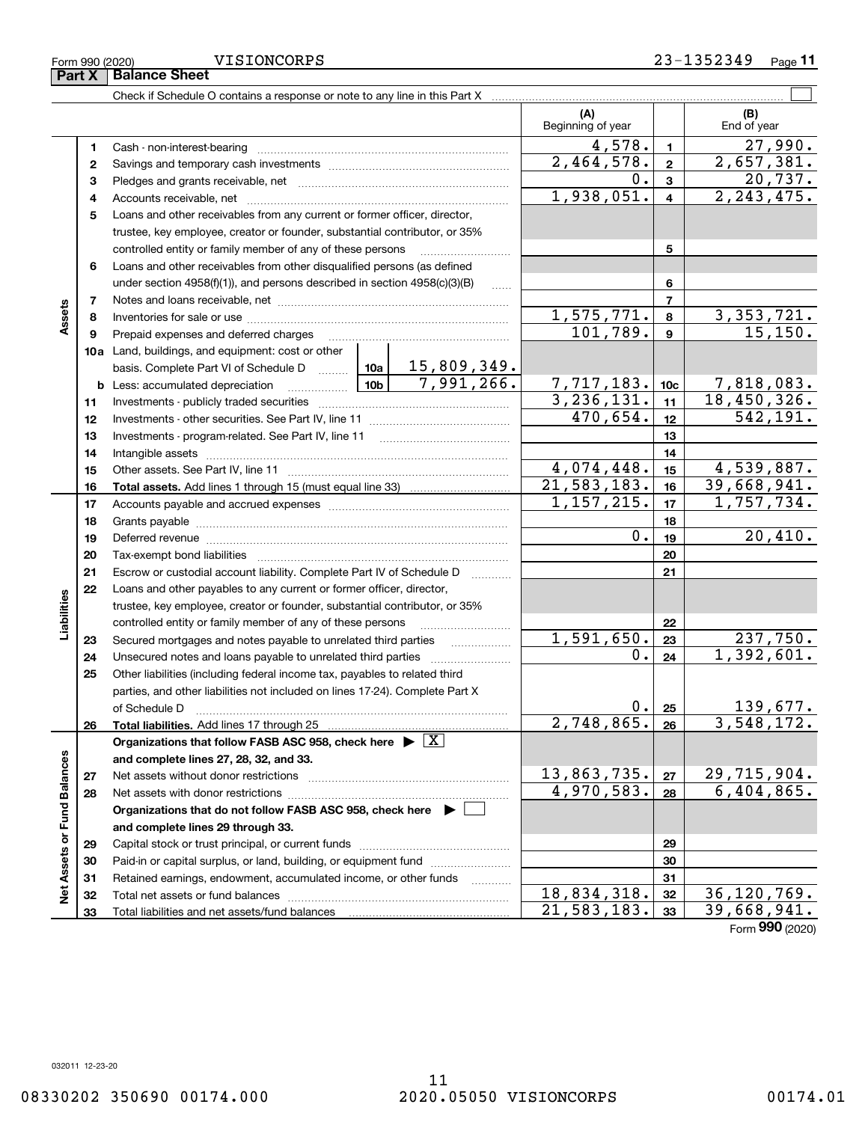|                             |          | Check if Schedule O contains a response or note to any line in this Part X                                      |                             |                               |                           |                                  |
|-----------------------------|----------|-----------------------------------------------------------------------------------------------------------------|-----------------------------|-------------------------------|---------------------------|----------------------------------|
|                             |          |                                                                                                                 |                             | (A)<br>Beginning of year      |                           | (B)<br>End of year               |
|                             | 1        |                                                                                                                 |                             | 4,578.                        | $\mathbf{1}$              | $\overline{27,990}$ .            |
|                             | 2        |                                                                                                                 |                             | 2,464,578.                    | $\overline{\mathbf{2}}$   | 2,657,381.                       |
|                             | з        |                                                                                                                 | $0$ .                       | $\overline{\mathbf{3}}$       | 20,737.                   |                                  |
|                             | 4        |                                                                                                                 | 1,938,051.                  | $\overline{4}$                | 2, 243, 475.              |                                  |
|                             | 5        | Loans and other receivables from any current or former officer, director,                                       |                             |                               |                           |                                  |
|                             |          | trustee, key employee, creator or founder, substantial contributor, or 35%                                      |                             |                               |                           |                                  |
|                             |          | controlled entity or family member of any of these persons                                                      |                             |                               | 5                         |                                  |
|                             | 6        | Loans and other receivables from other disqualified persons (as defined                                         |                             |                               |                           |                                  |
|                             |          | under section $4958(f)(1)$ , and persons described in section $4958(c)(3)(B)$                                   | 1.1.1.1                     |                               | 6                         |                                  |
|                             | 7        |                                                                                                                 |                             |                               | $\overline{\phantom{a}}$  |                                  |
| Assets                      | 8        |                                                                                                                 |                             | <u>1,575,771.</u>             | 8                         | $\frac{3,353,721}{15,150}$       |
|                             | 9        | Prepaid expenses and deferred charges                                                                           |                             | 101, 789.                     | $\mathbf{9}$              |                                  |
|                             |          | 10a Land, buildings, and equipment: cost or other                                                               |                             |                               |                           |                                  |
|                             |          | basis. Complete Part VI of Schedule D  10a   15,809,349.                                                        |                             |                               |                           |                                  |
|                             |          | 10 <sub>b</sub><br><b>b</b> Less: accumulated depreciation<br>$\ldots \ldots \ldots \ldots$                     | 7,991,266.                  | 7,717,183.10c<br>3,236,131.11 |                           | 7,818,083.                       |
|                             | 11       |                                                                                                                 |                             |                               |                           | 18,450,326.<br>542, 191.         |
|                             | 12       |                                                                                                                 | 470,654.                    | 12                            |                           |                                  |
|                             | 13       |                                                                                                                 |                             |                               | 13                        |                                  |
|                             | 14       |                                                                                                                 |                             |                               | 14                        |                                  |
|                             | 15       |                                                                                                                 | 4,074,448.<br>21, 583, 183. | 15                            | 4,539,887.<br>39,668,941. |                                  |
|                             | 16       |                                                                                                                 |                             | 1, 157, 215.                  | 16<br>17                  | 1,757,734.                       |
|                             | 17       |                                                                                                                 |                             | 18                            |                           |                                  |
|                             | 18<br>19 |                                                                                                                 | $0$ .                       | 19                            | 20,410.                   |                                  |
|                             | 20       | Deferred revenue manual contracts and contracts and contracts are contracted and contracts are contracted and c |                             |                               | 20                        |                                  |
|                             | 21       | Escrow or custodial account liability. Complete Part IV of Schedule D                                           |                             |                               | 21                        |                                  |
|                             | 22       | Loans and other payables to any current or former officer, director,                                            |                             |                               |                           |                                  |
|                             |          | trustee, key employee, creator or founder, substantial contributor, or 35%                                      |                             |                               |                           |                                  |
| Liabilities                 |          | controlled entity or family member of any of these persons                                                      |                             |                               | 22                        |                                  |
|                             | 23       | Secured mortgages and notes payable to unrelated third parties                                                  |                             | 1,591,650.                    | 23                        | 237,750.                         |
|                             | 24       | Unsecured notes and loans payable to unrelated third parties                                                    |                             | 0.                            | 24                        | 1,392,601.                       |
|                             | 25       | Other liabilities (including federal income tax, payables to related third                                      |                             |                               |                           |                                  |
|                             |          | parties, and other liabilities not included on lines 17-24). Complete Part X                                    |                             |                               |                           |                                  |
|                             |          | of Schedule D                                                                                                   |                             | $0 \cdot$                     | 25                        | 139,677.                         |
|                             | 26       |                                                                                                                 |                             | 2,748,865.                    | 26                        | 3,548,172.                       |
|                             |          | Organizations that follow FASB ASC 958, check here $\blacktriangleright \boxed{X}$                              |                             |                               |                           |                                  |
|                             |          | and complete lines 27, 28, 32, and 33.                                                                          |                             |                               |                           |                                  |
|                             | 27       | Net assets without donor restrictions                                                                           |                             | 13,863,735.                   | 27                        | $\frac{29,715,904.}{6,404,865.}$ |
|                             | 28       |                                                                                                                 |                             | 4,970,583.                    | 28                        |                                  |
|                             |          | Organizations that do not follow FASB ASC 958, check here $\blacktriangleright$                                 |                             |                               |                           |                                  |
|                             |          | and complete lines 29 through 33.                                                                               |                             |                               |                           |                                  |
| Net Assets or Fund Balances | 29       |                                                                                                                 |                             |                               | 29                        |                                  |
|                             | 30       | Paid-in or capital surplus, or land, building, or equipment fund                                                |                             |                               | 30                        |                                  |
|                             | 31       | Retained earnings, endowment, accumulated income, or other funds                                                |                             |                               | 31                        |                                  |
|                             | 32       |                                                                                                                 |                             | 18,834,318.                   | 32                        | 36, 120, 769.                    |
|                             | 33       |                                                                                                                 |                             | 21, 583, 183.                 | 33                        | 39,668,941.                      |

Form (2020) **990**

08330202 350690 00174.000 2020.05050 VISIONCORPS 00174.01

**Part X Balance Sheet** VISIONCORPS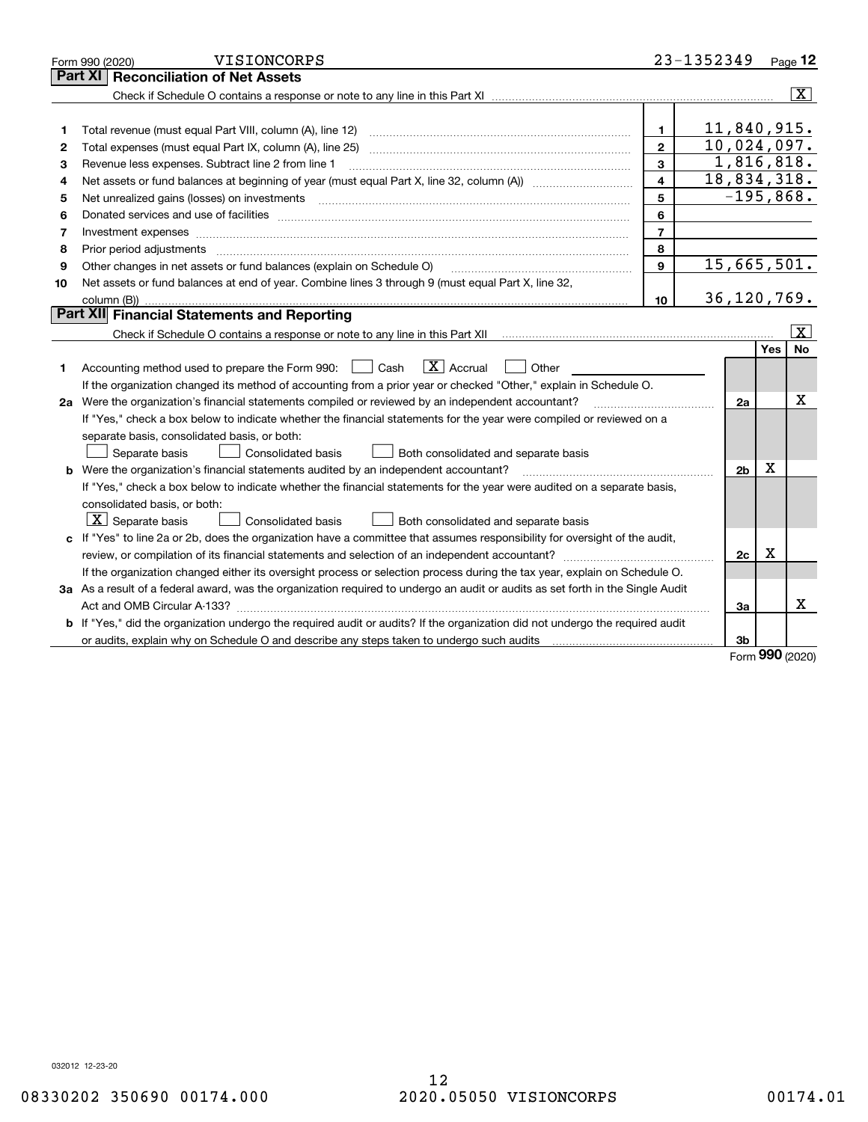|    | VISIONCORPS<br>Form 990 (2020)                                                                                                                                                                                                 |                         | 23-1352349     |     | Page 12        |
|----|--------------------------------------------------------------------------------------------------------------------------------------------------------------------------------------------------------------------------------|-------------------------|----------------|-----|----------------|
|    | <b>Reconciliation of Net Assets</b><br>Part XI                                                                                                                                                                                 |                         |                |     |                |
|    |                                                                                                                                                                                                                                |                         |                |     | $ \mathbf{X} $ |
|    |                                                                                                                                                                                                                                |                         |                |     |                |
| 1  | Total revenue (must equal Part VIII, column (A), line 12)                                                                                                                                                                      | 1.                      | 11,840,915.    |     |                |
| 2  | Total expenses (must equal Part IX, column (A), line 25)                                                                                                                                                                       | $\mathbf{2}$            | 10,024,097.    |     |                |
| з  | Revenue less expenses. Subtract line 2 from line 1                                                                                                                                                                             | $\mathbf{a}$            | 1,816,818.     |     |                |
| 4  |                                                                                                                                                                                                                                | $\overline{\mathbf{4}}$ | 18,834,318.    |     |                |
| 5  | Net unrealized gains (losses) on investments [11] matter contracts and the state of the state of the state of the state of the state of the state of the state of the state of the state of the state of the state of the stat | 5                       | $-195,868.$    |     |                |
| 6  |                                                                                                                                                                                                                                | 6                       |                |     |                |
| 7  |                                                                                                                                                                                                                                | $\overline{7}$          |                |     |                |
| 8  | Prior period adjustments                                                                                                                                                                                                       | 8                       |                |     |                |
| 9  | Other changes in net assets or fund balances (explain on Schedule O)                                                                                                                                                           | 9                       | 15,665,501.    |     |                |
| 10 | Net assets or fund balances at end of year. Combine lines 3 through 9 (must equal Part X, line 32,                                                                                                                             |                         |                |     |                |
|    |                                                                                                                                                                                                                                | 10                      | 36,120,769.    |     |                |
|    | <b>Part XII</b> Financial Statements and Reporting                                                                                                                                                                             |                         |                |     |                |
|    | Check if Schedule O contains a response or note to any line in this Part XII Communication contains a response                                                                                                                 |                         |                |     | x              |
|    |                                                                                                                                                                                                                                |                         |                | Yes | <b>No</b>      |
| 1  | $\boxed{\mathbf{X}}$ Accrual<br>Accounting method used to prepare the Form 990: <u>June</u> Cash<br>Other                                                                                                                      |                         |                |     |                |
|    | If the organization changed its method of accounting from a prior year or checked "Other," explain in Schedule O.                                                                                                              |                         |                |     |                |
|    | 2a Were the organization's financial statements compiled or reviewed by an independent accountant?                                                                                                                             |                         | 2a             |     | х              |
|    | If "Yes," check a box below to indicate whether the financial statements for the year were compiled or reviewed on a                                                                                                           |                         |                |     |                |
|    | separate basis, consolidated basis, or both:                                                                                                                                                                                   |                         |                |     |                |
|    | Separate basis<br>Both consolidated and separate basis<br>Consolidated basis                                                                                                                                                   |                         |                |     |                |
|    | <b>b</b> Were the organization's financial statements audited by an independent accountant?                                                                                                                                    |                         | 2 <sub>b</sub> | X   |                |
|    | If "Yes," check a box below to indicate whether the financial statements for the year were audited on a separate basis,                                                                                                        |                         |                |     |                |
|    | consolidated basis, or both:                                                                                                                                                                                                   |                         |                |     |                |
|    | $ \mathbf{X} $ Separate basis<br><b>Consolidated basis</b><br>Both consolidated and separate basis                                                                                                                             |                         |                |     |                |
|    | c If "Yes" to line 2a or 2b, does the organization have a committee that assumes responsibility for oversight of the audit,                                                                                                    |                         |                |     |                |
|    |                                                                                                                                                                                                                                |                         | 2c             | x   |                |
|    | If the organization changed either its oversight process or selection process during the tax year, explain on Schedule O.                                                                                                      |                         |                |     |                |
|    | 3a As a result of a federal award, was the organization required to undergo an audit or audits as set forth in the Single Audit                                                                                                |                         |                |     |                |
|    |                                                                                                                                                                                                                                |                         | 3a             |     | x              |
|    | b If "Yes," did the organization undergo the required audit or audits? If the organization did not undergo the required audit                                                                                                  |                         |                |     |                |
|    | or audits, explain why on Schedule O and describe any steps taken to undergo such audits [11] contains the school of audits [11] or audits [11] or audits [11] or audits [11] or audits [11] or audits [11] or audits [11] or  |                         | 3 <sub>b</sub> | 000 |                |

Form (2020) **990**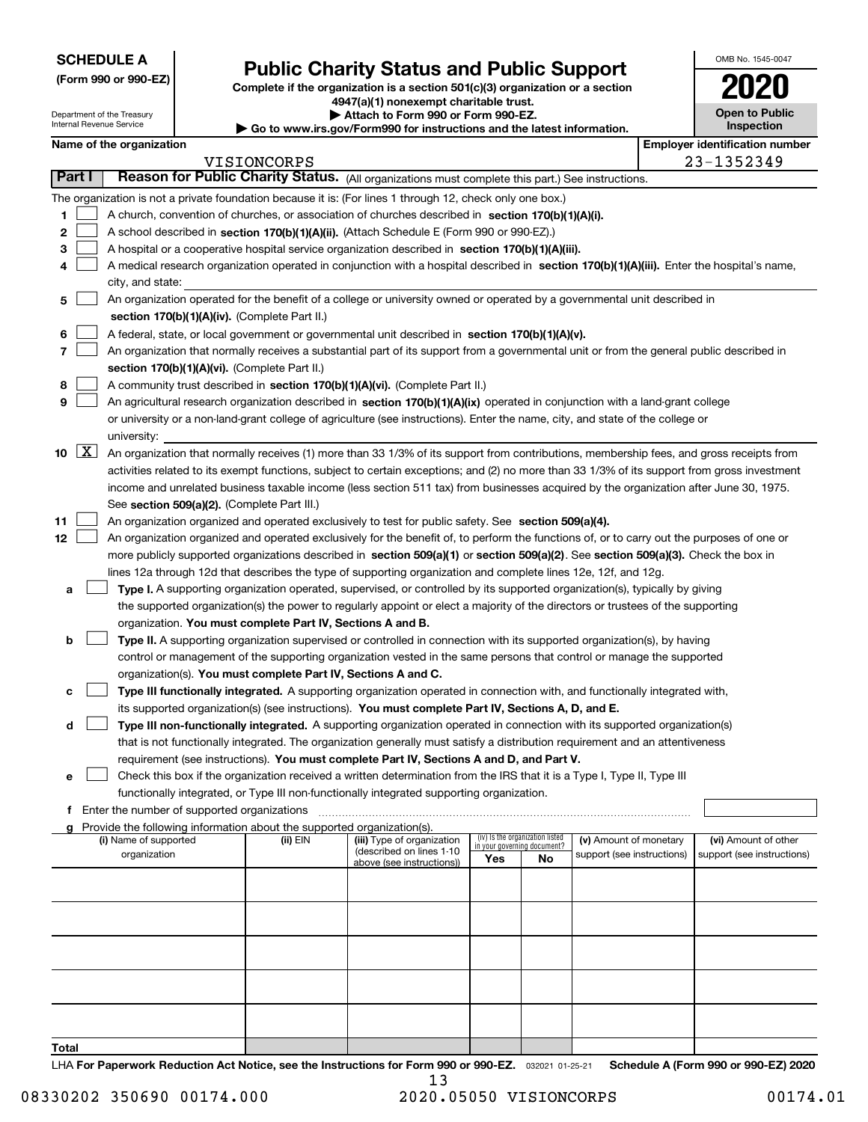**(Form 990 or 990-EZ)**

# **Public Charity Status and Public Support**

**Complete if the organization is a section 501(c)(3) organization or a section 4947(a)(1) nonexempt charitable trust. | Attach to Form 990 or Form 990-EZ.** 

| OMB No. 1545-0047                   |
|-------------------------------------|
| 2020                                |
| <b>Open to Public</b><br>Inspection |

| Attach to Form 990 or Form 990-EZ.<br>Department of the Treasury<br>Internal Revenue Service<br>Go to www.irs.gov/Form990 for instructions and the latest information. |          |                          |                                             |                                                                        | <b>Open to Public</b><br>Inspection                                                                                                          |     |                                                                |                            |  |                                       |
|------------------------------------------------------------------------------------------------------------------------------------------------------------------------|----------|--------------------------|---------------------------------------------|------------------------------------------------------------------------|----------------------------------------------------------------------------------------------------------------------------------------------|-----|----------------------------------------------------------------|----------------------------|--|---------------------------------------|
|                                                                                                                                                                        |          | Name of the organization |                                             |                                                                        |                                                                                                                                              |     |                                                                |                            |  | <b>Employer identification number</b> |
|                                                                                                                                                                        |          |                          |                                             | VISIONCORPS                                                            |                                                                                                                                              |     |                                                                |                            |  | 23-1352349                            |
|                                                                                                                                                                        | Part I   |                          |                                             |                                                                        | Reason for Public Charity Status. (All organizations must complete this part.) See instructions.                                             |     |                                                                |                            |  |                                       |
|                                                                                                                                                                        |          |                          |                                             |                                                                        | The organization is not a private foundation because it is: (For lines 1 through 12, check only one box.)                                    |     |                                                                |                            |  |                                       |
| 1                                                                                                                                                                      |          |                          |                                             |                                                                        | A church, convention of churches, or association of churches described in section $170(b)(1)(A)(i)$ .                                        |     |                                                                |                            |  |                                       |
| 2                                                                                                                                                                      |          |                          |                                             |                                                                        | A school described in section 170(b)(1)(A)(ii). (Attach Schedule E (Form 990 or 990-EZ).)                                                    |     |                                                                |                            |  |                                       |
| з                                                                                                                                                                      |          |                          |                                             |                                                                        | A hospital or a cooperative hospital service organization described in section 170(b)(1)(A)(iii).                                            |     |                                                                |                            |  |                                       |
| 4                                                                                                                                                                      |          |                          |                                             |                                                                        | A medical research organization operated in conjunction with a hospital described in section 170(b)(1)(A)(iii). Enter the hospital's name,   |     |                                                                |                            |  |                                       |
|                                                                                                                                                                        |          | city, and state:         |                                             |                                                                        |                                                                                                                                              |     |                                                                |                            |  |                                       |
| 5                                                                                                                                                                      |          |                          |                                             |                                                                        | An organization operated for the benefit of a college or university owned or operated by a governmental unit described in                    |     |                                                                |                            |  |                                       |
|                                                                                                                                                                        |          |                          |                                             | section 170(b)(1)(A)(iv). (Complete Part II.)                          |                                                                                                                                              |     |                                                                |                            |  |                                       |
| 6                                                                                                                                                                      |          |                          |                                             |                                                                        | A federal, state, or local government or governmental unit described in section 170(b)(1)(A)(v).                                             |     |                                                                |                            |  |                                       |
| 7                                                                                                                                                                      |          |                          |                                             |                                                                        | An organization that normally receives a substantial part of its support from a governmental unit or from the general public described in    |     |                                                                |                            |  |                                       |
|                                                                                                                                                                        |          |                          |                                             | section 170(b)(1)(A)(vi). (Complete Part II.)                          |                                                                                                                                              |     |                                                                |                            |  |                                       |
| 8                                                                                                                                                                      |          |                          |                                             |                                                                        | A community trust described in section 170(b)(1)(A)(vi). (Complete Part II.)                                                                 |     |                                                                |                            |  |                                       |
| 9                                                                                                                                                                      |          |                          |                                             |                                                                        | An agricultural research organization described in section 170(b)(1)(A)(ix) operated in conjunction with a land-grant college                |     |                                                                |                            |  |                                       |
|                                                                                                                                                                        |          |                          |                                             |                                                                        | or university or a non-land-grant college of agriculture (see instructions). Enter the name, city, and state of the college or               |     |                                                                |                            |  |                                       |
|                                                                                                                                                                        |          | university:              |                                             |                                                                        |                                                                                                                                              |     |                                                                |                            |  |                                       |
|                                                                                                                                                                        | 10 $ X $ |                          |                                             |                                                                        | An organization that normally receives (1) more than 33 1/3% of its support from contributions, membership fees, and gross receipts from     |     |                                                                |                            |  |                                       |
|                                                                                                                                                                        |          |                          |                                             |                                                                        | activities related to its exempt functions, subject to certain exceptions; and (2) no more than 33 1/3% of its support from gross investment |     |                                                                |                            |  |                                       |
|                                                                                                                                                                        |          |                          |                                             |                                                                        | income and unrelated business taxable income (less section 511 tax) from businesses acquired by the organization after June 30, 1975.        |     |                                                                |                            |  |                                       |
|                                                                                                                                                                        |          |                          |                                             | See section 509(a)(2). (Complete Part III.)                            |                                                                                                                                              |     |                                                                |                            |  |                                       |
| 11                                                                                                                                                                     |          |                          |                                             |                                                                        | An organization organized and operated exclusively to test for public safety. See section 509(a)(4).                                         |     |                                                                |                            |  |                                       |
| 12                                                                                                                                                                     |          |                          |                                             |                                                                        | An organization organized and operated exclusively for the benefit of, to perform the functions of, or to carry out the purposes of one or   |     |                                                                |                            |  |                                       |
|                                                                                                                                                                        |          |                          |                                             |                                                                        | more publicly supported organizations described in section 509(a)(1) or section 509(a)(2). See section 509(a)(3). Check the box in           |     |                                                                |                            |  |                                       |
|                                                                                                                                                                        |          |                          |                                             |                                                                        | lines 12a through 12d that describes the type of supporting organization and complete lines 12e, 12f, and 12g.                               |     |                                                                |                            |  |                                       |
| а                                                                                                                                                                      |          |                          |                                             |                                                                        | Type I. A supporting organization operated, supervised, or controlled by its supported organization(s), typically by giving                  |     |                                                                |                            |  |                                       |
|                                                                                                                                                                        |          |                          |                                             |                                                                        | the supported organization(s) the power to regularly appoint or elect a majority of the directors or trustees of the supporting              |     |                                                                |                            |  |                                       |
|                                                                                                                                                                        |          |                          |                                             | organization. You must complete Part IV, Sections A and B.             |                                                                                                                                              |     |                                                                |                            |  |                                       |
| b                                                                                                                                                                      |          |                          |                                             |                                                                        | Type II. A supporting organization supervised or controlled in connection with its supported organization(s), by having                      |     |                                                                |                            |  |                                       |
|                                                                                                                                                                        |          |                          |                                             |                                                                        | control or management of the supporting organization vested in the same persons that control or manage the supported                         |     |                                                                |                            |  |                                       |
|                                                                                                                                                                        |          |                          |                                             |                                                                        | organization(s). You must complete Part IV, Sections A and C.                                                                                |     |                                                                |                            |  |                                       |
| с                                                                                                                                                                      |          |                          |                                             |                                                                        | Type III functionally integrated. A supporting organization operated in connection with, and functionally integrated with,                   |     |                                                                |                            |  |                                       |
|                                                                                                                                                                        |          |                          |                                             |                                                                        | its supported organization(s) (see instructions). You must complete Part IV, Sections A, D, and E.                                           |     |                                                                |                            |  |                                       |
| d                                                                                                                                                                      |          |                          |                                             |                                                                        | Type III non-functionally integrated. A supporting organization operated in connection with its supported organization(s)                    |     |                                                                |                            |  |                                       |
|                                                                                                                                                                        |          |                          |                                             |                                                                        | that is not functionally integrated. The organization generally must satisfy a distribution requirement and an attentiveness                 |     |                                                                |                            |  |                                       |
|                                                                                                                                                                        |          |                          |                                             |                                                                        | requirement (see instructions). You must complete Part IV, Sections A and D, and Part V.                                                     |     |                                                                |                            |  |                                       |
| е                                                                                                                                                                      |          |                          |                                             |                                                                        | Check this box if the organization received a written determination from the IRS that it is a Type I, Type II, Type III                      |     |                                                                |                            |  |                                       |
|                                                                                                                                                                        |          |                          |                                             |                                                                        | functionally integrated, or Type III non-functionally integrated supporting organization.                                                    |     |                                                                |                            |  |                                       |
| Ť.                                                                                                                                                                     |          |                          | Enter the number of supported organizations | Provide the following information about the supported organization(s). |                                                                                                                                              |     |                                                                |                            |  |                                       |
|                                                                                                                                                                        |          | (i) Name of supported    |                                             | (ii) EIN                                                               | (iii) Type of organization                                                                                                                   |     | (iv) Is the organization listed<br>in your governing document? | (v) Amount of monetary     |  | (vi) Amount of other                  |
|                                                                                                                                                                        |          | organization             |                                             |                                                                        | (described on lines 1-10<br>above (see instructions))                                                                                        | Yes | No                                                             | support (see instructions) |  | support (see instructions)            |
|                                                                                                                                                                        |          |                          |                                             |                                                                        |                                                                                                                                              |     |                                                                |                            |  |                                       |
|                                                                                                                                                                        |          |                          |                                             |                                                                        |                                                                                                                                              |     |                                                                |                            |  |                                       |
|                                                                                                                                                                        |          |                          |                                             |                                                                        |                                                                                                                                              |     |                                                                |                            |  |                                       |
|                                                                                                                                                                        |          |                          |                                             |                                                                        |                                                                                                                                              |     |                                                                |                            |  |                                       |
|                                                                                                                                                                        |          |                          |                                             |                                                                        |                                                                                                                                              |     |                                                                |                            |  |                                       |
|                                                                                                                                                                        |          |                          |                                             |                                                                        |                                                                                                                                              |     |                                                                |                            |  |                                       |
|                                                                                                                                                                        |          |                          |                                             |                                                                        |                                                                                                                                              |     |                                                                |                            |  |                                       |
|                                                                                                                                                                        |          |                          |                                             |                                                                        |                                                                                                                                              |     |                                                                |                            |  |                                       |
|                                                                                                                                                                        |          |                          |                                             |                                                                        |                                                                                                                                              |     |                                                                |                            |  |                                       |
|                                                                                                                                                                        |          |                          |                                             |                                                                        |                                                                                                                                              |     |                                                                |                            |  |                                       |

**Total**

LHA For Paperwork Reduction Act Notice, see the Instructions for Form 990 or 990-EZ. <sub>032021</sub> o1-25-21 Schedule A (Form 990 or 990-EZ) 2020 13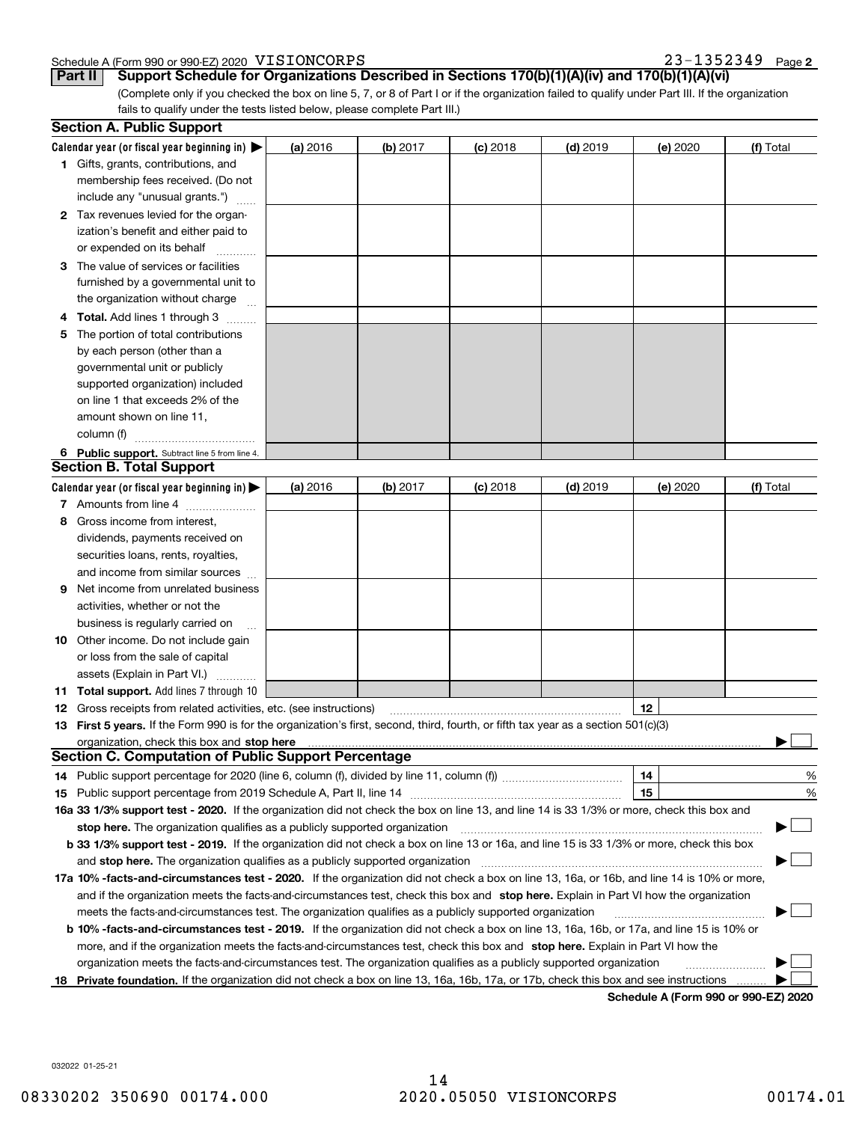#### Schedule A (Form 990 or 990-EZ) 2020 Page VISIONCORPS 23-1352349

(Complete only if you checked the box on line 5, 7, or 8 of Part I or if the organization failed to qualify under Part III. If the organization fails to qualify under the tests listed below, please complete Part III.) **Part II Support Schedule for Organizations Described in Sections 170(b)(1)(A)(iv) and 170(b)(1)(A)(vi)**

|    | <b>Section A. Public Support</b>                                                                                                               |          |          |            |            |                                             |           |
|----|------------------------------------------------------------------------------------------------------------------------------------------------|----------|----------|------------|------------|---------------------------------------------|-----------|
|    | Calendar year (or fiscal year beginning in) $\blacktriangleright$                                                                              | (a) 2016 | (b) 2017 | $(c)$ 2018 | $(d)$ 2019 | (e) 2020                                    | (f) Total |
|    | <b>1</b> Gifts, grants, contributions, and                                                                                                     |          |          |            |            |                                             |           |
|    | membership fees received. (Do not                                                                                                              |          |          |            |            |                                             |           |
|    | include any "unusual grants.")                                                                                                                 |          |          |            |            |                                             |           |
|    | <b>2</b> Tax revenues levied for the organ-                                                                                                    |          |          |            |            |                                             |           |
|    | ization's benefit and either paid to                                                                                                           |          |          |            |            |                                             |           |
|    | or expended on its behalf                                                                                                                      |          |          |            |            |                                             |           |
|    | 3 The value of services or facilities                                                                                                          |          |          |            |            |                                             |           |
|    | furnished by a governmental unit to                                                                                                            |          |          |            |            |                                             |           |
|    | the organization without charge                                                                                                                |          |          |            |            |                                             |           |
|    | 4 Total. Add lines 1 through 3                                                                                                                 |          |          |            |            |                                             |           |
| 5. | The portion of total contributions                                                                                                             |          |          |            |            |                                             |           |
|    | by each person (other than a                                                                                                                   |          |          |            |            |                                             |           |
|    | governmental unit or publicly                                                                                                                  |          |          |            |            |                                             |           |
|    | supported organization) included                                                                                                               |          |          |            |            |                                             |           |
|    | on line 1 that exceeds 2% of the                                                                                                               |          |          |            |            |                                             |           |
|    | amount shown on line 11,                                                                                                                       |          |          |            |            |                                             |           |
|    | column (f)                                                                                                                                     |          |          |            |            |                                             |           |
|    | 6 Public support. Subtract line 5 from line 4.                                                                                                 |          |          |            |            |                                             |           |
|    | <b>Section B. Total Support</b>                                                                                                                |          |          |            |            |                                             |           |
|    | Calendar year (or fiscal year beginning in)                                                                                                    | (a) 2016 | (b) 2017 | $(c)$ 2018 | $(d)$ 2019 | (e) 2020                                    | (f) Total |
|    | 7 Amounts from line 4                                                                                                                          |          |          |            |            |                                             |           |
|    | 8 Gross income from interest,                                                                                                                  |          |          |            |            |                                             |           |
|    | dividends, payments received on                                                                                                                |          |          |            |            |                                             |           |
|    | securities loans, rents, royalties,                                                                                                            |          |          |            |            |                                             |           |
|    | and income from similar sources                                                                                                                |          |          |            |            |                                             |           |
| 9. | Net income from unrelated business                                                                                                             |          |          |            |            |                                             |           |
|    | activities, whether or not the                                                                                                                 |          |          |            |            |                                             |           |
|    | business is regularly carried on                                                                                                               |          |          |            |            |                                             |           |
|    | <b>10</b> Other income. Do not include gain                                                                                                    |          |          |            |            |                                             |           |
|    | or loss from the sale of capital                                                                                                               |          |          |            |            |                                             |           |
|    | assets (Explain in Part VI.)                                                                                                                   |          |          |            |            |                                             |           |
|    | <b>11 Total support.</b> Add lines 7 through 10                                                                                                |          |          |            |            |                                             |           |
|    | <b>12</b> Gross receipts from related activities, etc. (see instructions)                                                                      |          |          |            |            | 12                                          |           |
|    | 13 First 5 years. If the Form 990 is for the organization's first, second, third, fourth, or fifth tax year as a section 501(c)(3)             |          |          |            |            |                                             |           |
|    | organization, check this box and <b>stop here</b> www.communication.communication.communication.communication.communic                         |          |          |            |            |                                             |           |
|    | <b>Section C. Computation of Public Support Percentage</b>                                                                                     |          |          |            |            |                                             |           |
|    |                                                                                                                                                |          |          |            |            | 14                                          | %         |
|    |                                                                                                                                                |          |          |            |            | 15                                          | $\%$      |
|    | 16a 33 1/3% support test - 2020. If the organization did not check the box on line 13, and line 14 is 33 1/3% or more, check this box and      |          |          |            |            |                                             |           |
|    | stop here. The organization qualifies as a publicly supported organization                                                                     |          |          |            |            |                                             |           |
|    | b 33 1/3% support test - 2019. If the organization did not check a box on line 13 or 16a, and line 15 is 33 1/3% or more, check this box       |          |          |            |            |                                             |           |
|    | and stop here. The organization qualifies as a publicly supported organization                                                                 |          |          |            |            |                                             |           |
|    | 17a 10% -facts-and-circumstances test - 2020. If the organization did not check a box on line 13, 16a, or 16b, and line 14 is 10% or more,     |          |          |            |            |                                             |           |
|    | and if the organization meets the facts-and-circumstances test, check this box and stop here. Explain in Part VI how the organization          |          |          |            |            |                                             |           |
|    | meets the facts-and-circumstances test. The organization qualifies as a publicly supported organization                                        |          |          |            |            |                                             |           |
|    | <b>b 10% -facts-and-circumstances test - 2019.</b> If the organization did not check a box on line 13, 16a, 16b, or 17a, and line 15 is 10% or |          |          |            |            |                                             |           |
|    | more, and if the organization meets the facts-and-circumstances test, check this box and stop here. Explain in Part VI how the                 |          |          |            |            |                                             |           |
|    | organization meets the facts-and-circumstances test. The organization qualifies as a publicly supported organization                           |          |          |            |            |                                             |           |
|    | 18 Private foundation. If the organization did not check a box on line 13, 16a, 16b, 17a, or 17b, check this box and see instructions          |          |          |            |            | <b>Cabadula A (Faum 000 av 000 EZ) 0000</b> |           |

**Schedule A (Form 990 or 990-EZ) 2020**

032022 01-25-21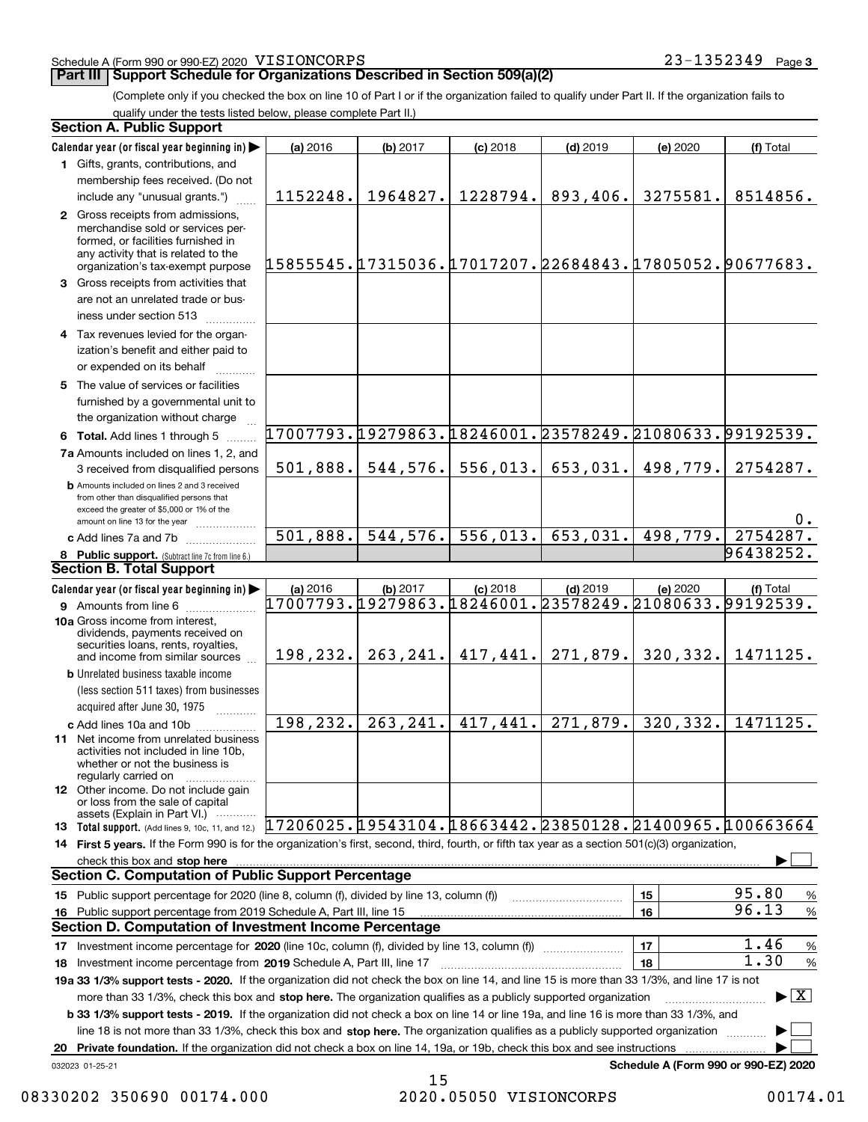#### Schedule A (Form 990 or 990-EZ) 2020 Page VISIONCORPS 23-1352349

#### **Part III Support Schedule for Organizations Described in Section 509(a)(2)**

(Complete only if you checked the box on line 10 of Part I or if the organization failed to qualify under Part II. If the organization fails to qualify under the tests listed below, please complete Part II.)

|    | <b>Section A. Public Support</b>                                                                                                                                                         |                                                        |           |            |                                               |          |                                      |
|----|------------------------------------------------------------------------------------------------------------------------------------------------------------------------------------------|--------------------------------------------------------|-----------|------------|-----------------------------------------------|----------|--------------------------------------|
|    | Calendar year (or fiscal year beginning in)                                                                                                                                              | (a) 2016                                               | (b) 2017  | $(c)$ 2018 | $(d)$ 2019                                    | (e) 2020 | (f) Total                            |
|    | 1 Gifts, grants, contributions, and                                                                                                                                                      |                                                        |           |            |                                               |          |                                      |
|    | membership fees received. (Do not                                                                                                                                                        |                                                        |           |            |                                               |          |                                      |
|    | include any "unusual grants.")                                                                                                                                                           | 1152248.                                               | 1964827.  | 1228794.   | 893,406.                                      | 3275581. | 8514856.                             |
|    | 2 Gross receipts from admissions.<br>merchandise sold or services per-<br>formed, or facilities furnished in<br>any activity that is related to the<br>organization's tax-exempt purpose | 15855545.17315036.17017207.22684843.17805052.90677683. |           |            |                                               |          |                                      |
|    | 3 Gross receipts from activities that<br>are not an unrelated trade or bus-<br>iness under section 513                                                                                   |                                                        |           |            |                                               |          |                                      |
|    | 4 Tax revenues levied for the organ-<br>ization's benefit and either paid to<br>or expended on its behalf                                                                                |                                                        |           |            |                                               |          |                                      |
|    | 5 The value of services or facilities<br>furnished by a governmental unit to<br>the organization without charge                                                                          |                                                        |           |            |                                               |          |                                      |
|    | 6 Total. Add lines 1 through 5                                                                                                                                                           | 17007793.19279863.18246001.23578249.21080633.99192539. |           |            |                                               |          |                                      |
|    | 7a Amounts included on lines 1, 2, and<br>3 received from disqualified persons                                                                                                           | 501,888.                                               |           |            | $544, 576.$ 556, 013. 653, 031.               | 498,779. | 2754287.                             |
|    | <b>b</b> Amounts included on lines 2 and 3 received<br>from other than disqualified persons that<br>exceed the greater of \$5,000 or 1% of the<br>amount on line 13 for the year         |                                                        |           |            |                                               |          | 0.                                   |
|    | c Add lines 7a and 7b                                                                                                                                                                    | 501,888.                                               | 544, 576. |            | $556,013.$ 653,031.                           | 498,779. | 2754287.                             |
|    | 8 Public support. (Subtract line 7c from line 6.)                                                                                                                                        |                                                        |           |            |                                               |          | 96438252.                            |
|    | Section B. Total Support                                                                                                                                                                 |                                                        |           |            |                                               |          |                                      |
|    | Calendar year (or fiscal year beginning in)                                                                                                                                              | (a) 2016                                               | (b) 2017  | $(c)$ 2018 | $(d)$ 2019                                    | (e) 2020 | (f) Total                            |
|    | <b>9</b> Amounts from line 6                                                                                                                                                             | 17007793.19279863.18246001.23578249.21080633.99192539. |           |            |                                               |          |                                      |
|    | 10a Gross income from interest,<br>dividends, payments received on<br>securities loans, rents, royalties,<br>and income from similar sources                                             |                                                        |           |            | 198, 232.   263, 241.   417, 441.   271, 879. | 320,332. | 1471125.                             |
|    | <b>b</b> Unrelated business taxable income                                                                                                                                               |                                                        |           |            |                                               |          |                                      |
|    | (less section 511 taxes) from businesses<br>acquired after June 30, 1975                                                                                                                 |                                                        |           |            |                                               |          |                                      |
|    | c Add lines 10a and 10b                                                                                                                                                                  | 198,232.                                               | 263, 241. | 417,441.   | $\boxed{271,879}.$                            | 320,332. | 1471125.                             |
|    | <b>11</b> Net income from unrelated business<br>activities not included in line 10b,<br>whether or not the business is<br>regularly carried on                                           |                                                        |           |            |                                               |          |                                      |
|    | <b>12</b> Other income. Do not include gain<br>or loss from the sale of capital<br>assets (Explain in Part VI.)                                                                          |                                                        |           |            |                                               |          |                                      |
|    | 13 Total support. (Add lines 9, 10c, 11, and 12.) [17206025. [19543104. 18663442. 23850128. 21400965. 100663664                                                                          |                                                        |           |            |                                               |          |                                      |
|    | 14 First 5 years. If the Form 990 is for the organization's first, second, third, fourth, or fifth tax year as a section 501(c)(3) organization,                                         |                                                        |           |            |                                               |          |                                      |
|    | check this box and stop here www.altamana.com/management/community/community/community/community/community/comm                                                                          |                                                        |           |            |                                               |          |                                      |
|    | <b>Section C. Computation of Public Support Percentage</b>                                                                                                                               |                                                        |           |            |                                               |          |                                      |
|    | 15 Public support percentage for 2020 (line 8, column (f), divided by line 13, column (f))                                                                                               |                                                        |           |            | <u> 1986 - Jan Start Barbar, mars ar st</u>   | 15       | 95.80<br>%                           |
|    | 16 Public support percentage from 2019 Schedule A, Part III, line 15                                                                                                                     |                                                        |           |            |                                               | 16       | 96.13<br>%                           |
|    | <b>Section D. Computation of Investment Income Percentage</b>                                                                                                                            |                                                        |           |            |                                               |          |                                      |
|    | 17 Investment income percentage for 2020 (line 10c, column (f), divided by line 13, column (f))                                                                                          |                                                        |           |            |                                               | 17       | 1.46<br>$\%$                         |
|    | 18 Investment income percentage from 2019 Schedule A, Part III, line 17                                                                                                                  |                                                        |           |            |                                               | 18       | 1.30<br>$\%$                         |
|    | 19a 33 1/3% support tests - 2020. If the organization did not check the box on line 14, and line 15 is more than 33 1/3%, and line 17 is not                                             |                                                        |           |            |                                               |          |                                      |
|    | more than 33 1/3%, check this box and stop here. The organization qualifies as a publicly supported organization                                                                         |                                                        |           |            |                                               |          | $\blacktriangleright$ $\vert$ X      |
|    | <b>b 33 1/3% support tests - 2019.</b> If the organization did not check a box on line 14 or line 19a, and line 16 is more than 33 1/3%, and                                             |                                                        |           |            |                                               |          |                                      |
|    | line 18 is not more than 33 1/3%, check this box and stop here. The organization qualifies as a publicly supported organization <i>machi</i> on                                          |                                                        |           |            |                                               |          |                                      |
| 20 | Private foundation. If the organization did not check a box on line 14, 19a, or 19b, check this box and see instructions                                                                 |                                                        |           |            |                                               |          |                                      |
|    | 032023 01-25-21                                                                                                                                                                          |                                                        |           |            |                                               |          | Schedule A (Form 990 or 990-EZ) 2020 |

<sup>15</sup> 08330202 350690 00174.000 2020.05050 VISIONCORPS 00174.01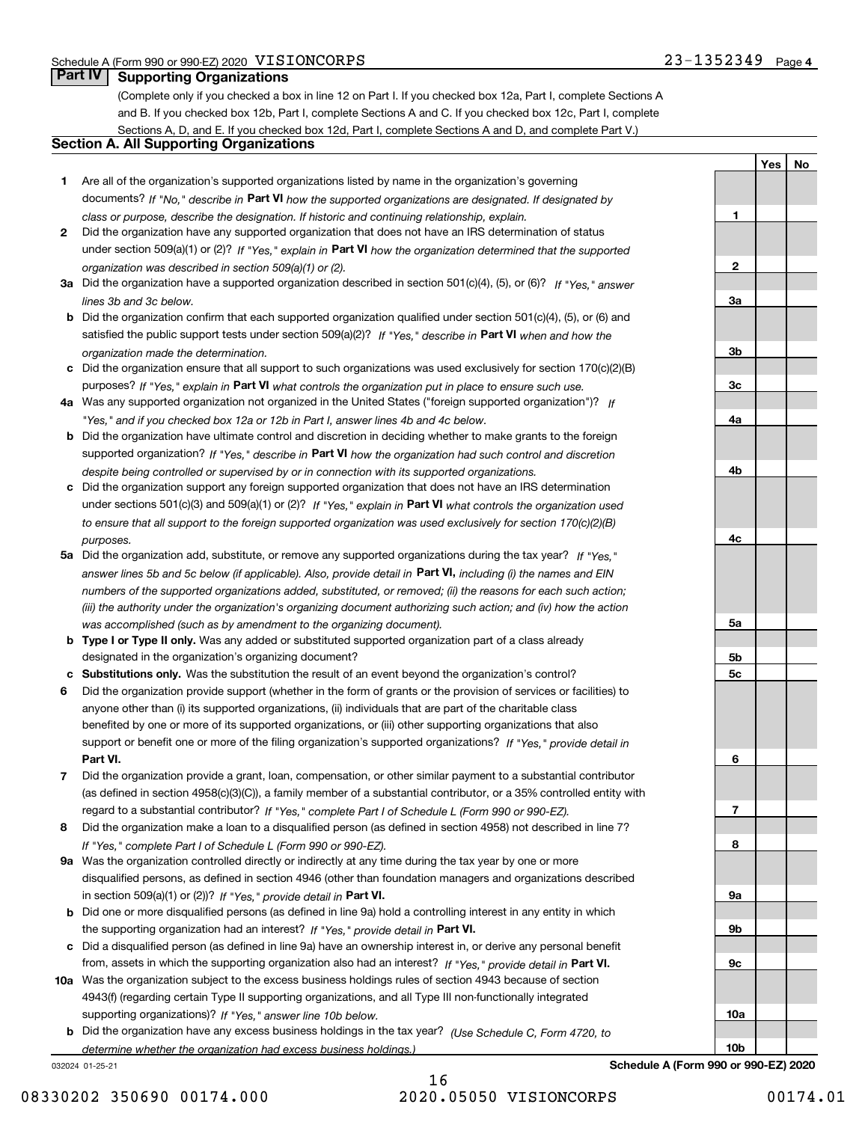**1**

**2**

**3a**

**3b**

**3c**

**4a**

**4b**

**4c**

**5a**

**5b5c**

**6**

**7**

**8**

**9a**

**9b**

**9c**

**10a**

**YesNo**

## **Part IV Supporting Organizations**

(Complete only if you checked a box in line 12 on Part I. If you checked box 12a, Part I, complete Sections A and B. If you checked box 12b, Part I, complete Sections A and C. If you checked box 12c, Part I, complete Sections A, D, and E. If you checked box 12d, Part I, complete Sections A and D, and complete Part V.)

#### **Section A. All Supporting Organizations**

- **1** Are all of the organization's supported organizations listed by name in the organization's governing documents? If "No," describe in **Part VI** how the supported organizations are designated. If designated by *class or purpose, describe the designation. If historic and continuing relationship, explain.*
- **2** Did the organization have any supported organization that does not have an IRS determination of status under section 509(a)(1) or (2)? If "Yes," explain in Part VI how the organization determined that the supported *organization was described in section 509(a)(1) or (2).*
- **3a** Did the organization have a supported organization described in section 501(c)(4), (5), or (6)? If "Yes," answer *lines 3b and 3c below.*
- **b** Did the organization confirm that each supported organization qualified under section 501(c)(4), (5), or (6) and satisfied the public support tests under section 509(a)(2)? If "Yes," describe in **Part VI** when and how the *organization made the determination.*
- **c**Did the organization ensure that all support to such organizations was used exclusively for section 170(c)(2)(B) purposes? If "Yes," explain in **Part VI** what controls the organization put in place to ensure such use.
- **4a***If* Was any supported organization not organized in the United States ("foreign supported organization")? *"Yes," and if you checked box 12a or 12b in Part I, answer lines 4b and 4c below.*
- **b** Did the organization have ultimate control and discretion in deciding whether to make grants to the foreign supported organization? If "Yes," describe in **Part VI** how the organization had such control and discretion *despite being controlled or supervised by or in connection with its supported organizations.*
- **c** Did the organization support any foreign supported organization that does not have an IRS determination under sections 501(c)(3) and 509(a)(1) or (2)? If "Yes," explain in **Part VI** what controls the organization used *to ensure that all support to the foreign supported organization was used exclusively for section 170(c)(2)(B) purposes.*
- **5a** Did the organization add, substitute, or remove any supported organizations during the tax year? If "Yes," answer lines 5b and 5c below (if applicable). Also, provide detail in **Part VI,** including (i) the names and EIN *numbers of the supported organizations added, substituted, or removed; (ii) the reasons for each such action; (iii) the authority under the organization's organizing document authorizing such action; and (iv) how the action was accomplished (such as by amendment to the organizing document).*
- **b** Type I or Type II only. Was any added or substituted supported organization part of a class already designated in the organization's organizing document?
- **cSubstitutions only.**  Was the substitution the result of an event beyond the organization's control?
- **6** Did the organization provide support (whether in the form of grants or the provision of services or facilities) to **Part VI.** *If "Yes," provide detail in* support or benefit one or more of the filing organization's supported organizations? anyone other than (i) its supported organizations, (ii) individuals that are part of the charitable class benefited by one or more of its supported organizations, or (iii) other supporting organizations that also
- **7**Did the organization provide a grant, loan, compensation, or other similar payment to a substantial contributor *If "Yes," complete Part I of Schedule L (Form 990 or 990-EZ).* regard to a substantial contributor? (as defined in section 4958(c)(3)(C)), a family member of a substantial contributor, or a 35% controlled entity with
- **8** Did the organization make a loan to a disqualified person (as defined in section 4958) not described in line 7? *If "Yes," complete Part I of Schedule L (Form 990 or 990-EZ).*
- **9a** Was the organization controlled directly or indirectly at any time during the tax year by one or more in section 509(a)(1) or (2))? If "Yes," *provide detail in* <code>Part VI.</code> disqualified persons, as defined in section 4946 (other than foundation managers and organizations described
- **b** Did one or more disqualified persons (as defined in line 9a) hold a controlling interest in any entity in which the supporting organization had an interest? If "Yes," provide detail in P**art VI**.
- **c**Did a disqualified person (as defined in line 9a) have an ownership interest in, or derive any personal benefit from, assets in which the supporting organization also had an interest? If "Yes," provide detail in P**art VI.**
- **10a** Was the organization subject to the excess business holdings rules of section 4943 because of section supporting organizations)? If "Yes," answer line 10b below. 4943(f) (regarding certain Type II supporting organizations, and all Type III non-functionally integrated
- **b** Did the organization have any excess business holdings in the tax year? (Use Schedule C, Form 4720, to *determine whether the organization had excess business holdings.)*

032024 01-25-21

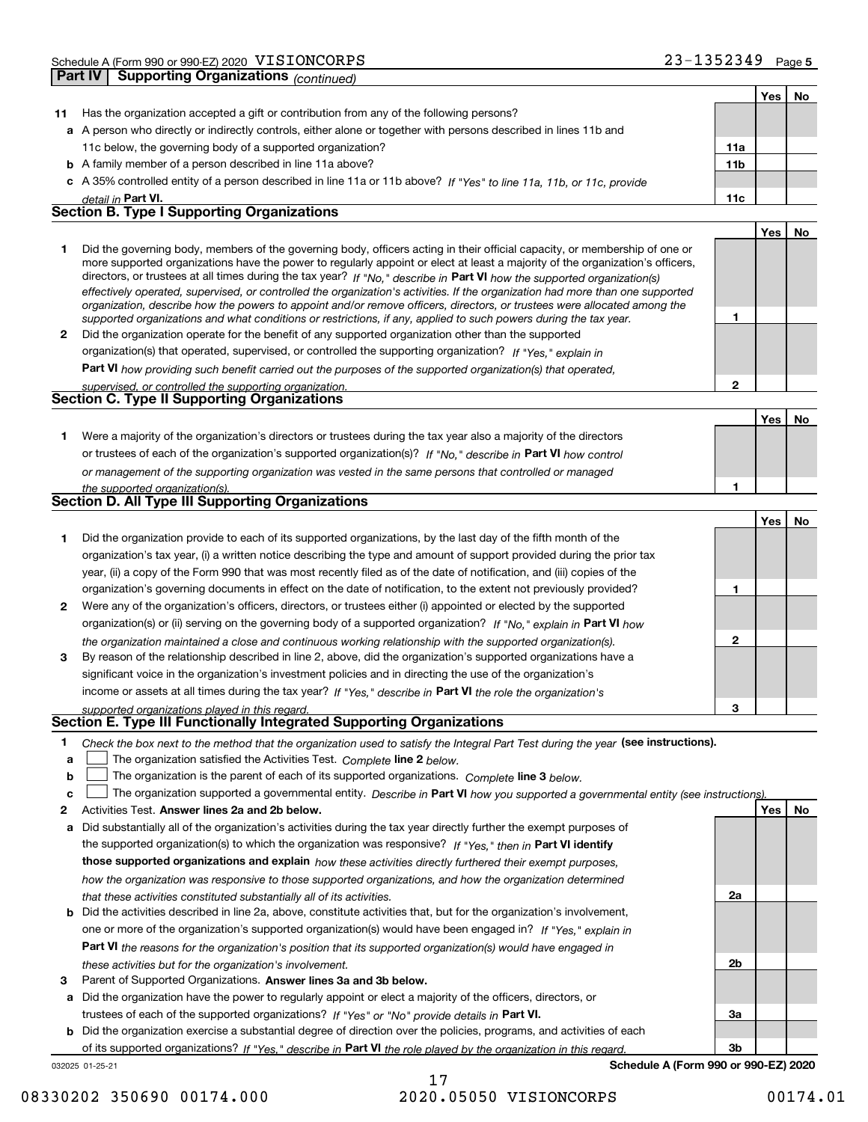|              | <b>Supporting Organizations (continued)</b><br>Part IV                                                                                                                                                                                                      |                 |     |    |
|--------------|-------------------------------------------------------------------------------------------------------------------------------------------------------------------------------------------------------------------------------------------------------------|-----------------|-----|----|
|              |                                                                                                                                                                                                                                                             |                 | Yes | No |
| 11           | Has the organization accepted a gift or contribution from any of the following persons?                                                                                                                                                                     |                 |     |    |
|              | a A person who directly or indirectly controls, either alone or together with persons described in lines 11b and                                                                                                                                            |                 |     |    |
|              | 11c below, the governing body of a supported organization?                                                                                                                                                                                                  | 11a             |     |    |
|              | <b>b</b> A family member of a person described in line 11a above?                                                                                                                                                                                           | 11 <sub>b</sub> |     |    |
|              | c A 35% controlled entity of a person described in line 11a or 11b above? If "Yes" to line 11a, 11b, or 11c, provide                                                                                                                                        |                 |     |    |
|              | detail in Part VI.                                                                                                                                                                                                                                          | 11c             |     |    |
|              | <b>Section B. Type I Supporting Organizations</b>                                                                                                                                                                                                           |                 |     |    |
|              |                                                                                                                                                                                                                                                             |                 | Yes | No |
| 1.           | Did the governing body, members of the governing body, officers acting in their official capacity, or membership of one or<br>more supported organizations have the power to regularly appoint or elect at least a majority of the organization's officers, |                 |     |    |
|              | directors, or trustees at all times during the tax year? If "No," describe in Part VI how the supported organization(s)<br>effectively operated, supervised, or controlled the organization's activities. If the organization had more than one supported   |                 |     |    |
|              | organization, describe how the powers to appoint and/or remove officers, directors, or trustees were allocated among the<br>supported organizations and what conditions or restrictions, if any, applied to such powers during the tax year.                | 1               |     |    |
| $\mathbf{2}$ | Did the organization operate for the benefit of any supported organization other than the supported                                                                                                                                                         |                 |     |    |
|              | organization(s) that operated, supervised, or controlled the supporting organization? If "Yes," explain in                                                                                                                                                  |                 |     |    |
|              | Part VI how providing such benefit carried out the purposes of the supported organization(s) that operated,                                                                                                                                                 |                 |     |    |
|              | supervised, or controlled the supporting organization.                                                                                                                                                                                                      | $\mathbf{2}$    |     |    |
|              | Section C. Type II Supporting Organizations                                                                                                                                                                                                                 |                 |     |    |
|              |                                                                                                                                                                                                                                                             |                 | Yes | No |
| 1.           | Were a majority of the organization's directors or trustees during the tax year also a majority of the directors                                                                                                                                            |                 |     |    |
|              | or trustees of each of the organization's supported organization(s)? If "No," describe in Part VI how control                                                                                                                                               |                 |     |    |
|              | or management of the supporting organization was vested in the same persons that controlled or managed                                                                                                                                                      |                 |     |    |
|              | the supported organization(s).                                                                                                                                                                                                                              | 1               |     |    |
|              | Section D. All Type III Supporting Organizations                                                                                                                                                                                                            |                 |     |    |
|              |                                                                                                                                                                                                                                                             |                 | Yes | No |
| 1            | Did the organization provide to each of its supported organizations, by the last day of the fifth month of the                                                                                                                                              |                 |     |    |
|              | organization's tax year, (i) a written notice describing the type and amount of support provided during the prior tax                                                                                                                                       |                 |     |    |
|              | year, (ii) a copy of the Form 990 that was most recently filed as of the date of notification, and (iii) copies of the                                                                                                                                      |                 |     |    |
|              | organization's governing documents in effect on the date of notification, to the extent not previously provided?                                                                                                                                            | 1               |     |    |
| 2            | Were any of the organization's officers, directors, or trustees either (i) appointed or elected by the supported                                                                                                                                            |                 |     |    |
|              | organization(s) or (ii) serving on the governing body of a supported organization? If "No," explain in Part VI how                                                                                                                                          |                 |     |    |
|              | the organization maintained a close and continuous working relationship with the supported organization(s).                                                                                                                                                 | $\mathbf{2}$    |     |    |
| 3            | By reason of the relationship described in line 2, above, did the organization's supported organizations have a                                                                                                                                             |                 |     |    |
|              | significant voice in the organization's investment policies and in directing the use of the organization's                                                                                                                                                  |                 |     |    |
|              | income or assets at all times during the tax year? If "Yes," describe in Part VI the role the organization's                                                                                                                                                |                 |     |    |
|              | supported organizations played in this regard.                                                                                                                                                                                                              | з               |     |    |
|              | Section E. Type III Functionally Integrated Supporting Organizations                                                                                                                                                                                        |                 |     |    |
| 1            | Check the box next to the method that the organization used to satisfy the Integral Part Test during the year (see instructions).                                                                                                                           |                 |     |    |
| a            | The organization satisfied the Activities Test. Complete line 2 below.                                                                                                                                                                                      |                 |     |    |
| b            | The organization is the parent of each of its supported organizations. Complete line 3 below.                                                                                                                                                               |                 |     |    |
| c            | The organization supported a governmental entity. Describe in Part VI how you supported a governmental entity (see instructions).                                                                                                                           |                 |     |    |
| 2            | Activities Test. Answer lines 2a and 2b below.                                                                                                                                                                                                              |                 | Yes | No |
| a            | Did substantially all of the organization's activities during the tax year directly further the exempt purposes of                                                                                                                                          |                 |     |    |
|              | the supported organization(s) to which the organization was responsive? If "Yes," then in Part VI identify                                                                                                                                                  |                 |     |    |
|              | those supported organizations and explain how these activities directly furthered their exempt purposes,                                                                                                                                                    |                 |     |    |
|              | how the organization was responsive to those supported organizations, and how the organization determined                                                                                                                                                   | 2a              |     |    |
|              | that these activities constituted substantially all of its activities.<br><b>b</b> Did the activities described in line 2a, above, constitute activities that, but for the organization's involvement,                                                      |                 |     |    |
|              | one or more of the organization's supported organization(s) would have been engaged in? If "Yes," explain in                                                                                                                                                |                 |     |    |
|              | <b>Part VI</b> the reasons for the organization's position that its supported organization(s) would have engaged in                                                                                                                                         |                 |     |    |
|              | these activities but for the organization's involvement.                                                                                                                                                                                                    | 2 <sub>b</sub>  |     |    |
|              |                                                                                                                                                                                                                                                             |                 |     |    |

**3** Parent of Supported Organizations. Answer lines 3a and 3b below.

**a** Did the organization have the power to regularly appoint or elect a majority of the officers, directors, or trustees of each of the supported organizations? If "Yes" or "No" provide details in P**art VI.** 

**b** Did the organization exercise a substantial degree of direction over the policies, programs, and activities of each of its supported organizations? If "Yes," describe in Part VI the role played by the organization in this regard.

032025 01-25-21

**Schedule A (Form 990 or 990-EZ) 2020**

**3a**

**3b**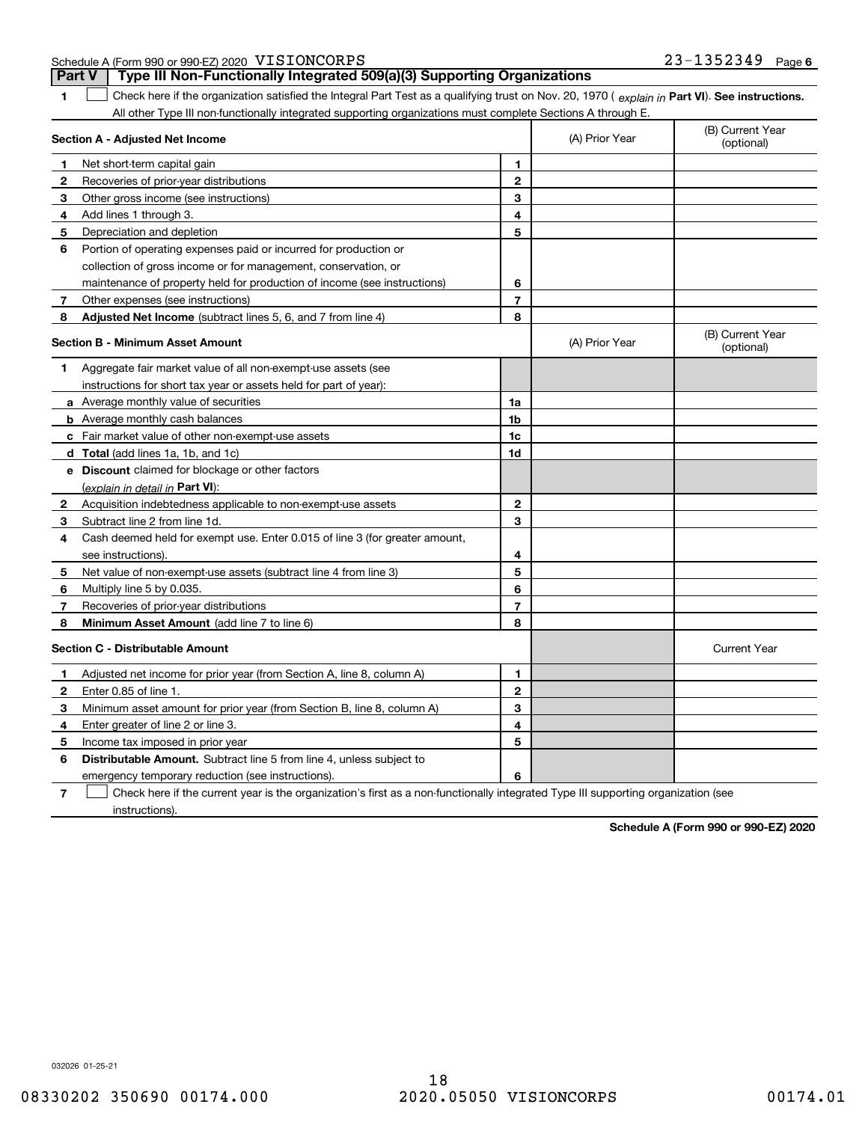| Schedule A (Form 990 or 990-EZ) 2020 VISIONCORPS | $23 - 1352349$ | Page 6 |
|--------------------------------------------------|----------------|--------|
|                                                  |                |        |

|              | Type III Non-Functionally Integrated 509(a)(3) Supporting Organizations<br><b>Part V</b>                                                       |                |                                |                                |
|--------------|------------------------------------------------------------------------------------------------------------------------------------------------|----------------|--------------------------------|--------------------------------|
| 1.           | Check here if the organization satisfied the Integral Part Test as a qualifying trust on Nov. 20, 1970 (explain in Part VI). See instructions. |                |                                |                                |
|              | All other Type III non-functionally integrated supporting organizations must complete Sections A through E.                                    |                |                                |                                |
|              | Section A - Adjusted Net Income                                                                                                                | (A) Prior Year | (B) Current Year<br>(optional) |                                |
| 1            | Net short-term capital gain                                                                                                                    | 1.             |                                |                                |
| $\mathbf{2}$ | Recoveries of prior-year distributions                                                                                                         | $\mathbf{2}$   |                                |                                |
| З            | Other gross income (see instructions)                                                                                                          | 3              |                                |                                |
| 4            | Add lines 1 through 3.                                                                                                                         | 4              |                                |                                |
| 5            | Depreciation and depletion                                                                                                                     | 5              |                                |                                |
| 6            | Portion of operating expenses paid or incurred for production or                                                                               |                |                                |                                |
|              | collection of gross income or for management, conservation, or                                                                                 |                |                                |                                |
|              | maintenance of property held for production of income (see instructions)                                                                       | 6              |                                |                                |
| 7            | Other expenses (see instructions)                                                                                                              | $\overline{7}$ |                                |                                |
| 8            | <b>Adjusted Net Income</b> (subtract lines 5, 6, and 7 from line 4)                                                                            | 8              |                                |                                |
|              | <b>Section B - Minimum Asset Amount</b>                                                                                                        |                | (A) Prior Year                 | (B) Current Year<br>(optional) |
| 1            | Aggregate fair market value of all non-exempt-use assets (see                                                                                  |                |                                |                                |
|              | instructions for short tax year or assets held for part of year):                                                                              |                |                                |                                |
|              | <b>a</b> Average monthly value of securities                                                                                                   | 1a             |                                |                                |
|              | <b>b</b> Average monthly cash balances                                                                                                         | 1 <sub>b</sub> |                                |                                |
|              | c Fair market value of other non-exempt-use assets                                                                                             | 1 <sub>c</sub> |                                |                                |
|              | d Total (add lines 1a, 1b, and 1c)                                                                                                             | 1d             |                                |                                |
|              | e Discount claimed for blockage or other factors                                                                                               |                |                                |                                |
|              | (explain in detail in Part VI):                                                                                                                |                |                                |                                |
| $\mathbf{2}$ | Acquisition indebtedness applicable to non-exempt-use assets                                                                                   | $\mathbf{2}$   |                                |                                |
| 3            | Subtract line 2 from line 1d.                                                                                                                  | 3              |                                |                                |
| 4            | Cash deemed held for exempt use. Enter 0.015 of line 3 (for greater amount,                                                                    |                |                                |                                |
|              | see instructions).                                                                                                                             | 4              |                                |                                |
| 5            | Net value of non-exempt-use assets (subtract line 4 from line 3)                                                                               | 5              |                                |                                |
| 6            | Multiply line 5 by 0.035.                                                                                                                      | 6              |                                |                                |
| 7            | Recoveries of prior-year distributions                                                                                                         | $\overline{7}$ |                                |                                |
| 8            | Minimum Asset Amount (add line 7 to line 6)                                                                                                    | 8              |                                |                                |
|              | <b>Section C - Distributable Amount</b>                                                                                                        |                |                                | <b>Current Year</b>            |
| 1            | Adjusted net income for prior year (from Section A, line 8, column A)                                                                          | 1              |                                |                                |
| 2            | Enter 0.85 of line 1.                                                                                                                          | $\mathbf{2}$   |                                |                                |
| З            | Minimum asset amount for prior year (from Section B, line 8, column A)                                                                         | 3              |                                |                                |
| 4            | Enter greater of line 2 or line 3.                                                                                                             | 4              |                                |                                |
| 5            | Income tax imposed in prior year                                                                                                               | 5              |                                |                                |
| 6            | <b>Distributable Amount.</b> Subtract line 5 from line 4, unless subject to                                                                    |                |                                |                                |
|              | emergency temporary reduction (see instructions).                                                                                              | 6              |                                |                                |

**7**Check here if the current year is the organization's first as a non-functionally integrated Type III supporting organization (see instructions).

**Schedule A (Form 990 or 990-EZ) 2020**

032026 01-25-21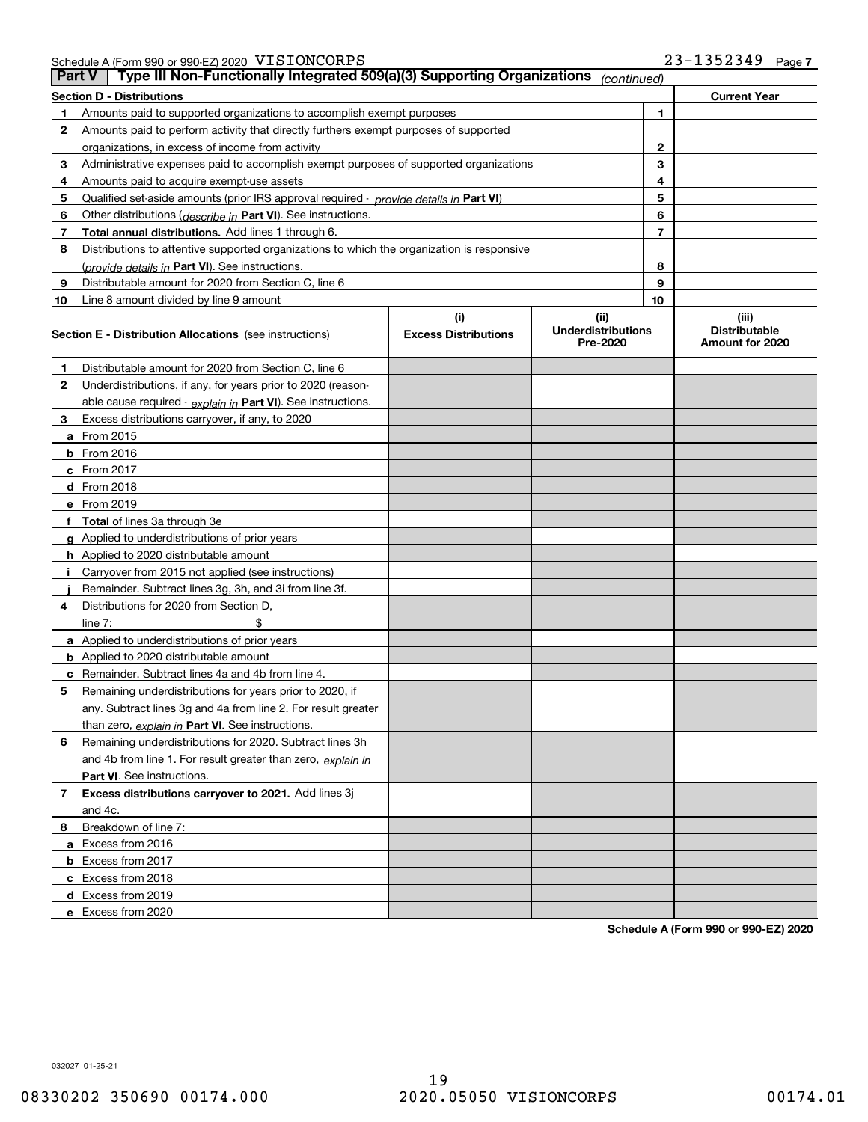Schedule A (Form 990 or 990-EZ) 2020 Page VISIONCORPS 23-1352349

| <b>Part V</b> | Type III Non-Functionally Integrated 509(a)(3) Supporting Organizations                    |                                    | (continued)                                   |    |                                                  |  |  |  |  |  |
|---------------|--------------------------------------------------------------------------------------------|------------------------------------|-----------------------------------------------|----|--------------------------------------------------|--|--|--|--|--|
|               | <b>Section D - Distributions</b><br><b>Current Year</b><br>1                               |                                    |                                               |    |                                                  |  |  |  |  |  |
| 1             | Amounts paid to supported organizations to accomplish exempt purposes                      |                                    |                                               |    |                                                  |  |  |  |  |  |
| 2             | Amounts paid to perform activity that directly furthers exempt purposes of supported       |                                    |                                               |    |                                                  |  |  |  |  |  |
|               | organizations, in excess of income from activity                                           | 2                                  |                                               |    |                                                  |  |  |  |  |  |
| 3             | Administrative expenses paid to accomplish exempt purposes of supported organizations      |                                    |                                               | 3  |                                                  |  |  |  |  |  |
| 4             | Amounts paid to acquire exempt-use assets                                                  |                                    |                                               | 4  |                                                  |  |  |  |  |  |
| 5             | Qualified set-aside amounts (prior IRS approval required - provide details in Part VI)     |                                    |                                               | 5  |                                                  |  |  |  |  |  |
| 6             | Other distributions ( <i>describe in</i> Part VI). See instructions.                       |                                    |                                               | 6  |                                                  |  |  |  |  |  |
| 7             | Total annual distributions. Add lines 1 through 6.                                         |                                    |                                               | 7  |                                                  |  |  |  |  |  |
| 8             | Distributions to attentive supported organizations to which the organization is responsive |                                    |                                               |    |                                                  |  |  |  |  |  |
|               | (provide details in Part VI). See instructions.                                            |                                    |                                               | 8  |                                                  |  |  |  |  |  |
| 9             | Distributable amount for 2020 from Section C, line 6                                       |                                    |                                               | 9  |                                                  |  |  |  |  |  |
| 10            | Line 8 amount divided by line 9 amount                                                     |                                    |                                               | 10 |                                                  |  |  |  |  |  |
|               | <b>Section E - Distribution Allocations</b> (see instructions)                             | (i)<br><b>Excess Distributions</b> | (ii)<br><b>Underdistributions</b><br>Pre-2020 |    | (iii)<br><b>Distributable</b><br>Amount for 2020 |  |  |  |  |  |
| 1             | Distributable amount for 2020 from Section C, line 6                                       |                                    |                                               |    |                                                  |  |  |  |  |  |
| 2             | Underdistributions, if any, for years prior to 2020 (reason-                               |                                    |                                               |    |                                                  |  |  |  |  |  |
|               | able cause required - explain in Part VI). See instructions.                               |                                    |                                               |    |                                                  |  |  |  |  |  |
| 3             | Excess distributions carryover, if any, to 2020                                            |                                    |                                               |    |                                                  |  |  |  |  |  |
|               | a From 2015                                                                                |                                    |                                               |    |                                                  |  |  |  |  |  |
|               | <b>b</b> From 2016                                                                         |                                    |                                               |    |                                                  |  |  |  |  |  |
|               | c From $2017$                                                                              |                                    |                                               |    |                                                  |  |  |  |  |  |
|               | d From 2018                                                                                |                                    |                                               |    |                                                  |  |  |  |  |  |
|               | e From 2019                                                                                |                                    |                                               |    |                                                  |  |  |  |  |  |
|               | f Total of lines 3a through 3e                                                             |                                    |                                               |    |                                                  |  |  |  |  |  |
|               | g Applied to underdistributions of prior years                                             |                                    |                                               |    |                                                  |  |  |  |  |  |
|               | <b>h</b> Applied to 2020 distributable amount                                              |                                    |                                               |    |                                                  |  |  |  |  |  |
|               | Carryover from 2015 not applied (see instructions)                                         |                                    |                                               |    |                                                  |  |  |  |  |  |
|               | Remainder. Subtract lines 3g, 3h, and 3i from line 3f.                                     |                                    |                                               |    |                                                  |  |  |  |  |  |
| 4             | Distributions for 2020 from Section D,                                                     |                                    |                                               |    |                                                  |  |  |  |  |  |
|               | line $7:$                                                                                  |                                    |                                               |    |                                                  |  |  |  |  |  |
|               | a Applied to underdistributions of prior years                                             |                                    |                                               |    |                                                  |  |  |  |  |  |
|               | <b>b</b> Applied to 2020 distributable amount                                              |                                    |                                               |    |                                                  |  |  |  |  |  |
|               | c Remainder. Subtract lines 4a and 4b from line 4.                                         |                                    |                                               |    |                                                  |  |  |  |  |  |
| 5.            | Remaining underdistributions for years prior to 2020, if                                   |                                    |                                               |    |                                                  |  |  |  |  |  |
|               | any. Subtract lines 3g and 4a from line 2. For result greater                              |                                    |                                               |    |                                                  |  |  |  |  |  |
|               | than zero, explain in Part VI. See instructions.                                           |                                    |                                               |    |                                                  |  |  |  |  |  |
| 6             | Remaining underdistributions for 2020. Subtract lines 3h                                   |                                    |                                               |    |                                                  |  |  |  |  |  |
|               | and 4b from line 1. For result greater than zero, explain in                               |                                    |                                               |    |                                                  |  |  |  |  |  |
|               | Part VI. See instructions.                                                                 |                                    |                                               |    |                                                  |  |  |  |  |  |
| 7             | Excess distributions carryover to 2021. Add lines 3j                                       |                                    |                                               |    |                                                  |  |  |  |  |  |
|               | and 4c.                                                                                    |                                    |                                               |    |                                                  |  |  |  |  |  |
| 8             | Breakdown of line 7:                                                                       |                                    |                                               |    |                                                  |  |  |  |  |  |
|               | a Excess from 2016                                                                         |                                    |                                               |    |                                                  |  |  |  |  |  |
|               | <b>b</b> Excess from 2017                                                                  |                                    |                                               |    |                                                  |  |  |  |  |  |
|               | c Excess from 2018                                                                         |                                    |                                               |    |                                                  |  |  |  |  |  |
|               | d Excess from 2019                                                                         |                                    |                                               |    |                                                  |  |  |  |  |  |
|               | e Excess from 2020                                                                         |                                    |                                               |    |                                                  |  |  |  |  |  |

**Schedule A (Form 990 or 990-EZ) 2020**

032027 01-25-21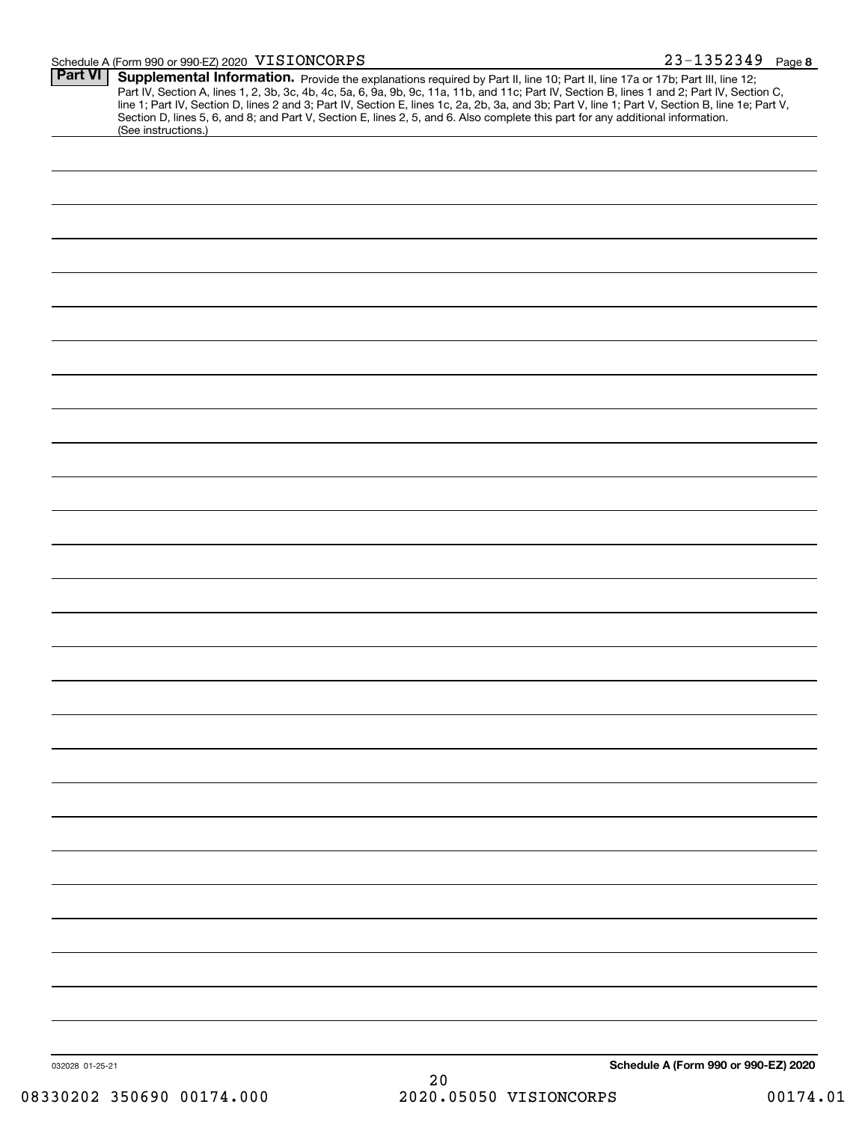#### Schedule A (Form 990 or 990-EZ) 2020 VISIONCORPS

| Part VI         | Supplemental Information. Provide the explanations required by Part II, line 10; Part II, line 17a or 17b; Part III, line 12;<br>Part IV, Section A, lines 1, 2, 3b, 3c, 4b, 4c, 5a, 6, 9a, 9b, 9c, 11a, 11b, and 11c; Part IV, Section B, lines 1 and 2; Part IV, Section C,<br>line 1; Part IV, Section D, lines 2 and 3; Part IV, Section E, lines 1c, 2a, 2b, 3a, and 3b; Part V, line 1; Part V, Section B, line 1e; Part V, |                                      |
|-----------------|-----------------------------------------------------------------------------------------------------------------------------------------------------------------------------------------------------------------------------------------------------------------------------------------------------------------------------------------------------------------------------------------------------------------------------------|--------------------------------------|
|                 | Section D, lines 5, 6, and 8; and Part V, Section E, lines 2, 5, and 6. Also complete this part for any additional information.<br>(See instructions.)                                                                                                                                                                                                                                                                            |                                      |
|                 |                                                                                                                                                                                                                                                                                                                                                                                                                                   |                                      |
|                 |                                                                                                                                                                                                                                                                                                                                                                                                                                   |                                      |
|                 |                                                                                                                                                                                                                                                                                                                                                                                                                                   |                                      |
|                 |                                                                                                                                                                                                                                                                                                                                                                                                                                   |                                      |
|                 |                                                                                                                                                                                                                                                                                                                                                                                                                                   |                                      |
|                 |                                                                                                                                                                                                                                                                                                                                                                                                                                   |                                      |
|                 |                                                                                                                                                                                                                                                                                                                                                                                                                                   |                                      |
|                 |                                                                                                                                                                                                                                                                                                                                                                                                                                   |                                      |
|                 |                                                                                                                                                                                                                                                                                                                                                                                                                                   |                                      |
|                 |                                                                                                                                                                                                                                                                                                                                                                                                                                   |                                      |
|                 |                                                                                                                                                                                                                                                                                                                                                                                                                                   |                                      |
|                 |                                                                                                                                                                                                                                                                                                                                                                                                                                   |                                      |
|                 |                                                                                                                                                                                                                                                                                                                                                                                                                                   |                                      |
|                 |                                                                                                                                                                                                                                                                                                                                                                                                                                   |                                      |
|                 |                                                                                                                                                                                                                                                                                                                                                                                                                                   |                                      |
|                 |                                                                                                                                                                                                                                                                                                                                                                                                                                   |                                      |
|                 |                                                                                                                                                                                                                                                                                                                                                                                                                                   |                                      |
|                 |                                                                                                                                                                                                                                                                                                                                                                                                                                   |                                      |
|                 |                                                                                                                                                                                                                                                                                                                                                                                                                                   |                                      |
|                 |                                                                                                                                                                                                                                                                                                                                                                                                                                   |                                      |
|                 |                                                                                                                                                                                                                                                                                                                                                                                                                                   |                                      |
|                 |                                                                                                                                                                                                                                                                                                                                                                                                                                   |                                      |
|                 |                                                                                                                                                                                                                                                                                                                                                                                                                                   |                                      |
|                 |                                                                                                                                                                                                                                                                                                                                                                                                                                   |                                      |
|                 |                                                                                                                                                                                                                                                                                                                                                                                                                                   |                                      |
|                 |                                                                                                                                                                                                                                                                                                                                                                                                                                   |                                      |
|                 |                                                                                                                                                                                                                                                                                                                                                                                                                                   |                                      |
| 032028 01-25-21 | $\Omega$                                                                                                                                                                                                                                                                                                                                                                                                                          | Schedule A (Form 990 or 990-EZ) 2020 |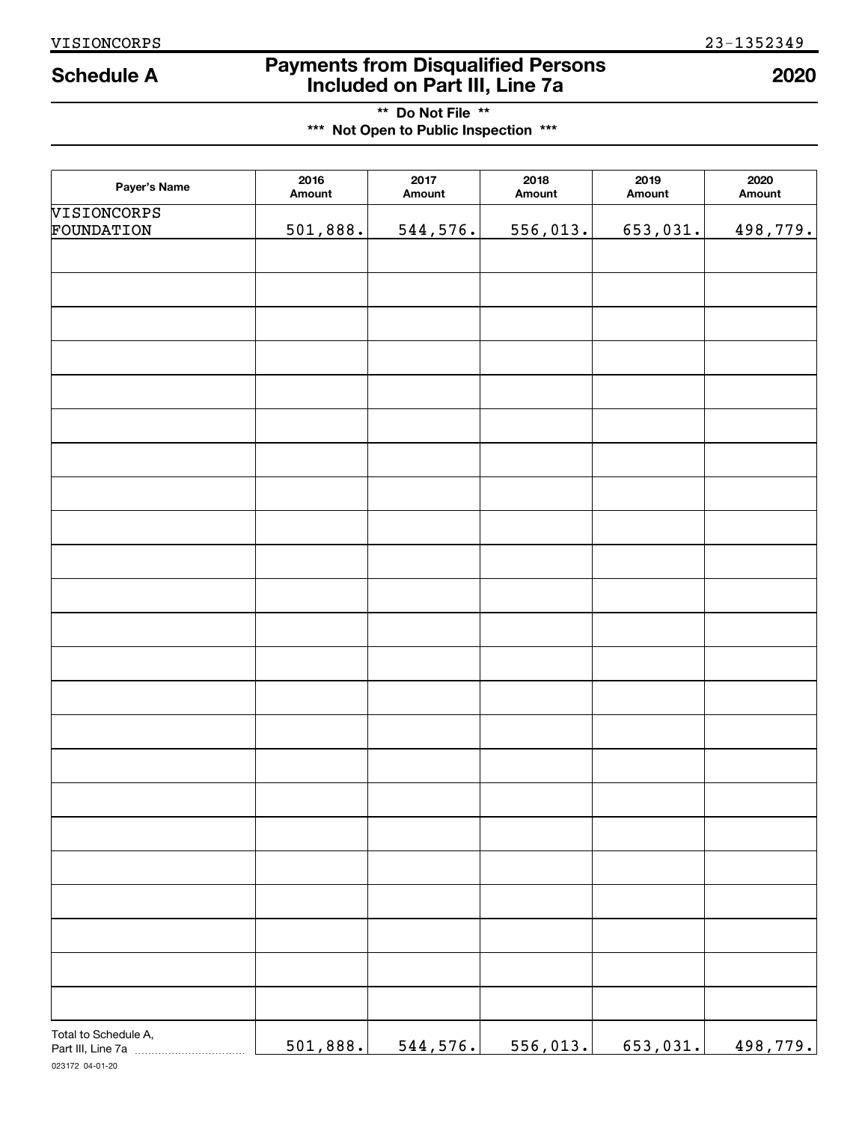# **Payments from Disqualified Persons Included on Part III, Line 7a Schedule A 2020**

**\*\* Do Not File \*\* \*\*\* Not Open to Public Inspection \*\*\***

| Payer's Name              | 2016<br>Amount | 2017<br>Amount | 2018<br>Amount | 2019<br>Amount | 2020<br>Amount |
|---------------------------|----------------|----------------|----------------|----------------|----------------|
| VISIONCORPS<br>FOUNDATION | 501,888.       | 544, 576.      | 556,013.       | 653,031.       | 498,779.       |
|                           |                |                |                |                |                |
|                           |                |                |                |                |                |
|                           |                |                |                |                |                |
|                           |                |                |                |                |                |
|                           |                |                |                |                |                |
|                           |                |                |                |                |                |
|                           |                |                |                |                |                |
|                           |                |                |                |                |                |
|                           |                |                |                |                |                |
|                           |                |                |                |                |                |
|                           |                |                |                |                |                |
|                           |                |                |                |                |                |
|                           |                |                |                |                |                |
|                           |                |                |                |                |                |
|                           |                |                |                |                |                |
|                           |                |                |                |                |                |
|                           |                |                |                |                |                |
|                           |                |                |                |                |                |
|                           |                |                |                |                |                |
|                           |                |                |                |                |                |
|                           |                |                |                |                |                |
|                           |                |                |                |                |                |
|                           |                |                |                |                |                |
|                           |                |                |                |                |                |
|                           |                |                |                |                |                |
| Total to Schedule A,      | 501,888.       | 544, 576.      | 556,013.       | 653,031.       | 498,779.       |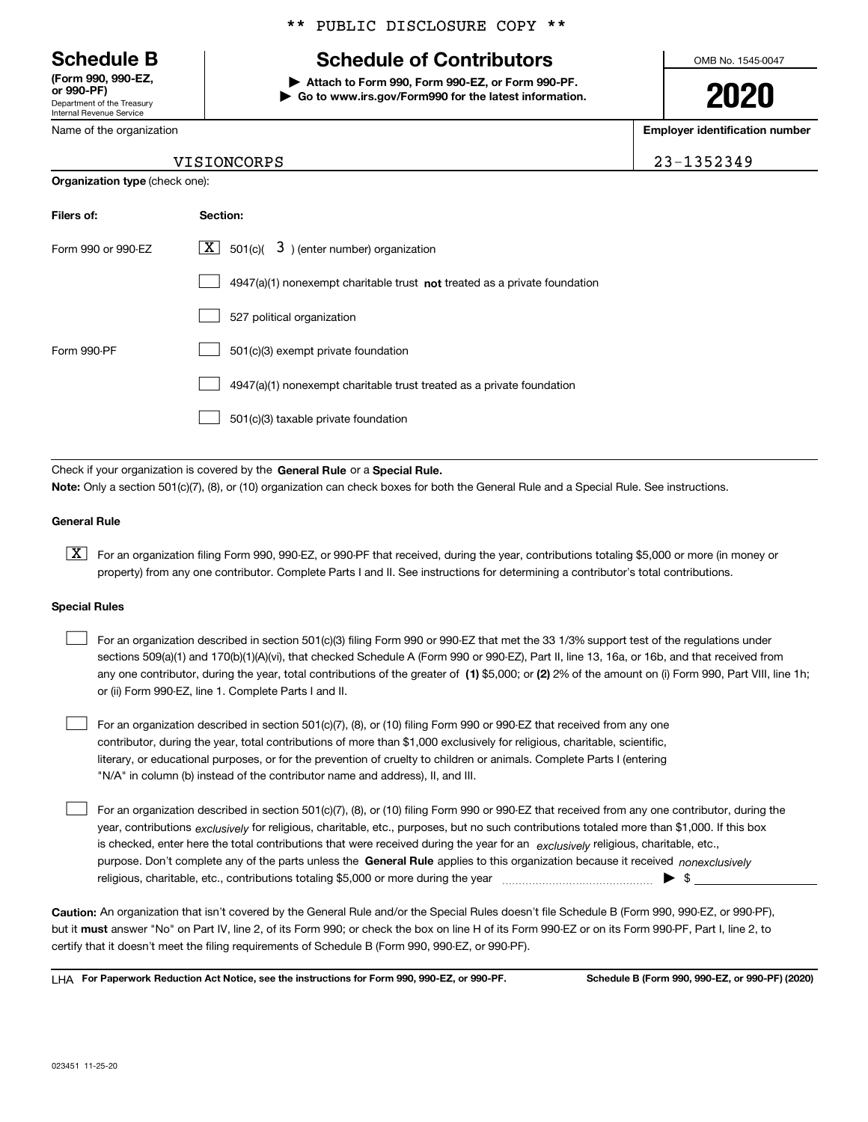Department of the Treasury Internal Revenue Service **(Form 990, 990-EZ, or 990-PF)**

Name of the organization

**Organization type** (check one):

### \*\* PUBLIC DISCLOSURE COPY \*\*

# **Schedule B Schedule of Contributors**

**| Attach to Form 990, Form 990-EZ, or Form 990-PF. | Go to www.irs.gov/Form990 for the latest information.** OMB No. 1545-0047

**2020**

**Employer identification number**

| 1352349- |  |
|----------|--|
|----------|--|

### VISIONCORPS 2

| Filers of:         | Section:                                                                    |
|--------------------|-----------------------------------------------------------------------------|
| Form 990 or 990-EZ | $X$ 501(c)( 3) (enter number) organization                                  |
|                    | $4947(a)(1)$ nonexempt charitable trust not treated as a private foundation |
|                    | 527 political organization                                                  |
| Form 990-PF        | 501(c)(3) exempt private foundation                                         |
|                    | 4947(a)(1) nonexempt charitable trust treated as a private foundation       |
|                    | 501(c)(3) taxable private foundation                                        |

Check if your organization is covered by the **General Rule** or a **Special Rule. Note:**  Only a section 501(c)(7), (8), or (10) organization can check boxes for both the General Rule and a Special Rule. See instructions.

#### **General Rule**

 $\boxed{\textbf{X}}$  For an organization filing Form 990, 990-EZ, or 990-PF that received, during the year, contributions totaling \$5,000 or more (in money or property) from any one contributor. Complete Parts I and II. See instructions for determining a contributor's total contributions.

#### **Special Rules**

 $\mathcal{L}^{\text{max}}$ 

| For an organization described in section 501(c)(3) filing Form 990 or 990-EZ that met the 33 1/3% support test of the regulations under               |
|-------------------------------------------------------------------------------------------------------------------------------------------------------|
| sections 509(a)(1) and 170(b)(1)(A)(vi), that checked Schedule A (Form 990 or 990-EZ), Part II, line 13, 16a, or 16b, and that received from          |
| any one contributor, during the year, total contributions of the greater of (1) \$5,000; or (2) 2% of the amount on (i) Form 990, Part VIII, line 1h; |
| or (ii) Form 990-EZ, line 1. Complete Parts I and II.                                                                                                 |

For an organization described in section 501(c)(7), (8), or (10) filing Form 990 or 990-EZ that received from any one contributor, during the year, total contributions of more than \$1,000 exclusively for religious, charitable, scientific, literary, or educational purposes, or for the prevention of cruelty to children or animals. Complete Parts I (entering "N/A" in column (b) instead of the contributor name and address), II, and III.  $\mathcal{L}^{\text{max}}$ 

purpose. Don't complete any of the parts unless the **General Rule** applies to this organization because it received *nonexclusively* year, contributions <sub>exclusively</sub> for religious, charitable, etc., purposes, but no such contributions totaled more than \$1,000. If this box is checked, enter here the total contributions that were received during the year for an  $\;$ exclusively religious, charitable, etc., For an organization described in section 501(c)(7), (8), or (10) filing Form 990 or 990-EZ that received from any one contributor, during the religious, charitable, etc., contributions totaling \$5,000 or more during the year  $\Box$ — $\Box$   $\Box$ 

**Caution:**  An organization that isn't covered by the General Rule and/or the Special Rules doesn't file Schedule B (Form 990, 990-EZ, or 990-PF),  **must** but it answer "No" on Part IV, line 2, of its Form 990; or check the box on line H of its Form 990-EZ or on its Form 990-PF, Part I, line 2, to certify that it doesn't meet the filing requirements of Schedule B (Form 990, 990-EZ, or 990-PF).

**For Paperwork Reduction Act Notice, see the instructions for Form 990, 990-EZ, or 990-PF. Schedule B (Form 990, 990-EZ, or 990-PF) (2020)** LHA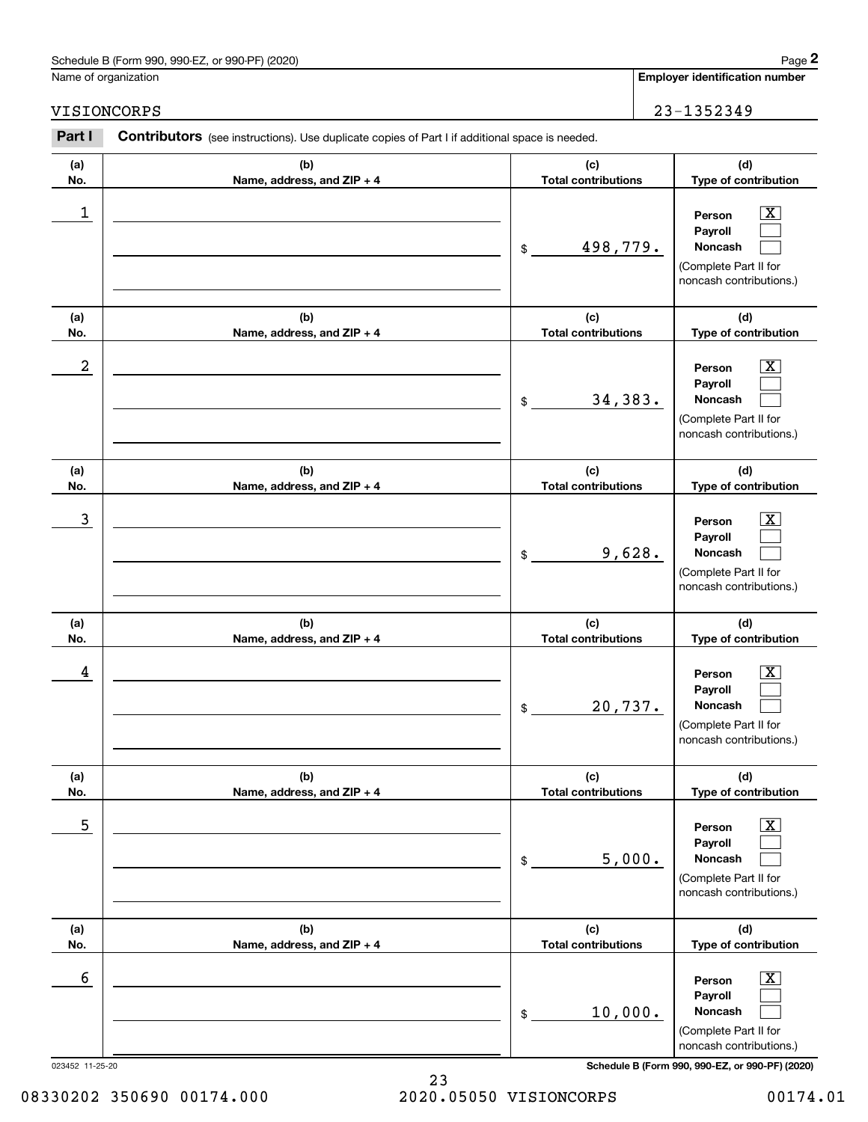## Schedule B (Form 990, 990-EZ, or 990-PF) (2020) **Page 2**

Name of organization

### VISIONCORPS 23-1352349

**(a) No.**

**(b) Name, address, and ZIP + 4 (c) Total contributions (d) Type of contribution Person**Contributors (see instructions). Use duplicate copies of Part I if additional space is needed. Chedule B (Form 990, 990-EZ, or 990-PF) (2020)<br> **2Part I 2Part I Contributors** (see instructions). Use duplicate copies of Part I if additional space is needed.<br> **2Part I Contributors** (see instructions). Use duplica

| 1                |                                   | 498,779.<br>\$                    | $\overline{\text{X}}$<br>Person<br>Payroll<br>Noncash<br>(Complete Part II for<br>noncash contributions.)        |
|------------------|-----------------------------------|-----------------------------------|------------------------------------------------------------------------------------------------------------------|
| (a)<br>No.       | (b)<br>Name, address, and ZIP + 4 | (c)<br><b>Total contributions</b> | (d)<br>Type of contribution                                                                                      |
| $\boldsymbol{2}$ |                                   | 34,383.<br>\$                     | $\overline{\text{X}}$<br>Person<br>Payroll<br><b>Noncash</b><br>(Complete Part II for<br>noncash contributions.) |
| (a)<br>No.       | (b)<br>Name, address, and ZIP + 4 | (c)<br><b>Total contributions</b> | (d)<br>Type of contribution                                                                                      |
| $\mathbf{3}$     |                                   | 9,628.<br>\$                      | $\overline{\texttt{X}}$<br>Person<br>Payroll<br>Noncash<br>(Complete Part II for<br>noncash contributions.)      |
| (a)<br>No.       | (b)<br>Name, address, and ZIP + 4 | (c)<br><b>Total contributions</b> | (d)<br>Type of contribution                                                                                      |
| 4                |                                   | 20,737.<br>\$                     | $\overline{\text{X}}$<br>Person<br>Payroll<br>Noncash<br>(Complete Part II for<br>noncash contributions.)        |
| (a)<br>No.       | (b)<br>Name, address, and ZIP + 4 | (c)<br><b>Total contributions</b> | (d)<br>Type of contribution                                                                                      |
| 5                |                                   | 5,000.<br>\$                      | $\overline{\text{X}}$<br>Person<br>Payroll<br>Noncash<br>(Complete Part II for<br>noncash contributions.)        |
| (a)<br>No.       | (b)<br>Name, address, and ZIP + 4 | (c)<br><b>Total contributions</b> | (d)<br>Type of contribution                                                                                      |
| 6                |                                   | 10,000.<br>\$                     | $\boxed{\text{X}}$<br>Person<br>Payroll<br>Noncash<br>(Complete Part II for<br>noncash contributions.)           |

023452 11-25-20 **Schedule B (Form 990, 990-EZ, or 990-PF) (2020)**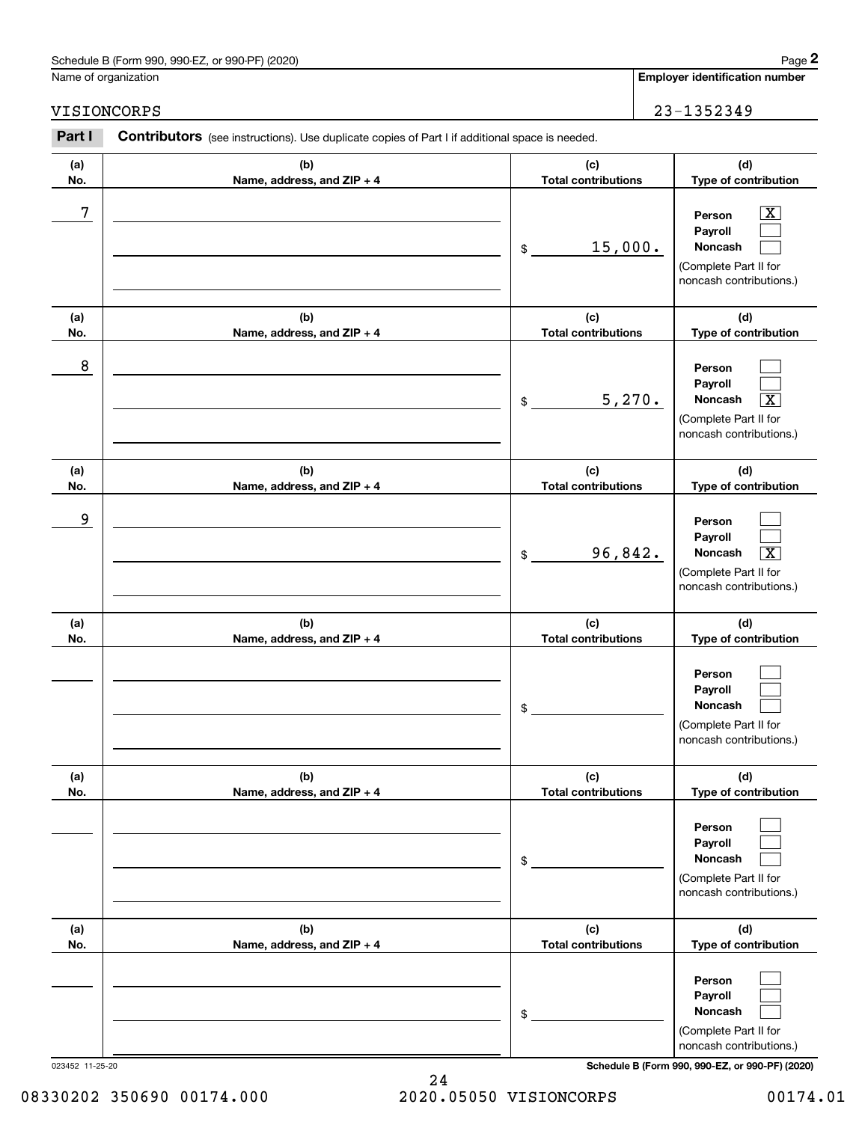# Schedule B (Form 990, 990-EZ, or 990-PF) (2020) Page 2

### VISIONCORPS 23-1352349

|            | Schedule B (Form 990, 990-EZ, or 990-PF) (2020)                                                       |                                   | Page 2                                                                                                              |
|------------|-------------------------------------------------------------------------------------------------------|-----------------------------------|---------------------------------------------------------------------------------------------------------------------|
|            | Name of organization                                                                                  |                                   | <b>Employer identification number</b>                                                                               |
|            | VISIONCORPS                                                                                           |                                   | 23-1352349                                                                                                          |
| Part I     | <b>Contributors</b> (see instructions). Use duplicate copies of Part I if additional space is needed. |                                   |                                                                                                                     |
| (a)<br>No. | (b)<br>Name, address, and ZIP + 4                                                                     | (c)<br><b>Total contributions</b> | (d)<br>Type of contribution                                                                                         |
| 7          |                                                                                                       | 15,000.<br>\$                     | $\overline{\text{X}}$<br>Person<br>Payroll<br>Noncash<br>(Complete Part II for<br>noncash contributions.)           |
| (a)<br>No. | (b)<br>Name, address, and ZIP + 4                                                                     | (c)<br><b>Total contributions</b> | (d)<br>Type of contribution                                                                                         |
| 8          |                                                                                                       | \$                                | Person<br>Payroll<br>5,270.<br>$\overline{\text{X}}$<br>Noncash<br>(Complete Part II for<br>noncash contributions.) |
| (a)<br>No. | (b)<br>Name, address, and ZIP + 4                                                                     | (c)<br><b>Total contributions</b> | (d)<br>Type of contribution                                                                                         |
| 9          |                                                                                                       | 96,842.<br>\$                     | Person<br>Payroll<br>$\overline{\text{X}}$<br>Noncash<br>(Complete Part II for<br>noncash contributions.)           |
| (a)<br>No. | (b)<br>Name, address, and ZIP + 4                                                                     | (c)<br><b>Total contributions</b> | (d)<br>Type of contribution                                                                                         |
|            |                                                                                                       | \$                                | Person<br>Payroll<br>Noncash<br>(Complete Part II for<br>noncash contributions.)                                    |
| (a)<br>No. | (b)<br>Name, address, and ZIP + 4                                                                     | (c)<br><b>Total contributions</b> | (d)<br>Type of contribution                                                                                         |
|            |                                                                                                       | \$                                | Person<br>Payroll<br>Noncash<br>(Complete Part II for<br>noncash contributions.)                                    |
| (a)<br>No. | (b)<br>Name, address, and ZIP + 4                                                                     | (c)<br><b>Total contributions</b> | (d)<br>Type of contribution                                                                                         |
|            |                                                                                                       | \$                                | Person<br>Payroll<br>Noncash<br>(Complete Part II for<br>noncash contributions.)                                    |

023452 11-25-20 **Schedule B (Form 990, 990-EZ, or 990-PF) (2020)**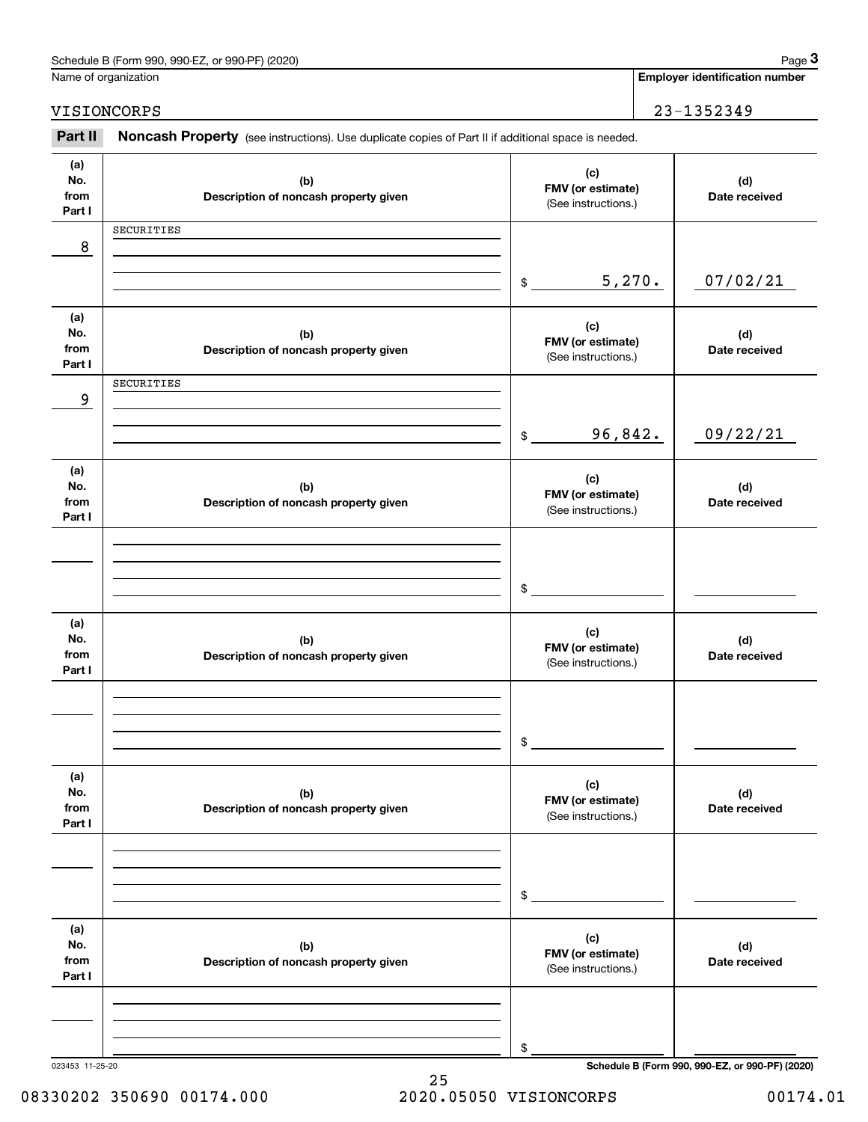|                              | Schedule B (Form 990, 990-EZ, or 990-PF) (2020)                                                     |                                                 |        | Page 3                                          |
|------------------------------|-----------------------------------------------------------------------------------------------------|-------------------------------------------------|--------|-------------------------------------------------|
| Name of organization         |                                                                                                     |                                                 |        | <b>Employer identification number</b>           |
|                              | VISIONCORPS                                                                                         |                                                 |        | 23-1352349                                      |
| Part II                      | Noncash Property (see instructions). Use duplicate copies of Part II if additional space is needed. |                                                 |        |                                                 |
| (a)<br>No.<br>from<br>Part I | (b)<br>Description of noncash property given                                                        | (c)<br>FMV (or estimate)<br>(See instructions.) |        | (d)<br>Date received                            |
| 8                            | SECURITIES                                                                                          |                                                 |        |                                                 |
|                              |                                                                                                     | \$                                              | 5,270. | 07/02/21                                        |
| (a)<br>No.<br>from<br>Part I | (b)<br>Description of noncash property given                                                        | (c)<br>FMV (or estimate)<br>(See instructions.) |        | (d)<br>Date received                            |
| 9                            | SECURITIES                                                                                          |                                                 |        |                                                 |
|                              |                                                                                                     | 96,842.<br>$$\tilde{\phantom{a}}$$              |        | 09/22/21                                        |
| (a)<br>No.<br>from<br>Part I | (b)<br>Description of noncash property given                                                        | (c)<br>FMV (or estimate)<br>(See instructions.) |        | (d)<br>Date received                            |
|                              |                                                                                                     | \$                                              |        |                                                 |
| (a)<br>No.<br>from<br>Part I | (b)<br>Description of noncash property given                                                        | (c)<br>FMV (or estimate)<br>(See instructions.) |        | (d)<br>Date received                            |
|                              |                                                                                                     | \$                                              |        |                                                 |
| (a)<br>No.<br>from<br>Part I | (b)<br>Description of noncash property given                                                        | (c)<br>FMV (or estimate)<br>(See instructions.) |        | (d)<br>Date received                            |
|                              |                                                                                                     | \$                                              |        |                                                 |
| (a)<br>No.<br>from<br>Part I | (b)<br>Description of noncash property given                                                        | (c)<br>FMV (or estimate)<br>(See instructions.) |        | (d)<br>Date received                            |
|                              |                                                                                                     | \$                                              |        |                                                 |
| 023453 11-25-20              |                                                                                                     |                                                 |        | Schedule B (Form 990, 990-EZ, or 990-PF) (2020) |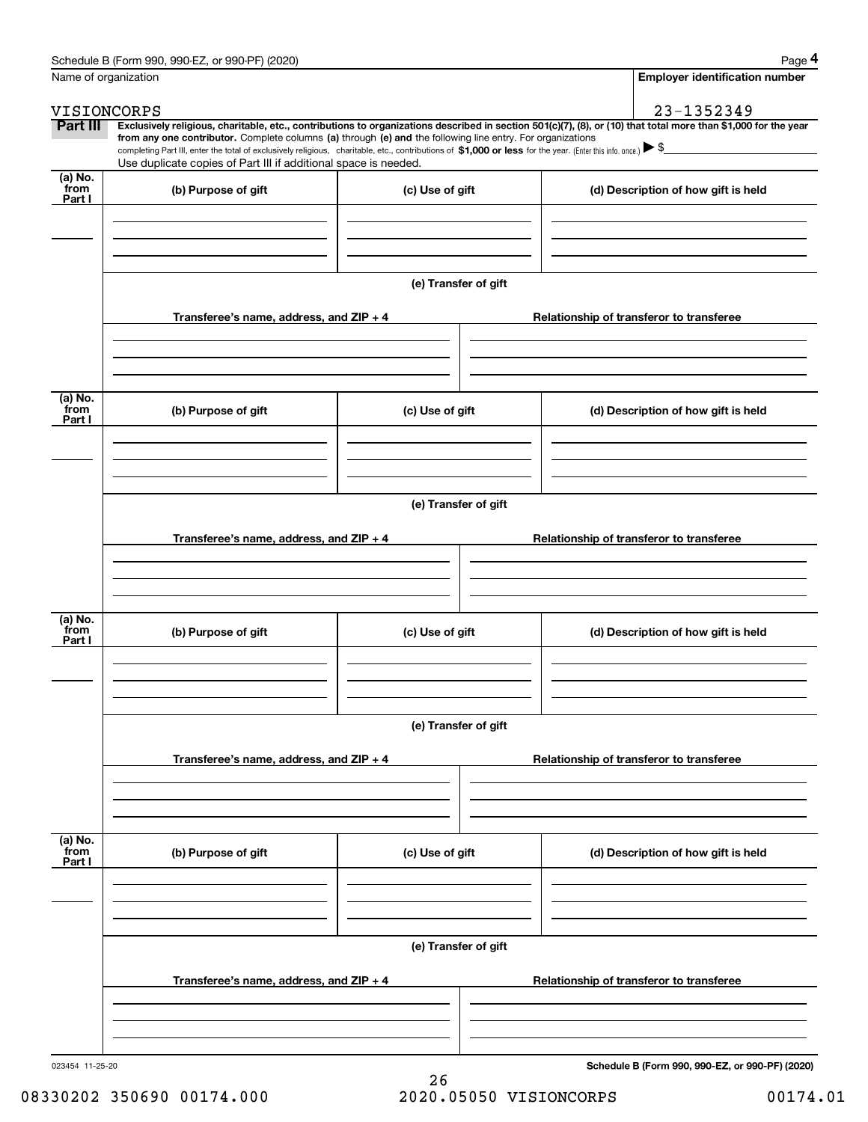|                      | Schedule B (Form 990, 990-EZ, or 990-PF) (2020)                                                                                                              |                      | Page 4                                                                                                                                                         |  |  |  |  |
|----------------------|--------------------------------------------------------------------------------------------------------------------------------------------------------------|----------------------|----------------------------------------------------------------------------------------------------------------------------------------------------------------|--|--|--|--|
| Name of organization |                                                                                                                                                              |                      | <b>Employer identification number</b>                                                                                                                          |  |  |  |  |
|                      | VISIONCORPS                                                                                                                                                  |                      | 23-1352349                                                                                                                                                     |  |  |  |  |
| Part III             | from any one contributor. Complete columns (a) through (e) and the following line entry. For organizations                                                   |                      | Exclusively religious, charitable, etc., contributions to organizations described in section 501(c)(7), (8), or (10) that total more than \$1,000 for the year |  |  |  |  |
|                      | completing Part III, enter the total of exclusively religious, charitable, etc., contributions of \$1,000 or less for the year. (Enter this info. once.) \\$ |                      |                                                                                                                                                                |  |  |  |  |
| (a) No.              | Use duplicate copies of Part III if additional space is needed.                                                                                              |                      |                                                                                                                                                                |  |  |  |  |
| from<br>Part I       | (b) Purpose of gift                                                                                                                                          | (c) Use of gift      | (d) Description of how gift is held                                                                                                                            |  |  |  |  |
|                      |                                                                                                                                                              |                      |                                                                                                                                                                |  |  |  |  |
|                      |                                                                                                                                                              |                      |                                                                                                                                                                |  |  |  |  |
|                      |                                                                                                                                                              |                      |                                                                                                                                                                |  |  |  |  |
|                      |                                                                                                                                                              | (e) Transfer of gift |                                                                                                                                                                |  |  |  |  |
|                      |                                                                                                                                                              |                      |                                                                                                                                                                |  |  |  |  |
|                      | Transferee's name, address, and ZIP + 4                                                                                                                      |                      | Relationship of transferor to transferee                                                                                                                       |  |  |  |  |
|                      |                                                                                                                                                              |                      |                                                                                                                                                                |  |  |  |  |
|                      |                                                                                                                                                              |                      |                                                                                                                                                                |  |  |  |  |
|                      |                                                                                                                                                              |                      |                                                                                                                                                                |  |  |  |  |
| (a) No.<br>from      | (b) Purpose of gift                                                                                                                                          | (c) Use of gift      | (d) Description of how gift is held                                                                                                                            |  |  |  |  |
| Part I               |                                                                                                                                                              |                      |                                                                                                                                                                |  |  |  |  |
|                      |                                                                                                                                                              |                      |                                                                                                                                                                |  |  |  |  |
|                      |                                                                                                                                                              |                      |                                                                                                                                                                |  |  |  |  |
|                      |                                                                                                                                                              |                      |                                                                                                                                                                |  |  |  |  |
|                      | (e) Transfer of gift                                                                                                                                         |                      |                                                                                                                                                                |  |  |  |  |
|                      | Transferee's name, address, and ZIP + 4                                                                                                                      |                      | Relationship of transferor to transferee                                                                                                                       |  |  |  |  |
|                      |                                                                                                                                                              |                      |                                                                                                                                                                |  |  |  |  |
|                      |                                                                                                                                                              |                      |                                                                                                                                                                |  |  |  |  |
|                      |                                                                                                                                                              |                      |                                                                                                                                                                |  |  |  |  |
| (a) No.<br>from      | (b) Purpose of gift                                                                                                                                          | (c) Use of gift      | (d) Description of how gift is held                                                                                                                            |  |  |  |  |
| Part I               |                                                                                                                                                              |                      |                                                                                                                                                                |  |  |  |  |
|                      |                                                                                                                                                              |                      |                                                                                                                                                                |  |  |  |  |
|                      |                                                                                                                                                              |                      |                                                                                                                                                                |  |  |  |  |
|                      | (e) Transfer of gift                                                                                                                                         |                      |                                                                                                                                                                |  |  |  |  |
|                      |                                                                                                                                                              |                      |                                                                                                                                                                |  |  |  |  |
|                      | Transferee's name, address, and ZIP + 4                                                                                                                      |                      | Relationship of transferor to transferee                                                                                                                       |  |  |  |  |
|                      |                                                                                                                                                              |                      |                                                                                                                                                                |  |  |  |  |
|                      |                                                                                                                                                              |                      |                                                                                                                                                                |  |  |  |  |
|                      |                                                                                                                                                              |                      |                                                                                                                                                                |  |  |  |  |
| (a) No.<br>from      | (b) Purpose of gift                                                                                                                                          | (c) Use of gift      | (d) Description of how gift is held                                                                                                                            |  |  |  |  |
| Part I               |                                                                                                                                                              |                      |                                                                                                                                                                |  |  |  |  |
|                      |                                                                                                                                                              |                      |                                                                                                                                                                |  |  |  |  |
|                      |                                                                                                                                                              |                      |                                                                                                                                                                |  |  |  |  |
|                      |                                                                                                                                                              | (e) Transfer of gift |                                                                                                                                                                |  |  |  |  |
|                      |                                                                                                                                                              |                      |                                                                                                                                                                |  |  |  |  |
|                      | Transferee's name, address, and $ZIP + 4$                                                                                                                    |                      | Relationship of transferor to transferee                                                                                                                       |  |  |  |  |
|                      |                                                                                                                                                              |                      |                                                                                                                                                                |  |  |  |  |
|                      |                                                                                                                                                              |                      |                                                                                                                                                                |  |  |  |  |
|                      |                                                                                                                                                              |                      |                                                                                                                                                                |  |  |  |  |

023454 11-25-20

**Schedule B (Form 990, 990-EZ, or 990-PF) (2020)**

26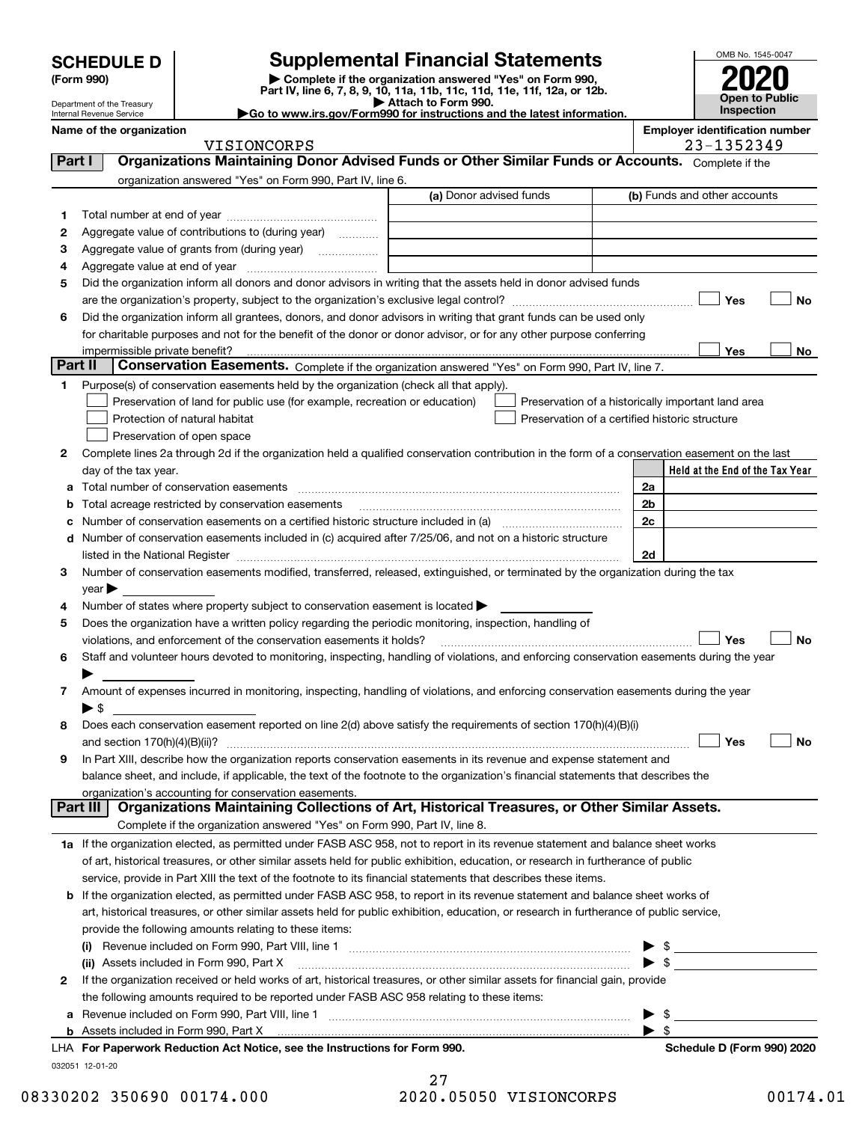Department of the Treasury Internal Revenue Service

# **SCHEDULE D Supplemental Financial Statements**

(Form 990)<br>
Pepartment of the Treasury<br>
Department of the Treasury<br>
Department of the Treasury<br>
Department of the Treasury<br> **Co to www.irs.gov/Form990 for instructions and the latest information.**<br> **Co to www.irs.gov/Form9** 

OMB No. 1545-0047 **Open to Public Inspection2020**

| Department of the Treasury<br>Internal Revenue Service | . ריכי ווווט ויט וויטשור<br>$\blacktriangleright$ Go to www.irs.gov/Form990 for instructions and the latest information. | Inspection                            |
|--------------------------------------------------------|--------------------------------------------------------------------------------------------------------------------------|---------------------------------------|
| Name of the organization                               |                                                                                                                          | <b>Employer identification number</b> |

|                | VISIONCORPS                                                                                                                                    |                         | 23-1352349                                         |
|----------------|------------------------------------------------------------------------------------------------------------------------------------------------|-------------------------|----------------------------------------------------|
| Part I         | Organizations Maintaining Donor Advised Funds or Other Similar Funds or Accounts. Complete if the                                              |                         |                                                    |
|                | organization answered "Yes" on Form 990, Part IV, line 6.                                                                                      |                         |                                                    |
|                |                                                                                                                                                | (a) Donor advised funds | (b) Funds and other accounts                       |
| 1              |                                                                                                                                                |                         |                                                    |
| 2              | Aggregate value of contributions to (during year)                                                                                              |                         |                                                    |
| з              |                                                                                                                                                |                         |                                                    |
| 4              |                                                                                                                                                |                         |                                                    |
| 5              | Did the organization inform all donors and donor advisors in writing that the assets held in donor advised funds                               |                         |                                                    |
|                |                                                                                                                                                |                         | Yes<br>No                                          |
| 6              | Did the organization inform all grantees, donors, and donor advisors in writing that grant funds can be used only                              |                         |                                                    |
|                | for charitable purposes and not for the benefit of the donor or donor advisor, or for any other purpose conferring                             |                         |                                                    |
|                |                                                                                                                                                |                         | Yes<br>No.                                         |
| <b>Part II</b> | Conservation Easements. Complete if the organization answered "Yes" on Form 990, Part IV, line 7.                                              |                         |                                                    |
| 1              | Purpose(s) of conservation easements held by the organization (check all that apply).                                                          |                         |                                                    |
|                | Preservation of land for public use (for example, recreation or education)                                                                     |                         | Preservation of a historically important land area |
|                | Protection of natural habitat                                                                                                                  |                         | Preservation of a certified historic structure     |
|                | Preservation of open space                                                                                                                     |                         |                                                    |
| 2              | Complete lines 2a through 2d if the organization held a qualified conservation contribution in the form of a conservation easement on the last |                         |                                                    |
|                | day of the tax year.                                                                                                                           |                         | Held at the End of the Tax Year                    |
| а              |                                                                                                                                                |                         | 2a                                                 |
| b              | Total acreage restricted by conservation easements                                                                                             |                         | 2 <sub>b</sub>                                     |
| с              |                                                                                                                                                |                         | 2c                                                 |
|                | d Number of conservation easements included in (c) acquired after 7/25/06, and not on a historic structure                                     |                         |                                                    |
|                |                                                                                                                                                |                         | 2d                                                 |
| 3              | Number of conservation easements modified, transferred, released, extinguished, or terminated by the organization during the tax               |                         |                                                    |
|                | $year \blacktriangleright$                                                                                                                     |                         |                                                    |
| 4              | Number of states where property subject to conservation easement is located >                                                                  |                         |                                                    |
| 5              | Does the organization have a written policy regarding the periodic monitoring, inspection, handling of                                         |                         |                                                    |
|                | violations, and enforcement of the conservation easements it holds?                                                                            |                         | Yes<br>No                                          |
| 6              | Staff and volunteer hours devoted to monitoring, inspecting, handling of violations, and enforcing conservation easements during the year      |                         |                                                    |
|                |                                                                                                                                                |                         |                                                    |
| 7              | Amount of expenses incurred in monitoring, inspecting, handling of violations, and enforcing conservation easements during the year            |                         |                                                    |
|                | $\blacktriangleright$ \$                                                                                                                       |                         |                                                    |
| 8              | Does each conservation easement reported on line 2(d) above satisfy the requirements of section 170(h)(4)(B)(i)                                |                         |                                                    |
|                |                                                                                                                                                |                         | Yes<br>No                                          |
| 9              | In Part XIII, describe how the organization reports conservation easements in its revenue and expense statement and                            |                         |                                                    |
|                | balance sheet, and include, if applicable, the text of the footnote to the organization's financial statements that describes the              |                         |                                                    |
|                | organization's accounting for conservation easements.                                                                                          |                         |                                                    |
|                | Organizations Maintaining Collections of Art, Historical Treasures, or Other Similar Assets.<br>  Part III                                     |                         |                                                    |
|                | Complete if the organization answered "Yes" on Form 990, Part IV, line 8.                                                                      |                         |                                                    |
|                | 1a If the organization elected, as permitted under FASB ASC 958, not to report in its revenue statement and balance sheet works                |                         |                                                    |
|                | of art, historical treasures, or other similar assets held for public exhibition, education, or research in furtherance of public              |                         |                                                    |
|                | service, provide in Part XIII the text of the footnote to its financial statements that describes these items.                                 |                         |                                                    |
|                | b If the organization elected, as permitted under FASB ASC 958, to report in its revenue statement and balance sheet works of                  |                         |                                                    |
|                | art, historical treasures, or other similar assets held for public exhibition, education, or research in furtherance of public service,        |                         |                                                    |
|                | provide the following amounts relating to these items:                                                                                         |                         |                                                    |
|                |                                                                                                                                                |                         |                                                    |
|                | (ii) Assets included in Form 990, Part X                                                                                                       |                         | $\frac{1}{\sqrt{2}}$                               |
| 2              | If the organization received or held works of art, historical treasures, or other similar assets for financial gain, provide                   |                         |                                                    |
|                | the following amounts required to be reported under FASB ASC 958 relating to these items:                                                      |                         |                                                    |
| a              | Revenue included on Form 990, Part VIII, line 1 [2000] [2000] [2000] [2000] [3000] [3000] [3000] [3000] [3000                                  |                         | \$<br>▶                                            |
|                |                                                                                                                                                |                         | $\blacktriangleright$ s                            |
|                | LHA For Paperwork Reduction Act Notice, see the Instructions for Form 990.                                                                     |                         | Schedule D (Form 990) 2020                         |
|                | 032051 12-01-20                                                                                                                                |                         |                                                    |

27 08330202 350690 00174.000 2020.05050 VISIONCORPS 00174.01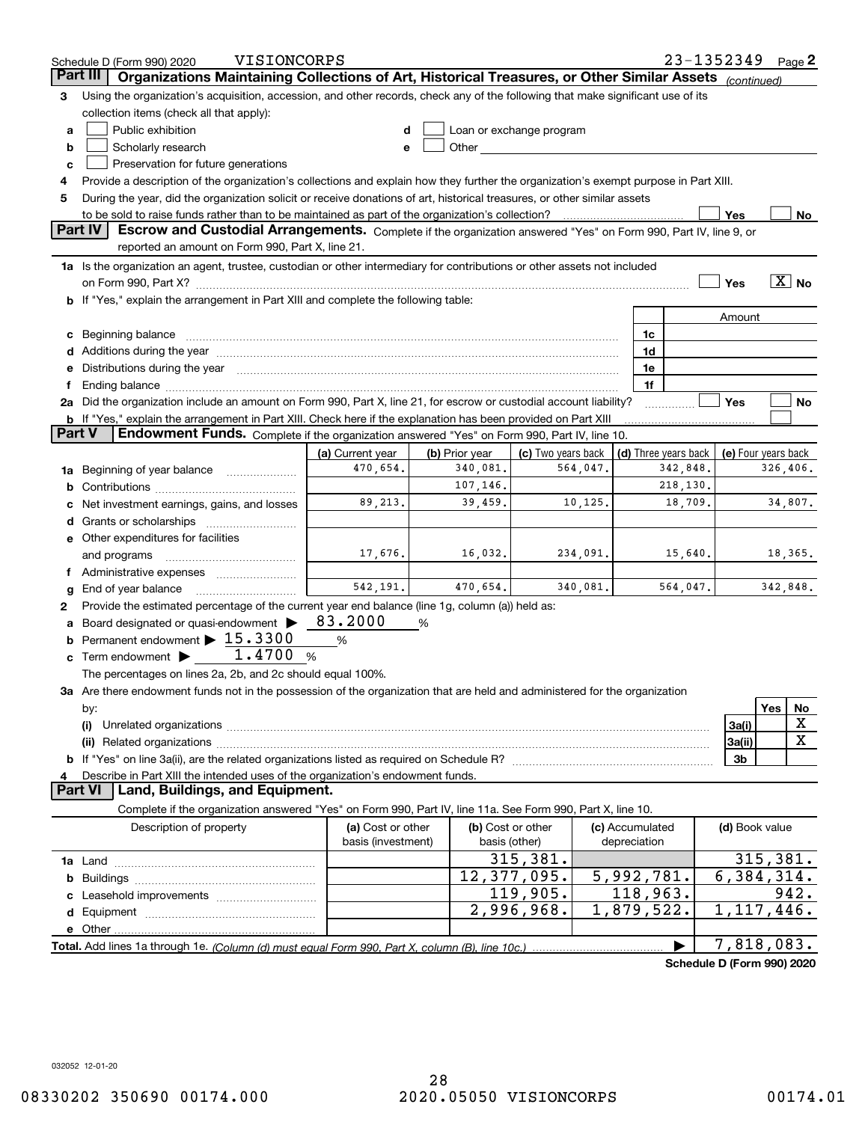|        | VISIONCORPS<br>Schedule D (Form 990) 2020                                                                                                                                                                                      |                    |                |                          |                 | 23-1352349                 |                           |          | Page $2$              |
|--------|--------------------------------------------------------------------------------------------------------------------------------------------------------------------------------------------------------------------------------|--------------------|----------------|--------------------------|-----------------|----------------------------|---------------------------|----------|-----------------------|
|        | Organizations Maintaining Collections of Art, Historical Treasures, or Other Similar Assets (continued)<br>Part III                                                                                                            |                    |                |                          |                 |                            |                           |          |                       |
| З      | Using the organization's acquisition, accession, and other records, check any of the following that make significant use of its                                                                                                |                    |                |                          |                 |                            |                           |          |                       |
|        | collection items (check all that apply):                                                                                                                                                                                       |                    |                |                          |                 |                            |                           |          |                       |
| a      | Public exhibition                                                                                                                                                                                                              |                    |                | Loan or exchange program |                 |                            |                           |          |                       |
| b      | Scholarly research                                                                                                                                                                                                             | e                  |                |                          |                 |                            |                           |          |                       |
| c      | Preservation for future generations                                                                                                                                                                                            |                    |                |                          |                 |                            |                           |          |                       |
| 4      | Provide a description of the organization's collections and explain how they further the organization's exempt purpose in Part XIII.                                                                                           |                    |                |                          |                 |                            |                           |          |                       |
| 5      | During the year, did the organization solicit or receive donations of art, historical treasures, or other similar assets                                                                                                       |                    |                |                          |                 |                            |                           |          |                       |
|        | to be sold to raise funds rather than to be maintained as part of the organization's collection?                                                                                                                               |                    |                |                          |                 |                            | Yes                       |          | No                    |
|        | <b>Part IV</b><br>Escrow and Custodial Arrangements. Complete if the organization answered "Yes" on Form 990, Part IV, line 9, or                                                                                              |                    |                |                          |                 |                            |                           |          |                       |
|        | reported an amount on Form 990, Part X, line 21.                                                                                                                                                                               |                    |                |                          |                 |                            |                           |          |                       |
|        | 1a Is the organization an agent, trustee, custodian or other intermediary for contributions or other assets not included                                                                                                       |                    |                |                          |                 |                            |                           |          |                       |
|        | on Form 990, Part X? <b>William Constitution Constitution</b> Construction Construction Construction Constitution Cons                                                                                                         |                    |                |                          |                 |                            | Yes                       |          | $\boxed{\text{X}}$ No |
|        | b If "Yes," explain the arrangement in Part XIII and complete the following table:                                                                                                                                             |                    |                |                          |                 |                            |                           |          |                       |
|        |                                                                                                                                                                                                                                |                    |                |                          |                 |                            | Amount                    |          |                       |
| с      |                                                                                                                                                                                                                                |                    |                |                          | 1c              |                            |                           |          |                       |
|        | Additions during the year manufactured and an annual contract of the year manufactured and all the year manufactured and all the year manufactured and all the year manufactured and all the year manufactured and all the yea |                    |                |                          | 1d              |                            |                           |          |                       |
|        | Distributions during the year measurements are all the state of the state of the state of the state of the state of the state of the state of the state of the state of the state of the state of the state of the state of th |                    |                |                          | 1e              |                            |                           |          |                       |
|        |                                                                                                                                                                                                                                |                    |                |                          | 1f              |                            |                           |          |                       |
|        | 2a Did the organization include an amount on Form 990, Part X, line 21, for escrow or custodial account liability?                                                                                                             |                    |                |                          |                 |                            | Yes                       |          | No                    |
|        | <b>b</b> If "Yes," explain the arrangement in Part XIII. Check here if the explanation has been provided on Part XIII                                                                                                          |                    |                |                          |                 |                            |                           |          |                       |
| Part V | Endowment Funds. Complete if the organization answered "Yes" on Form 990, Part IV, line 10.                                                                                                                                    |                    |                |                          |                 |                            |                           |          |                       |
|        |                                                                                                                                                                                                                                | (a) Current year   | (b) Prior year | (c) Two years back       |                 | (d) Three years back       | (e) Four years back       |          |                       |
| 1a     | Beginning of year balance                                                                                                                                                                                                      | 470,654.           | 340,081.       | 564,047.                 |                 | 342,848.                   |                           | 326,406. |                       |
| b      |                                                                                                                                                                                                                                |                    | 107,146.       |                          |                 | 218,130.                   |                           |          |                       |
|        | Net investment earnings, gains, and losses                                                                                                                                                                                     | 89,213.            | 39,459.        | 10,125.                  |                 | 18,709.                    |                           |          | 34,807.               |
|        | Grants or scholarships                                                                                                                                                                                                         |                    |                |                          |                 |                            |                           |          |                       |
|        | e Other expenditures for facilities                                                                                                                                                                                            |                    |                |                          |                 |                            |                           |          |                       |
|        | and programs                                                                                                                                                                                                                   | 17,676.            | 16,032.        | 234,091.                 |                 | 15,640.                    |                           |          | 18,365.               |
|        |                                                                                                                                                                                                                                |                    |                |                          |                 |                            |                           |          |                       |
| g      | End of year balance                                                                                                                                                                                                            | 542, 191.          | 470,654.       | 340,081.                 |                 | 564,047.                   |                           | 342,848. |                       |
| 2      | Provide the estimated percentage of the current year end balance (line 1g, column (a)) held as:                                                                                                                                |                    |                |                          |                 |                            |                           |          |                       |
|        | Board designated or quasi-endowment                                                                                                                                                                                            | 83.2000            | %              |                          |                 |                            |                           |          |                       |
| b      | Permanent endowment > 15.3300                                                                                                                                                                                                  | %                  |                |                          |                 |                            |                           |          |                       |
| c      | Term endowment $\blacktriangleright$ 1.4700                                                                                                                                                                                    | %                  |                |                          |                 |                            |                           |          |                       |
|        | The percentages on lines 2a, 2b, and 2c should equal 100%.                                                                                                                                                                     |                    |                |                          |                 |                            |                           |          |                       |
|        | 3a Are there endowment funds not in the possession of the organization that are held and administered for the organization                                                                                                     |                    |                |                          |                 |                            |                           |          |                       |
|        | by:                                                                                                                                                                                                                            |                    |                |                          |                 |                            |                           | Yes      | No                    |
|        | (i)                                                                                                                                                                                                                            |                    |                |                          |                 |                            | 3a(i)                     |          | X                     |
|        |                                                                                                                                                                                                                                |                    |                |                          |                 |                            | 3a(ii)                    |          | $\mathbf X$           |
|        |                                                                                                                                                                                                                                |                    |                |                          |                 |                            | 3b                        |          |                       |
|        | Describe in Part XIII the intended uses of the organization's endowment funds.                                                                                                                                                 |                    |                |                          |                 |                            |                           |          |                       |
|        | Land, Buildings, and Equipment.<br><b>Part VI</b>                                                                                                                                                                              |                    |                |                          |                 |                            |                           |          |                       |
|        | Complete if the organization answered "Yes" on Form 990, Part IV, line 11a. See Form 990, Part X, line 10.                                                                                                                     |                    |                |                          |                 |                            |                           |          |                       |
|        | Description of property                                                                                                                                                                                                        | (a) Cost or other  |                | (b) Cost or other        | (c) Accumulated |                            | (d) Book value            |          |                       |
|        |                                                                                                                                                                                                                                | basis (investment) |                | basis (other)            | depreciation    |                            |                           |          |                       |
|        |                                                                                                                                                                                                                                |                    |                | 315,381.                 |                 |                            |                           | 315,381. |                       |
| b      |                                                                                                                                                                                                                                |                    |                | 12,377,095.              | 5,992,781.      |                            | $\overline{6,384}$ , 314. |          |                       |
|        |                                                                                                                                                                                                                                |                    |                | 119,905.                 | 118,963.        |                            |                           |          | 942.                  |
|        |                                                                                                                                                                                                                                |                    |                | 2,996,968.               | 1,879,522.      |                            | 1,117,446.                |          |                       |
|        |                                                                                                                                                                                                                                |                    |                |                          |                 |                            |                           |          |                       |
|        |                                                                                                                                                                                                                                |                    |                |                          |                 |                            | 7,818,083.                |          |                       |
|        |                                                                                                                                                                                                                                |                    |                |                          |                 | Schedule D (Form 990) 2020 |                           |          |                       |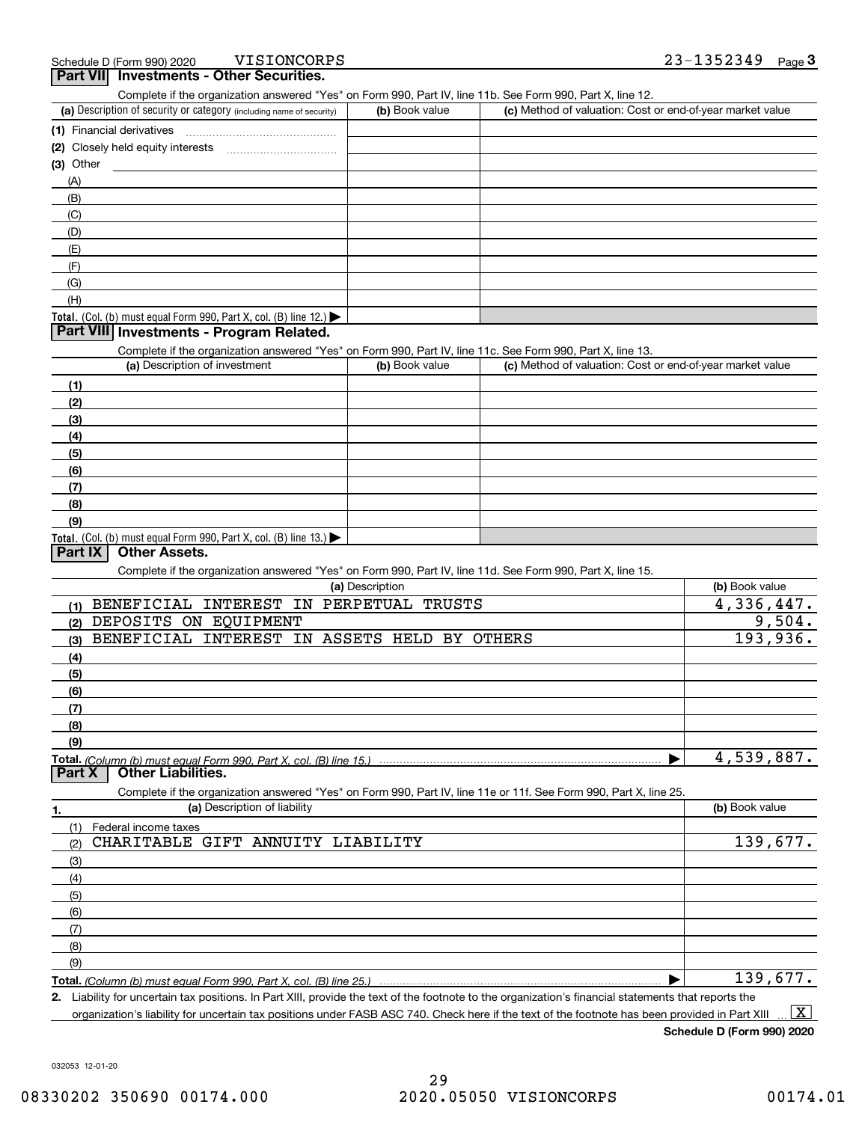VISIONCORPS

|           | VISIONCORPS<br>Schedule D (Form 990) 2020                                                                         |                 |                                                           | 23-1352349<br>Page $3$ |
|-----------|-------------------------------------------------------------------------------------------------------------------|-----------------|-----------------------------------------------------------|------------------------|
|           | <b>Part VII</b> Investments - Other Securities.                                                                   |                 |                                                           |                        |
|           | Complete if the organization answered "Yes" on Form 990, Part IV, line 11b. See Form 990, Part X, line 12.        |                 |                                                           |                        |
|           | (a) Description of security or category (including name of security)                                              | (b) Book value  | (c) Method of valuation: Cost or end-of-year market value |                        |
|           | (1) Financial derivatives                                                                                         |                 |                                                           |                        |
|           |                                                                                                                   |                 |                                                           |                        |
| (3) Other |                                                                                                                   |                 |                                                           |                        |
| (A)       |                                                                                                                   |                 |                                                           |                        |
| (B)       |                                                                                                                   |                 |                                                           |                        |
| (C)       |                                                                                                                   |                 |                                                           |                        |
| (D)       |                                                                                                                   |                 |                                                           |                        |
| (E)       |                                                                                                                   |                 |                                                           |                        |
| (F)       |                                                                                                                   |                 |                                                           |                        |
| (G)       |                                                                                                                   |                 |                                                           |                        |
| (H)       |                                                                                                                   |                 |                                                           |                        |
|           | Total. (Col. (b) must equal Form 990, Part X, col. (B) line 12.) $\blacktriangleright$                            |                 |                                                           |                        |
|           | Part VIII Investments - Program Related.                                                                          |                 |                                                           |                        |
|           | Complete if the organization answered "Yes" on Form 990, Part IV, line 11c. See Form 990, Part X, line 13.        |                 |                                                           |                        |
|           | (a) Description of investment                                                                                     | (b) Book value  | (c) Method of valuation: Cost or end-of-year market value |                        |
| (1)       |                                                                                                                   |                 |                                                           |                        |
| (2)       |                                                                                                                   |                 |                                                           |                        |
| (3)       |                                                                                                                   |                 |                                                           |                        |
| (4)       |                                                                                                                   |                 |                                                           |                        |
| (5)       |                                                                                                                   |                 |                                                           |                        |
| (6)       |                                                                                                                   |                 |                                                           |                        |
| (7)       |                                                                                                                   |                 |                                                           |                        |
| (8)       |                                                                                                                   |                 |                                                           |                        |
| (9)       |                                                                                                                   |                 |                                                           |                        |
|           | Total. (Col. (b) must equal Form 990, Part X, col. (B) line 13.)                                                  |                 |                                                           |                        |
| Part IX   | <b>Other Assets.</b>                                                                                              |                 |                                                           |                        |
|           | Complete if the organization answered "Yes" on Form 990, Part IV, line 11d. See Form 990, Part X, line 15.        |                 |                                                           |                        |
|           |                                                                                                                   | (a) Description |                                                           | (b) Book value         |
| (1)       | BENEFICIAL INTEREST IN PERPETUAL                                                                                  | <b>TRUSTS</b>   |                                                           | 4,336,447.             |
| (2)       | DEPOSITS ON EQUIPMENT                                                                                             |                 |                                                           | 9,504.                 |
| (3)       | BENEFICIAL INTEREST IN ASSETS HELD BY OTHERS                                                                      |                 |                                                           | 193,936.               |
| (4)       |                                                                                                                   |                 |                                                           |                        |
| (5)       |                                                                                                                   |                 |                                                           |                        |
| (6)       |                                                                                                                   |                 |                                                           |                        |
| (7)       |                                                                                                                   |                 |                                                           |                        |
| (8)       |                                                                                                                   |                 |                                                           |                        |
| (9)       |                                                                                                                   |                 |                                                           |                        |
|           | Total. (Column (b) must equal Form 990. Part X, col. (B) line 15.)                                                |                 |                                                           | 4,539,887.             |
| Part X    | <b>Other Liabilities.</b>                                                                                         |                 |                                                           |                        |
|           | Complete if the organization answered "Yes" on Form 990, Part IV, line 11e or 11f. See Form 990, Part X, line 25. |                 |                                                           |                        |
| 1.        | (a) Description of liability                                                                                      |                 |                                                           | (b) Book value         |
| (1)       | Federal income taxes                                                                                              |                 |                                                           |                        |
| (2)       | CHARITABLE GIFT ANNUITY LIABILITY                                                                                 |                 |                                                           | 139,677.               |
| (3)       |                                                                                                                   |                 |                                                           |                        |
| (4)       |                                                                                                                   |                 |                                                           |                        |
|           |                                                                                                                   |                 |                                                           |                        |
| (5)       |                                                                                                                   |                 |                                                           |                        |
| (6)       |                                                                                                                   |                 |                                                           |                        |
| (7)       |                                                                                                                   |                 |                                                           |                        |
| (8)       |                                                                                                                   |                 |                                                           |                        |
| (9)       |                                                                                                                   |                 |                                                           | 139,677.               |
|           | Total. (Column (b) must equal Form 990, Part X, col. (B) line 25.)                                                |                 |                                                           |                        |

**2.** Liability for uncertain tax positions. In Part XIII, provide the text of the footnote to the organization's financial statements that reports the

organization's liability for uncertain tax positions under FASB ASC 740. Check here if the text of the footnote has been provided in Part XIII  $\boxed{\text{X}}$ 

**Schedule D (Form 990) 2020**

032053 12-01-20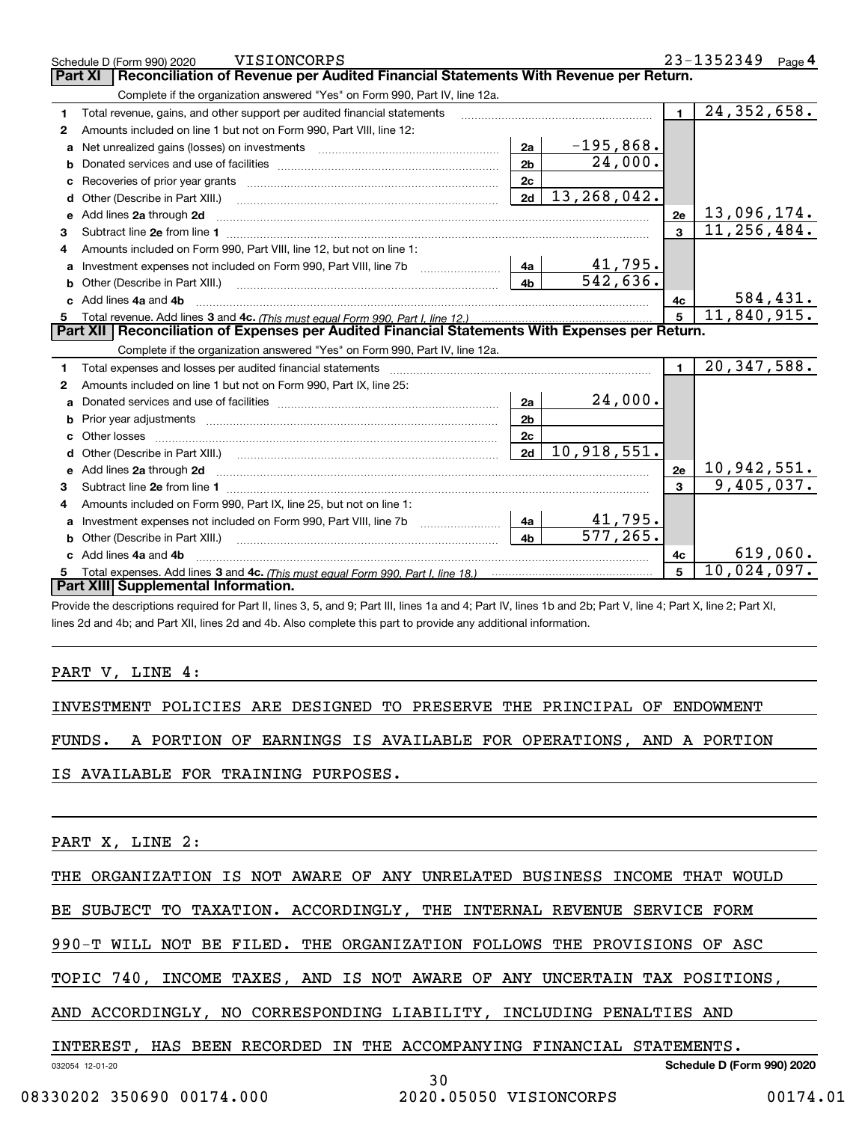|    | <b>VISIONCORPS</b><br>Schedule D (Form 990) 2020                                                                                                                                                                                    |                |                             |                | 23-1352349<br>Page 4 |
|----|-------------------------------------------------------------------------------------------------------------------------------------------------------------------------------------------------------------------------------------|----------------|-----------------------------|----------------|----------------------|
|    | Reconciliation of Revenue per Audited Financial Statements With Revenue per Return.<br><b>Part XI</b>                                                                                                                               |                |                             |                |                      |
|    | Complete if the organization answered "Yes" on Form 990, Part IV, line 12a.                                                                                                                                                         |                |                             |                |                      |
| 1  | Total revenue, gains, and other support per audited financial statements                                                                                                                                                            |                |                             | $\blacksquare$ | 24, 352, 658.        |
| 2  | Amounts included on line 1 but not on Form 990, Part VIII, line 12:                                                                                                                                                                 |                |                             |                |                      |
| a  | Net unrealized gains (losses) on investments [11] matter contracts and the unrealized gains (losses) on investments                                                                                                                 | 2a             | $-195,868.$                 |                |                      |
| b  |                                                                                                                                                                                                                                     | 2 <sub>b</sub> | 24,000.                     |                |                      |
|    |                                                                                                                                                                                                                                     | 2c             |                             |                |                      |
| d  | Other (Describe in Part XIII.) <b>2006</b> 2007 2010 2010 2010 2010 2011 2012 2013 2014 2014 2015 2016 2017 2018 2019 2016 2017 2018 2019 2016 2017 2018 2019 2016 2017 2018 2019 2018 2019 2019 2016 2017 2018 2019 2018 2019 2019 | 2d             | $\overline{13}$ , 268, 042. |                |                      |
| e  | Add lines 2a through 2d                                                                                                                                                                                                             |                |                             | 2e             | 13,096,174.          |
| 3  |                                                                                                                                                                                                                                     |                |                             | $\overline{3}$ | 11, 256, 484.        |
| 4  | Amounts included on Form 990, Part VIII, line 12, but not on line 1:                                                                                                                                                                |                |                             |                |                      |
| a  |                                                                                                                                                                                                                                     |                | <u>41,795.</u>              |                |                      |
| b  |                                                                                                                                                                                                                                     | 4 <sub>b</sub> | 542,636.                    |                |                      |
| c. | Add lines 4a and 4b                                                                                                                                                                                                                 |                |                             | 4с             | 584,431.             |
|    |                                                                                                                                                                                                                                     |                |                             |                |                      |
|    |                                                                                                                                                                                                                                     |                |                             | 5 <sup>1</sup> | 11,840,915.          |
|    | Part XII   Reconciliation of Expenses per Audited Financial Statements With Expenses per Return.                                                                                                                                    |                |                             |                |                      |
|    | Complete if the organization answered "Yes" on Form 990, Part IV, line 12a.                                                                                                                                                         |                |                             |                |                      |
| 1  | Total expenses and losses per audited financial statements [11] [12] manuscription and statements [13] Total expenses and losses per audited financial statements [13] manuscription and the statements [13] manuscription and      |                |                             | $\blacksquare$ | 20, 347, 588.        |
| 2  | Amounts included on line 1 but not on Form 990, Part IX, line 25:                                                                                                                                                                   |                |                             |                |                      |
| a  |                                                                                                                                                                                                                                     | 2a             | 24,000.                     |                |                      |
| b  |                                                                                                                                                                                                                                     | 2 <sub>b</sub> |                             |                |                      |
| c  |                                                                                                                                                                                                                                     | 2 <sub>c</sub> |                             |                |                      |
| d  |                                                                                                                                                                                                                                     | 2d             | 10,918,551.                 |                |                      |
|    |                                                                                                                                                                                                                                     |                |                             | 2e             | <u>10,942,551.</u>   |
| 3  |                                                                                                                                                                                                                                     |                |                             |                | 9,405,037.           |
| 4  | Amounts included on Form 990, Part IX, line 25, but not on line 1:                                                                                                                                                                  |                |                             |                |                      |
|    |                                                                                                                                                                                                                                     | 4a             | 41,795.                     |                |                      |
| b  | Other (Describe in Part XIII.) [100] [200] [2010] [2010] [2010] [2010] [2010] [2010] [2010] [2010] [2010] [2010] [2010] [2010] [2010] [2010] [2010] [2010] [2010] [2010] [2010] [2010] [2010] [2010] [2010] [2010] [2010] [201      | 4 <sub>b</sub> | $\overline{577}$ , 265.     |                |                      |
|    | Add lines 4a and 4b                                                                                                                                                                                                                 |                |                             | 4c             | 619,060.             |
|    | Part XIII Supplemental Information.                                                                                                                                                                                                 |                |                             | 5              | 10,024,097.          |

Schedule D (Form 990) 2020 VISIONCORPS  $23-1352349$  Page 4

VISIONCORPS 23-1352349

Provide the descriptions required for Part II, lines 3, 5, and 9; Part III, lines 1a and 4; Part IV, lines 1b and 2b; Part V, line 4; Part X, line 2; Part XI, lines 2d and 4b; and Part XII, lines 2d and 4b. Also complete this part to provide any additional information.

#### PART V, LINE 4:

INVESTMENT POLICIES ARE DESIGNED TO PRESERVE THE PRINCIPAL OF ENDOWMENT

FUNDS. A PORTION OF EARNINGS IS AVAILABLE FOR OPERATIONS, AND A PORTION

IS AVAILABLE FOR TRAINING PURPOSES.

PART X, LINE 2:

THE ORGANIZATION IS NOT AWARE OF ANY UNRELATED BUSINESS INCOME THAT WOULD

BE SUBJECT TO TAXATION. ACCORDINGLY, THE INTERNAL REVENUE SERVICE FORM

990-T WILL NOT BE FILED. THE ORGANIZATION FOLLOWS THE PROVISIONS OF ASC

TOPIC 740, INCOME TAXES, AND IS NOT AWARE OF ANY UNCERTAIN TAX POSITIONS,

AND ACCORDINGLY, NO CORRESPONDING LIABILITY, INCLUDING PENALTIES AND

INTEREST, HAS BEEN RECORDED IN THE ACCOMPANYING FINANCIAL STATEMENTS.

032054 12-01-20

**Schedule D (Form 990) 2020**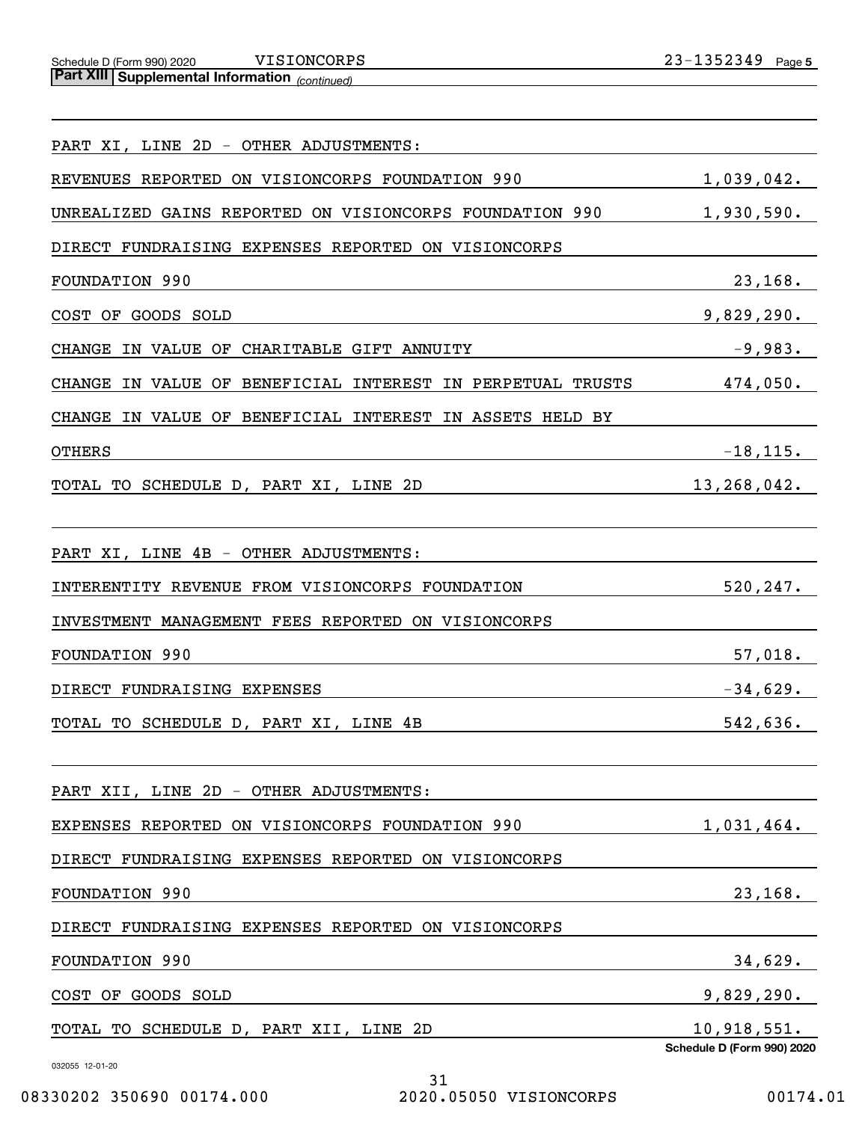Schedule D (Form 990) 2020 V <code>LSIONCORPS</code> Z 3-L 3 5 Z 3 4 9 Page **Part XIII Supplemental Information** 

*(continued)*

| PART XI, LINE 2D - OTHER ADJUSTMENTS:                                   |                                           |
|-------------------------------------------------------------------------|-------------------------------------------|
| REVENUES REPORTED ON VISIONCORPS FOUNDATION 990                         | 1,039,042.                                |
| UNREALIZED GAINS REPORTED ON VISIONCORPS FOUNDATION 990                 | 1,930,590.                                |
| DIRECT FUNDRAISING EXPENSES REPORTED ON VISIONCORPS                     |                                           |
| <b>FOUNDATION 990</b>                                                   | 23,168.                                   |
| COST OF GOODS SOLD                                                      | 9,829,290.                                |
| <b>CHANGE</b><br>IN VALUE OF CHARITABLE GIFT ANNUITY                    | $-9,983.$                                 |
| IN VALUE OF BENEFICIAL INTEREST<br>IN PERPETUAL TRUSTS<br><b>CHANGE</b> | 474,050.                                  |
| IN VALUE OF BENEFICIAL INTEREST<br><b>CHANGE</b><br>IN ASSETS HELD BY   |                                           |
| <b>OTHERS</b>                                                           | $-18, 115.$                               |
| TOTAL TO SCHEDULE D, PART XI, LINE 2D                                   | 13,268,042.                               |
| PART XI, LINE 4B - OTHER ADJUSTMENTS:                                   |                                           |
| INTERENTITY REVENUE FROM VISIONCORPS FOUNDATION                         | 520, 247.                                 |
| INVESTMENT MANAGEMENT FEES REPORTED ON VISIONCORPS                      |                                           |
| <b>FOUNDATION 990</b>                                                   | 57,018.                                   |
| DIRECT FUNDRAISING EXPENSES                                             | $-34,629.$                                |
| TOTAL TO SCHEDULE D, PART XI, LINE 4B                                   | 542,636.                                  |
| PART XII, LINE 2D - OTHER ADJUSTMENTS:                                  |                                           |
| EXPENSES REPORTED<br>ON VISIONCORPS FOUNDATION 990                      | 1,031,464.                                |
| DIRECT FUNDRAISING EXPENSES REPORTED<br>ON VISIONCORPS                  |                                           |
| FOUNDATION 990                                                          | 23, 168.                                  |
| DIRECT FUNDRAISING EXPENSES REPORTED ON VISIONCORPS                     |                                           |
| FOUNDATION 990                                                          | 34,629.                                   |
| COST OF GOODS SOLD                                                      | 9,829,290.                                |
| TOTAL TO SCHEDULE D, PART XII, LINE 2D                                  | 10,918,551.<br>Schedule D (Form 990) 2020 |
| 032055 12-01-20<br>31                                                   |                                           |

31 08330202 350690 00174.000 2020.05050 VISIONCORPS 00174.01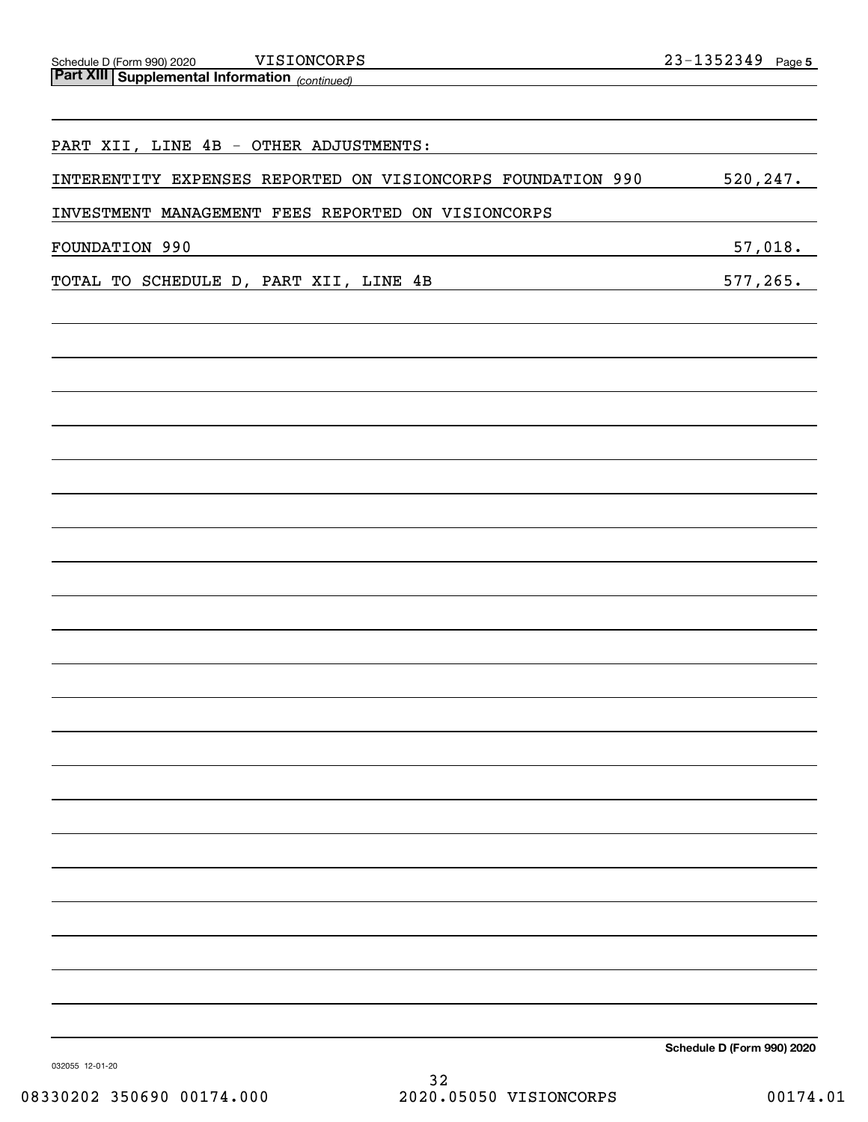| PART XII, LINE 4B - OTHER ADJUSTMENTS:                      |                            |
|-------------------------------------------------------------|----------------------------|
| INTERENTITY EXPENSES REPORTED ON VISIONCORPS FOUNDATION 990 | 520, 247.                  |
| INVESTMENT MANAGEMENT FEES REPORTED ON VISIONCORPS          |                            |
| FOUNDATION 990                                              | 57,018.                    |
| TOTAL TO SCHEDULE D, PART XII, LINE 4B                      | 577, 265.                  |
|                                                             |                            |
|                                                             |                            |
|                                                             |                            |
|                                                             |                            |
|                                                             |                            |
|                                                             |                            |
|                                                             |                            |
|                                                             |                            |
|                                                             |                            |
|                                                             |                            |
|                                                             |                            |
|                                                             |                            |
|                                                             |                            |
|                                                             |                            |
|                                                             |                            |
|                                                             |                            |
|                                                             |                            |
|                                                             |                            |
|                                                             |                            |
|                                                             |                            |
|                                                             |                            |
|                                                             |                            |
|                                                             | Schedule D (Form 990) 2020 |

032055 12-01-20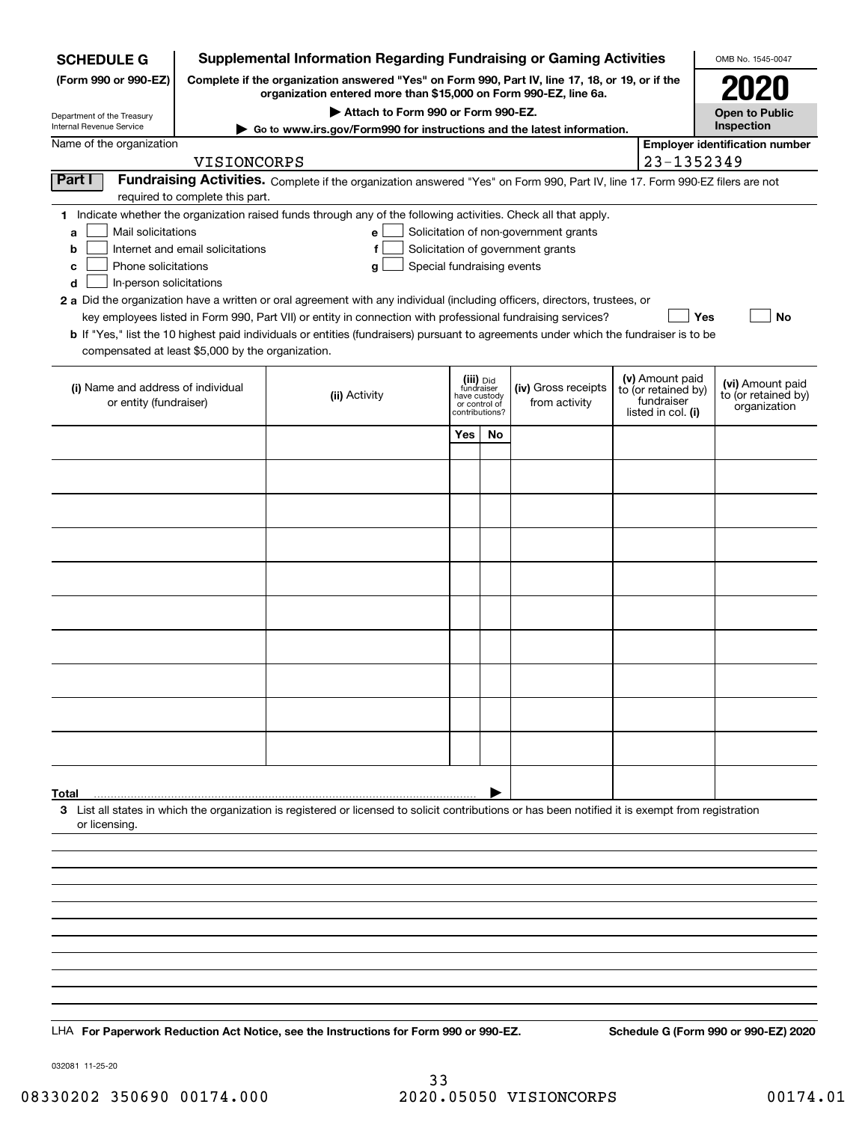| <b>SCHEDULE G</b>                                                                                                                             |                                                                                                                                                                     | <b>Supplemental Information Regarding Fundraising or Gaming Activities</b>                                                                                                                                                                                                                                                                                                                                                                                                                                                                         |                         |                                                 |                                                                            |  |                                                                            | OMB No. 1545-0047                                       |  |
|-----------------------------------------------------------------------------------------------------------------------------------------------|---------------------------------------------------------------------------------------------------------------------------------------------------------------------|----------------------------------------------------------------------------------------------------------------------------------------------------------------------------------------------------------------------------------------------------------------------------------------------------------------------------------------------------------------------------------------------------------------------------------------------------------------------------------------------------------------------------------------------------|-------------------------|-------------------------------------------------|----------------------------------------------------------------------------|--|----------------------------------------------------------------------------|---------------------------------------------------------|--|
| (Form 990 or 990-EZ)                                                                                                                          | Complete if the organization answered "Yes" on Form 990, Part IV, line 17, 18, or 19, or if the<br>organization entered more than \$15,000 on Form 990-EZ, line 6a. |                                                                                                                                                                                                                                                                                                                                                                                                                                                                                                                                                    |                         |                                                 |                                                                            |  |                                                                            |                                                         |  |
| Department of the Treasury                                                                                                                    |                                                                                                                                                                     | Attach to Form 990 or Form 990-EZ.                                                                                                                                                                                                                                                                                                                                                                                                                                                                                                                 |                         |                                                 |                                                                            |  |                                                                            | <b>Open to Public</b>                                   |  |
| Internal Revenue Service<br>Name of the organization                                                                                          |                                                                                                                                                                     | ► Go to www.irs.gov/Form990 for instructions and the latest information.                                                                                                                                                                                                                                                                                                                                                                                                                                                                           |                         |                                                 |                                                                            |  |                                                                            | Inspection<br><b>Employer identification number</b>     |  |
|                                                                                                                                               | VISIONCORPS                                                                                                                                                         |                                                                                                                                                                                                                                                                                                                                                                                                                                                                                                                                                    |                         |                                                 |                                                                            |  | 23-1352349                                                                 |                                                         |  |
| Part I                                                                                                                                        | required to complete this part.                                                                                                                                     | Fundraising Activities. Complete if the organization answered "Yes" on Form 990, Part IV, line 17. Form 990-EZ filers are not                                                                                                                                                                                                                                                                                                                                                                                                                      |                         |                                                 |                                                                            |  |                                                                            |                                                         |  |
| Mail solicitations<br>a<br>b<br>Phone solicitations<br>c<br>In-person solicitations<br>d<br>compensated at least \$5,000 by the organization. | Internet and email solicitations                                                                                                                                    | 1 Indicate whether the organization raised funds through any of the following activities. Check all that apply.<br>е<br>f<br>Special fundraising events<br>g<br>2 a Did the organization have a written or oral agreement with any individual (including officers, directors, trustees, or<br>key employees listed in Form 990, Part VII) or entity in connection with professional fundraising services?<br>b If "Yes," list the 10 highest paid individuals or entities (fundraisers) pursuant to agreements under which the fundraiser is to be |                         |                                                 | Solicitation of non-government grants<br>Solicitation of government grants |  | Yes                                                                        | No                                                      |  |
| (i) Name and address of individual<br>or entity (fundraiser)                                                                                  |                                                                                                                                                                     | (ii) Activity                                                                                                                                                                                                                                                                                                                                                                                                                                                                                                                                      | (iii) Did<br>fundraiser | have custody<br>or control of<br>contributions? | (iv) Gross receipts<br>from activity                                       |  | (v) Amount paid<br>to (or retained by)<br>fundraiser<br>listed in col. (i) | (vi) Amount paid<br>to (or retained by)<br>organization |  |
|                                                                                                                                               |                                                                                                                                                                     |                                                                                                                                                                                                                                                                                                                                                                                                                                                                                                                                                    | Yes                     | No                                              |                                                                            |  |                                                                            |                                                         |  |
|                                                                                                                                               |                                                                                                                                                                     |                                                                                                                                                                                                                                                                                                                                                                                                                                                                                                                                                    |                         |                                                 |                                                                            |  |                                                                            |                                                         |  |
|                                                                                                                                               |                                                                                                                                                                     |                                                                                                                                                                                                                                                                                                                                                                                                                                                                                                                                                    |                         |                                                 |                                                                            |  |                                                                            |                                                         |  |
|                                                                                                                                               |                                                                                                                                                                     |                                                                                                                                                                                                                                                                                                                                                                                                                                                                                                                                                    |                         |                                                 |                                                                            |  |                                                                            |                                                         |  |
|                                                                                                                                               |                                                                                                                                                                     |                                                                                                                                                                                                                                                                                                                                                                                                                                                                                                                                                    |                         |                                                 |                                                                            |  |                                                                            |                                                         |  |
|                                                                                                                                               |                                                                                                                                                                     |                                                                                                                                                                                                                                                                                                                                                                                                                                                                                                                                                    |                         |                                                 |                                                                            |  |                                                                            |                                                         |  |
|                                                                                                                                               |                                                                                                                                                                     |                                                                                                                                                                                                                                                                                                                                                                                                                                                                                                                                                    |                         |                                                 |                                                                            |  |                                                                            |                                                         |  |
|                                                                                                                                               |                                                                                                                                                                     |                                                                                                                                                                                                                                                                                                                                                                                                                                                                                                                                                    |                         |                                                 |                                                                            |  |                                                                            |                                                         |  |
|                                                                                                                                               |                                                                                                                                                                     |                                                                                                                                                                                                                                                                                                                                                                                                                                                                                                                                                    |                         |                                                 |                                                                            |  |                                                                            |                                                         |  |
|                                                                                                                                               |                                                                                                                                                                     |                                                                                                                                                                                                                                                                                                                                                                                                                                                                                                                                                    |                         |                                                 |                                                                            |  |                                                                            |                                                         |  |
|                                                                                                                                               |                                                                                                                                                                     |                                                                                                                                                                                                                                                                                                                                                                                                                                                                                                                                                    |                         |                                                 |                                                                            |  |                                                                            |                                                         |  |
|                                                                                                                                               |                                                                                                                                                                     |                                                                                                                                                                                                                                                                                                                                                                                                                                                                                                                                                    |                         |                                                 |                                                                            |  |                                                                            |                                                         |  |
|                                                                                                                                               |                                                                                                                                                                     |                                                                                                                                                                                                                                                                                                                                                                                                                                                                                                                                                    |                         |                                                 |                                                                            |  |                                                                            |                                                         |  |
|                                                                                                                                               |                                                                                                                                                                     |                                                                                                                                                                                                                                                                                                                                                                                                                                                                                                                                                    |                         |                                                 |                                                                            |  |                                                                            |                                                         |  |
| Total<br>or licensing.                                                                                                                        |                                                                                                                                                                     | 3 List all states in which the organization is registered or licensed to solicit contributions or has been notified it is exempt from registration                                                                                                                                                                                                                                                                                                                                                                                                 |                         |                                                 |                                                                            |  |                                                                            |                                                         |  |
|                                                                                                                                               |                                                                                                                                                                     |                                                                                                                                                                                                                                                                                                                                                                                                                                                                                                                                                    |                         |                                                 |                                                                            |  |                                                                            |                                                         |  |
|                                                                                                                                               |                                                                                                                                                                     |                                                                                                                                                                                                                                                                                                                                                                                                                                                                                                                                                    |                         |                                                 |                                                                            |  |                                                                            |                                                         |  |
|                                                                                                                                               |                                                                                                                                                                     |                                                                                                                                                                                                                                                                                                                                                                                                                                                                                                                                                    |                         |                                                 |                                                                            |  |                                                                            |                                                         |  |
|                                                                                                                                               |                                                                                                                                                                     |                                                                                                                                                                                                                                                                                                                                                                                                                                                                                                                                                    |                         |                                                 |                                                                            |  |                                                                            |                                                         |  |
|                                                                                                                                               |                                                                                                                                                                     |                                                                                                                                                                                                                                                                                                                                                                                                                                                                                                                                                    |                         |                                                 |                                                                            |  |                                                                            |                                                         |  |
|                                                                                                                                               |                                                                                                                                                                     |                                                                                                                                                                                                                                                                                                                                                                                                                                                                                                                                                    |                         |                                                 |                                                                            |  |                                                                            |                                                         |  |
|                                                                                                                                               |                                                                                                                                                                     |                                                                                                                                                                                                                                                                                                                                                                                                                                                                                                                                                    |                         |                                                 |                                                                            |  |                                                                            |                                                         |  |
|                                                                                                                                               |                                                                                                                                                                     |                                                                                                                                                                                                                                                                                                                                                                                                                                                                                                                                                    |                         |                                                 |                                                                            |  |                                                                            |                                                         |  |
|                                                                                                                                               |                                                                                                                                                                     | LHA For Paperwork Reduction Act Notice, see the Instructions for Form 990 or 990-EZ.                                                                                                                                                                                                                                                                                                                                                                                                                                                               |                         |                                                 |                                                                            |  |                                                                            | Schedule G (Form 990 or 990-EZ) 2020                    |  |

032081 11-25-20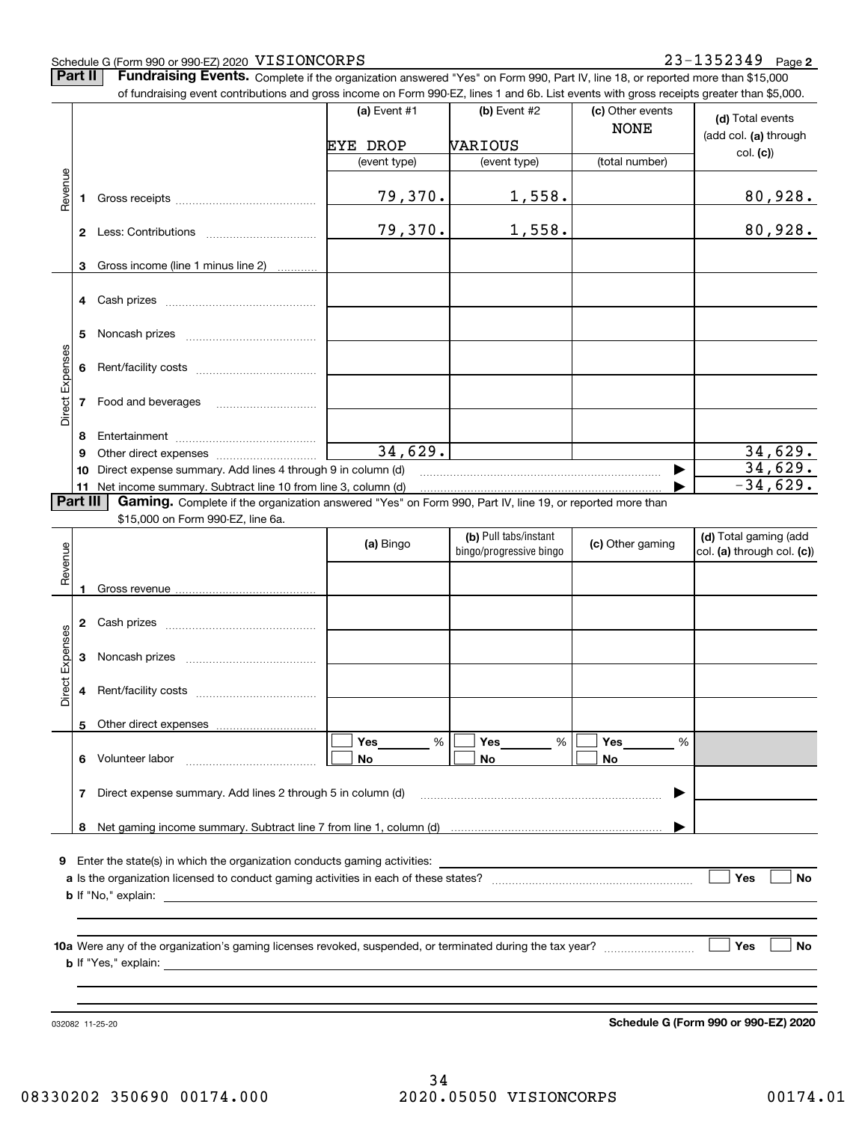#### Schedule G (Form 990 or 990-EZ) 2020  $\rm\,VISTONCORPS$   $\rm\,23-1352349$   $\rm\,Page$

**Part II** | Fundraising Events. Complete if the organization answered "Yes" on Form 990, Part IV, line 18, or reported more than \$15,000

|                 |          | of fundraising event contributions and gross income on Form 990-EZ, lines 1 and 6b. List events with gross receipts greater than \$5,000. |              |                         |                  |                            |
|-----------------|----------|-------------------------------------------------------------------------------------------------------------------------------------------|--------------|-------------------------|------------------|----------------------------|
|                 |          |                                                                                                                                           | (a) Event #1 | (b) Event #2            | (c) Other events | (d) Total events           |
|                 |          |                                                                                                                                           |              |                         | <b>NONE</b>      | (add col. (a) through      |
|                 |          |                                                                                                                                           | EYE DROP     | VARIOUS                 |                  | col. (c)                   |
|                 |          |                                                                                                                                           | (event type) | (event type)            | (total number)   |                            |
| Revenue         |          |                                                                                                                                           |              |                         |                  |                            |
|                 | 1.       |                                                                                                                                           | 79,370.      | 1,558.                  |                  | <u>80,928.</u>             |
|                 |          |                                                                                                                                           |              |                         |                  |                            |
|                 |          |                                                                                                                                           | 79,370.      | 1,558.                  |                  | 80,928.                    |
|                 |          |                                                                                                                                           |              |                         |                  |                            |
|                 | 3        | Gross income (line 1 minus line 2)                                                                                                        |              |                         |                  |                            |
|                 |          |                                                                                                                                           |              |                         |                  |                            |
|                 |          |                                                                                                                                           |              |                         |                  |                            |
|                 |          |                                                                                                                                           |              |                         |                  |                            |
|                 | 5        |                                                                                                                                           |              |                         |                  |                            |
| Direct Expenses |          |                                                                                                                                           |              |                         |                  |                            |
|                 | 6        |                                                                                                                                           |              |                         |                  |                            |
|                 |          | 7 Food and beverages                                                                                                                      |              |                         |                  |                            |
|                 |          |                                                                                                                                           |              |                         |                  |                            |
|                 | 8        |                                                                                                                                           |              |                         |                  |                            |
|                 | 9        |                                                                                                                                           | 34,629.      |                         |                  | 34,629.                    |
|                 | 10       | Direct expense summary. Add lines 4 through 9 in column (d)                                                                               |              |                         |                  | 34,629.                    |
|                 |          | 11 Net income summary. Subtract line 10 from line 3, column (d)                                                                           |              |                         |                  | $-34,629.$                 |
|                 | Part III | Gaming. Complete if the organization answered "Yes" on Form 990, Part IV, line 19, or reported more than                                  |              |                         |                  |                            |
|                 |          | \$15,000 on Form 990-EZ, line 6a.                                                                                                         |              |                         |                  |                            |
|                 |          |                                                                                                                                           |              | (b) Pull tabs/instant   |                  | (d) Total gaming (add      |
|                 |          |                                                                                                                                           | (a) Bingo    | bingo/progressive bingo | (c) Other gaming | col. (a) through col. (c)) |
| Revenue         |          |                                                                                                                                           |              |                         |                  |                            |
|                 | 1        |                                                                                                                                           |              |                         |                  |                            |
|                 |          |                                                                                                                                           |              |                         |                  |                            |
|                 |          |                                                                                                                                           |              |                         |                  |                            |
|                 |          |                                                                                                                                           |              |                         |                  |                            |
| Expenses        | 3        |                                                                                                                                           |              |                         |                  |                            |
|                 |          |                                                                                                                                           |              |                         |                  |                            |
| <b>Direct</b>   |          |                                                                                                                                           |              |                         |                  |                            |
|                 |          |                                                                                                                                           |              |                         |                  |                            |
|                 |          | 5 Other direct expenses                                                                                                                   |              |                         |                  |                            |
|                 |          |                                                                                                                                           | %<br>Yes     | %<br>Yes                | Yes<br>%         |                            |
|                 |          | 6 Volunteer labor                                                                                                                         | No           | No                      | No               |                            |
|                 |          |                                                                                                                                           |              |                         |                  |                            |
|                 | 7        | Direct expense summary. Add lines 2 through 5 in column (d)                                                                               |              |                         |                  |                            |
|                 |          |                                                                                                                                           |              |                         |                  |                            |
|                 |          |                                                                                                                                           |              |                         |                  |                            |
|                 |          | <b>9</b> Enter the state(s) in which the organization conducts gaming activities:                                                         |              |                         |                  |                            |
|                 |          |                                                                                                                                           |              |                         |                  | Yes<br>No                  |
|                 |          |                                                                                                                                           |              |                         |                  |                            |
|                 |          |                                                                                                                                           |              |                         |                  |                            |
|                 |          |                                                                                                                                           |              |                         |                  |                            |
|                 |          |                                                                                                                                           |              |                         |                  | Yes<br>No                  |
|                 |          |                                                                                                                                           |              |                         |                  |                            |
|                 |          |                                                                                                                                           |              |                         |                  |                            |
|                 |          |                                                                                                                                           |              |                         |                  |                            |

032082 11-25-20

**Schedule G (Form 990 or 990-EZ) 2020**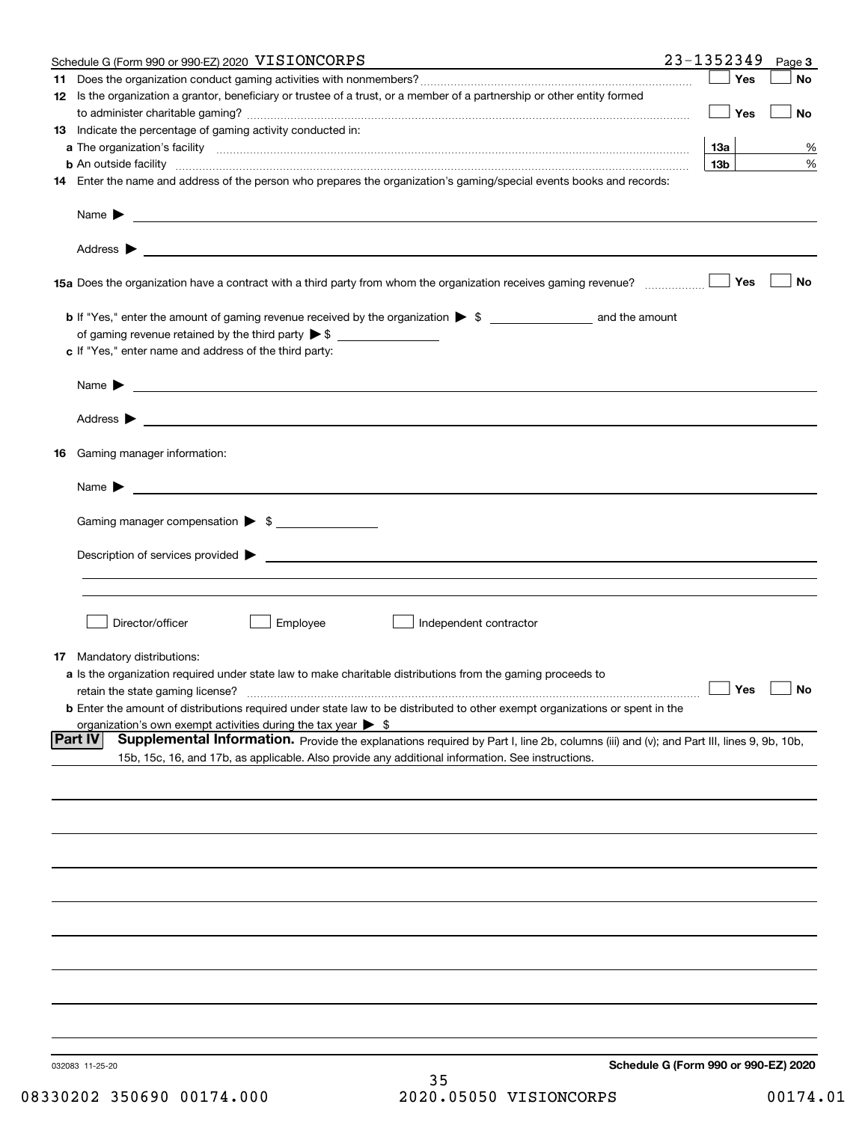|    | Schedule G (Form 990 or 990-EZ) 2020 VISIONCORPS                                                                                                                                                                                          | 23-1352349 |                 | Page 3               |
|----|-------------------------------------------------------------------------------------------------------------------------------------------------------------------------------------------------------------------------------------------|------------|-----------------|----------------------|
|    |                                                                                                                                                                                                                                           |            | Yes             | No                   |
|    | 12 Is the organization a grantor, beneficiary or trustee of a trust, or a member of a partnership or other entity formed                                                                                                                  |            | Yes             | No                   |
|    | 13 Indicate the percentage of gaming activity conducted in:                                                                                                                                                                               |            |                 |                      |
|    |                                                                                                                                                                                                                                           |            | 13а             | %                    |
|    | <b>b</b> An outside facility <b>contract and the contract of the contract of the contract of the contract of the contract of the contract of the contract of the contract of the contract of the contract of the contract of the cont</b> |            | 13 <sub>b</sub> | %                    |
|    | 14 Enter the name and address of the person who prepares the organization's gaming/special events books and records:                                                                                                                      |            |                 |                      |
|    | Name $\blacktriangleright$<br><u>and the control of the control of the control of the control of the control of the control of the control of</u>                                                                                         |            |                 |                      |
|    |                                                                                                                                                                                                                                           |            |                 |                      |
|    |                                                                                                                                                                                                                                           |            | Yes             | No                   |
|    |                                                                                                                                                                                                                                           |            |                 |                      |
|    |                                                                                                                                                                                                                                           |            |                 |                      |
|    | c If "Yes," enter name and address of the third party:                                                                                                                                                                                    |            |                 |                      |
|    | <u> 1980 - Johann Barbara, martin amerikan basar dan berasal dalam basa dan basar dalam basa dalam basa dalam basa</u><br>Name $\blacktriangleright$                                                                                      |            |                 |                      |
|    | Address $\blacktriangleright$<br><u> 1990 - Johann Stoff, amerikansk politiker (d. 1980)</u>                                                                                                                                              |            |                 |                      |
| 16 | Gaming manager information:                                                                                                                                                                                                               |            |                 |                      |
|    | Name $\blacktriangleright$                                                                                                                                                                                                                |            |                 |                      |
|    | Gaming manager compensation > \$                                                                                                                                                                                                          |            |                 |                      |
|    |                                                                                                                                                                                                                                           |            |                 |                      |
|    | $\blacksquare$ Description of services provided $\blacktriangleright$                                                                                                                                                                     |            |                 |                      |
|    |                                                                                                                                                                                                                                           |            |                 |                      |
|    | Director/officer<br>Employee<br>Independent contractor                                                                                                                                                                                    |            |                 |                      |
|    | <b>17</b> Mandatory distributions:                                                                                                                                                                                                        |            |                 |                      |
|    | a Is the organization required under state law to make charitable distributions from the gaming proceeds to                                                                                                                               |            |                 |                      |
|    | retain the state gaming license?                                                                                                                                                                                                          |            |                 | $\Box$ Yes $\Box$ No |
|    | <b>b</b> Enter the amount of distributions required under state law to be distributed to other exempt organizations or spent in the<br>organization's own exempt activities during the tax year $\triangleright$ \$                       |            |                 |                      |
|    | <b>Part IV</b><br>Supplemental Information. Provide the explanations required by Part I, line 2b, columns (iii) and (v); and Part III, lines 9, 9b, 10b,                                                                                  |            |                 |                      |
|    | 15b, 15c, 16, and 17b, as applicable. Also provide any additional information. See instructions.                                                                                                                                          |            |                 |                      |
|    |                                                                                                                                                                                                                                           |            |                 |                      |
|    |                                                                                                                                                                                                                                           |            |                 |                      |
|    |                                                                                                                                                                                                                                           |            |                 |                      |
|    |                                                                                                                                                                                                                                           |            |                 |                      |
|    |                                                                                                                                                                                                                                           |            |                 |                      |
|    |                                                                                                                                                                                                                                           |            |                 |                      |
|    |                                                                                                                                                                                                                                           |            |                 |                      |
|    |                                                                                                                                                                                                                                           |            |                 |                      |
|    |                                                                                                                                                                                                                                           |            |                 |                      |
|    | Schedule G (Form 990 or 990-EZ) 2020<br>032083 11-25-20                                                                                                                                                                                   |            |                 |                      |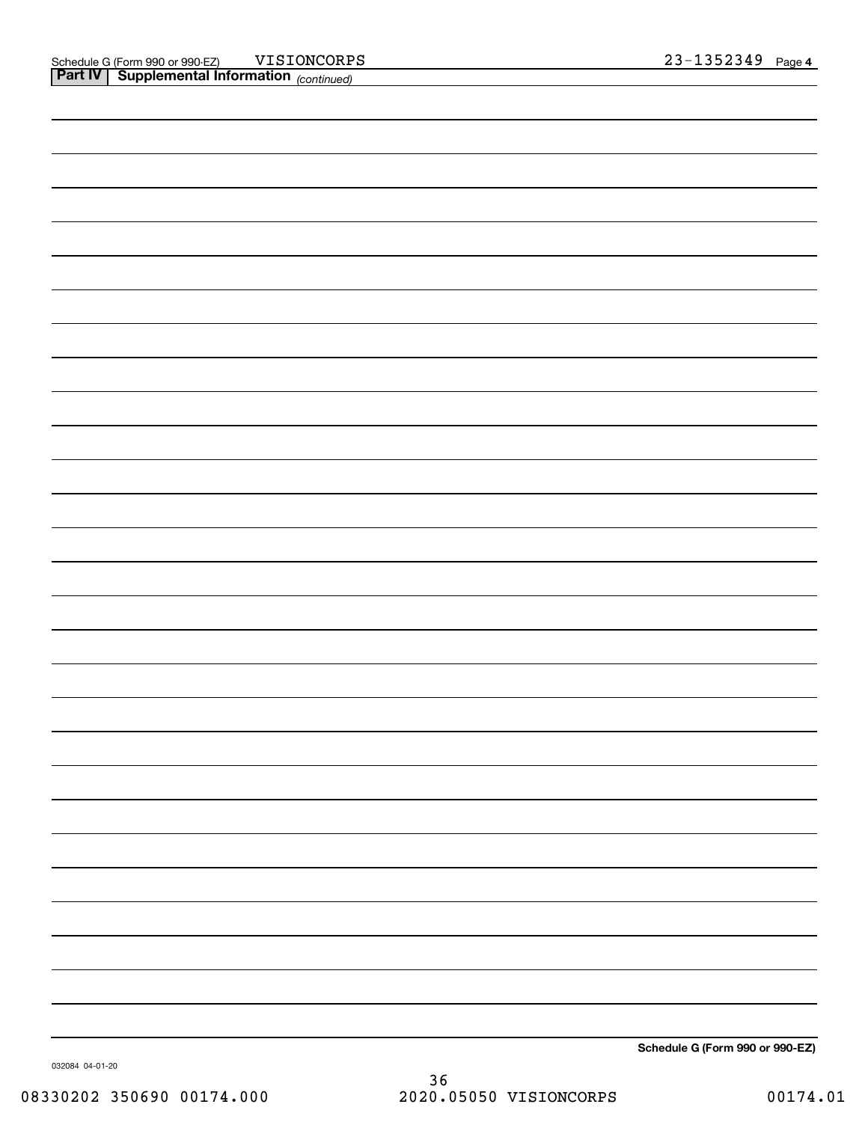**Schedule G (Form 990 or 990-EZ)**

032084 04-01-20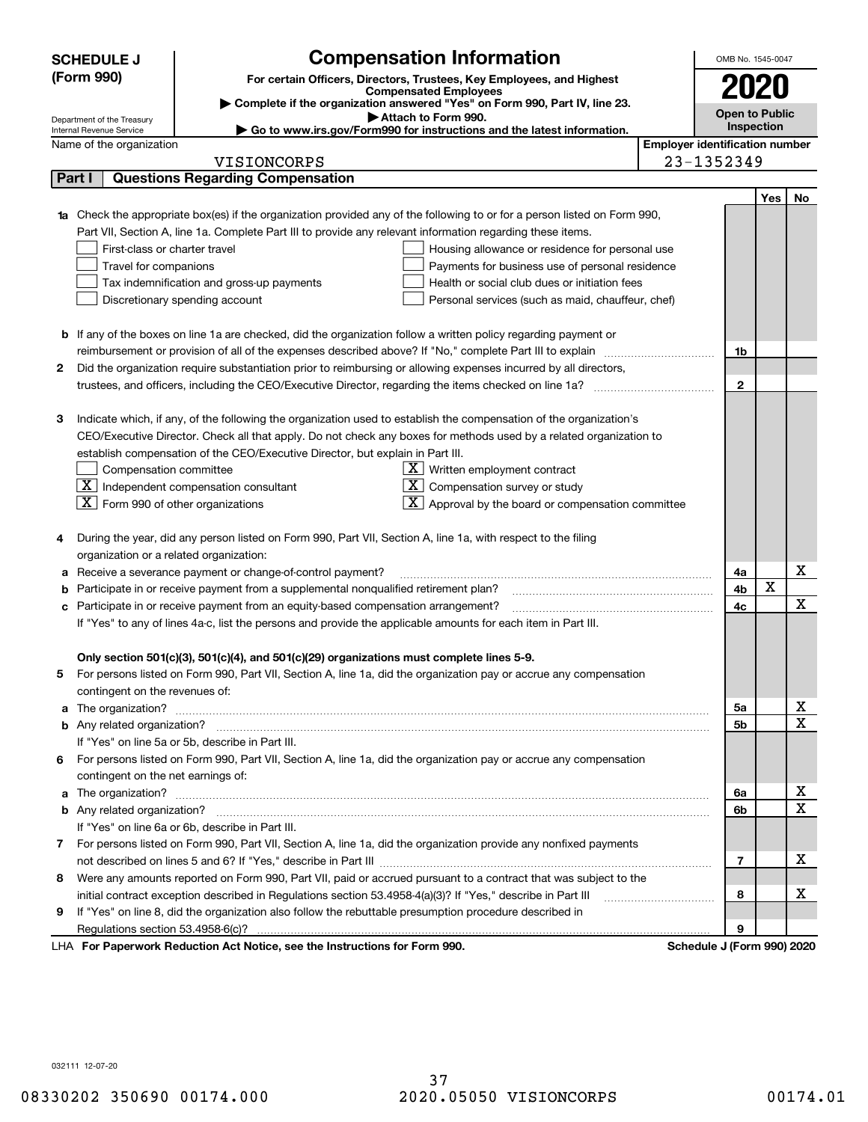| (Form 990)<br>For certain Officers, Directors, Trustees, Key Employees, and Highest<br><b>Compensated Employees</b><br>Complete if the organization answered "Yes" on Form 990, Part IV, line 23.<br><b>Open to Public</b><br>Attach to Form 990.<br>Department of the Treasury<br>Inspection<br>Go to www.irs.gov/Form990 for instructions and the latest information.<br>Internal Revenue Service<br><b>Employer identification number</b><br>Name of the organization<br>23-1352349<br>VISIONCORPS<br><b>Questions Regarding Compensation</b><br>Part I<br>Yes<br>No<br>1a Check the appropriate box(es) if the organization provided any of the following to or for a person listed on Form 990,<br>Part VII, Section A, line 1a. Complete Part III to provide any relevant information regarding these items.<br>First-class or charter travel<br>Housing allowance or residence for personal use<br>Travel for companions<br>Payments for business use of personal residence<br>Tax indemnification and gross-up payments<br>Health or social club dues or initiation fees<br>Discretionary spending account<br>Personal services (such as maid, chauffeur, chef)<br><b>b</b> If any of the boxes on line 1a are checked, did the organization follow a written policy regarding payment or<br>reimbursement or provision of all of the expenses described above? If "No," complete Part III to explain<br>1b<br>Did the organization require substantiation prior to reimbursing or allowing expenses incurred by all directors,<br>2<br>$\mathbf{2}$<br>trustees, and officers, including the CEO/Executive Director, regarding the items checked on line 1a?<br>з<br>Indicate which, if any, of the following the organization used to establish the compensation of the organization's<br>CEO/Executive Director. Check all that apply. Do not check any boxes for methods used by a related organization to<br>establish compensation of the CEO/Executive Director, but explain in Part III.<br>Compensation committee<br>$\underline{\mathbf{X}}$ Written employment contract<br>$\boxed{\text{X}}$ Independent compensation consultant<br>$X$ Compensation survey or study<br>$\lfloor$ X Form 990 of other organizations<br>$\lfloor \underline{X} \rfloor$ Approval by the board or compensation committee<br>During the year, did any person listed on Form 990, Part VII, Section A, line 1a, with respect to the filing<br>organization or a related organization:<br>x<br>Receive a severance payment or change-of-control payment?<br>4a<br>X<br>Participate in or receive payment from a supplemental nonqualified retirement plan?<br>4b<br>b<br>X<br>Participate in or receive payment from an equity-based compensation arrangement?<br>4c<br>с<br>If "Yes" to any of lines 4a-c, list the persons and provide the applicable amounts for each item in Part III.<br>Only section 501(c)(3), 501(c)(4), and 501(c)(29) organizations must complete lines 5-9.<br>For persons listed on Form 990, Part VII, Section A, line 1a, did the organization pay or accrue any compensation<br>contingent on the revenues of:<br>х<br>5а<br>a<br>$\overline{\mathbf{x}}$<br>5b<br>If "Yes" on line 5a or 5b, describe in Part III.<br>For persons listed on Form 990, Part VII, Section A, line 1a, did the organization pay or accrue any compensation<br>6<br>contingent on the net earnings of:<br>x<br>6а<br>a<br>$\overline{\mathbf{x}}$<br>6b<br>If "Yes" on line 6a or 6b, describe in Part III.<br>7 For persons listed on Form 990, Part VII, Section A, line 1a, did the organization provide any nonfixed payments<br>х<br>$\overline{7}$<br>Were any amounts reported on Form 990, Part VII, paid or accrued pursuant to a contract that was subject to the<br>8<br>x<br>initial contract exception described in Regulations section 53.4958-4(a)(3)? If "Yes," describe in Part III<br>8<br>If "Yes" on line 8, did the organization also follow the rebuttable presumption procedure described in<br>9<br>9<br>Regulations section 53.4958-6(c)?<br>LHA For Paperwork Reduction Act Notice, see the Instructions for Form 990.<br>Schedule J (Form 990) 2020 | <b>Compensation Information</b><br><b>SCHEDULE J</b> | OMB No. 1545-0047 |  |  |
|-------------------------------------------------------------------------------------------------------------------------------------------------------------------------------------------------------------------------------------------------------------------------------------------------------------------------------------------------------------------------------------------------------------------------------------------------------------------------------------------------------------------------------------------------------------------------------------------------------------------------------------------------------------------------------------------------------------------------------------------------------------------------------------------------------------------------------------------------------------------------------------------------------------------------------------------------------------------------------------------------------------------------------------------------------------------------------------------------------------------------------------------------------------------------------------------------------------------------------------------------------------------------------------------------------------------------------------------------------------------------------------------------------------------------------------------------------------------------------------------------------------------------------------------------------------------------------------------------------------------------------------------------------------------------------------------------------------------------------------------------------------------------------------------------------------------------------------------------------------------------------------------------------------------------------------------------------------------------------------------------------------------------------------------------------------------------------------------------------------------------------------------------------------------------------------------------------------------------------------------------------------------------------------------------------------------------------------------------------------------------------------------------------------------------------------------------------------------------------------------------------------------------------------------------------------------------------------------------------------------------------------------------------------------------------------------------------------------------------------------------------------------------------------------------------------------------------------------------------------------------------------------------------------------------------------------------------------------------------------------------------------------------------------------------------------------------------------------------------------------------------------------------------------------------------------------------------------------------------------------------------------------------------------------------------------------------------------------------------------------------------------------------------------------------------------------------------------------------------------------------------------------------------------------------------------------------------------------------------------------------------------------------------------------------------------------------------------------------------------------------------------------------------------------------------------------------------------------------------------------------------------------------------------------------------------------------------------------------------------------------------------------------------------------------------------------------------------------------------------------------------------------------------------------------------------------|------------------------------------------------------|-------------------|--|--|
|                                                                                                                                                                                                                                                                                                                                                                                                                                                                                                                                                                                                                                                                                                                                                                                                                                                                                                                                                                                                                                                                                                                                                                                                                                                                                                                                                                                                                                                                                                                                                                                                                                                                                                                                                                                                                                                                                                                                                                                                                                                                                                                                                                                                                                                                                                                                                                                                                                                                                                                                                                                                                                                                                                                                                                                                                                                                                                                                                                                                                                                                                                                                                                                                                                                                                                                                                                                                                                                                                                                                                                                                                                                                                                                                                                                                                                                                                                                                                                                                                                                                                                                                                                                           |                                                      |                   |  |  |
|                                                                                                                                                                                                                                                                                                                                                                                                                                                                                                                                                                                                                                                                                                                                                                                                                                                                                                                                                                                                                                                                                                                                                                                                                                                                                                                                                                                                                                                                                                                                                                                                                                                                                                                                                                                                                                                                                                                                                                                                                                                                                                                                                                                                                                                                                                                                                                                                                                                                                                                                                                                                                                                                                                                                                                                                                                                                                                                                                                                                                                                                                                                                                                                                                                                                                                                                                                                                                                                                                                                                                                                                                                                                                                                                                                                                                                                                                                                                                                                                                                                                                                                                                                                           |                                                      |                   |  |  |
|                                                                                                                                                                                                                                                                                                                                                                                                                                                                                                                                                                                                                                                                                                                                                                                                                                                                                                                                                                                                                                                                                                                                                                                                                                                                                                                                                                                                                                                                                                                                                                                                                                                                                                                                                                                                                                                                                                                                                                                                                                                                                                                                                                                                                                                                                                                                                                                                                                                                                                                                                                                                                                                                                                                                                                                                                                                                                                                                                                                                                                                                                                                                                                                                                                                                                                                                                                                                                                                                                                                                                                                                                                                                                                                                                                                                                                                                                                                                                                                                                                                                                                                                                                                           |                                                      |                   |  |  |
|                                                                                                                                                                                                                                                                                                                                                                                                                                                                                                                                                                                                                                                                                                                                                                                                                                                                                                                                                                                                                                                                                                                                                                                                                                                                                                                                                                                                                                                                                                                                                                                                                                                                                                                                                                                                                                                                                                                                                                                                                                                                                                                                                                                                                                                                                                                                                                                                                                                                                                                                                                                                                                                                                                                                                                                                                                                                                                                                                                                                                                                                                                                                                                                                                                                                                                                                                                                                                                                                                                                                                                                                                                                                                                                                                                                                                                                                                                                                                                                                                                                                                                                                                                                           |                                                      |                   |  |  |
|                                                                                                                                                                                                                                                                                                                                                                                                                                                                                                                                                                                                                                                                                                                                                                                                                                                                                                                                                                                                                                                                                                                                                                                                                                                                                                                                                                                                                                                                                                                                                                                                                                                                                                                                                                                                                                                                                                                                                                                                                                                                                                                                                                                                                                                                                                                                                                                                                                                                                                                                                                                                                                                                                                                                                                                                                                                                                                                                                                                                                                                                                                                                                                                                                                                                                                                                                                                                                                                                                                                                                                                                                                                                                                                                                                                                                                                                                                                                                                                                                                                                                                                                                                                           |                                                      |                   |  |  |
|                                                                                                                                                                                                                                                                                                                                                                                                                                                                                                                                                                                                                                                                                                                                                                                                                                                                                                                                                                                                                                                                                                                                                                                                                                                                                                                                                                                                                                                                                                                                                                                                                                                                                                                                                                                                                                                                                                                                                                                                                                                                                                                                                                                                                                                                                                                                                                                                                                                                                                                                                                                                                                                                                                                                                                                                                                                                                                                                                                                                                                                                                                                                                                                                                                                                                                                                                                                                                                                                                                                                                                                                                                                                                                                                                                                                                                                                                                                                                                                                                                                                                                                                                                                           |                                                      |                   |  |  |
|                                                                                                                                                                                                                                                                                                                                                                                                                                                                                                                                                                                                                                                                                                                                                                                                                                                                                                                                                                                                                                                                                                                                                                                                                                                                                                                                                                                                                                                                                                                                                                                                                                                                                                                                                                                                                                                                                                                                                                                                                                                                                                                                                                                                                                                                                                                                                                                                                                                                                                                                                                                                                                                                                                                                                                                                                                                                                                                                                                                                                                                                                                                                                                                                                                                                                                                                                                                                                                                                                                                                                                                                                                                                                                                                                                                                                                                                                                                                                                                                                                                                                                                                                                                           |                                                      |                   |  |  |
|                                                                                                                                                                                                                                                                                                                                                                                                                                                                                                                                                                                                                                                                                                                                                                                                                                                                                                                                                                                                                                                                                                                                                                                                                                                                                                                                                                                                                                                                                                                                                                                                                                                                                                                                                                                                                                                                                                                                                                                                                                                                                                                                                                                                                                                                                                                                                                                                                                                                                                                                                                                                                                                                                                                                                                                                                                                                                                                                                                                                                                                                                                                                                                                                                                                                                                                                                                                                                                                                                                                                                                                                                                                                                                                                                                                                                                                                                                                                                                                                                                                                                                                                                                                           |                                                      |                   |  |  |
|                                                                                                                                                                                                                                                                                                                                                                                                                                                                                                                                                                                                                                                                                                                                                                                                                                                                                                                                                                                                                                                                                                                                                                                                                                                                                                                                                                                                                                                                                                                                                                                                                                                                                                                                                                                                                                                                                                                                                                                                                                                                                                                                                                                                                                                                                                                                                                                                                                                                                                                                                                                                                                                                                                                                                                                                                                                                                                                                                                                                                                                                                                                                                                                                                                                                                                                                                                                                                                                                                                                                                                                                                                                                                                                                                                                                                                                                                                                                                                                                                                                                                                                                                                                           |                                                      |                   |  |  |
|                                                                                                                                                                                                                                                                                                                                                                                                                                                                                                                                                                                                                                                                                                                                                                                                                                                                                                                                                                                                                                                                                                                                                                                                                                                                                                                                                                                                                                                                                                                                                                                                                                                                                                                                                                                                                                                                                                                                                                                                                                                                                                                                                                                                                                                                                                                                                                                                                                                                                                                                                                                                                                                                                                                                                                                                                                                                                                                                                                                                                                                                                                                                                                                                                                                                                                                                                                                                                                                                                                                                                                                                                                                                                                                                                                                                                                                                                                                                                                                                                                                                                                                                                                                           |                                                      |                   |  |  |
|                                                                                                                                                                                                                                                                                                                                                                                                                                                                                                                                                                                                                                                                                                                                                                                                                                                                                                                                                                                                                                                                                                                                                                                                                                                                                                                                                                                                                                                                                                                                                                                                                                                                                                                                                                                                                                                                                                                                                                                                                                                                                                                                                                                                                                                                                                                                                                                                                                                                                                                                                                                                                                                                                                                                                                                                                                                                                                                                                                                                                                                                                                                                                                                                                                                                                                                                                                                                                                                                                                                                                                                                                                                                                                                                                                                                                                                                                                                                                                                                                                                                                                                                                                                           |                                                      |                   |  |  |
|                                                                                                                                                                                                                                                                                                                                                                                                                                                                                                                                                                                                                                                                                                                                                                                                                                                                                                                                                                                                                                                                                                                                                                                                                                                                                                                                                                                                                                                                                                                                                                                                                                                                                                                                                                                                                                                                                                                                                                                                                                                                                                                                                                                                                                                                                                                                                                                                                                                                                                                                                                                                                                                                                                                                                                                                                                                                                                                                                                                                                                                                                                                                                                                                                                                                                                                                                                                                                                                                                                                                                                                                                                                                                                                                                                                                                                                                                                                                                                                                                                                                                                                                                                                           |                                                      |                   |  |  |
|                                                                                                                                                                                                                                                                                                                                                                                                                                                                                                                                                                                                                                                                                                                                                                                                                                                                                                                                                                                                                                                                                                                                                                                                                                                                                                                                                                                                                                                                                                                                                                                                                                                                                                                                                                                                                                                                                                                                                                                                                                                                                                                                                                                                                                                                                                                                                                                                                                                                                                                                                                                                                                                                                                                                                                                                                                                                                                                                                                                                                                                                                                                                                                                                                                                                                                                                                                                                                                                                                                                                                                                                                                                                                                                                                                                                                                                                                                                                                                                                                                                                                                                                                                                           |                                                      |                   |  |  |
|                                                                                                                                                                                                                                                                                                                                                                                                                                                                                                                                                                                                                                                                                                                                                                                                                                                                                                                                                                                                                                                                                                                                                                                                                                                                                                                                                                                                                                                                                                                                                                                                                                                                                                                                                                                                                                                                                                                                                                                                                                                                                                                                                                                                                                                                                                                                                                                                                                                                                                                                                                                                                                                                                                                                                                                                                                                                                                                                                                                                                                                                                                                                                                                                                                                                                                                                                                                                                                                                                                                                                                                                                                                                                                                                                                                                                                                                                                                                                                                                                                                                                                                                                                                           |                                                      |                   |  |  |
|                                                                                                                                                                                                                                                                                                                                                                                                                                                                                                                                                                                                                                                                                                                                                                                                                                                                                                                                                                                                                                                                                                                                                                                                                                                                                                                                                                                                                                                                                                                                                                                                                                                                                                                                                                                                                                                                                                                                                                                                                                                                                                                                                                                                                                                                                                                                                                                                                                                                                                                                                                                                                                                                                                                                                                                                                                                                                                                                                                                                                                                                                                                                                                                                                                                                                                                                                                                                                                                                                                                                                                                                                                                                                                                                                                                                                                                                                                                                                                                                                                                                                                                                                                                           |                                                      |                   |  |  |
|                                                                                                                                                                                                                                                                                                                                                                                                                                                                                                                                                                                                                                                                                                                                                                                                                                                                                                                                                                                                                                                                                                                                                                                                                                                                                                                                                                                                                                                                                                                                                                                                                                                                                                                                                                                                                                                                                                                                                                                                                                                                                                                                                                                                                                                                                                                                                                                                                                                                                                                                                                                                                                                                                                                                                                                                                                                                                                                                                                                                                                                                                                                                                                                                                                                                                                                                                                                                                                                                                                                                                                                                                                                                                                                                                                                                                                                                                                                                                                                                                                                                                                                                                                                           |                                                      |                   |  |  |
|                                                                                                                                                                                                                                                                                                                                                                                                                                                                                                                                                                                                                                                                                                                                                                                                                                                                                                                                                                                                                                                                                                                                                                                                                                                                                                                                                                                                                                                                                                                                                                                                                                                                                                                                                                                                                                                                                                                                                                                                                                                                                                                                                                                                                                                                                                                                                                                                                                                                                                                                                                                                                                                                                                                                                                                                                                                                                                                                                                                                                                                                                                                                                                                                                                                                                                                                                                                                                                                                                                                                                                                                                                                                                                                                                                                                                                                                                                                                                                                                                                                                                                                                                                                           |                                                      |                   |  |  |
|                                                                                                                                                                                                                                                                                                                                                                                                                                                                                                                                                                                                                                                                                                                                                                                                                                                                                                                                                                                                                                                                                                                                                                                                                                                                                                                                                                                                                                                                                                                                                                                                                                                                                                                                                                                                                                                                                                                                                                                                                                                                                                                                                                                                                                                                                                                                                                                                                                                                                                                                                                                                                                                                                                                                                                                                                                                                                                                                                                                                                                                                                                                                                                                                                                                                                                                                                                                                                                                                                                                                                                                                                                                                                                                                                                                                                                                                                                                                                                                                                                                                                                                                                                                           |                                                      |                   |  |  |
|                                                                                                                                                                                                                                                                                                                                                                                                                                                                                                                                                                                                                                                                                                                                                                                                                                                                                                                                                                                                                                                                                                                                                                                                                                                                                                                                                                                                                                                                                                                                                                                                                                                                                                                                                                                                                                                                                                                                                                                                                                                                                                                                                                                                                                                                                                                                                                                                                                                                                                                                                                                                                                                                                                                                                                                                                                                                                                                                                                                                                                                                                                                                                                                                                                                                                                                                                                                                                                                                                                                                                                                                                                                                                                                                                                                                                                                                                                                                                                                                                                                                                                                                                                                           |                                                      |                   |  |  |
|                                                                                                                                                                                                                                                                                                                                                                                                                                                                                                                                                                                                                                                                                                                                                                                                                                                                                                                                                                                                                                                                                                                                                                                                                                                                                                                                                                                                                                                                                                                                                                                                                                                                                                                                                                                                                                                                                                                                                                                                                                                                                                                                                                                                                                                                                                                                                                                                                                                                                                                                                                                                                                                                                                                                                                                                                                                                                                                                                                                                                                                                                                                                                                                                                                                                                                                                                                                                                                                                                                                                                                                                                                                                                                                                                                                                                                                                                                                                                                                                                                                                                                                                                                                           |                                                      |                   |  |  |
|                                                                                                                                                                                                                                                                                                                                                                                                                                                                                                                                                                                                                                                                                                                                                                                                                                                                                                                                                                                                                                                                                                                                                                                                                                                                                                                                                                                                                                                                                                                                                                                                                                                                                                                                                                                                                                                                                                                                                                                                                                                                                                                                                                                                                                                                                                                                                                                                                                                                                                                                                                                                                                                                                                                                                                                                                                                                                                                                                                                                                                                                                                                                                                                                                                                                                                                                                                                                                                                                                                                                                                                                                                                                                                                                                                                                                                                                                                                                                                                                                                                                                                                                                                                           |                                                      |                   |  |  |
|                                                                                                                                                                                                                                                                                                                                                                                                                                                                                                                                                                                                                                                                                                                                                                                                                                                                                                                                                                                                                                                                                                                                                                                                                                                                                                                                                                                                                                                                                                                                                                                                                                                                                                                                                                                                                                                                                                                                                                                                                                                                                                                                                                                                                                                                                                                                                                                                                                                                                                                                                                                                                                                                                                                                                                                                                                                                                                                                                                                                                                                                                                                                                                                                                                                                                                                                                                                                                                                                                                                                                                                                                                                                                                                                                                                                                                                                                                                                                                                                                                                                                                                                                                                           |                                                      |                   |  |  |
|                                                                                                                                                                                                                                                                                                                                                                                                                                                                                                                                                                                                                                                                                                                                                                                                                                                                                                                                                                                                                                                                                                                                                                                                                                                                                                                                                                                                                                                                                                                                                                                                                                                                                                                                                                                                                                                                                                                                                                                                                                                                                                                                                                                                                                                                                                                                                                                                                                                                                                                                                                                                                                                                                                                                                                                                                                                                                                                                                                                                                                                                                                                                                                                                                                                                                                                                                                                                                                                                                                                                                                                                                                                                                                                                                                                                                                                                                                                                                                                                                                                                                                                                                                                           |                                                      |                   |  |  |
|                                                                                                                                                                                                                                                                                                                                                                                                                                                                                                                                                                                                                                                                                                                                                                                                                                                                                                                                                                                                                                                                                                                                                                                                                                                                                                                                                                                                                                                                                                                                                                                                                                                                                                                                                                                                                                                                                                                                                                                                                                                                                                                                                                                                                                                                                                                                                                                                                                                                                                                                                                                                                                                                                                                                                                                                                                                                                                                                                                                                                                                                                                                                                                                                                                                                                                                                                                                                                                                                                                                                                                                                                                                                                                                                                                                                                                                                                                                                                                                                                                                                                                                                                                                           |                                                      |                   |  |  |
|                                                                                                                                                                                                                                                                                                                                                                                                                                                                                                                                                                                                                                                                                                                                                                                                                                                                                                                                                                                                                                                                                                                                                                                                                                                                                                                                                                                                                                                                                                                                                                                                                                                                                                                                                                                                                                                                                                                                                                                                                                                                                                                                                                                                                                                                                                                                                                                                                                                                                                                                                                                                                                                                                                                                                                                                                                                                                                                                                                                                                                                                                                                                                                                                                                                                                                                                                                                                                                                                                                                                                                                                                                                                                                                                                                                                                                                                                                                                                                                                                                                                                                                                                                                           |                                                      |                   |  |  |
|                                                                                                                                                                                                                                                                                                                                                                                                                                                                                                                                                                                                                                                                                                                                                                                                                                                                                                                                                                                                                                                                                                                                                                                                                                                                                                                                                                                                                                                                                                                                                                                                                                                                                                                                                                                                                                                                                                                                                                                                                                                                                                                                                                                                                                                                                                                                                                                                                                                                                                                                                                                                                                                                                                                                                                                                                                                                                                                                                                                                                                                                                                                                                                                                                                                                                                                                                                                                                                                                                                                                                                                                                                                                                                                                                                                                                                                                                                                                                                                                                                                                                                                                                                                           |                                                      |                   |  |  |
|                                                                                                                                                                                                                                                                                                                                                                                                                                                                                                                                                                                                                                                                                                                                                                                                                                                                                                                                                                                                                                                                                                                                                                                                                                                                                                                                                                                                                                                                                                                                                                                                                                                                                                                                                                                                                                                                                                                                                                                                                                                                                                                                                                                                                                                                                                                                                                                                                                                                                                                                                                                                                                                                                                                                                                                                                                                                                                                                                                                                                                                                                                                                                                                                                                                                                                                                                                                                                                                                                                                                                                                                                                                                                                                                                                                                                                                                                                                                                                                                                                                                                                                                                                                           |                                                      |                   |  |  |
|                                                                                                                                                                                                                                                                                                                                                                                                                                                                                                                                                                                                                                                                                                                                                                                                                                                                                                                                                                                                                                                                                                                                                                                                                                                                                                                                                                                                                                                                                                                                                                                                                                                                                                                                                                                                                                                                                                                                                                                                                                                                                                                                                                                                                                                                                                                                                                                                                                                                                                                                                                                                                                                                                                                                                                                                                                                                                                                                                                                                                                                                                                                                                                                                                                                                                                                                                                                                                                                                                                                                                                                                                                                                                                                                                                                                                                                                                                                                                                                                                                                                                                                                                                                           |                                                      |                   |  |  |
|                                                                                                                                                                                                                                                                                                                                                                                                                                                                                                                                                                                                                                                                                                                                                                                                                                                                                                                                                                                                                                                                                                                                                                                                                                                                                                                                                                                                                                                                                                                                                                                                                                                                                                                                                                                                                                                                                                                                                                                                                                                                                                                                                                                                                                                                                                                                                                                                                                                                                                                                                                                                                                                                                                                                                                                                                                                                                                                                                                                                                                                                                                                                                                                                                                                                                                                                                                                                                                                                                                                                                                                                                                                                                                                                                                                                                                                                                                                                                                                                                                                                                                                                                                                           |                                                      |                   |  |  |
|                                                                                                                                                                                                                                                                                                                                                                                                                                                                                                                                                                                                                                                                                                                                                                                                                                                                                                                                                                                                                                                                                                                                                                                                                                                                                                                                                                                                                                                                                                                                                                                                                                                                                                                                                                                                                                                                                                                                                                                                                                                                                                                                                                                                                                                                                                                                                                                                                                                                                                                                                                                                                                                                                                                                                                                                                                                                                                                                                                                                                                                                                                                                                                                                                                                                                                                                                                                                                                                                                                                                                                                                                                                                                                                                                                                                                                                                                                                                                                                                                                                                                                                                                                                           |                                                      |                   |  |  |
|                                                                                                                                                                                                                                                                                                                                                                                                                                                                                                                                                                                                                                                                                                                                                                                                                                                                                                                                                                                                                                                                                                                                                                                                                                                                                                                                                                                                                                                                                                                                                                                                                                                                                                                                                                                                                                                                                                                                                                                                                                                                                                                                                                                                                                                                                                                                                                                                                                                                                                                                                                                                                                                                                                                                                                                                                                                                                                                                                                                                                                                                                                                                                                                                                                                                                                                                                                                                                                                                                                                                                                                                                                                                                                                                                                                                                                                                                                                                                                                                                                                                                                                                                                                           |                                                      |                   |  |  |
|                                                                                                                                                                                                                                                                                                                                                                                                                                                                                                                                                                                                                                                                                                                                                                                                                                                                                                                                                                                                                                                                                                                                                                                                                                                                                                                                                                                                                                                                                                                                                                                                                                                                                                                                                                                                                                                                                                                                                                                                                                                                                                                                                                                                                                                                                                                                                                                                                                                                                                                                                                                                                                                                                                                                                                                                                                                                                                                                                                                                                                                                                                                                                                                                                                                                                                                                                                                                                                                                                                                                                                                                                                                                                                                                                                                                                                                                                                                                                                                                                                                                                                                                                                                           |                                                      |                   |  |  |
|                                                                                                                                                                                                                                                                                                                                                                                                                                                                                                                                                                                                                                                                                                                                                                                                                                                                                                                                                                                                                                                                                                                                                                                                                                                                                                                                                                                                                                                                                                                                                                                                                                                                                                                                                                                                                                                                                                                                                                                                                                                                                                                                                                                                                                                                                                                                                                                                                                                                                                                                                                                                                                                                                                                                                                                                                                                                                                                                                                                                                                                                                                                                                                                                                                                                                                                                                                                                                                                                                                                                                                                                                                                                                                                                                                                                                                                                                                                                                                                                                                                                                                                                                                                           |                                                      |                   |  |  |
|                                                                                                                                                                                                                                                                                                                                                                                                                                                                                                                                                                                                                                                                                                                                                                                                                                                                                                                                                                                                                                                                                                                                                                                                                                                                                                                                                                                                                                                                                                                                                                                                                                                                                                                                                                                                                                                                                                                                                                                                                                                                                                                                                                                                                                                                                                                                                                                                                                                                                                                                                                                                                                                                                                                                                                                                                                                                                                                                                                                                                                                                                                                                                                                                                                                                                                                                                                                                                                                                                                                                                                                                                                                                                                                                                                                                                                                                                                                                                                                                                                                                                                                                                                                           |                                                      |                   |  |  |
|                                                                                                                                                                                                                                                                                                                                                                                                                                                                                                                                                                                                                                                                                                                                                                                                                                                                                                                                                                                                                                                                                                                                                                                                                                                                                                                                                                                                                                                                                                                                                                                                                                                                                                                                                                                                                                                                                                                                                                                                                                                                                                                                                                                                                                                                                                                                                                                                                                                                                                                                                                                                                                                                                                                                                                                                                                                                                                                                                                                                                                                                                                                                                                                                                                                                                                                                                                                                                                                                                                                                                                                                                                                                                                                                                                                                                                                                                                                                                                                                                                                                                                                                                                                           |                                                      |                   |  |  |
|                                                                                                                                                                                                                                                                                                                                                                                                                                                                                                                                                                                                                                                                                                                                                                                                                                                                                                                                                                                                                                                                                                                                                                                                                                                                                                                                                                                                                                                                                                                                                                                                                                                                                                                                                                                                                                                                                                                                                                                                                                                                                                                                                                                                                                                                                                                                                                                                                                                                                                                                                                                                                                                                                                                                                                                                                                                                                                                                                                                                                                                                                                                                                                                                                                                                                                                                                                                                                                                                                                                                                                                                                                                                                                                                                                                                                                                                                                                                                                                                                                                                                                                                                                                           |                                                      |                   |  |  |
|                                                                                                                                                                                                                                                                                                                                                                                                                                                                                                                                                                                                                                                                                                                                                                                                                                                                                                                                                                                                                                                                                                                                                                                                                                                                                                                                                                                                                                                                                                                                                                                                                                                                                                                                                                                                                                                                                                                                                                                                                                                                                                                                                                                                                                                                                                                                                                                                                                                                                                                                                                                                                                                                                                                                                                                                                                                                                                                                                                                                                                                                                                                                                                                                                                                                                                                                                                                                                                                                                                                                                                                                                                                                                                                                                                                                                                                                                                                                                                                                                                                                                                                                                                                           |                                                      |                   |  |  |
|                                                                                                                                                                                                                                                                                                                                                                                                                                                                                                                                                                                                                                                                                                                                                                                                                                                                                                                                                                                                                                                                                                                                                                                                                                                                                                                                                                                                                                                                                                                                                                                                                                                                                                                                                                                                                                                                                                                                                                                                                                                                                                                                                                                                                                                                                                                                                                                                                                                                                                                                                                                                                                                                                                                                                                                                                                                                                                                                                                                                                                                                                                                                                                                                                                                                                                                                                                                                                                                                                                                                                                                                                                                                                                                                                                                                                                                                                                                                                                                                                                                                                                                                                                                           |                                                      |                   |  |  |
|                                                                                                                                                                                                                                                                                                                                                                                                                                                                                                                                                                                                                                                                                                                                                                                                                                                                                                                                                                                                                                                                                                                                                                                                                                                                                                                                                                                                                                                                                                                                                                                                                                                                                                                                                                                                                                                                                                                                                                                                                                                                                                                                                                                                                                                                                                                                                                                                                                                                                                                                                                                                                                                                                                                                                                                                                                                                                                                                                                                                                                                                                                                                                                                                                                                                                                                                                                                                                                                                                                                                                                                                                                                                                                                                                                                                                                                                                                                                                                                                                                                                                                                                                                                           |                                                      |                   |  |  |
|                                                                                                                                                                                                                                                                                                                                                                                                                                                                                                                                                                                                                                                                                                                                                                                                                                                                                                                                                                                                                                                                                                                                                                                                                                                                                                                                                                                                                                                                                                                                                                                                                                                                                                                                                                                                                                                                                                                                                                                                                                                                                                                                                                                                                                                                                                                                                                                                                                                                                                                                                                                                                                                                                                                                                                                                                                                                                                                                                                                                                                                                                                                                                                                                                                                                                                                                                                                                                                                                                                                                                                                                                                                                                                                                                                                                                                                                                                                                                                                                                                                                                                                                                                                           |                                                      |                   |  |  |
|                                                                                                                                                                                                                                                                                                                                                                                                                                                                                                                                                                                                                                                                                                                                                                                                                                                                                                                                                                                                                                                                                                                                                                                                                                                                                                                                                                                                                                                                                                                                                                                                                                                                                                                                                                                                                                                                                                                                                                                                                                                                                                                                                                                                                                                                                                                                                                                                                                                                                                                                                                                                                                                                                                                                                                                                                                                                                                                                                                                                                                                                                                                                                                                                                                                                                                                                                                                                                                                                                                                                                                                                                                                                                                                                                                                                                                                                                                                                                                                                                                                                                                                                                                                           |                                                      |                   |  |  |
|                                                                                                                                                                                                                                                                                                                                                                                                                                                                                                                                                                                                                                                                                                                                                                                                                                                                                                                                                                                                                                                                                                                                                                                                                                                                                                                                                                                                                                                                                                                                                                                                                                                                                                                                                                                                                                                                                                                                                                                                                                                                                                                                                                                                                                                                                                                                                                                                                                                                                                                                                                                                                                                                                                                                                                                                                                                                                                                                                                                                                                                                                                                                                                                                                                                                                                                                                                                                                                                                                                                                                                                                                                                                                                                                                                                                                                                                                                                                                                                                                                                                                                                                                                                           |                                                      |                   |  |  |
|                                                                                                                                                                                                                                                                                                                                                                                                                                                                                                                                                                                                                                                                                                                                                                                                                                                                                                                                                                                                                                                                                                                                                                                                                                                                                                                                                                                                                                                                                                                                                                                                                                                                                                                                                                                                                                                                                                                                                                                                                                                                                                                                                                                                                                                                                                                                                                                                                                                                                                                                                                                                                                                                                                                                                                                                                                                                                                                                                                                                                                                                                                                                                                                                                                                                                                                                                                                                                                                                                                                                                                                                                                                                                                                                                                                                                                                                                                                                                                                                                                                                                                                                                                                           |                                                      |                   |  |  |
|                                                                                                                                                                                                                                                                                                                                                                                                                                                                                                                                                                                                                                                                                                                                                                                                                                                                                                                                                                                                                                                                                                                                                                                                                                                                                                                                                                                                                                                                                                                                                                                                                                                                                                                                                                                                                                                                                                                                                                                                                                                                                                                                                                                                                                                                                                                                                                                                                                                                                                                                                                                                                                                                                                                                                                                                                                                                                                                                                                                                                                                                                                                                                                                                                                                                                                                                                                                                                                                                                                                                                                                                                                                                                                                                                                                                                                                                                                                                                                                                                                                                                                                                                                                           |                                                      |                   |  |  |
|                                                                                                                                                                                                                                                                                                                                                                                                                                                                                                                                                                                                                                                                                                                                                                                                                                                                                                                                                                                                                                                                                                                                                                                                                                                                                                                                                                                                                                                                                                                                                                                                                                                                                                                                                                                                                                                                                                                                                                                                                                                                                                                                                                                                                                                                                                                                                                                                                                                                                                                                                                                                                                                                                                                                                                                                                                                                                                                                                                                                                                                                                                                                                                                                                                                                                                                                                                                                                                                                                                                                                                                                                                                                                                                                                                                                                                                                                                                                                                                                                                                                                                                                                                                           |                                                      |                   |  |  |
|                                                                                                                                                                                                                                                                                                                                                                                                                                                                                                                                                                                                                                                                                                                                                                                                                                                                                                                                                                                                                                                                                                                                                                                                                                                                                                                                                                                                                                                                                                                                                                                                                                                                                                                                                                                                                                                                                                                                                                                                                                                                                                                                                                                                                                                                                                                                                                                                                                                                                                                                                                                                                                                                                                                                                                                                                                                                                                                                                                                                                                                                                                                                                                                                                                                                                                                                                                                                                                                                                                                                                                                                                                                                                                                                                                                                                                                                                                                                                                                                                                                                                                                                                                                           |                                                      |                   |  |  |
|                                                                                                                                                                                                                                                                                                                                                                                                                                                                                                                                                                                                                                                                                                                                                                                                                                                                                                                                                                                                                                                                                                                                                                                                                                                                                                                                                                                                                                                                                                                                                                                                                                                                                                                                                                                                                                                                                                                                                                                                                                                                                                                                                                                                                                                                                                                                                                                                                                                                                                                                                                                                                                                                                                                                                                                                                                                                                                                                                                                                                                                                                                                                                                                                                                                                                                                                                                                                                                                                                                                                                                                                                                                                                                                                                                                                                                                                                                                                                                                                                                                                                                                                                                                           |                                                      |                   |  |  |
|                                                                                                                                                                                                                                                                                                                                                                                                                                                                                                                                                                                                                                                                                                                                                                                                                                                                                                                                                                                                                                                                                                                                                                                                                                                                                                                                                                                                                                                                                                                                                                                                                                                                                                                                                                                                                                                                                                                                                                                                                                                                                                                                                                                                                                                                                                                                                                                                                                                                                                                                                                                                                                                                                                                                                                                                                                                                                                                                                                                                                                                                                                                                                                                                                                                                                                                                                                                                                                                                                                                                                                                                                                                                                                                                                                                                                                                                                                                                                                                                                                                                                                                                                                                           |                                                      |                   |  |  |
|                                                                                                                                                                                                                                                                                                                                                                                                                                                                                                                                                                                                                                                                                                                                                                                                                                                                                                                                                                                                                                                                                                                                                                                                                                                                                                                                                                                                                                                                                                                                                                                                                                                                                                                                                                                                                                                                                                                                                                                                                                                                                                                                                                                                                                                                                                                                                                                                                                                                                                                                                                                                                                                                                                                                                                                                                                                                                                                                                                                                                                                                                                                                                                                                                                                                                                                                                                                                                                                                                                                                                                                                                                                                                                                                                                                                                                                                                                                                                                                                                                                                                                                                                                                           |                                                      |                   |  |  |
|                                                                                                                                                                                                                                                                                                                                                                                                                                                                                                                                                                                                                                                                                                                                                                                                                                                                                                                                                                                                                                                                                                                                                                                                                                                                                                                                                                                                                                                                                                                                                                                                                                                                                                                                                                                                                                                                                                                                                                                                                                                                                                                                                                                                                                                                                                                                                                                                                                                                                                                                                                                                                                                                                                                                                                                                                                                                                                                                                                                                                                                                                                                                                                                                                                                                                                                                                                                                                                                                                                                                                                                                                                                                                                                                                                                                                                                                                                                                                                                                                                                                                                                                                                                           |                                                      |                   |  |  |
|                                                                                                                                                                                                                                                                                                                                                                                                                                                                                                                                                                                                                                                                                                                                                                                                                                                                                                                                                                                                                                                                                                                                                                                                                                                                                                                                                                                                                                                                                                                                                                                                                                                                                                                                                                                                                                                                                                                                                                                                                                                                                                                                                                                                                                                                                                                                                                                                                                                                                                                                                                                                                                                                                                                                                                                                                                                                                                                                                                                                                                                                                                                                                                                                                                                                                                                                                                                                                                                                                                                                                                                                                                                                                                                                                                                                                                                                                                                                                                                                                                                                                                                                                                                           |                                                      |                   |  |  |

032111 12-07-20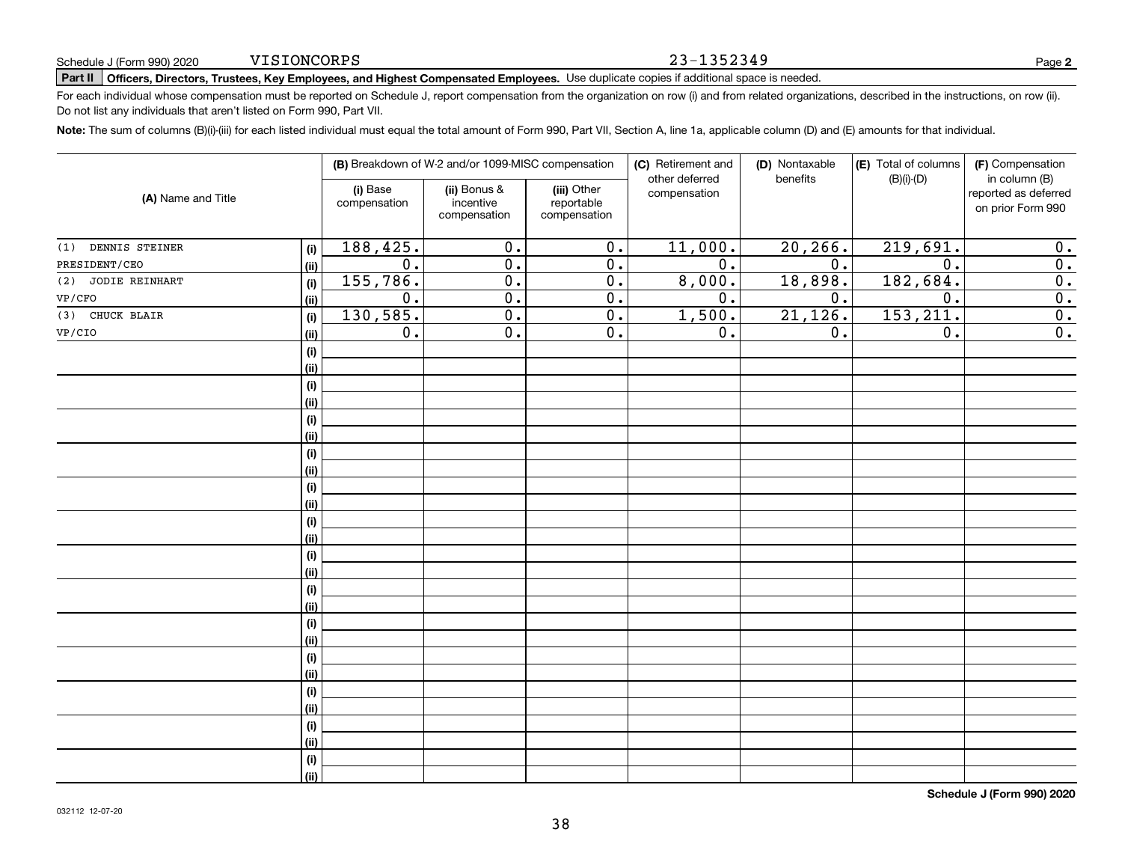#### 23-1352349

**2**

# **Part II Officers, Directors, Trustees, Key Employees, and Highest Compensated Employees.**  Schedule J (Form 990) 2020 Page Use duplicate copies if additional space is needed.

For each individual whose compensation must be reported on Schedule J, report compensation from the organization on row (i) and from related organizations, described in the instructions, on row (ii). Do not list any individuals that aren't listed on Form 990, Part VII.

**Note:**  The sum of columns (B)(i)-(iii) for each listed individual must equal the total amount of Form 990, Part VII, Section A, line 1a, applicable column (D) and (E) amounts for that individual.

|                       |      | (B) Breakdown of W-2 and/or 1099-MISC compensation |                                           | (C) Retirement and<br>(D) Nontaxable<br>other deferred<br>benefits |                  | (E) Total of columns<br>$(B)(i)-(D)$ | (F) Compensation<br>in column (B) |                                           |
|-----------------------|------|----------------------------------------------------|-------------------------------------------|--------------------------------------------------------------------|------------------|--------------------------------------|-----------------------------------|-------------------------------------------|
| (A) Name and Title    |      | (i) Base<br>compensation                           | (ii) Bonus &<br>incentive<br>compensation | (iii) Other<br>reportable<br>compensation                          | compensation     |                                      |                                   | reported as deferred<br>on prior Form 990 |
| DENNIS STEINER<br>(1) | (i)  | 188,425.                                           | $\overline{0}$ .                          | $\overline{0}$ .                                                   | 11,000.          | 20, 266.                             | 219,691.                          | 0.                                        |
| PRESIDENT/CEO         | (ii) | 0.                                                 | $\overline{0}$ .                          | $\overline{0}$ .                                                   | $\overline{0}$ . | 0.                                   | $\overline{0}$ .                  | 0.                                        |
| (2) JODIE REINHART    | (i)  | 155,786.                                           | $\overline{0}$ .                          | $\overline{0}$ .                                                   | 8,000.           | 18,898.                              | 182,684.                          | $\overline{0}$ .                          |
| VP/CFO                | (ii) | 0.                                                 | $\overline{0}$ .                          | $\overline{0}$ .                                                   | $\overline{0}$ . | 0.                                   | $\overline{0}$ .                  | 0.                                        |
| (3) CHUCK BLAIR       | (i)  | 130,585.                                           | $\overline{0}$ .                          | $\overline{0}$ .                                                   | 1,500.           | 21,126.                              | 153, 211.                         | $\overline{0}$ .                          |
| VP/CIO                | (ii) | $\overline{0}$ .                                   | $\overline{0}$ .                          | $\overline{0}$ .                                                   | $\overline{0}$ . | 0.                                   | $\overline{0}$ .                  | $\overline{0}$ .                          |
|                       | (i)  |                                                    |                                           |                                                                    |                  |                                      |                                   |                                           |
|                       | (ii) |                                                    |                                           |                                                                    |                  |                                      |                                   |                                           |
|                       | (i)  |                                                    |                                           |                                                                    |                  |                                      |                                   |                                           |
|                       | (ii) |                                                    |                                           |                                                                    |                  |                                      |                                   |                                           |
|                       | (i)  |                                                    |                                           |                                                                    |                  |                                      |                                   |                                           |
|                       | (ii) |                                                    |                                           |                                                                    |                  |                                      |                                   |                                           |
|                       | (i)  |                                                    |                                           |                                                                    |                  |                                      |                                   |                                           |
|                       | (ii) |                                                    |                                           |                                                                    |                  |                                      |                                   |                                           |
|                       | (i)  |                                                    |                                           |                                                                    |                  |                                      |                                   |                                           |
|                       | (ii) |                                                    |                                           |                                                                    |                  |                                      |                                   |                                           |
|                       | (i)  |                                                    |                                           |                                                                    |                  |                                      |                                   |                                           |
|                       | (ii) |                                                    |                                           |                                                                    |                  |                                      |                                   |                                           |
|                       | (i)  |                                                    |                                           |                                                                    |                  |                                      |                                   |                                           |
|                       | (ii) |                                                    |                                           |                                                                    |                  |                                      |                                   |                                           |
|                       | (i)  |                                                    |                                           |                                                                    |                  |                                      |                                   |                                           |
|                       | (ii) |                                                    |                                           |                                                                    |                  |                                      |                                   |                                           |
|                       | (i)  |                                                    |                                           |                                                                    |                  |                                      |                                   |                                           |
|                       | (ii) |                                                    |                                           |                                                                    |                  |                                      |                                   |                                           |
|                       | (i)  |                                                    |                                           |                                                                    |                  |                                      |                                   |                                           |
|                       | (ii) |                                                    |                                           |                                                                    |                  |                                      |                                   |                                           |
|                       | (i)  |                                                    |                                           |                                                                    |                  |                                      |                                   |                                           |
|                       | (ii) |                                                    |                                           |                                                                    |                  |                                      |                                   |                                           |
|                       | (i)  |                                                    |                                           |                                                                    |                  |                                      |                                   |                                           |
|                       | (ii) |                                                    |                                           |                                                                    |                  |                                      |                                   |                                           |
|                       | (i)  |                                                    |                                           |                                                                    |                  |                                      |                                   |                                           |
|                       | (ii) |                                                    |                                           |                                                                    |                  |                                      |                                   |                                           |

**Schedule J (Form 990) 2020**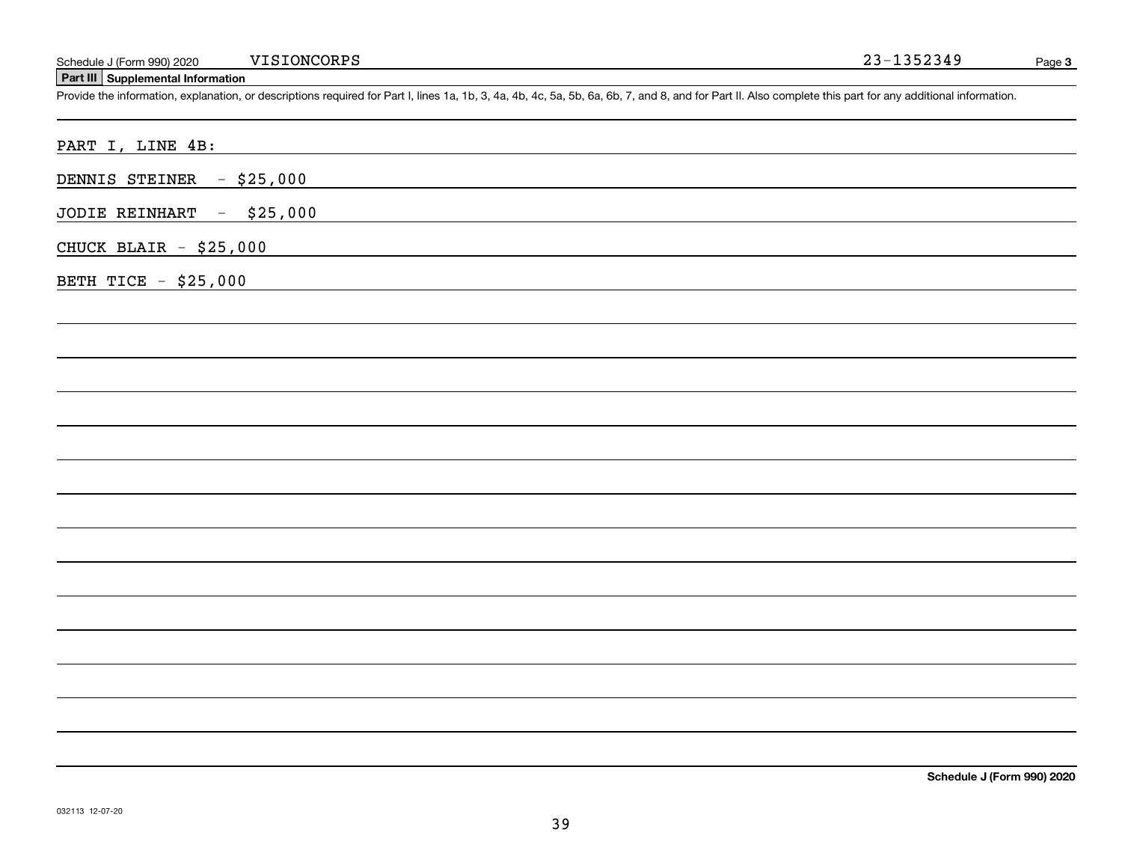# **Part III Supplemental Information**

Schedule J (Form 990) 2020 VISIONCORPS<br>Part III Supplemental Information<br>Provide the information, explanation, or descriptions required for Part I, lines 1a, 1b, 3, 4a, 4b, 4c, 5a, 5b, 6a, 6b, 7, and 8, and for Part II. Al

| PART I, LINE 4B:            |
|-----------------------------|
| DENNIS STEINER - \$25,000   |
| JODIE REINHART - \$25,000   |
| CHUCK BLAIR $-$ \$25,000    |
| <b>BETH TICE - \$25,000</b> |
|                             |
|                             |
|                             |
|                             |
|                             |
|                             |
|                             |
|                             |
|                             |
|                             |
|                             |
|                             |
|                             |
|                             |
|                             |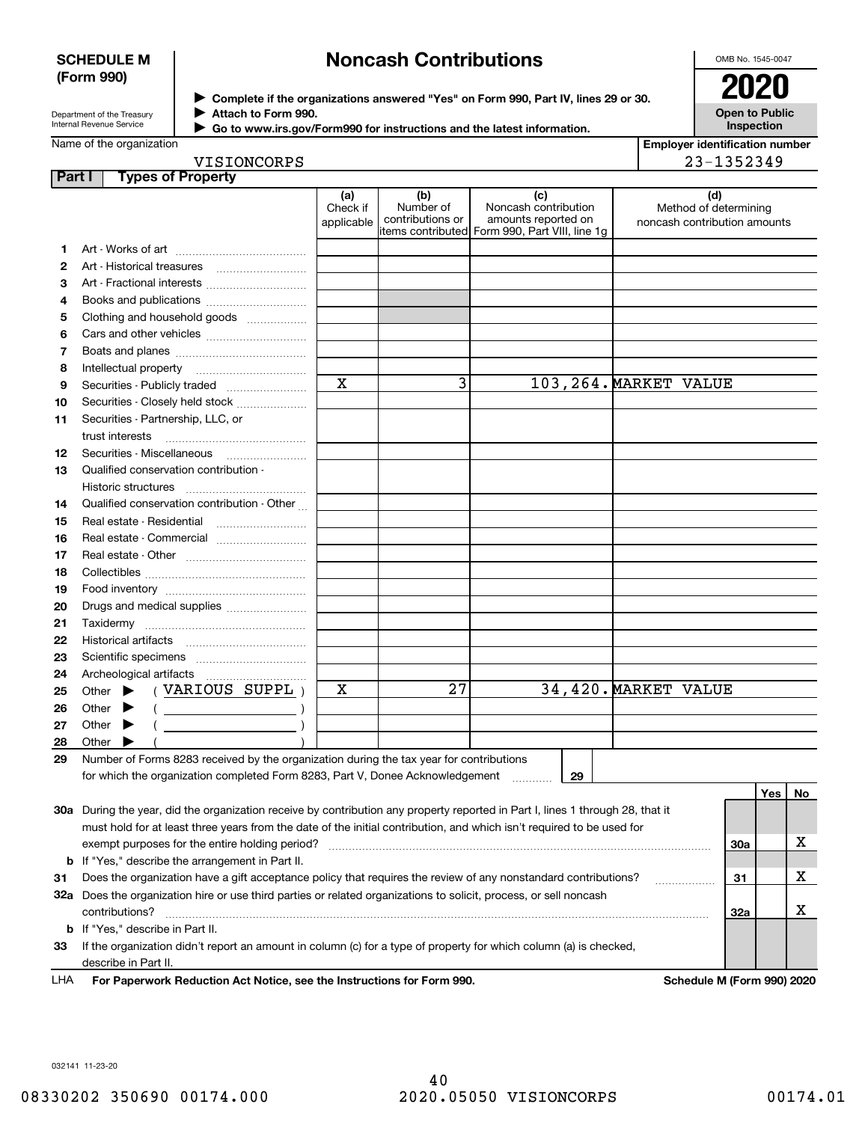#### **SCHEDULE M (Form 990)**

# **Noncash Contributions**

OMB No. 1545-0047

| Department of the Treasury |
|----------------------------|
| Internal Revenue Service   |

**Complete if the organizations answered "Yes" on Form 990, Part IV, lines 29 or 30.** <sup>J</sup>**2020 Attach to Form 990.** J

**Open to Public Inspection**

| Go to www.irs.gov/Form990 for instructions and the latest information. |
|------------------------------------------------------------------------|
|                                                                        |

| <b>Employer identification number</b> |
|---------------------------------------|
| 23-1352349                            |

VISIONCORPS

| <b>Part I</b> | <b>Types of Property</b>                                                                                                       |                               |                                      |                                                                                                      |                                                              |         |    |
|---------------|--------------------------------------------------------------------------------------------------------------------------------|-------------------------------|--------------------------------------|------------------------------------------------------------------------------------------------------|--------------------------------------------------------------|---------|----|
|               |                                                                                                                                | (a)<br>Check if<br>applicable | (b)<br>Number of<br>contributions or | (c)<br>Noncash contribution<br>amounts reported on<br>items contributed Form 990, Part VIII, line 1g | (d)<br>Method of determining<br>noncash contribution amounts |         |    |
| 1             |                                                                                                                                |                               |                                      |                                                                                                      |                                                              |         |    |
| 2             |                                                                                                                                |                               |                                      |                                                                                                      |                                                              |         |    |
| 3             | Art - Fractional interests                                                                                                     |                               |                                      |                                                                                                      |                                                              |         |    |
| 4             | Books and publications                                                                                                         |                               |                                      |                                                                                                      |                                                              |         |    |
| 5             | Clothing and household goods                                                                                                   |                               |                                      |                                                                                                      |                                                              |         |    |
| 6             |                                                                                                                                |                               |                                      |                                                                                                      |                                                              |         |    |
| 7             |                                                                                                                                |                               |                                      |                                                                                                      |                                                              |         |    |
| 8             |                                                                                                                                |                               |                                      |                                                                                                      |                                                              |         |    |
| 9             | Securities - Publicly traded                                                                                                   | $\mathbf x$                   | 3                                    |                                                                                                      | 103, 264. MARKET VALUE                                       |         |    |
| 10            | Securities - Closely held stock                                                                                                |                               |                                      |                                                                                                      |                                                              |         |    |
| 11            | Securities - Partnership, LLC, or                                                                                              |                               |                                      |                                                                                                      |                                                              |         |    |
|               | trust interests                                                                                                                |                               |                                      |                                                                                                      |                                                              |         |    |
| 12            | Securities - Miscellaneous                                                                                                     |                               |                                      |                                                                                                      |                                                              |         |    |
| 13            | Qualified conservation contribution -                                                                                          |                               |                                      |                                                                                                      |                                                              |         |    |
|               | Historic structures                                                                                                            |                               |                                      |                                                                                                      |                                                              |         |    |
| 14            | Qualified conservation contribution - Other                                                                                    |                               |                                      |                                                                                                      |                                                              |         |    |
| 15            | Real estate - Residential                                                                                                      |                               |                                      |                                                                                                      |                                                              |         |    |
| 16            | Real estate - Commercial                                                                                                       |                               |                                      |                                                                                                      |                                                              |         |    |
| 17            |                                                                                                                                |                               |                                      |                                                                                                      |                                                              |         |    |
| 18            |                                                                                                                                |                               |                                      |                                                                                                      |                                                              |         |    |
| 19            |                                                                                                                                |                               |                                      |                                                                                                      |                                                              |         |    |
| 20            | Drugs and medical supplies                                                                                                     |                               |                                      |                                                                                                      |                                                              |         |    |
| 21            |                                                                                                                                |                               |                                      |                                                                                                      |                                                              |         |    |
| 22            |                                                                                                                                |                               |                                      |                                                                                                      |                                                              |         |    |
| 23            |                                                                                                                                |                               |                                      |                                                                                                      |                                                              |         |    |
| 24            |                                                                                                                                |                               |                                      |                                                                                                      |                                                              |         |    |
| 25            | (VARIOUS SUPPL)<br>Other $\blacktriangleright$                                                                                 | х                             | 27                                   |                                                                                                      | 34,420. MARKET VALUE                                         |         |    |
| 26            | Other $\blacktriangleright$<br>$($ )                                                                                           |                               |                                      |                                                                                                      |                                                              |         |    |
| 27            | Other $\blacktriangleright$                                                                                                    |                               |                                      |                                                                                                      |                                                              |         |    |
| 28            | Other $\blacktriangleright$                                                                                                    |                               |                                      |                                                                                                      |                                                              |         |    |
| 29            | Number of Forms 8283 received by the organization during the tax year for contributions                                        |                               |                                      |                                                                                                      |                                                              |         |    |
|               | for which the organization completed Form 8283, Part V, Donee Acknowledgement                                                  |                               |                                      | 29                                                                                                   |                                                              |         |    |
|               |                                                                                                                                |                               |                                      |                                                                                                      |                                                              | Yes $ $ | No |
|               | 30a During the year, did the organization receive by contribution any property reported in Part I, lines 1 through 28, that it |                               |                                      |                                                                                                      |                                                              |         |    |
|               | must hold for at least three years from the date of the initial contribution, and which isn't required to be used for          |                               |                                      |                                                                                                      |                                                              |         |    |
|               | exempt purposes for the entire holding period?                                                                                 |                               |                                      |                                                                                                      |                                                              | 30a     | х  |
| b             | If "Yes," describe the arrangement in Part II.                                                                                 |                               |                                      |                                                                                                      |                                                              |         |    |
| 31            | Does the organization have a gift acceptance policy that requires the review of any nonstandard contributions?                 |                               |                                      |                                                                                                      | .                                                            | 31      | х  |
|               | 32a Does the organization hire or use third parties or related organizations to solicit, process, or sell noncash              |                               |                                      |                                                                                                      |                                                              |         |    |
|               | contributions?                                                                                                                 |                               |                                      |                                                                                                      |                                                              | 32a     | х  |
| b             | If "Yes," describe in Part II.                                                                                                 |                               |                                      |                                                                                                      |                                                              |         |    |
| 33            | If the organization didn't report an amount in column (c) for a type of property for which column (a) is checked,              |                               |                                      |                                                                                                      |                                                              |         |    |
|               | describe in Part II.                                                                                                           |                               |                                      |                                                                                                      |                                                              |         |    |

For Paperwork Reduction Act Notice, see the Instructions for Form 990. **Schedule M** (Form 990) 2020 LHA

032141 11-23-20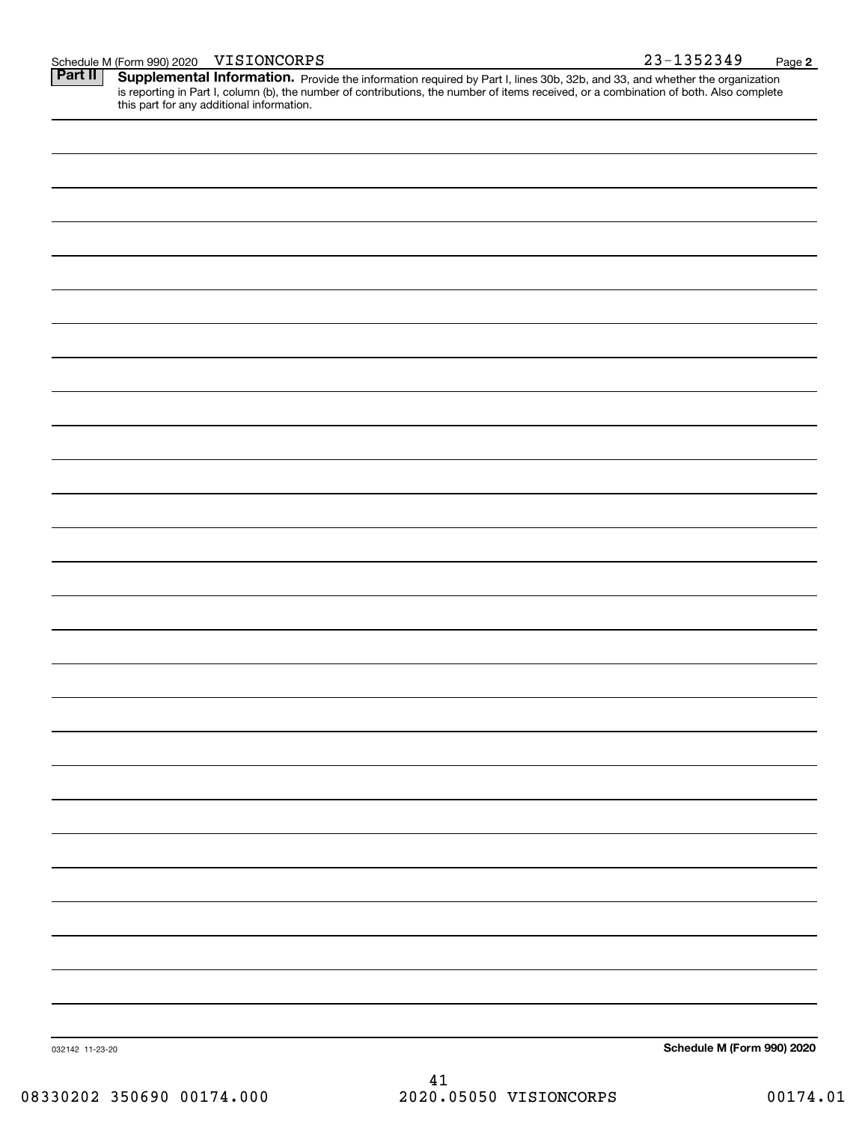|  | Schedule M (Form 990) 2020 | VISIONCORPS | $-1352349$<br>າ ຊ _ | Page |  |
|--|----------------------------|-------------|---------------------|------|--|
|--|----------------------------|-------------|---------------------|------|--|

Part II | Supplemental Information. Provide the information required by Part I, lines 30b, 32b, and 33, and whether the organization is reporting in Part I, column (b), the number of contributions, the number of items received, or a combination of both. Also complete this part for any additional information.

| Schedule M (Form 990) 2020<br>032142 11-23-20 |  |
|-----------------------------------------------|--|
|                                               |  |
|                                               |  |
|                                               |  |
|                                               |  |
|                                               |  |
|                                               |  |
|                                               |  |
|                                               |  |
|                                               |  |
|                                               |  |
|                                               |  |
|                                               |  |
|                                               |  |
|                                               |  |
|                                               |  |
|                                               |  |
|                                               |  |
|                                               |  |
|                                               |  |
|                                               |  |
|                                               |  |
|                                               |  |
|                                               |  |
|                                               |  |
|                                               |  |
|                                               |  |
|                                               |  |
|                                               |  |
|                                               |  |
|                                               |  |
|                                               |  |

41 08330202 350690 00174.000 2020.05050 VISIONCORPS 00174.01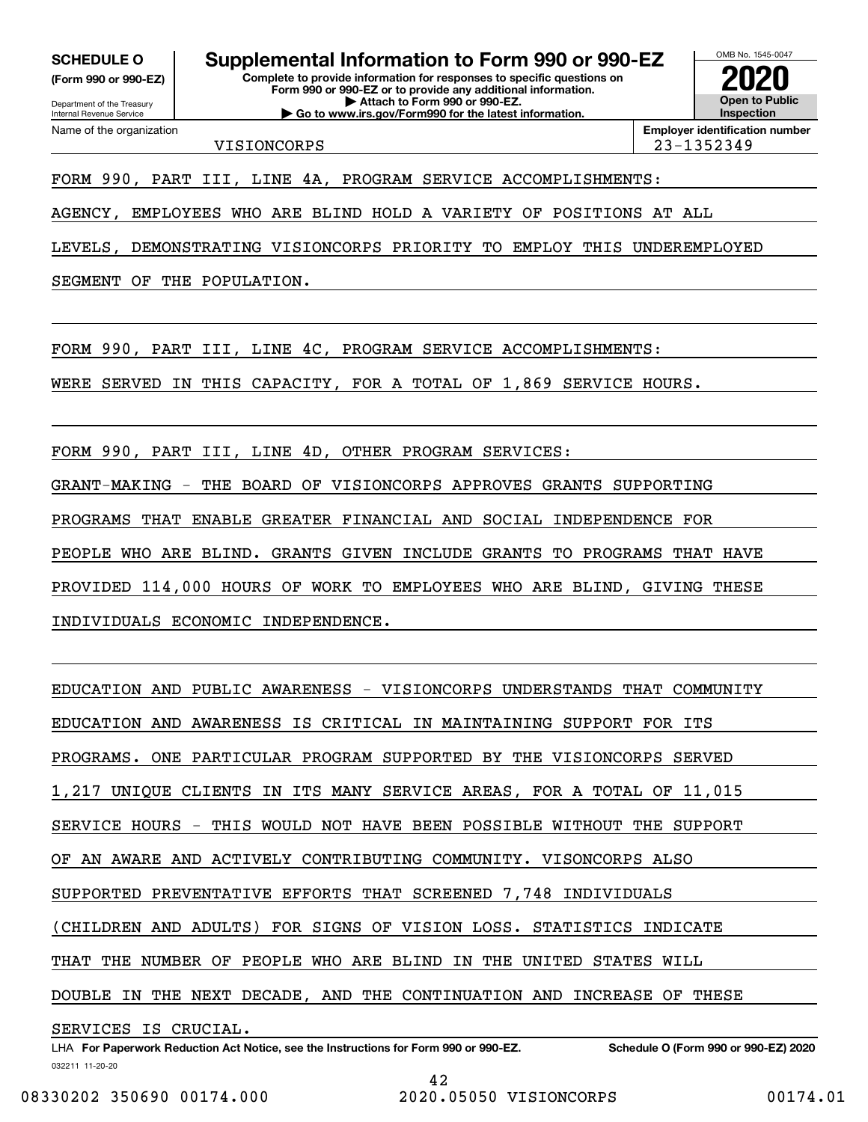**(Form 990 or 990-EZ)**

Department of the Treasury Internal Revenue Service Name of the organization

**Complete to provide information for responses to specific questions on SCHEDULE O Supplemental Information to Form 990 or 990-EZ**

**Form 990 or 990-EZ or to provide any additional information. | Attach to Form 990 or 990-EZ. | Go to www.irs.gov/Form990 for the latest information.**



VISIONCORPS 23-1352349

FORM 990, PART III, LINE 4A, PROGRAM SERVICE ACCOMPLISHMENTS:

AGENCY, EMPLOYEES WHO ARE BLIND HOLD A VARIETY OF POSITIONS AT ALL

LEVELS, DEMONSTRATING VISIONCORPS PRIORITY TO EMPLOY THIS UNDEREMPLOYED

SEGMENT OF THE POPULATION.

FORM 990, PART III, LINE 4C, PROGRAM SERVICE ACCOMPLISHMENTS:

WERE SERVED IN THIS CAPACITY, FOR A TOTAL OF 1,869 SERVICE HOURS.

FORM 990, PART III, LINE 4D, OTHER PROGRAM SERVICES:

GRANT-MAKING - THE BOARD OF VISIONCORPS APPROVES GRANTS SUPPORTING

PROGRAMS THAT ENABLE GREATER FINANCIAL AND SOCIAL INDEPENDENCE FOR

PEOPLE WHO ARE BLIND. GRANTS GIVEN INCLUDE GRANTS TO PROGRAMS THAT HAVE

PROVIDED 114,000 HOURS OF WORK TO EMPLOYEES WHO ARE BLIND, GIVING THESE

INDIVIDUALS ECONOMIC INDEPENDENCE.

EDUCATION AND PUBLIC AWARENESS - VISIONCORPS UNDERSTANDS THAT COMMUNITY EDUCATION AND AWARENESS IS CRITICAL IN MAINTAINING SUPPORT FOR ITS PROGRAMS. ONE PARTICULAR PROGRAM SUPPORTED BY THE VISIONCORPS SERVED 1,217 UNIQUE CLIENTS IN ITS MANY SERVICE AREAS, FOR A TOTAL OF 11,015 SERVICE HOURS - THIS WOULD NOT HAVE BEEN POSSIBLE WITHOUT THE SUPPORT OF AN AWARE AND ACTIVELY CONTRIBUTING COMMUNITY. VISONCORPS ALSO SUPPORTED PREVENTATIVE EFFORTS THAT SCREENED 7,748 INDIVIDUALS (CHILDREN AND ADULTS) FOR SIGNS OF VISION LOSS. STATISTICS INDICATE THAT THE NUMBER OF PEOPLE WHO ARE BLIND IN THE UNITED STATES WILL DOUBLE IN THE NEXT DECADE, AND THE CONTINUATION AND INCREASE OF THESE SERVICES IS CRUCIAL.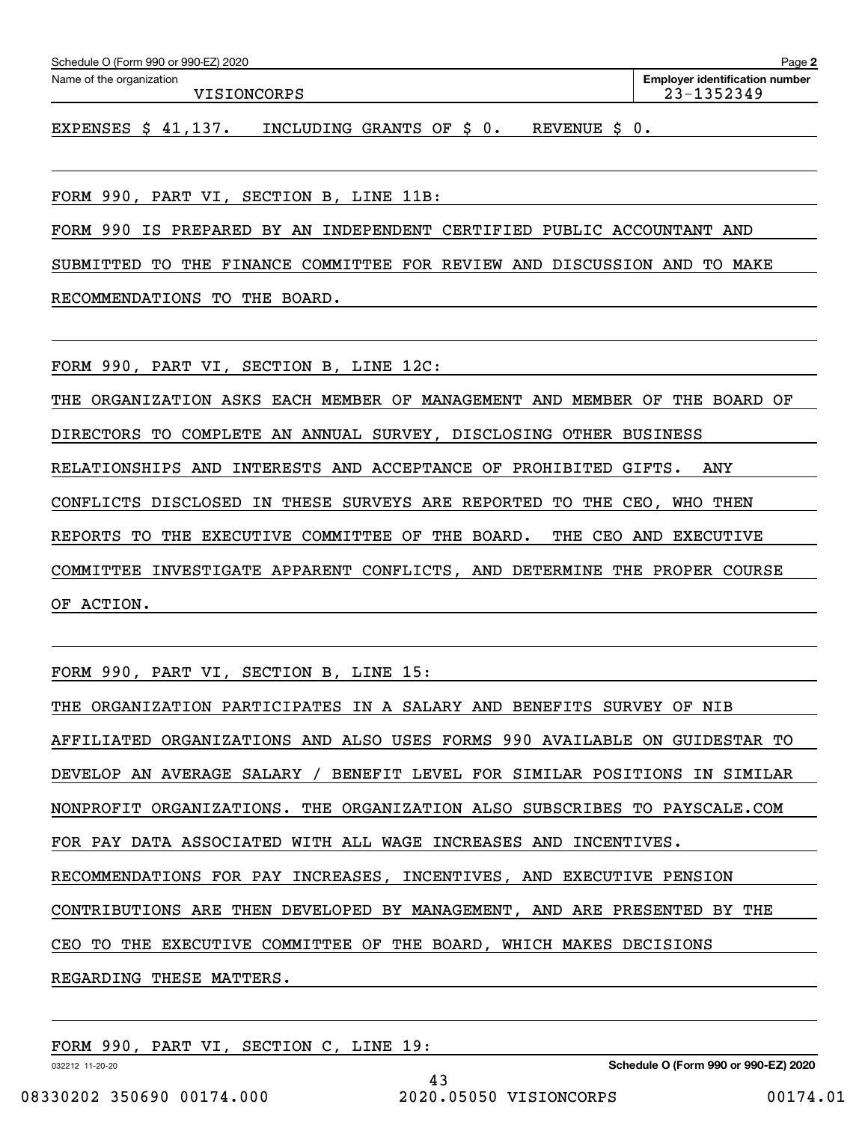| Schedule O (Form 990 or 990-EZ) 2020 | Page 2                                |           |                |
|--------------------------------------|---------------------------------------|-----------|----------------|
| Name of the organization             | <b>Employer identification number</b> |           |                |
| VISIONCORPS                          |                                       |           | $23 - 1352349$ |
|                                      |                                       |           |                |
| EXPENSES $$41,137$ .                 | INCLUDING GRANTS OF \$ 0.             | REVENUE S |                |
|                                      |                                       |           |                |

FORM 990, PART VI, SECTION B, LINE 11B:

FORM 990 IS PREPARED BY AN INDEPENDENT CERTIFIED PUBLIC ACCOUNTANT AND

SUBMITTED TO THE FINANCE COMMITTEE FOR REVIEW AND DISCUSSION AND TO MAKE

RECOMMENDATIONS TO THE BOARD.

FORM 990, PART VI, SECTION B, LINE 12C:

THE ORGANIZATION ASKS EACH MEMBER OF MANAGEMENT AND MEMBER OF THE BOARD OF DIRECTORS TO COMPLETE AN ANNUAL SURVEY, DISCLOSING OTHER BUSINESS RELATIONSHIPS AND INTERESTS AND ACCEPTANCE OF PROHIBITED GIFTS. ANY CONFLICTS DISCLOSED IN THESE SURVEYS ARE REPORTED TO THE CEO, WHO THEN REPORTS TO THE EXECUTIVE COMMITTEE OF THE BOARD. THE CEO AND EXECUTIVE COMMITTEE INVESTIGATE APPARENT CONFLICTS, AND DETERMINE THE PROPER COURSE OF ACTION.

FORM 990, PART VI, SECTION B, LINE 15:

| THE ORGANIZATION PARTICIPATES IN A SALARY AND BENEFITS SURVEY OF NIB       |  |  |  |  |  |
|----------------------------------------------------------------------------|--|--|--|--|--|
| AFFILIATED ORGANIZATIONS AND ALSO USES FORMS 990 AVAILABLE ON GUIDESTAR TO |  |  |  |  |  |
| DEVELOP AN AVERAGE SALARY / BENEFIT LEVEL FOR SIMILAR POSITIONS IN SIMILAR |  |  |  |  |  |
| NONPROFIT ORGANIZATIONS. THE ORGANIZATION ALSO SUBSCRIBES TO PAYSCALE.COM  |  |  |  |  |  |
| FOR PAY DATA ASSOCIATED WITH ALL WAGE INCREASES AND INCENTIVES.            |  |  |  |  |  |
| RECOMMENDATIONS FOR PAY INCREASES, INCENTIVES, AND EXECUTIVE PENSION       |  |  |  |  |  |
| CONTRIBUTIONS ARE THEN DEVELOPED BY MANAGEMENT, AND ARE PRESENTED BY THE   |  |  |  |  |  |
| CEO TO THE EXECUTIVE COMMITTEE OF THE BOARD, WHICH MAKES DECISIONS         |  |  |  |  |  |
| REGARDING THESE MATTERS.                                                   |  |  |  |  |  |

FORM 990, PART VI, SECTION C, LINE 19:

032212 11-20-20

**Schedule O (Form 990 or 990-EZ) 2020**

**2**220.2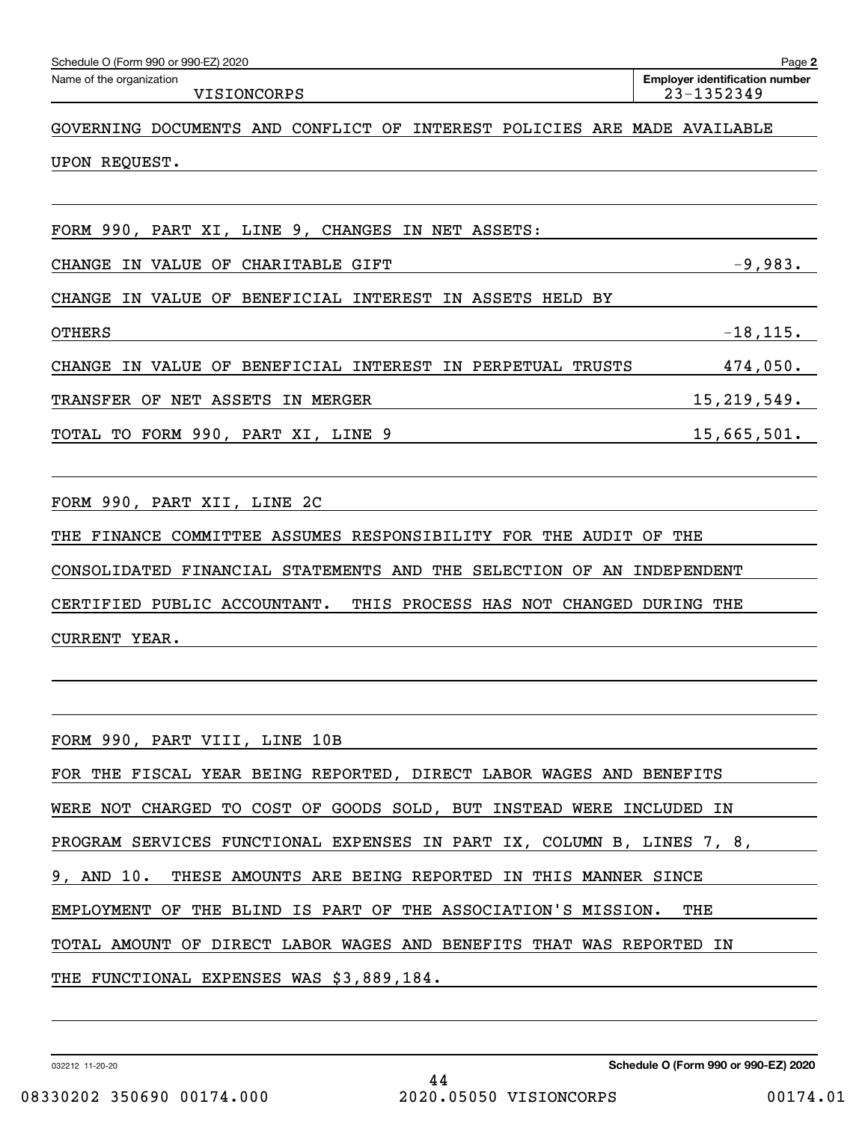| Schedule O (Form 990 or 990-EZ) 2020                                        | Page 2                                              |
|-----------------------------------------------------------------------------|-----------------------------------------------------|
| Name of the organization<br>VISIONCORPS                                     | <b>Employer identification number</b><br>23-1352349 |
| GOVERNING DOCUMENTS AND CONFLICT OF<br>INTEREST POLICIES ARE MADE AVAILABLE |                                                     |
| UPON REQUEST.                                                               |                                                     |
| FORM 990, PART XI, LINE 9, CHANGES IN NET ASSETS:                           |                                                     |
| IN VALUE OF CHARITABLE GIFT<br><b>CHANGE</b>                                | $-9,983.$                                           |
| IN VALUE OF BENEFICIAL INTEREST IN ASSETS HELD BY<br><b>CHANGE</b>          |                                                     |
| <b>OTHERS</b>                                                               | $-18, 115.$                                         |
| IN VALUE OF BENEFICIAL INTEREST IN PERPETUAL TRUSTS<br><b>CHANGE</b>        | 474,050.                                            |
| TRANSFER OF NET ASSETS IN MERGER                                            | 15, 219, 549.                                       |
| TOTAL TO FORM 990, PART XI, LINE 9                                          | 15,665,501.                                         |
|                                                                             |                                                     |
| FORM 990, PART XII, LINE 2C                                                 |                                                     |
| THE FINANCE COMMITTEE ASSUMES RESPONSIBILITY FOR THE AUDIT OF               | THE                                                 |
| CONSOLIDATED FINANCIAL STATEMENTS AND THE SELECTION OF AN INDEPENDENT       |                                                     |
| CERTIFIED PUBLIC ACCOUNTANT.<br>THIS PROCESS HAS NOT CHANGED DURING THE     |                                                     |
| CURRENT YEAR.                                                               |                                                     |
|                                                                             |                                                     |
|                                                                             |                                                     |
| FORM 990, PART VIII, LINE 10B                                               |                                                     |
| FOR THE FISCAL YEAR BEING REPORTED, DIRECT LABOR WAGES AND BENEFITS         |                                                     |
| WERE NOT CHARGED TO COST OF GOODS SOLD, BUT INSTEAD WERE INCLUDED IN        |                                                     |
| PROGRAM SERVICES FUNCTIONAL EXPENSES IN PART IX, COLUMN B, LINES 7, 8,      |                                                     |
| 9, AND 10. THESE AMOUNTS ARE BEING REPORTED IN THIS MANNER SINCE            |                                                     |
| EMPLOYMENT OF THE BLIND IS PART OF THE ASSOCIATION'S MISSION.               | THE                                                 |
| TOTAL AMOUNT OF DIRECT LABOR WAGES AND BENEFITS THAT WAS REPORTED IN        |                                                     |
| THE FUNCTIONAL EXPENSES WAS \$3,889,184.                                    |                                                     |

032212 11-20-20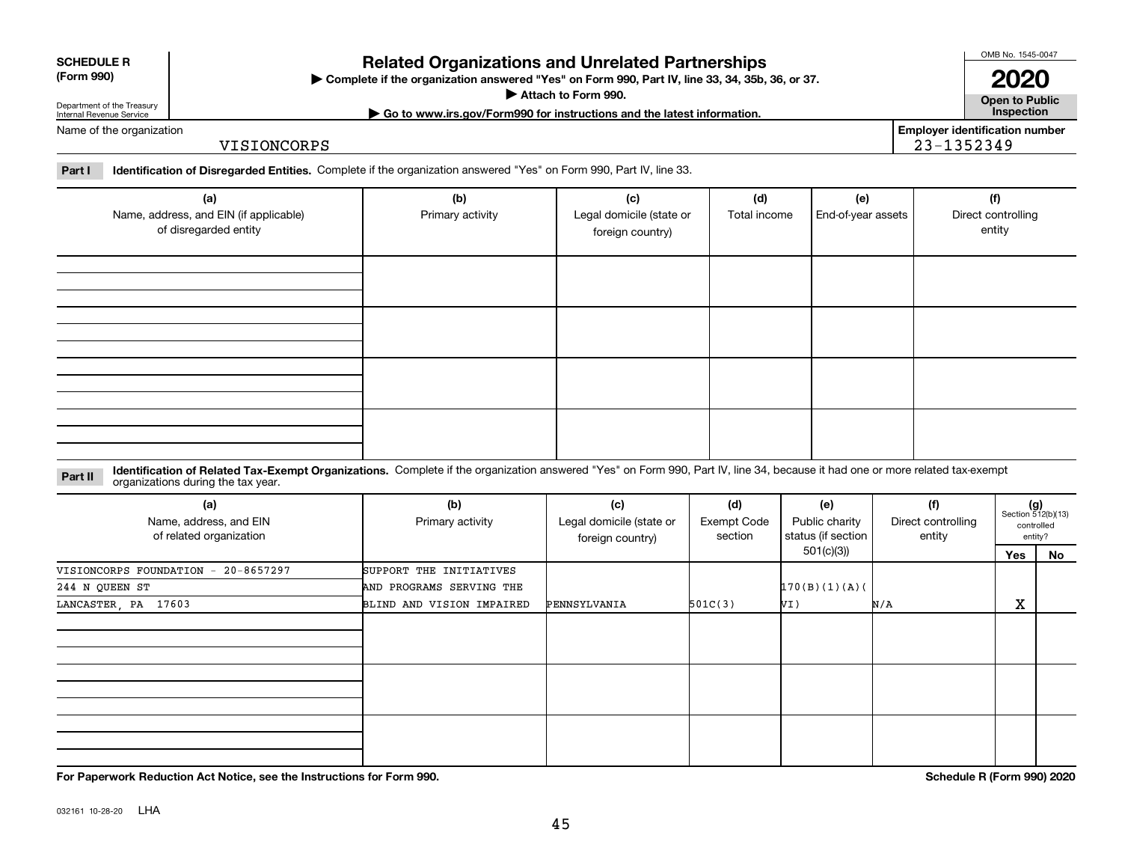|  |  | Name |
|--|--|------|
|  |  |      |

**SCHEDULE R (Form 990)**

# **Related Organizations and Unrelated Partnerships**

**Complete if the organization answered "Yes" on Form 990, Part IV, line 33, 34, 35b, 36, or 37.** |

**Attach to Form 990.**  |

**| Go to www.irs.gov/Form990 for instructions and the latest information. Inspection**

**Open to Public 2020**

OMB No. 1545-0047

Department of the Treasury Internal Revenue Service of the organization

VISIONCORPS

**Employer identification number** 23-1352349

**Part I Identification of Disregarded Entities.**  Complete if the organization answered "Yes" on Form 990, Part IV, line 33.

| (a)<br>Name, address, and EIN (if applicable)<br>of disregarded entity | (b)<br>Primary activity | (c)<br>Legal domicile (state or<br>foreign country) | (d)<br>Total income | (e)<br>End-of-year assets | (f)<br>Direct controlling<br>entity |
|------------------------------------------------------------------------|-------------------------|-----------------------------------------------------|---------------------|---------------------------|-------------------------------------|
|                                                                        |                         |                                                     |                     |                           |                                     |
|                                                                        |                         |                                                     |                     |                           |                                     |
|                                                                        |                         |                                                     |                     |                           |                                     |
|                                                                        |                         |                                                     |                     |                           |                                     |

**Identification of Related Tax-Exempt Organizations.** Complete if the organization answered "Yes" on Form 990, Part IV, line 34, because it had one or more related tax-exempt **Part II** organizations during the tax year.

| (a)<br>Name, address, and EIN<br>of related organization | (b)<br>Primary activity   | (c)<br>Legal domicile (state or<br>foreign country) | (d)<br><b>Exempt Code</b><br>section | (e)<br>Public charity<br>status (if section | (f)<br>Direct controlling<br>entity |     | $(g)$<br>Section 512(b)(13)<br>controlled<br>entity? |
|----------------------------------------------------------|---------------------------|-----------------------------------------------------|--------------------------------------|---------------------------------------------|-------------------------------------|-----|------------------------------------------------------|
|                                                          |                           |                                                     |                                      | 501(c)(3))                                  |                                     | Yes | No                                                   |
| VISIONCORPS FOUNDATION - 20-8657297                      | SUPPORT THE INITIATIVES   |                                                     |                                      |                                             |                                     |     |                                                      |
| 244 N QUEEN ST                                           | AND PROGRAMS SERVING THE  |                                                     |                                      | 170(B)(1)(A)                                |                                     |     |                                                      |
| LANCASTER, PA 17603                                      | BLIND AND VISION IMPAIRED | PENNSYLVANIA                                        | 501C(3)                              | VI)                                         | N/A                                 | X   |                                                      |
|                                                          |                           |                                                     |                                      |                                             |                                     |     |                                                      |
|                                                          |                           |                                                     |                                      |                                             |                                     |     |                                                      |
|                                                          |                           |                                                     |                                      |                                             |                                     |     |                                                      |

**For Paperwork Reduction Act Notice, see the Instructions for Form 990. Schedule R (Form 990) 2020**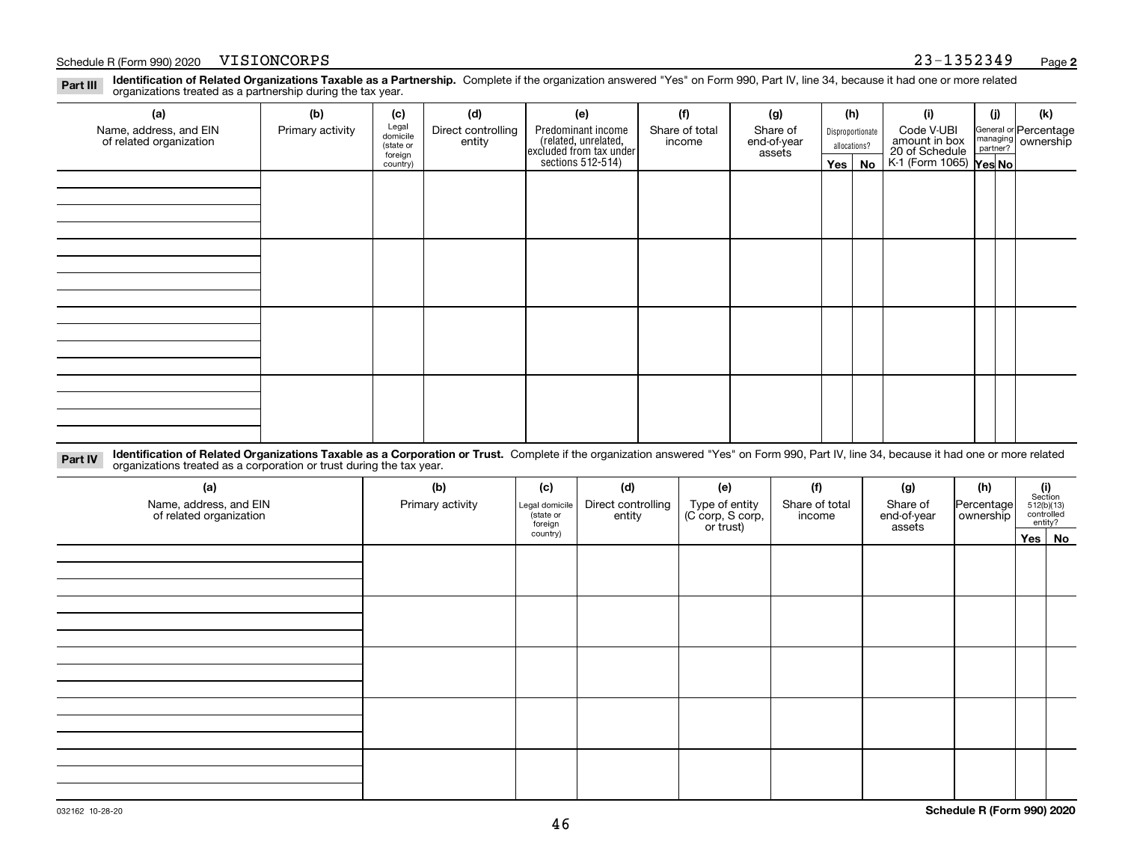#### Schedule R (Form 990) 2020 Page VISIONCORPS 23-1352349

**Identification of Related Organizations Taxable as a Partnership.** Complete if the organization answered "Yes" on Form 990, Part IV, line 34, because it had one or more related **Part III** organizations treated as a partnership during the tax year.

| (a)                     | (b)              | (c)                  | (d)                | (e)                                                                 | (f)            | (g)                   |         | (h)              | (i)                                                       | (j) | (k)                   |  |
|-------------------------|------------------|----------------------|--------------------|---------------------------------------------------------------------|----------------|-----------------------|---------|------------------|-----------------------------------------------------------|-----|-----------------------|--|
| Name, address, and EIN  | Primary activity | Legal<br>domicile    | Direct controlling | Predominant income                                                  | Share of total | Share of              |         | Disproportionate | Code V-UBI                                                |     | General or Percentage |  |
| of related organization |                  | (state or<br>foreign | entity             | related, unrelated,<br>excluded from tax under<br>sections 512-514) | income         | end-of-year<br>assets |         | allocations?     | amount in box<br>20 of Schedule<br>K-1 (Form 1065) Yes No |     | managing ownership    |  |
|                         |                  | country)             |                    |                                                                     |                |                       | Yes $ $ | No               |                                                           |     |                       |  |
|                         |                  |                      |                    |                                                                     |                |                       |         |                  |                                                           |     |                       |  |
|                         |                  |                      |                    |                                                                     |                |                       |         |                  |                                                           |     |                       |  |
|                         |                  |                      |                    |                                                                     |                |                       |         |                  |                                                           |     |                       |  |
|                         |                  |                      |                    |                                                                     |                |                       |         |                  |                                                           |     |                       |  |
|                         |                  |                      |                    |                                                                     |                |                       |         |                  |                                                           |     |                       |  |
|                         |                  |                      |                    |                                                                     |                |                       |         |                  |                                                           |     |                       |  |
|                         |                  |                      |                    |                                                                     |                |                       |         |                  |                                                           |     |                       |  |
|                         |                  |                      |                    |                                                                     |                |                       |         |                  |                                                           |     |                       |  |
|                         |                  |                      |                    |                                                                     |                |                       |         |                  |                                                           |     |                       |  |
|                         |                  |                      |                    |                                                                     |                |                       |         |                  |                                                           |     |                       |  |
|                         |                  |                      |                    |                                                                     |                |                       |         |                  |                                                           |     |                       |  |
|                         |                  |                      |                    |                                                                     |                |                       |         |                  |                                                           |     |                       |  |
|                         |                  |                      |                    |                                                                     |                |                       |         |                  |                                                           |     |                       |  |
|                         |                  |                      |                    |                                                                     |                |                       |         |                  |                                                           |     |                       |  |
|                         |                  |                      |                    |                                                                     |                |                       |         |                  |                                                           |     |                       |  |
|                         |                  |                      |                    |                                                                     |                |                       |         |                  |                                                           |     |                       |  |
|                         |                  |                      |                    |                                                                     |                |                       |         |                  |                                                           |     |                       |  |

**Identification of Related Organizations Taxable as a Corporation or Trust.** Complete if the organization answered "Yes" on Form 990, Part IV, line 34, because it had one or more related **Part IV** organizations treated as a corporation or trust during the tax year.

| (a)<br>Name, address, and EIN<br>of related organization | (b)<br>Primary activity | (c)<br>Legal domicile<br>(state or<br>foreign | (d)<br>Direct controlling<br>entity | (e)<br>Type of entity<br>(C corp, S corp,<br>or trust) | (f)<br>Share of total<br>income | (g)<br>Share of<br>end-of-year<br>assets | (h)<br>Percentage<br>ownership | $\begin{array}{c} \textbf{(i)}\\ \text{Section}\\ 512 \text{(b)} \text{(13)}\\ \text{controlled}\end{array}$<br>entity? |  |
|----------------------------------------------------------|-------------------------|-----------------------------------------------|-------------------------------------|--------------------------------------------------------|---------------------------------|------------------------------------------|--------------------------------|-------------------------------------------------------------------------------------------------------------------------|--|
|                                                          |                         | country)                                      |                                     |                                                        |                                 |                                          |                                | Yes No                                                                                                                  |  |
|                                                          |                         |                                               |                                     |                                                        |                                 |                                          |                                |                                                                                                                         |  |
|                                                          |                         |                                               |                                     |                                                        |                                 |                                          |                                |                                                                                                                         |  |
|                                                          |                         |                                               |                                     |                                                        |                                 |                                          |                                |                                                                                                                         |  |
|                                                          |                         |                                               |                                     |                                                        |                                 |                                          |                                |                                                                                                                         |  |
|                                                          |                         |                                               |                                     |                                                        |                                 |                                          |                                |                                                                                                                         |  |
|                                                          |                         |                                               |                                     |                                                        |                                 |                                          |                                |                                                                                                                         |  |
|                                                          |                         |                                               |                                     |                                                        |                                 |                                          |                                |                                                                                                                         |  |
|                                                          |                         |                                               |                                     |                                                        |                                 |                                          |                                |                                                                                                                         |  |
|                                                          |                         |                                               |                                     |                                                        |                                 |                                          |                                |                                                                                                                         |  |
|                                                          |                         |                                               |                                     |                                                        |                                 |                                          |                                |                                                                                                                         |  |
|                                                          |                         |                                               |                                     |                                                        |                                 |                                          |                                |                                                                                                                         |  |
|                                                          |                         |                                               |                                     |                                                        |                                 |                                          |                                |                                                                                                                         |  |
|                                                          |                         |                                               |                                     |                                                        |                                 |                                          |                                |                                                                                                                         |  |
|                                                          |                         |                                               |                                     |                                                        |                                 |                                          |                                |                                                                                                                         |  |
|                                                          |                         |                                               |                                     |                                                        |                                 |                                          |                                |                                                                                                                         |  |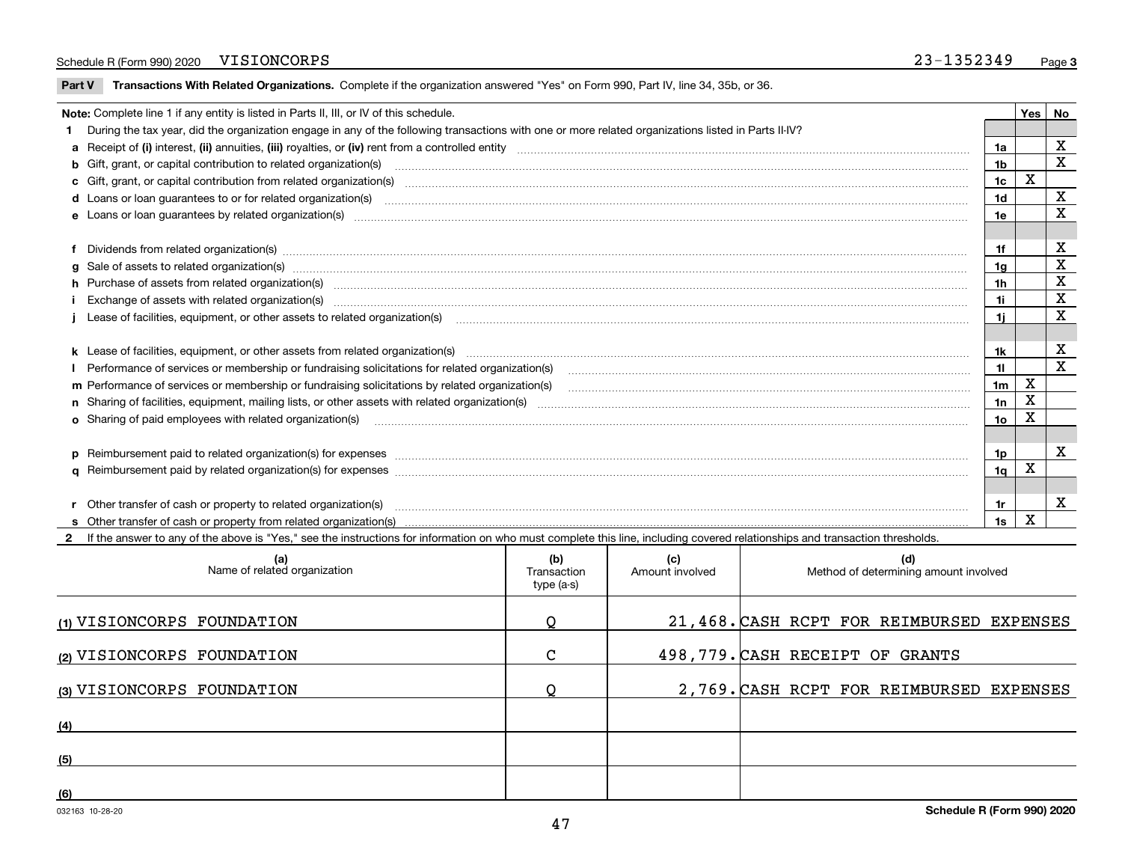#### Schedule R (Form 990) 2020 Page VISIONCORPS 23-1352349

 $\overline{\phantom{a}}$ 

**Part V** T**ransactions With Related Organizations.** Complete if the organization answered "Yes" on Form 990, Part IV, line 34, 35b, or 36.

| Note: Complete line 1 if any entity is listed in Parts II, III, or IV of this schedule. |                                                                                                                                                                                                                                |                |   |              |  |  |  |
|-----------------------------------------------------------------------------------------|--------------------------------------------------------------------------------------------------------------------------------------------------------------------------------------------------------------------------------|----------------|---|--------------|--|--|--|
|                                                                                         | 1 During the tax year, did the organization engage in any of the following transactions with one or more related organizations listed in Parts II-IV?                                                                          |                |   |              |  |  |  |
|                                                                                         |                                                                                                                                                                                                                                | 1a             |   | X            |  |  |  |
|                                                                                         | b Gift, grant, or capital contribution to related organization(s) manufaction contribution of the contribution to related organization(s) manufaction contribution to related organization(s)                                  | 1b             |   | $\mathbf X$  |  |  |  |
|                                                                                         | c Gift, grant, or capital contribution from related organization(s) material contents and contribution from related organization(s) material contents and content of the content of the content of content of content of the c | 1c             | X |              |  |  |  |
|                                                                                         | <b>d</b> Loans or loan quarantees to or for related organization(s)                                                                                                                                                            | 1 <sub>d</sub> |   | X            |  |  |  |
|                                                                                         |                                                                                                                                                                                                                                | 1e             |   | $\mathbf x$  |  |  |  |
|                                                                                         |                                                                                                                                                                                                                                |                |   |              |  |  |  |
|                                                                                         | f Dividends from related organization(s) www.assession.com/www.assession.com/www.assession.com/www.assession.com/www.assession.com/www.assession.com/www.assession.com/www.assession.com/www.assession.com/www.assession.com/w | 1f             |   | х            |  |  |  |
|                                                                                         | g Sale of assets to related organization(s) www.assettion.com/www.assettion.com/www.assettion.com/www.assettion.com/www.assettion.com/www.assettion.com/www.assettion.com/www.assettion.com/www.assettion.com/www.assettion.co | 1a             |   | х            |  |  |  |
|                                                                                         | h Purchase of assets from related organization(s) manufactured content to content the content of the content of the content of the content of the content of the content of the content of the content of the content of the c | 1h             |   | X            |  |  |  |
|                                                                                         |                                                                                                                                                                                                                                | 1i             |   | $\mathbf X$  |  |  |  |
|                                                                                         |                                                                                                                                                                                                                                | 1i.            |   | х            |  |  |  |
|                                                                                         |                                                                                                                                                                                                                                |                |   |              |  |  |  |
|                                                                                         |                                                                                                                                                                                                                                | 1k             |   | X            |  |  |  |
|                                                                                         |                                                                                                                                                                                                                                | 11             |   | $\mathbf x$  |  |  |  |
|                                                                                         | m Performance of services or membership or fundraising solicitations by related organization(s)                                                                                                                                | 1 <sub>m</sub> | X |              |  |  |  |
|                                                                                         |                                                                                                                                                                                                                                | 1n             | X |              |  |  |  |
|                                                                                         | <b>o</b> Sharing of paid employees with related organization(s)                                                                                                                                                                | 1о             | х |              |  |  |  |
|                                                                                         |                                                                                                                                                                                                                                |                |   |              |  |  |  |
|                                                                                         | p Reimbursement paid to related organization(s) for expenses [11111] [12] manufacture manufacture manufacture manufacture manufacture manufacture manufacture manufacture manufacture manufacture manufacture manufacture manu | 1p             |   | $\mathbf{x}$ |  |  |  |
|                                                                                         |                                                                                                                                                                                                                                | 1 <sub>q</sub> | х |              |  |  |  |
|                                                                                         |                                                                                                                                                                                                                                |                |   |              |  |  |  |
|                                                                                         | r Other transfer of cash or property to related organization(s)                                                                                                                                                                | 1r             |   | X            |  |  |  |
|                                                                                         |                                                                                                                                                                                                                                | 1s             | X |              |  |  |  |
|                                                                                         | 2 If the answer to any of the above is "Yes," see the instructions for information on who must complete this line, including covered relationships and transaction thresholds.                                                 |                |   |              |  |  |  |

| (a)<br>Name of related organization | (b)<br>Transaction<br>type (a-s) | (c)<br>Amount involved | (d)<br>Method of determining amount involved |
|-------------------------------------|----------------------------------|------------------------|----------------------------------------------|
| (1) VISIONCORPS FOUNDATION          | Q                                |                        | 21,468. CASH RCPT FOR REIMBURSED EXPENSES    |
| (2) VISIONCORPS FOUNDATION          | C                                |                        | 498,779. CASH RECEIPT OF GRANTS              |
| (3) VISIONCORPS FOUNDATION          |                                  |                        | 2,769. CASH RCPT FOR REIMBURSED EXPENSES     |
| (4)                                 |                                  |                        |                                              |
| (5)                                 |                                  |                        |                                              |
| (6)                                 |                                  |                        |                                              |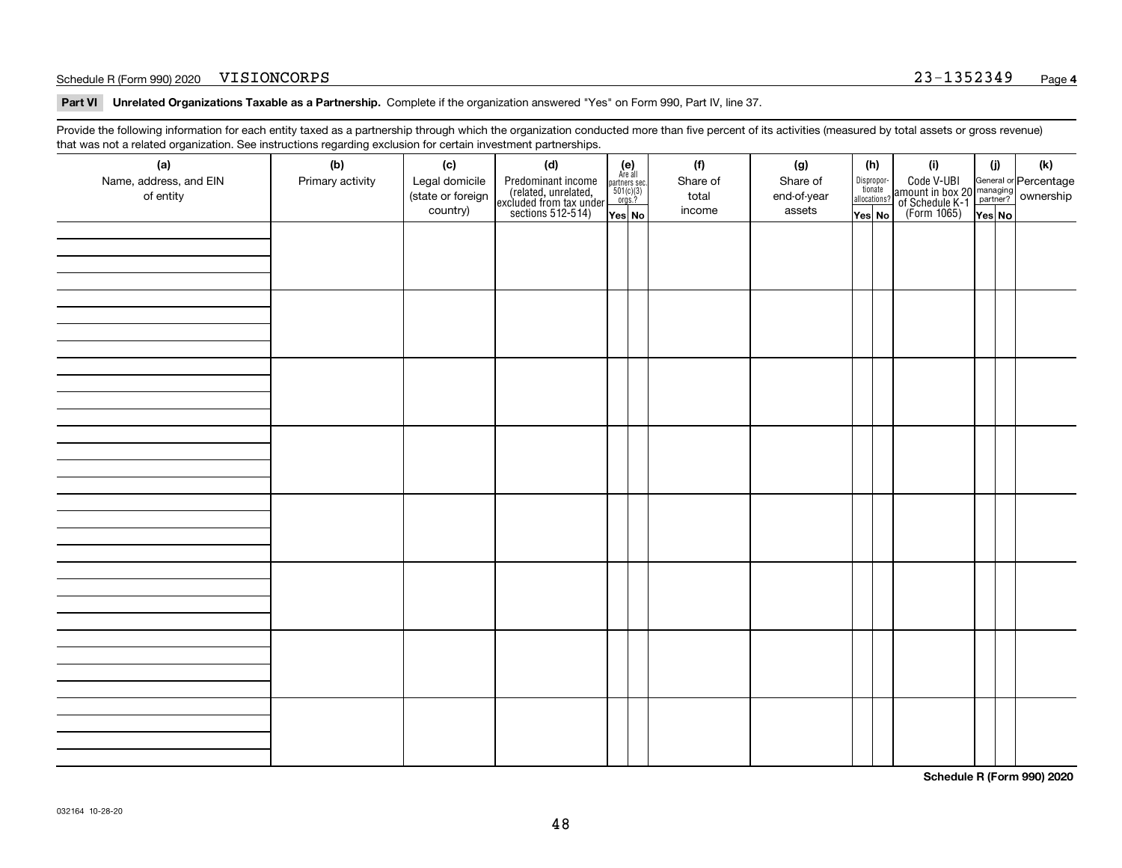#### Schedule R (Form 990) 2020 Page VISIONCORPS 23-1352349

**Part VI Unrelated Organizations Taxable as a Partnership. Complete if the organization answered "Yes" on Form 990, Part IV, line 37.** 

Provide the following information for each entity taxed as a partnership through which the organization conducted more than five percent of its activities (measured by total assets or gross revenue) that was not a related organization. See instructions regarding exclusion for certain investment partnerships.

| ັ                      | ັ<br>ັ           |                   |                                                                                            |                                                                                               |          |             |                                  |                                                                                                  |        |     |
|------------------------|------------------|-------------------|--------------------------------------------------------------------------------------------|-----------------------------------------------------------------------------------------------|----------|-------------|----------------------------------|--------------------------------------------------------------------------------------------------|--------|-----|
| (a)                    | (b)              | (c)               | (d)                                                                                        | $(e)$<br>Are all                                                                              | (f)      | (g)         | (h)                              | (i)                                                                                              | (i)    | (k) |
| Name, address, and EIN | Primary activity | Legal domicile    | Predominant income<br>(related, unrelated,<br>excluded from tax under<br>sections 512-514) |                                                                                               | Share of | Share of    | Disproportionate<br>allocations? | Code V-UBI<br>amount in box 20 managing<br>of Schedule K-1<br>(Form 1065)<br>$\overline{Yes}$ No |        |     |
| of entity              |                  | (state or foreign |                                                                                            | $\begin{array}{c}\n\text{partners} & \text{sec.} \\ 501(c)(3) & \text{orgs.?} \\ \end{array}$ | total    | end-of-year |                                  |                                                                                                  |        |     |
|                        |                  | country)          |                                                                                            |                                                                                               | income   | assets      |                                  |                                                                                                  |        |     |
|                        |                  |                   |                                                                                            | Yes No                                                                                        |          |             | Yes No                           |                                                                                                  | Yes No |     |
|                        |                  |                   |                                                                                            |                                                                                               |          |             |                                  |                                                                                                  |        |     |
|                        |                  |                   |                                                                                            |                                                                                               |          |             |                                  |                                                                                                  |        |     |
|                        |                  |                   |                                                                                            |                                                                                               |          |             |                                  |                                                                                                  |        |     |
|                        |                  |                   |                                                                                            |                                                                                               |          |             |                                  |                                                                                                  |        |     |
|                        |                  |                   |                                                                                            |                                                                                               |          |             |                                  |                                                                                                  |        |     |
|                        |                  |                   |                                                                                            |                                                                                               |          |             |                                  |                                                                                                  |        |     |
|                        |                  |                   |                                                                                            |                                                                                               |          |             |                                  |                                                                                                  |        |     |
|                        |                  |                   |                                                                                            |                                                                                               |          |             |                                  |                                                                                                  |        |     |
|                        |                  |                   |                                                                                            |                                                                                               |          |             |                                  |                                                                                                  |        |     |
|                        |                  |                   |                                                                                            |                                                                                               |          |             |                                  |                                                                                                  |        |     |
|                        |                  |                   |                                                                                            |                                                                                               |          |             |                                  |                                                                                                  |        |     |
|                        |                  |                   |                                                                                            |                                                                                               |          |             |                                  |                                                                                                  |        |     |
|                        |                  |                   |                                                                                            |                                                                                               |          |             |                                  |                                                                                                  |        |     |
|                        |                  |                   |                                                                                            |                                                                                               |          |             |                                  |                                                                                                  |        |     |
|                        |                  |                   |                                                                                            |                                                                                               |          |             |                                  |                                                                                                  |        |     |
|                        |                  |                   |                                                                                            |                                                                                               |          |             |                                  |                                                                                                  |        |     |
|                        |                  |                   |                                                                                            |                                                                                               |          |             |                                  |                                                                                                  |        |     |
|                        |                  |                   |                                                                                            |                                                                                               |          |             |                                  |                                                                                                  |        |     |
|                        |                  |                   |                                                                                            |                                                                                               |          |             |                                  |                                                                                                  |        |     |
|                        |                  |                   |                                                                                            |                                                                                               |          |             |                                  |                                                                                                  |        |     |
|                        |                  |                   |                                                                                            |                                                                                               |          |             |                                  |                                                                                                  |        |     |
|                        |                  |                   |                                                                                            |                                                                                               |          |             |                                  |                                                                                                  |        |     |
|                        |                  |                   |                                                                                            |                                                                                               |          |             |                                  |                                                                                                  |        |     |
|                        |                  |                   |                                                                                            |                                                                                               |          |             |                                  |                                                                                                  |        |     |
|                        |                  |                   |                                                                                            |                                                                                               |          |             |                                  |                                                                                                  |        |     |
|                        |                  |                   |                                                                                            |                                                                                               |          |             |                                  |                                                                                                  |        |     |
|                        |                  |                   |                                                                                            |                                                                                               |          |             |                                  |                                                                                                  |        |     |
|                        |                  |                   |                                                                                            |                                                                                               |          |             |                                  |                                                                                                  |        |     |
|                        |                  |                   |                                                                                            |                                                                                               |          |             |                                  |                                                                                                  |        |     |
|                        |                  |                   |                                                                                            |                                                                                               |          |             |                                  |                                                                                                  |        |     |
|                        |                  |                   |                                                                                            |                                                                                               |          |             |                                  |                                                                                                  |        |     |
|                        |                  |                   |                                                                                            |                                                                                               |          |             |                                  |                                                                                                  |        |     |
|                        |                  |                   |                                                                                            |                                                                                               |          |             |                                  |                                                                                                  |        |     |
|                        |                  |                   |                                                                                            |                                                                                               |          |             |                                  |                                                                                                  |        |     |
|                        |                  |                   |                                                                                            |                                                                                               |          |             |                                  |                                                                                                  |        |     |
|                        |                  |                   |                                                                                            |                                                                                               |          |             |                                  |                                                                                                  |        |     |
|                        |                  |                   |                                                                                            |                                                                                               |          |             |                                  |                                                                                                  |        |     |
|                        |                  |                   |                                                                                            |                                                                                               |          |             |                                  |                                                                                                  |        |     |
|                        |                  |                   |                                                                                            |                                                                                               |          |             |                                  |                                                                                                  |        |     |
|                        |                  |                   |                                                                                            |                                                                                               |          |             |                                  |                                                                                                  |        |     |
|                        |                  |                   |                                                                                            |                                                                                               |          |             |                                  |                                                                                                  |        |     |
|                        |                  |                   |                                                                                            |                                                                                               |          |             |                                  |                                                                                                  |        |     |
|                        |                  |                   |                                                                                            |                                                                                               |          |             |                                  |                                                                                                  |        |     |

**Schedule R (Form 990) 2020**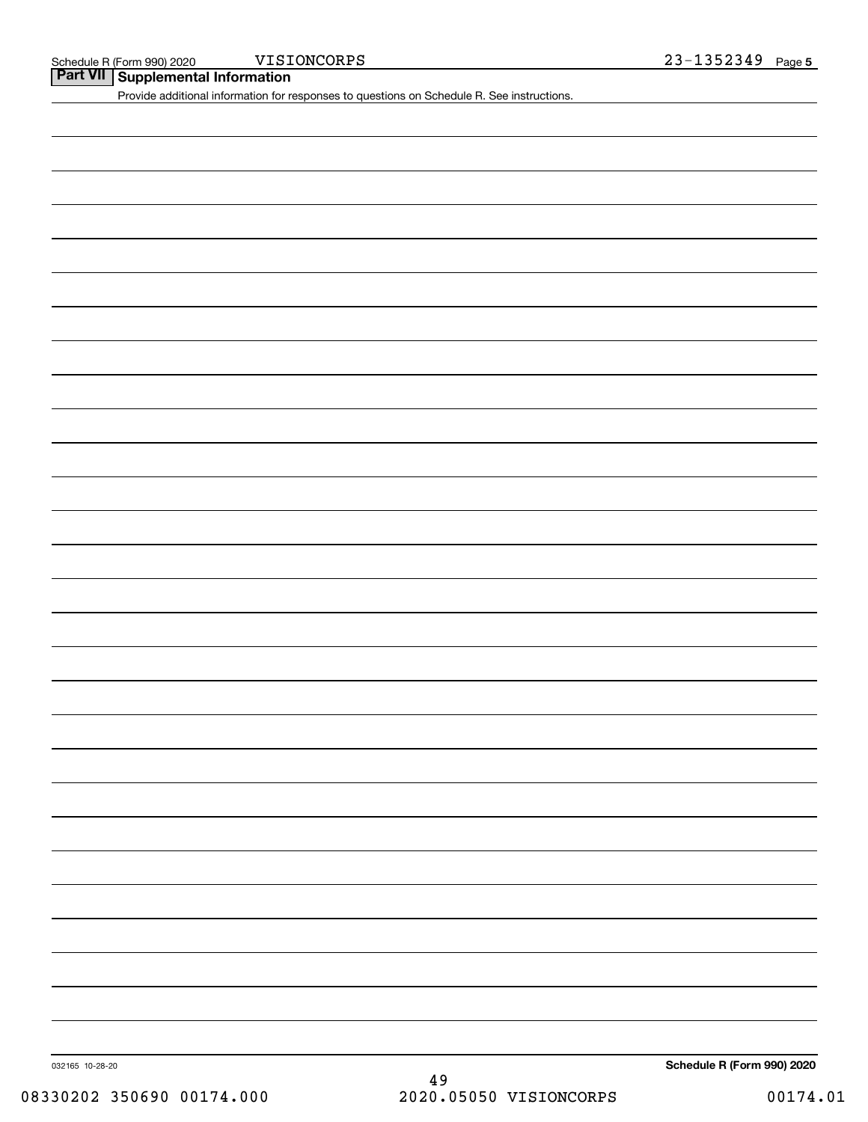**Part VII Supplemental Information**

Provide additional information for responses to questions on Schedule R. See instructions.

032165 10-28-20

**Schedule R (Form 990) 2020**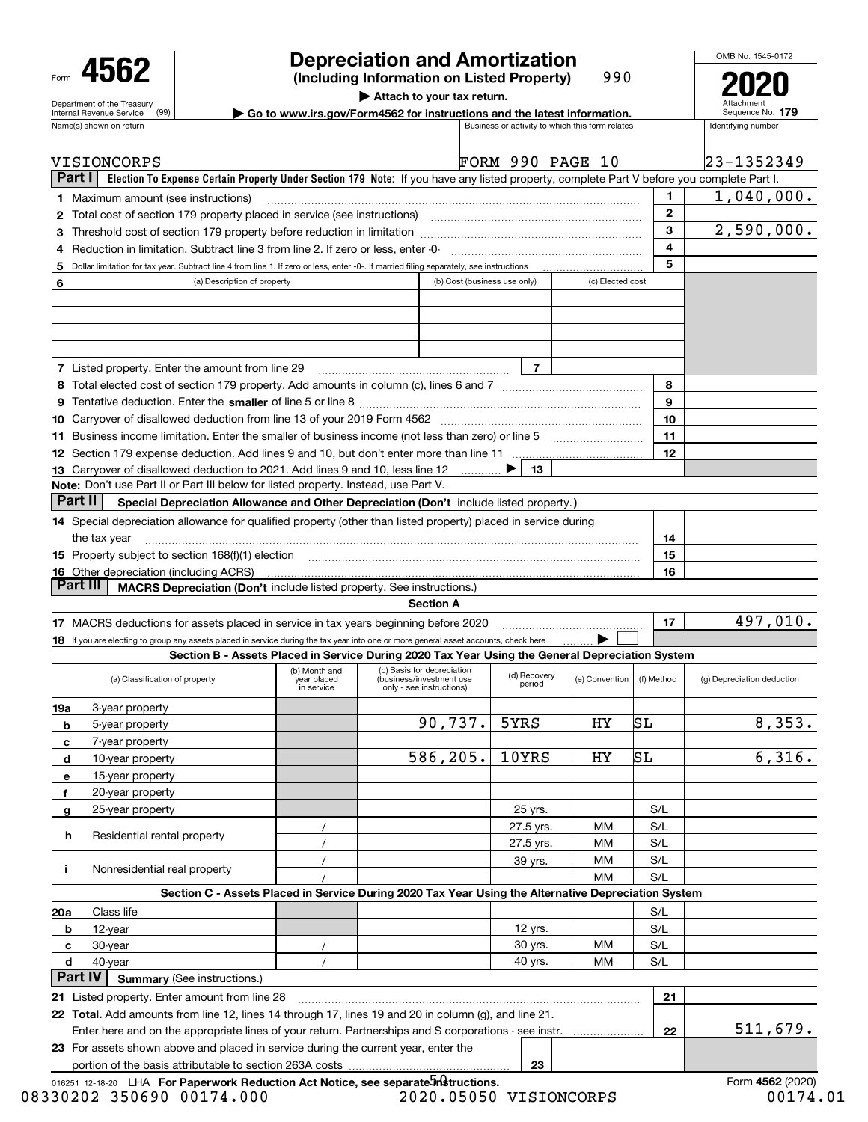|                                                                                                                                                                 |                                                                                                                                                               | <b>Depreciation and Amortization</b>                                                     |                        |                                                 |              | OMB No. 1545-0172          |
|-----------------------------------------------------------------------------------------------------------------------------------------------------------------|---------------------------------------------------------------------------------------------------------------------------------------------------------------|------------------------------------------------------------------------------------------|------------------------|-------------------------------------------------|--------------|----------------------------|
| 4562                                                                                                                                                            |                                                                                                                                                               | (Including Information on Listed Property)                                               |                        | 990                                             |              |                            |
|                                                                                                                                                                 |                                                                                                                                                               | Attach to your tax return.                                                               |                        |                                                 |              |                            |
| Department of the Treasury<br>(99)<br>Internal Revenue Service                                                                                                  |                                                                                                                                                               | $\triangleright$ Go to www.irs.gov/Form4562 for instructions and the latest information. |                        |                                                 |              | Sequence No. 179           |
| Name(s) shown on return                                                                                                                                         |                                                                                                                                                               |                                                                                          |                        | Business or activity to which this form relates |              | Identifving number         |
|                                                                                                                                                                 |                                                                                                                                                               |                                                                                          |                        |                                                 |              |                            |
| VISIONCORPS                                                                                                                                                     |                                                                                                                                                               | FORM 990 PAGE 10                                                                         |                        |                                                 |              | $ 23 - 135234 $            |
| Part I                                                                                                                                                          | Election To Expense Certain Property Under Section 179 Note: If you have any listed property, complete Part V before you complete Part I.                     |                                                                                          |                        |                                                 |              |                            |
| <b>1</b> Maximum amount (see instructions)                                                                                                                      |                                                                                                                                                               |                                                                                          |                        |                                                 | 1.           | 1,040,00                   |
|                                                                                                                                                                 | 2 Total cost of section 179 property placed in service (see instructions)                                                                                     |                                                                                          |                        |                                                 | $\mathbf{2}$ |                            |
| 3                                                                                                                                                               |                                                                                                                                                               |                                                                                          |                        |                                                 | 3            | 2,590,00                   |
| 4                                                                                                                                                               | Reduction in limitation. Subtract line 3 from line 2. If zero or less, enter -0-                                                                              |                                                                                          |                        |                                                 | 4            |                            |
| 5                                                                                                                                                               | Dollar limitation for tax year. Subtract line 4 from line 1. If zero or less, enter -0-. If married filing separately, see instructions                       |                                                                                          |                        |                                                 | 5            |                            |
| 6                                                                                                                                                               | (a) Description of property                                                                                                                                   | (b) Cost (business use only)                                                             |                        | (c) Elected cost                                |              |                            |
|                                                                                                                                                                 |                                                                                                                                                               |                                                                                          |                        |                                                 |              |                            |
|                                                                                                                                                                 |                                                                                                                                                               |                                                                                          |                        |                                                 |              |                            |
|                                                                                                                                                                 |                                                                                                                                                               |                                                                                          |                        |                                                 |              |                            |
|                                                                                                                                                                 |                                                                                                                                                               |                                                                                          |                        |                                                 |              |                            |
| 7 Listed property. Enter the amount from line 29                                                                                                                |                                                                                                                                                               |                                                                                          | $\overline{7}$         |                                                 |              |                            |
|                                                                                                                                                                 |                                                                                                                                                               |                                                                                          |                        |                                                 | 8            |                            |
|                                                                                                                                                                 |                                                                                                                                                               |                                                                                          |                        |                                                 | 9            |                            |
|                                                                                                                                                                 | 10 Carryover of disallowed deduction from line 13 of your 2019 Form 4562 [11] [12] [12] Carryover of disallowed deduction from line 13 of your 2019 Form 4562 |                                                                                          |                        |                                                 | 10           |                            |
|                                                                                                                                                                 | 11 Business income limitation. Enter the smaller of business income (not less than zero) or line 5                                                            |                                                                                          |                        |                                                 | 11           |                            |
|                                                                                                                                                                 |                                                                                                                                                               |                                                                                          |                        |                                                 | 12           |                            |
|                                                                                                                                                                 | 13 Carryover of disallowed deduction to 2021. Add lines 9 and 10, less line 12                                                                                |                                                                                          | 13                     |                                                 |              |                            |
|                                                                                                                                                                 | Note: Don't use Part II or Part III below for listed property. Instead, use Part V.                                                                           |                                                                                          |                        |                                                 |              |                            |
| Part II                                                                                                                                                         | Special Depreciation Allowance and Other Depreciation (Don't include listed property.)                                                                        |                                                                                          |                        |                                                 |              |                            |
|                                                                                                                                                                 |                                                                                                                                                               |                                                                                          |                        |                                                 |              |                            |
|                                                                                                                                                                 |                                                                                                                                                               |                                                                                          |                        |                                                 |              |                            |
|                                                                                                                                                                 |                                                                                                                                                               |                                                                                          |                        |                                                 |              |                            |
| the tax year                                                                                                                                                    |                                                                                                                                                               |                                                                                          |                        |                                                 | 14           |                            |
|                                                                                                                                                                 | 15 Property subject to section 168(f)(1) election manufactured and contain an according to Property subject to section 168(f)(1) election                     |                                                                                          |                        |                                                 | 15           |                            |
|                                                                                                                                                                 |                                                                                                                                                               |                                                                                          |                        |                                                 | 16           |                            |
| Part III                                                                                                                                                        | MACRS Depreciation (Don't include listed property. See instructions.)                                                                                         |                                                                                          |                        |                                                 |              |                            |
| 14 Special depreciation allowance for qualified property (other than listed property) placed in service during<br><b>16</b> Other depreciation (including ACRS) |                                                                                                                                                               | <b>Section A</b>                                                                         |                        |                                                 |              |                            |
|                                                                                                                                                                 | 17 MACRS deductions for assets placed in service in tax years beginning before 2020                                                                           |                                                                                          |                        |                                                 | 17           |                            |
|                                                                                                                                                                 | 18 If you are electing to group any assets placed in service during the tax year into one or more general asset accounts, check here                          |                                                                                          |                        |                                                 |              |                            |
|                                                                                                                                                                 | Section B - Assets Placed in Service During 2020 Tax Year Using the General Depreciation System                                                               |                                                                                          |                        |                                                 |              | 497,01                     |
| (a) Classification of property                                                                                                                                  | (b) Month and<br>year placed<br>in service                                                                                                                    | (c) Basis for depreciation<br>(business/investment use<br>only - see instructions)       | (d) Recovery<br>period | (e) Convention                                  | (f) Method   | (g) Depreciation deduction |

|                  | (a) Classification of property                                                                       | (b) Month and<br>year placed<br>in service | (c) Basis for depreciation<br>(business/investment use<br>only - see instructions)                  | (d) Recovery<br>period | (e) Convention | (f) Method | (g) Depreciation deduction |
|------------------|------------------------------------------------------------------------------------------------------|--------------------------------------------|-----------------------------------------------------------------------------------------------------|------------------------|----------------|------------|----------------------------|
| 19a              | 3-year property                                                                                      |                                            |                                                                                                     |                        |                |            |                            |
| b                | 5-year property                                                                                      |                                            | 90,737.                                                                                             | 5YRS                   | НY             | SL         | 8,353.                     |
| C                | 7-year property                                                                                      |                                            |                                                                                                     |                        |                |            |                            |
| d                | 10-year property                                                                                     |                                            | 586,205.                                                                                            | 10YRS                  | НY             | SL         | 6,316.                     |
| $\mathbf{e}$     | 15-year property                                                                                     |                                            |                                                                                                     |                        |                |            |                            |
| 20-year property |                                                                                                      |                                            |                                                                                                     |                        |                |            |                            |
| 25-year property |                                                                                                      |                                            |                                                                                                     | 25 yrs.                |                | S/L        |                            |
|                  |                                                                                                      |                                            |                                                                                                     | 27.5 yrs.              | <b>MM</b>      | S/L        |                            |
| h.               | Residential rental property                                                                          |                                            |                                                                                                     | 27.5 yrs.              | MМ             | S/L        |                            |
|                  |                                                                                                      |                                            |                                                                                                     | 39 yrs.                | мм             | S/L        |                            |
|                  | Nonresidential real property                                                                         |                                            |                                                                                                     |                        | MМ             | S/L        |                            |
|                  |                                                                                                      |                                            | Section C - Assets Placed in Service During 2020 Tax Year Using the Alternative Depreciation System |                        |                |            |                            |
| 20 a             | Class life                                                                                           |                                            |                                                                                                     |                        |                | S/L        |                            |
| b                | 12-year                                                                                              |                                            |                                                                                                     | 12 yrs.                |                | S/L        |                            |
| c                | 30-year                                                                                              |                                            |                                                                                                     | 30 yrs.                | MМ             | S/L        |                            |
| d                | 40-year                                                                                              |                                            |                                                                                                     | 40 yrs.                | MМ             | S/L        |                            |
| Part IV          | <b>Summary (See instructions.)</b>                                                                   |                                            |                                                                                                     |                        |                |            |                            |
|                  | 21 Listed property. Enter amount from line 28                                                        |                                            |                                                                                                     |                        |                | 21         |                            |
|                  | 22 Total. Add amounts from line 12, lines 14 through 17, lines 19 and 20 in column (g), and line 21. |                                            |                                                                                                     |                        |                |            |                            |
|                  | Enter here and on the appropriate lines of your return. Partnerships and S corporations - see instr. |                                            |                                                                                                     |                        |                | 22         | 511,679.                   |
|                  | 23 For assets shown above and placed in service during the current year, enter the                   |                                            |                                                                                                     |                        |                |            |                            |
|                  |                                                                                                      | 23                                         |                                                                                                     |                        |                |            |                            |

| 016251 12-18-20 LHA For Paperwork Reduction Act Notice, see separate <i>In</i> Structions. |                        | Form 4562 (2020) |
|--------------------------------------------------------------------------------------------|------------------------|------------------|
| 08330202 350690 00174.000                                                                  | 2020.05050 VISIONCORPS | 00174.01         |

497,010.

 $23 - 1352349$ 

1,040,000.

2,590,000.